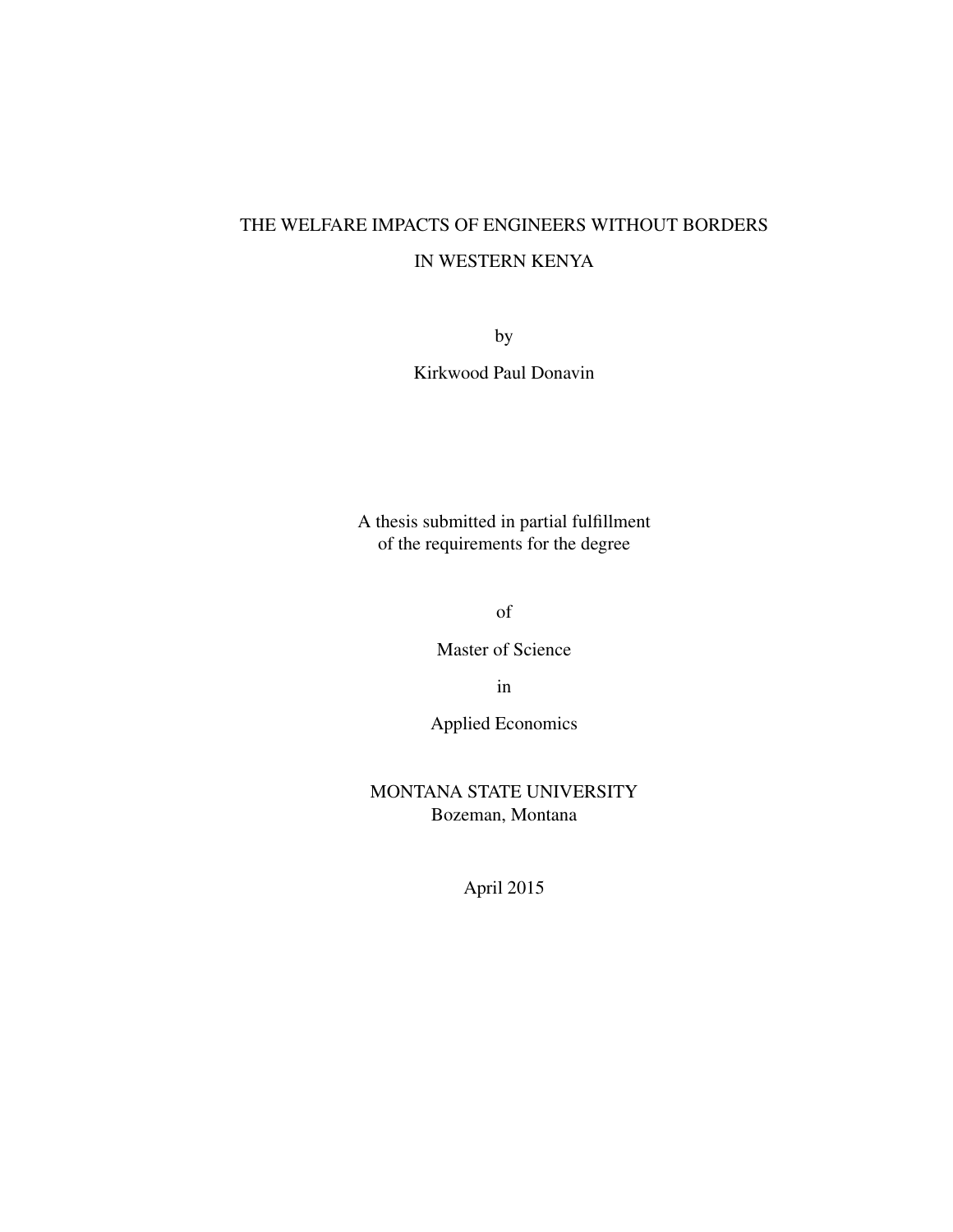# THE WELFARE IMPACTS OF ENGINEERS WITHOUT BORDERS IN WESTERN KENYA

by

Kirkwood Paul Donavin

A thesis submitted in partial fulfillment of the requirements for the degree

of

Master of Science

in

Applied Economics

MONTANA STATE UNIVERSITY Bozeman, Montana

April 2015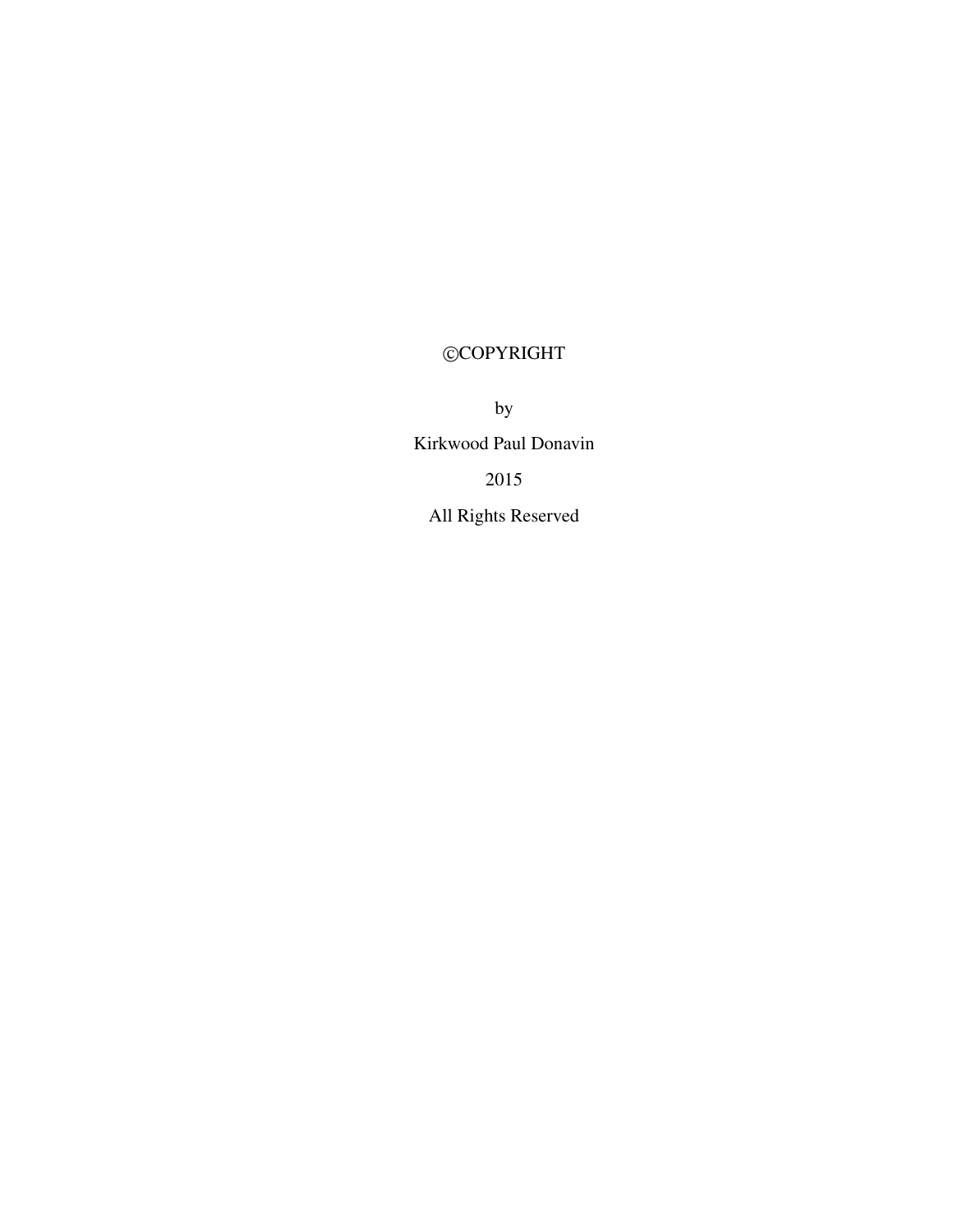# ©COPYRIGHT

by Kirkwood Paul Donavin 2015 All Rights Reserved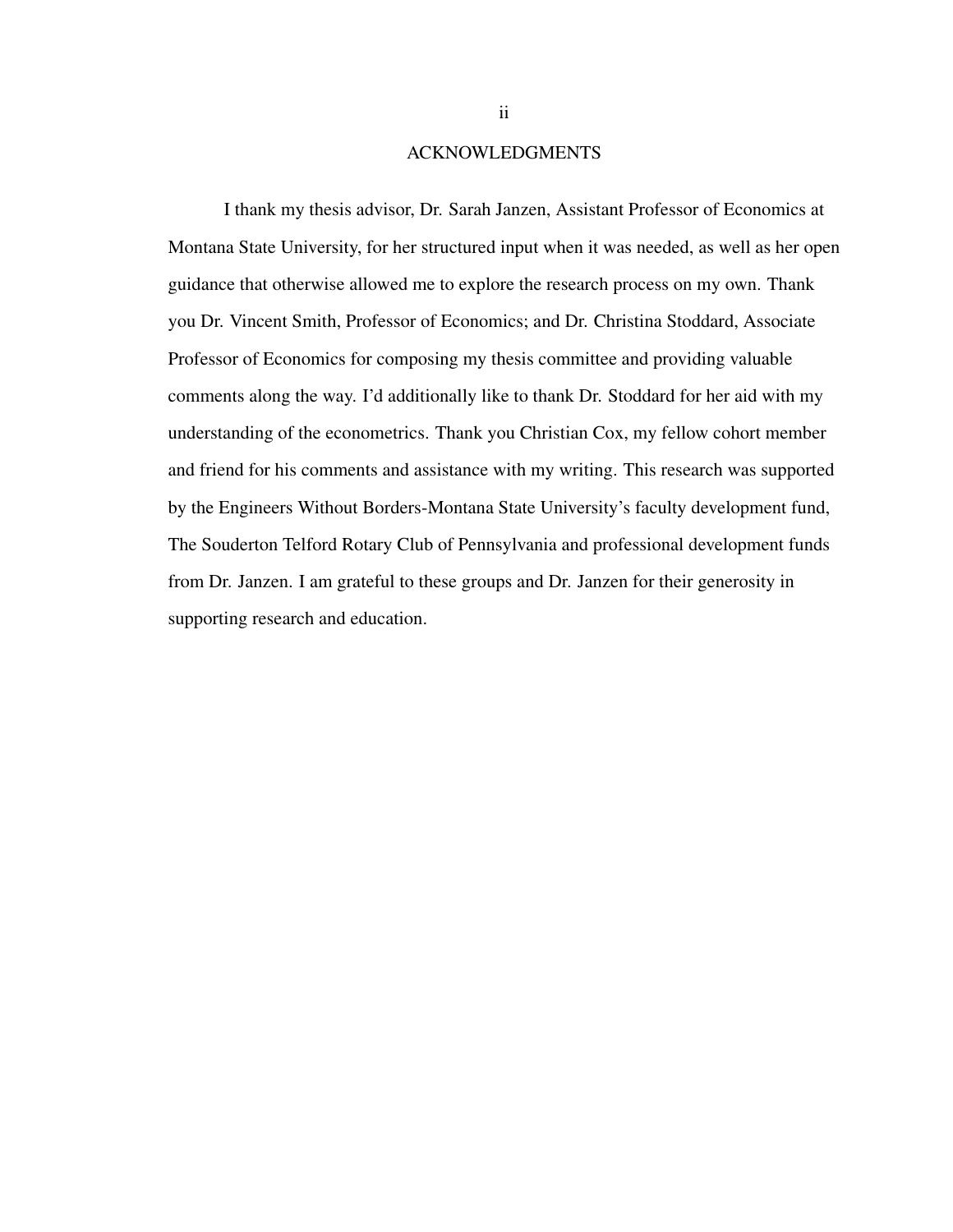#### ACKNOWLEDGMENTS

I thank my thesis advisor, Dr. Sarah Janzen, Assistant Professor of Economics at Montana State University, for her structured input when it was needed, as well as her open guidance that otherwise allowed me to explore the research process on my own. Thank you Dr. Vincent Smith, Professor of Economics; and Dr. Christina Stoddard, Associate Professor of Economics for composing my thesis committee and providing valuable comments along the way. I'd additionally like to thank Dr. Stoddard for her aid with my understanding of the econometrics. Thank you Christian Cox, my fellow cohort member and friend for his comments and assistance with my writing. This research was supported by the Engineers Without Borders-Montana State University's faculty development fund, The Souderton Telford Rotary Club of Pennsylvania and professional development funds from Dr. Janzen. I am grateful to these groups and Dr. Janzen for their generosity in supporting research and education.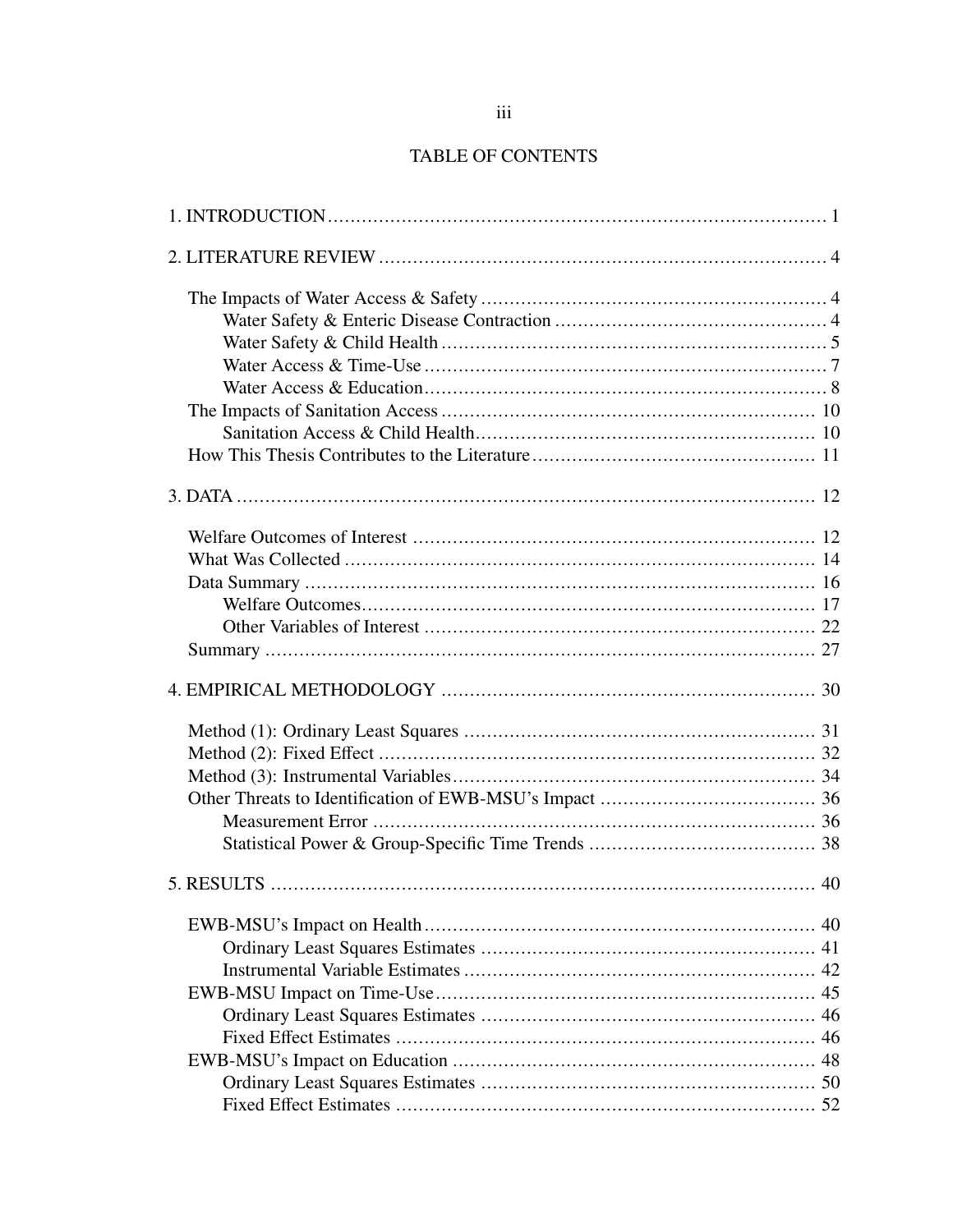## TABLE OF CONTENTS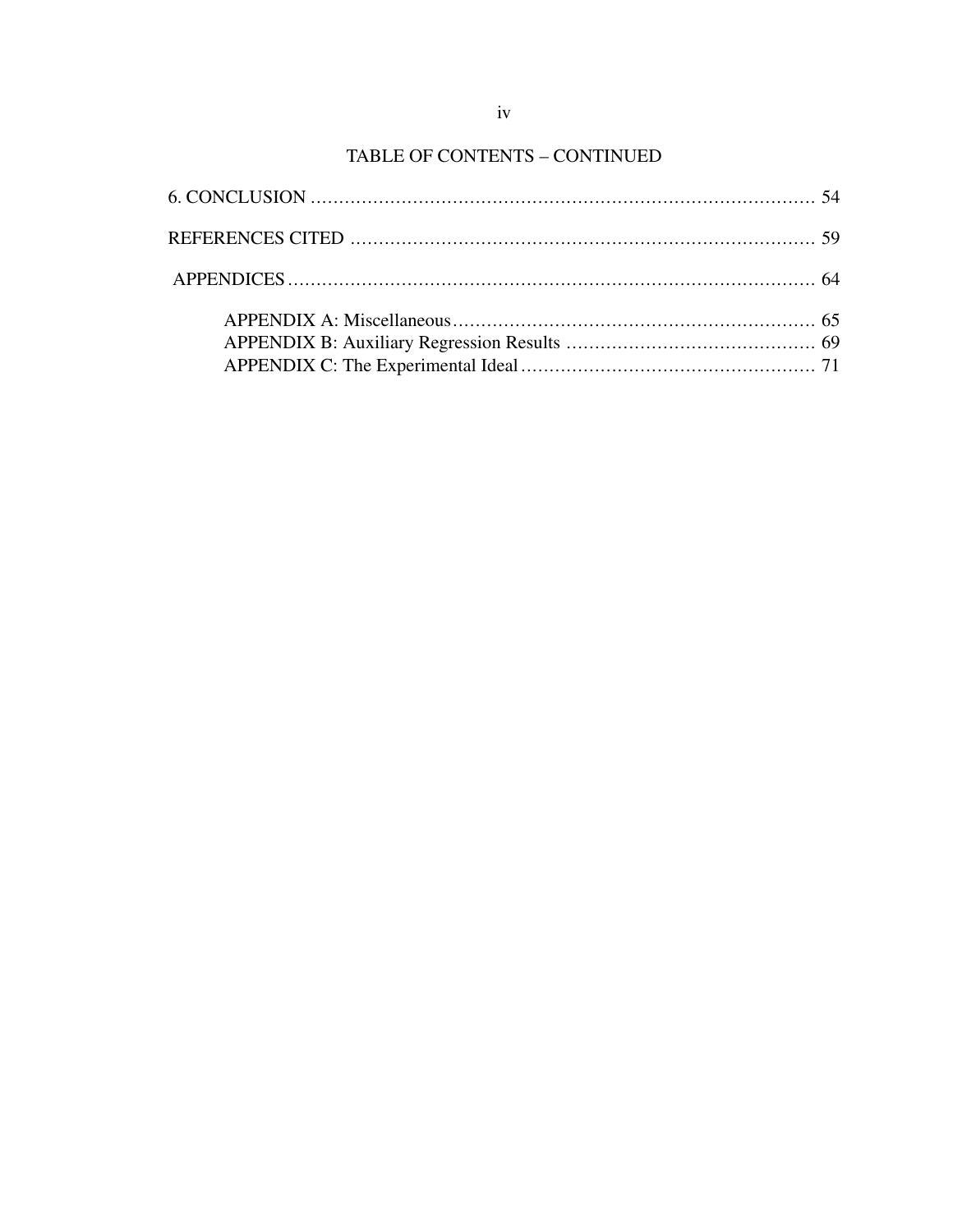## TABLE OF CONTENTS - CONTINUED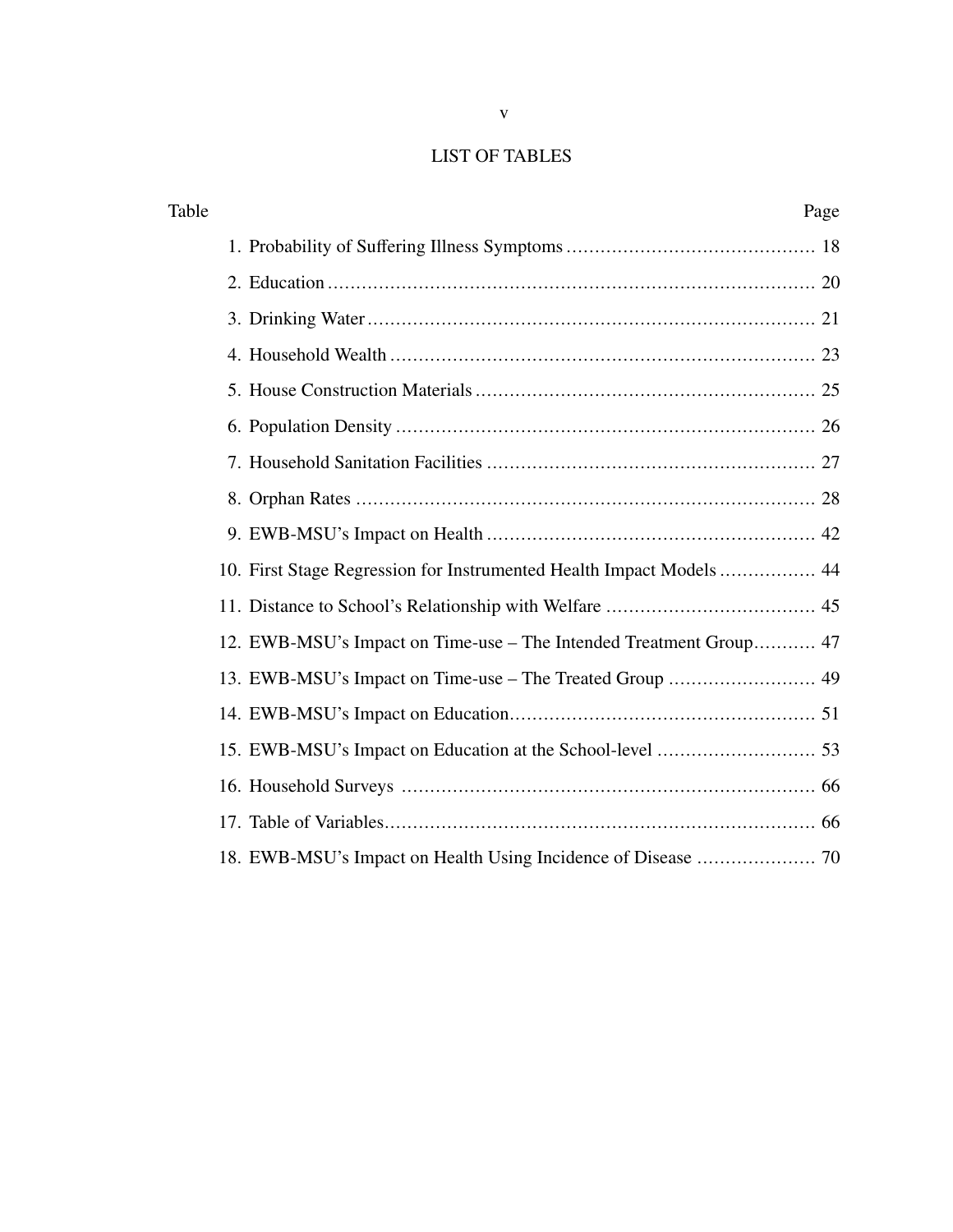## LIST OF TABLES

| Table                                                               | Page |
|---------------------------------------------------------------------|------|
|                                                                     |      |
|                                                                     |      |
|                                                                     |      |
|                                                                     |      |
|                                                                     |      |
|                                                                     |      |
|                                                                     |      |
|                                                                     |      |
|                                                                     |      |
| 10. First Stage Regression for Instrumented Health Impact Models 44 |      |
|                                                                     |      |
| 12. EWB-MSU's Impact on Time-use – The Intended Treatment Group 47  |      |
|                                                                     |      |
|                                                                     |      |
|                                                                     |      |
|                                                                     |      |
|                                                                     |      |
|                                                                     |      |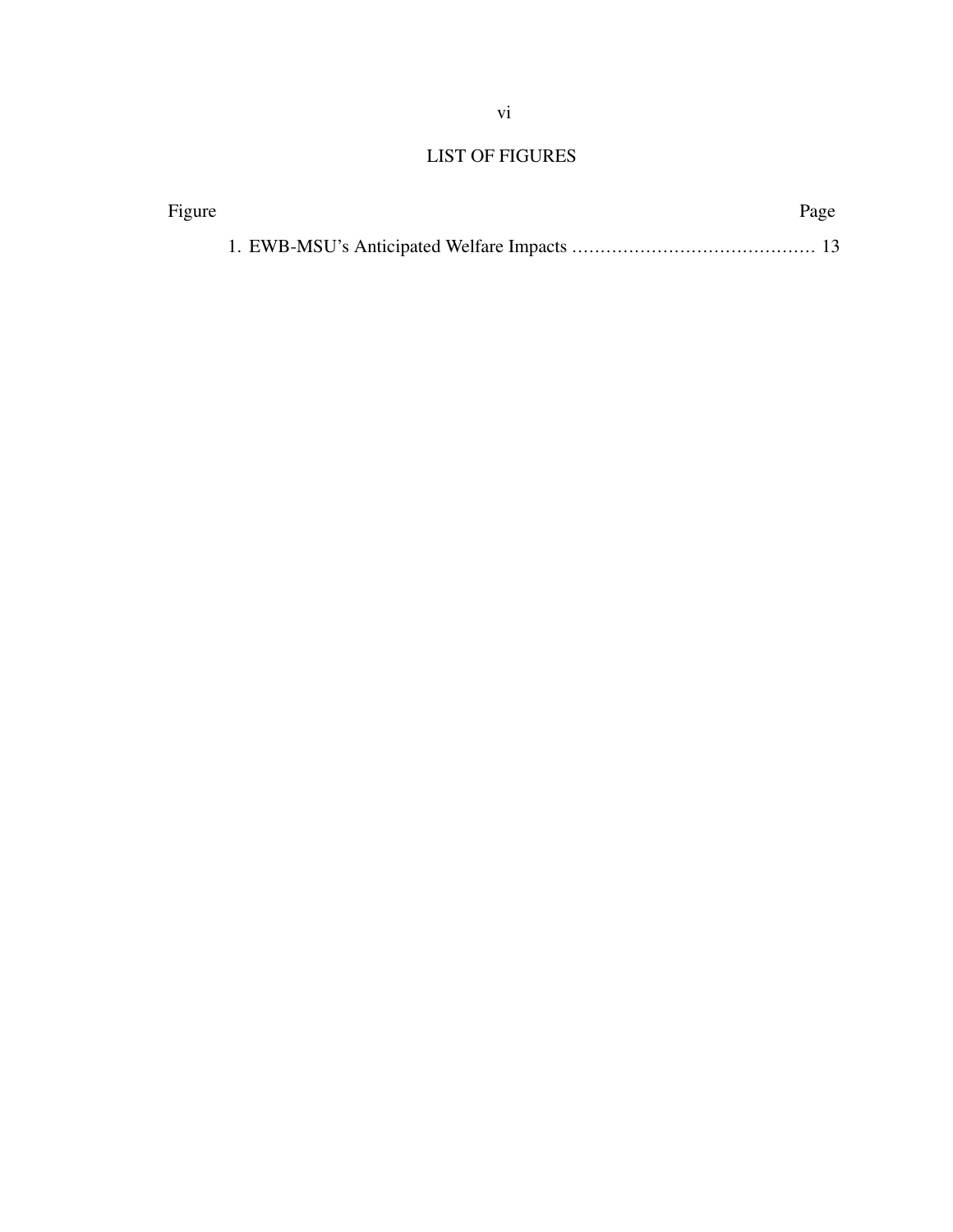## LIST OF FIGURES

| Figure | Page |
|--------|------|
|        |      |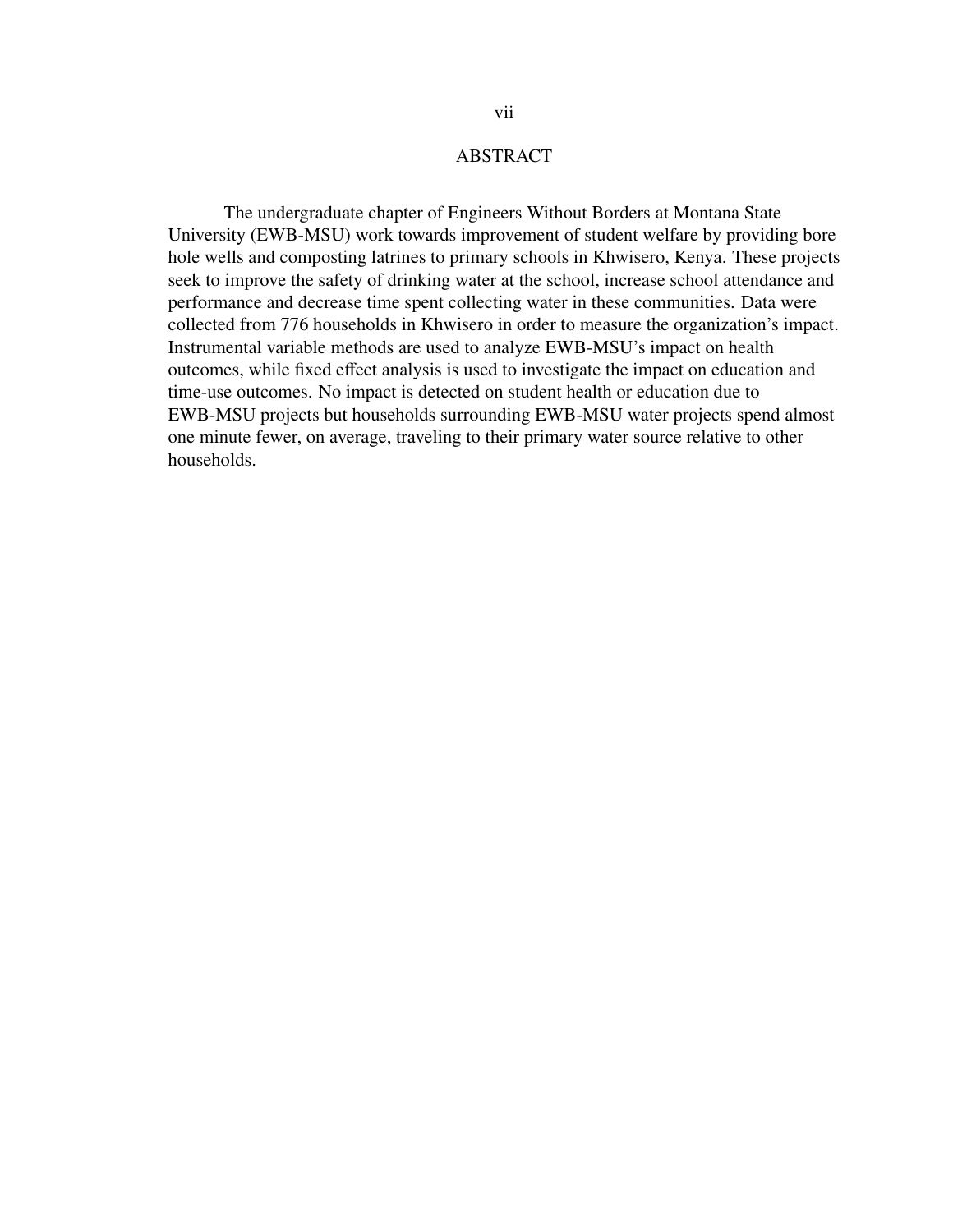## ABSTRACT

The undergraduate chapter of Engineers Without Borders at Montana State University (EWB-MSU) work towards improvement of student welfare by providing bore hole wells and composting latrines to primary schools in Khwisero, Kenya. These projects seek to improve the safety of drinking water at the school, increase school attendance and performance and decrease time spent collecting water in these communities. Data were collected from 776 households in Khwisero in order to measure the organization's impact. Instrumental variable methods are used to analyze EWB-MSU's impact on health outcomes, while fixed effect analysis is used to investigate the impact on education and time-use outcomes. No impact is detected on student health or education due to EWB-MSU projects but households surrounding EWB-MSU water projects spend almost one minute fewer, on average, traveling to their primary water source relative to other households.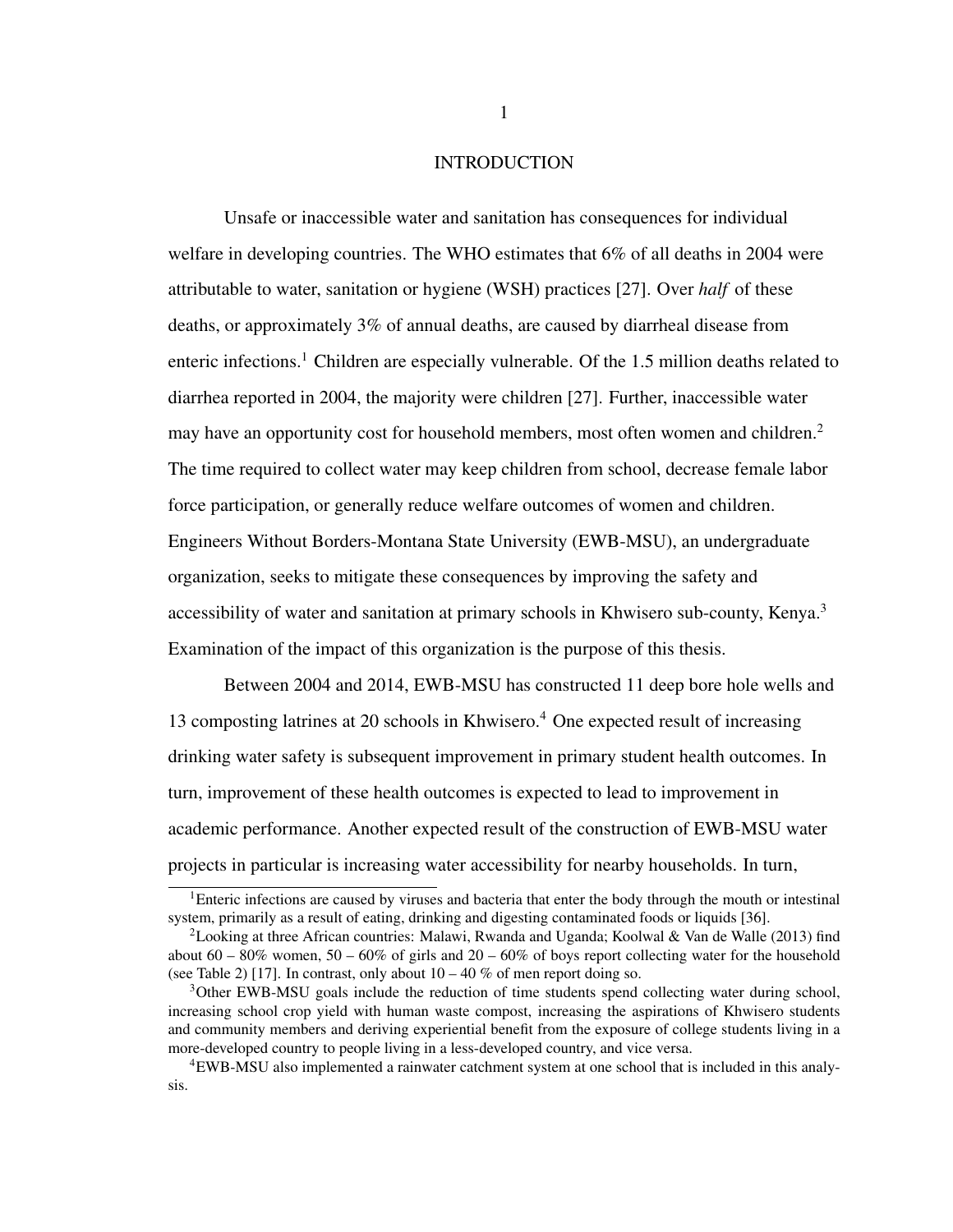## INTRODUCTION

<span id="page-8-0"></span>Unsafe or inaccessible water and sanitation has consequences for individual welfare in developing countries. The WHO estimates that 6% of all deaths in 2004 were attributable to water, sanitation or hygiene (WSH) practices [\[27\]](#page-69-0). Over *half* of these deaths, or approximately 3% of annual deaths, are caused by diarrheal disease from enteric infections.<sup>[1](#page-8-1)</sup> Children are especially vulnerable. Of the 1.5 million deaths related to diarrhea reported in 2004, the majority were children [\[27\]](#page-69-0). Further, inaccessible water may have an opportunity cost for household members, most often women and children.<sup>[2](#page-8-2)</sup> The time required to collect water may keep children from school, decrease female labor force participation, or generally reduce welfare outcomes of women and children. Engineers Without Borders-Montana State University (EWB-MSU), an undergraduate organization, seeks to mitigate these consequences by improving the safety and accessibility of water and sanitation at primary schools in Khwisero sub-county, Kenya.<sup>[3](#page-8-3)</sup> Examination of the impact of this organization is the purpose of this thesis.

Between 2004 and 2014, EWB-MSU has constructed 11 deep bore hole wells and 13 composting latrines at 20 schools in Khwisero.[4](#page-8-4) One expected result of increasing drinking water safety is subsequent improvement in primary student health outcomes. In turn, improvement of these health outcomes is expected to lead to improvement in academic performance. Another expected result of the construction of EWB-MSU water projects in particular is increasing water accessibility for nearby households. In turn,

<span id="page-8-1"></span><sup>&</sup>lt;sup>1</sup>Enteric infections are caused by viruses and bacteria that enter the body through the mouth or intestinal system, primarily as a result of eating, drinking and digesting contaminated foods or liquids [\[36\]](#page-70-0).

<span id="page-8-2"></span><sup>&</sup>lt;sup>2</sup> Looking at three African countries: Malawi, Rwanda and Uganda; Koolwal & Van de Walle (2013) find about  $60 - 80\%$  women,  $50 - 60\%$  of girls and  $20 - 60\%$  of boys report collecting water for the household (see Table 2) [\[17\]](#page-68-0). In contrast, only about  $10 - 40 \%$  of men report doing so.

<span id="page-8-3"></span><sup>&</sup>lt;sup>3</sup>Other EWB-MSU goals include the reduction of time students spend collecting water during school, increasing school crop yield with human waste compost, increasing the aspirations of Khwisero students and community members and deriving experiential benefit from the exposure of college students living in a more-developed country to people living in a less-developed country, and vice versa.

<span id="page-8-4"></span><sup>4</sup>EWB-MSU also implemented a rainwater catchment system at one school that is included in this analysis.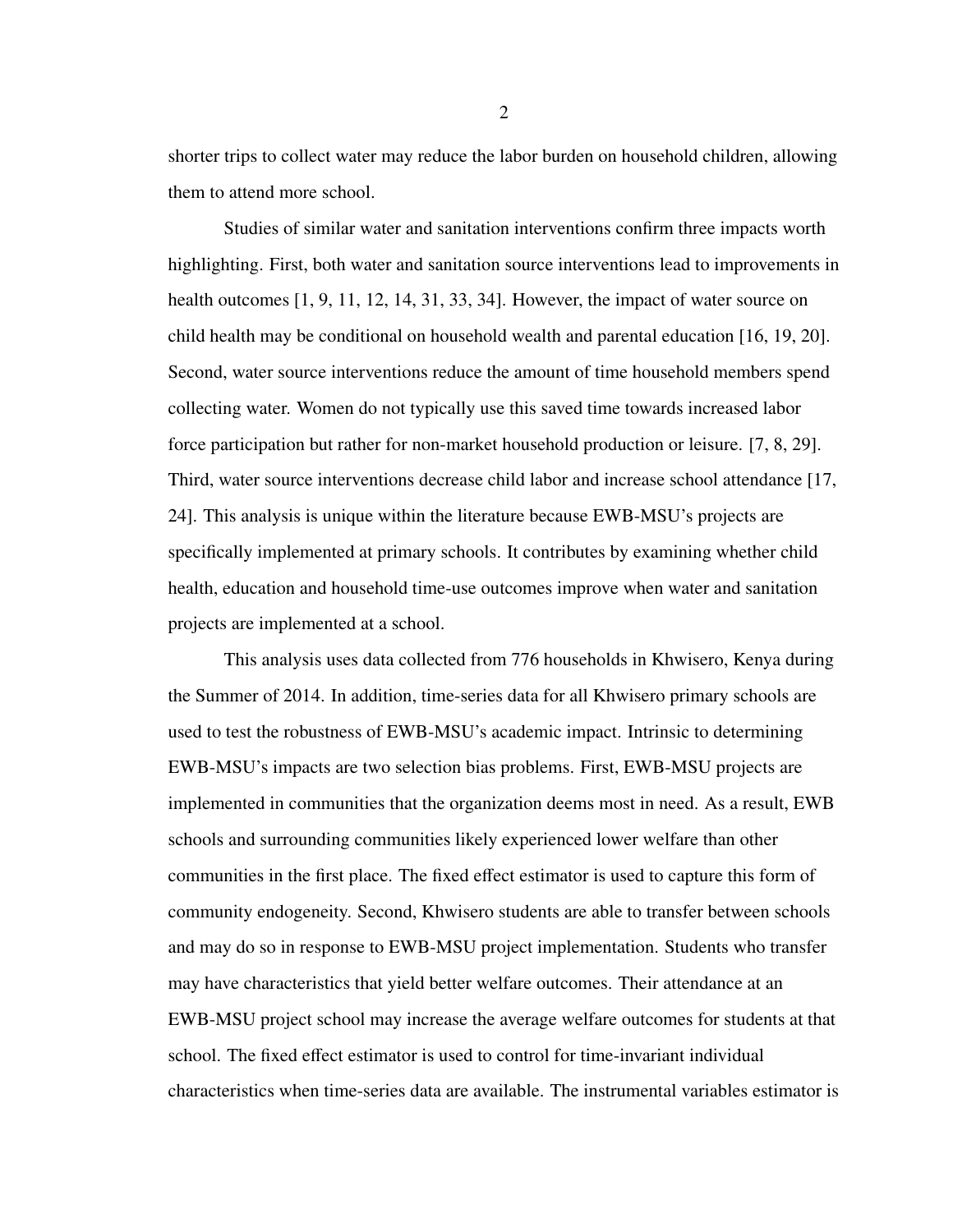shorter trips to collect water may reduce the labor burden on household children, allowing them to attend more school.

Studies of similar water and sanitation interventions confirm three impacts worth highlighting. First, both water and sanitation source interventions lead to improvements in health outcomes [\[1,](#page-67-0) [9,](#page-67-1) [11,](#page-67-2) [12,](#page-67-3) [14,](#page-68-1) [31,](#page-69-1) [33,](#page-69-2) [34\]](#page-69-3). However, the impact of water source on child health may be conditional on household wealth and parental education [\[16,](#page-68-2) [19,](#page-68-3) [20\]](#page-68-4). Second, water source interventions reduce the amount of time household members spend collecting water. Women do not typically use this saved time towards increased labor force participation but rather for non-market household production or leisure. [\[7,](#page-67-4) [8,](#page-67-5) [29\]](#page-69-4). Third, water source interventions decrease child labor and increase school attendance [\[17,](#page-68-0) [24\]](#page-69-5). This analysis is unique within the literature because EWB-MSU's projects are specifically implemented at primary schools. It contributes by examining whether child health, education and household time-use outcomes improve when water and sanitation projects are implemented at a school.

This analysis uses data collected from 776 households in Khwisero, Kenya during the Summer of 2014. In addition, time-series data for all Khwisero primary schools are used to test the robustness of EWB-MSU's academic impact. Intrinsic to determining EWB-MSU's impacts are two selection bias problems. First, EWB-MSU projects are implemented in communities that the organization deems most in need. As a result, EWB schools and surrounding communities likely experienced lower welfare than other communities in the first place. The fixed effect estimator is used to capture this form of community endogeneity. Second, Khwisero students are able to transfer between schools and may do so in response to EWB-MSU project implementation. Students who transfer may have characteristics that yield better welfare outcomes. Their attendance at an EWB-MSU project school may increase the average welfare outcomes for students at that school. The fixed effect estimator is used to control for time-invariant individual characteristics when time-series data are available. The instrumental variables estimator is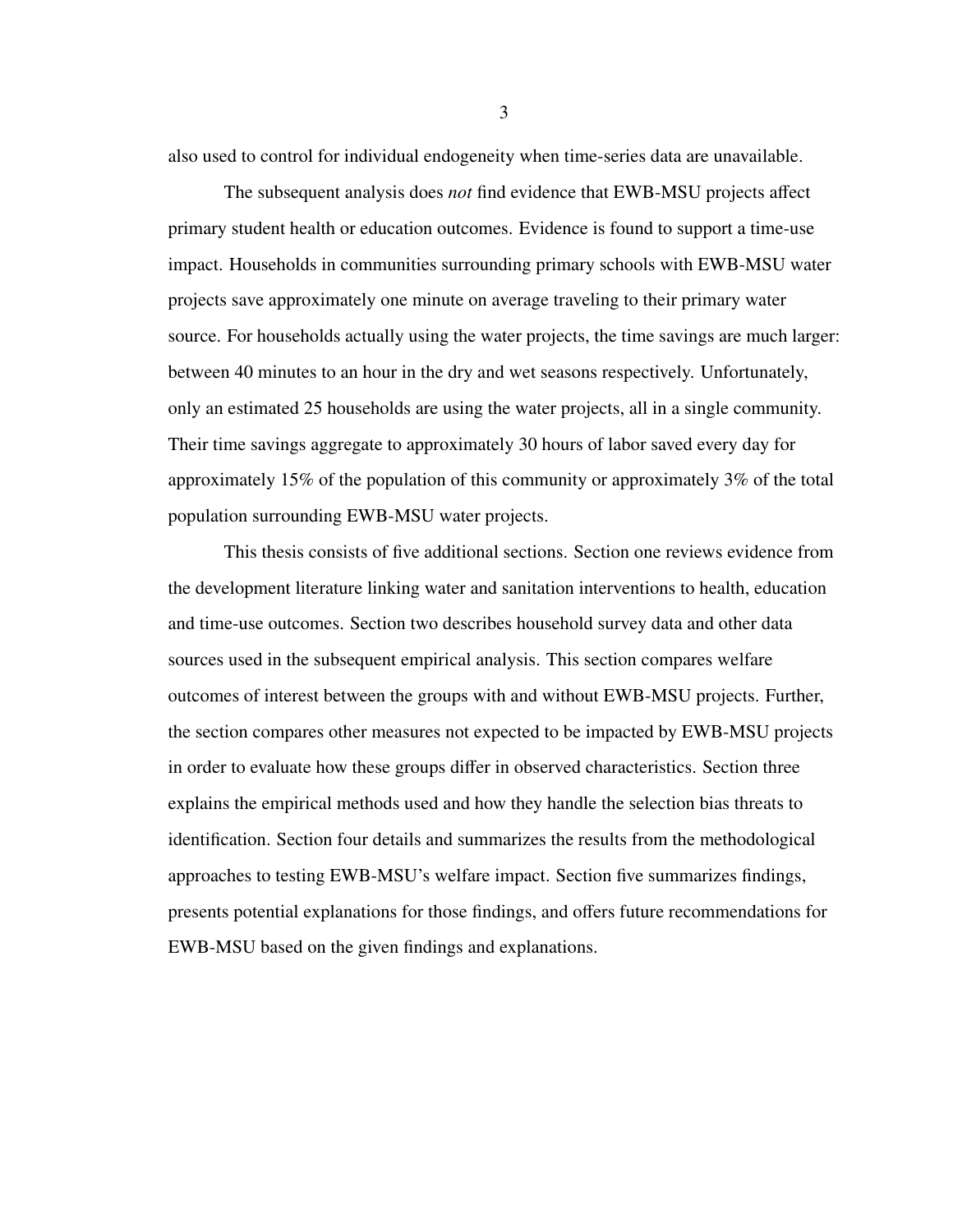also used to control for individual endogeneity when time-series data are unavailable.

The subsequent analysis does *not* find evidence that EWB-MSU projects affect primary student health or education outcomes. Evidence is found to support a time-use impact. Households in communities surrounding primary schools with EWB-MSU water projects save approximately one minute on average traveling to their primary water source. For households actually using the water projects, the time savings are much larger: between 40 minutes to an hour in the dry and wet seasons respectively. Unfortunately, only an estimated 25 households are using the water projects, all in a single community. Their time savings aggregate to approximately 30 hours of labor saved every day for approximately 15% of the population of this community or approximately 3% of the total population surrounding EWB-MSU water projects.

This thesis consists of five additional sections. Section one reviews evidence from the development literature linking water and sanitation interventions to health, education and time-use outcomes. Section two describes household survey data and other data sources used in the subsequent empirical analysis. This section compares welfare outcomes of interest between the groups with and without EWB-MSU projects. Further, the section compares other measures not expected to be impacted by EWB-MSU projects in order to evaluate how these groups differ in observed characteristics. Section three explains the empirical methods used and how they handle the selection bias threats to identification. Section four details and summarizes the results from the methodological approaches to testing EWB-MSU's welfare impact. Section five summarizes findings, presents potential explanations for those findings, and offers future recommendations for EWB-MSU based on the given findings and explanations.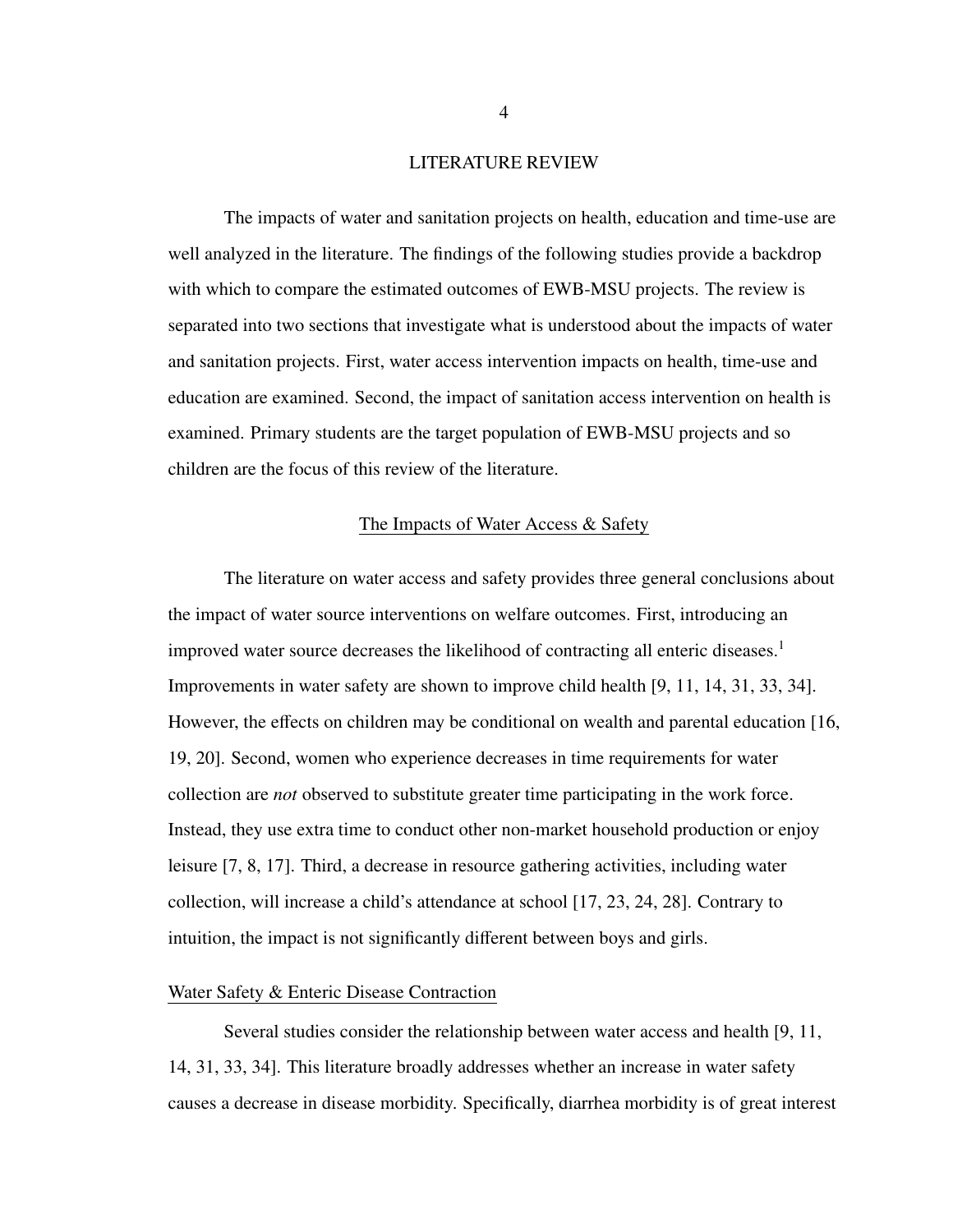#### LITERATURE REVIEW

<span id="page-11-0"></span>The impacts of water and sanitation projects on health, education and time-use are well analyzed in the literature. The findings of the following studies provide a backdrop with which to compare the estimated outcomes of EWB-MSU projects. The review is separated into two sections that investigate what is understood about the impacts of water and sanitation projects. First, water access intervention impacts on health, time-use and education are examined. Second, the impact of sanitation access intervention on health is examined. Primary students are the target population of EWB-MSU projects and so children are the focus of this review of the literature.

## The Impacts of Water Access & Safety

<span id="page-11-1"></span>The literature on water access and safety provides three general conclusions about the impact of water source interventions on welfare outcomes. First, introducing an improved water source decreases the likelihood of contracting all enteric diseases.<sup>[1](#page-8-1)</sup> Improvements in water safety are shown to improve child health [\[9,](#page-67-1) [11,](#page-67-2) [14,](#page-68-1) [31,](#page-69-1) [33,](#page-69-2) [34\]](#page-69-3). However, the effects on children may be conditional on wealth and parental education [\[16,](#page-68-2) [19,](#page-68-3) [20\]](#page-68-4). Second, women who experience decreases in time requirements for water collection are *not* observed to substitute greater time participating in the work force. Instead, they use extra time to conduct other non-market household production or enjoy leisure [\[7,](#page-67-4) [8,](#page-67-5) [17\]](#page-68-0). Third, a decrease in resource gathering activities, including water collection, will increase a child's attendance at school [\[17,](#page-68-0) [23,](#page-68-5) [24,](#page-69-5) [28\]](#page-69-6). Contrary to intuition, the impact is not significantly different between boys and girls.

## <span id="page-11-2"></span>Water Safety & Enteric Disease Contraction

Several studies consider the relationship between water access and health [\[9,](#page-67-1) [11,](#page-67-2) [14,](#page-68-1) [31,](#page-69-1) [33,](#page-69-2) [34\]](#page-69-3). This literature broadly addresses whether an increase in water safety causes a decrease in disease morbidity. Specifically, diarrhea morbidity is of great interest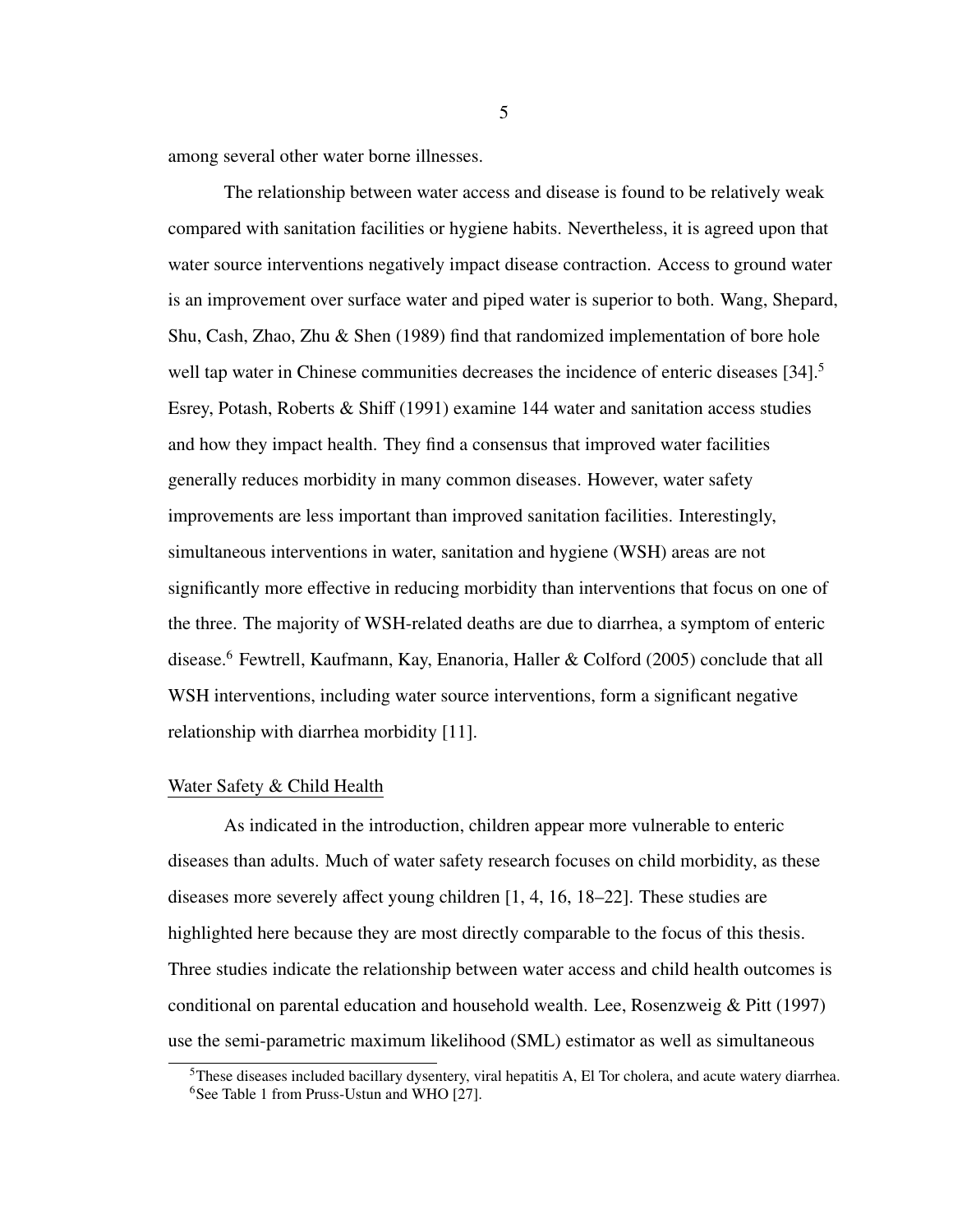among several other water borne illnesses.

The relationship between water access and disease is found to be relatively weak compared with sanitation facilities or hygiene habits. Nevertheless, it is agreed upon that water source interventions negatively impact disease contraction. Access to ground water is an improvement over surface water and piped water is superior to both. Wang, Shepard, Shu, Cash, Zhao, Zhu & Shen (1989) find that randomized implementation of bore hole well tap water in Chinese communities decreases the incidence of enteric diseases [\[34\]](#page-69-3).<sup>[5](#page-12-1)</sup> Esrey, Potash, Roberts & Shiff (1991) examine 144 water and sanitation access studies and how they impact health. They find a consensus that improved water facilities generally reduces morbidity in many common diseases. However, water safety improvements are less important than improved sanitation facilities. Interestingly, simultaneous interventions in water, sanitation and hygiene (WSH) areas are not significantly more effective in reducing morbidity than interventions that focus on one of the three. The majority of WSH-related deaths are due to diarrhea, a symptom of enteric disease.[6](#page-12-2) Fewtrell, Kaufmann, Kay, Enanoria, Haller & Colford (2005) conclude that all WSH interventions, including water source interventions, form a significant negative relationship with diarrhea morbidity [\[11\]](#page-67-2).

## <span id="page-12-0"></span>Water Safety & Child Health

As indicated in the introduction, children appear more vulnerable to enteric diseases than adults. Much of water safety research focuses on child morbidity, as these diseases more severely affect young children [\[1,](#page-67-0) [4,](#page-67-6) [16,](#page-68-2) [18](#page-68-6)[–22\]](#page-68-7). These studies are highlighted here because they are most directly comparable to the focus of this thesis. Three studies indicate the relationship between water access and child health outcomes is conditional on parental education and household wealth. Lee, Rosenzweig & Pitt (1997) use the semi-parametric maximum likelihood (SML) estimator as well as simultaneous

<span id="page-12-2"></span><span id="page-12-1"></span><sup>&</sup>lt;sup>5</sup>These diseases included bacillary dysentery, viral hepatitis A, El Tor cholera, and acute watery diarrhea. <sup>6</sup>See Table 1 from Pruss-Ustun and WHO [\[27\]](#page-69-0).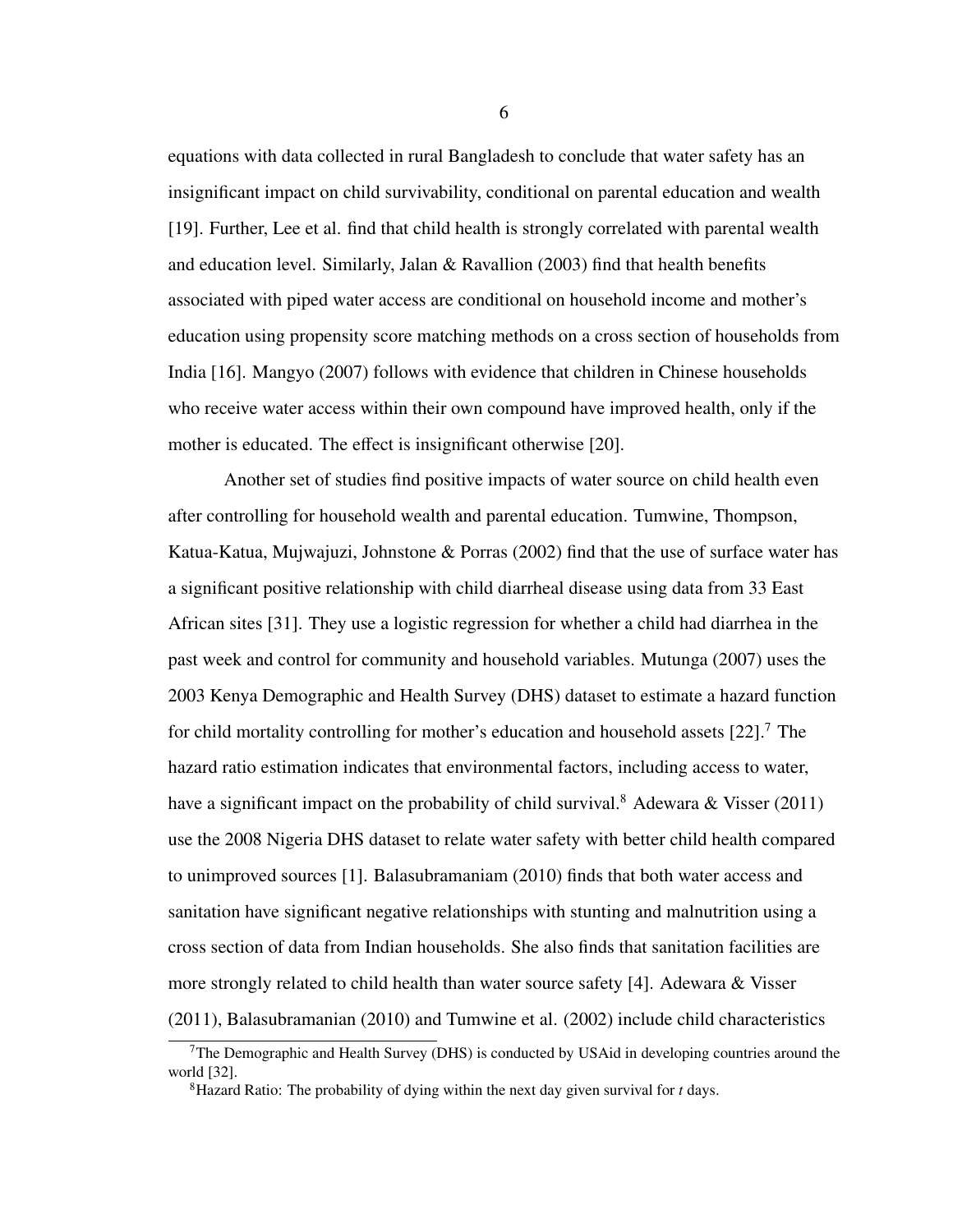equations with data collected in rural Bangladesh to conclude that water safety has an insignificant impact on child survivability, conditional on parental education and wealth [\[19\]](#page-68-3). Further, Lee et al. find that child health is strongly correlated with parental wealth and education level. Similarly, Jalan & Ravallion (2003) find that health benefits associated with piped water access are conditional on household income and mother's education using propensity score matching methods on a cross section of households from India [\[16\]](#page-68-2). Mangyo (2007) follows with evidence that children in Chinese households who receive water access within their own compound have improved health, only if the mother is educated. The effect is insignificant otherwise [\[20\]](#page-68-4).

Another set of studies find positive impacts of water source on child health even after controlling for household wealth and parental education. Tumwine, Thompson, Katua-Katua, Mujwajuzi, Johnstone & Porras (2002) find that the use of surface water has a significant positive relationship with child diarrheal disease using data from 33 East African sites [\[31\]](#page-69-1). They use a logistic regression for whether a child had diarrhea in the past week and control for community and household variables. Mutunga (2007) uses the 2003 Kenya Demographic and Health Survey (DHS) dataset to estimate a hazard function for child mortality controlling for mother's education and household assets  $[22]$ .<sup>[7](#page-13-0)</sup> The hazard ratio estimation indicates that environmental factors, including access to water, have a significant impact on the probability of child survival.<sup>[8](#page-13-1)</sup> Adewara & Visser (2011) use the 2008 Nigeria DHS dataset to relate water safety with better child health compared to unimproved sources [\[1\]](#page-67-0). Balasubramaniam (2010) finds that both water access and sanitation have significant negative relationships with stunting and malnutrition using a cross section of data from Indian households. She also finds that sanitation facilities are more strongly related to child health than water source safety [\[4\]](#page-67-6). Adewara & Visser (2011), Balasubramanian (2010) and Tumwine et al. (2002) include child characteristics

<span id="page-13-0"></span><sup>&</sup>lt;sup>7</sup>The Demographic and Health Survey (DHS) is conducted by USAid in developing countries around the world [\[32\]](#page-69-7).

<span id="page-13-1"></span><sup>8</sup>Hazard Ratio: The probability of dying within the next day given survival for *t* days.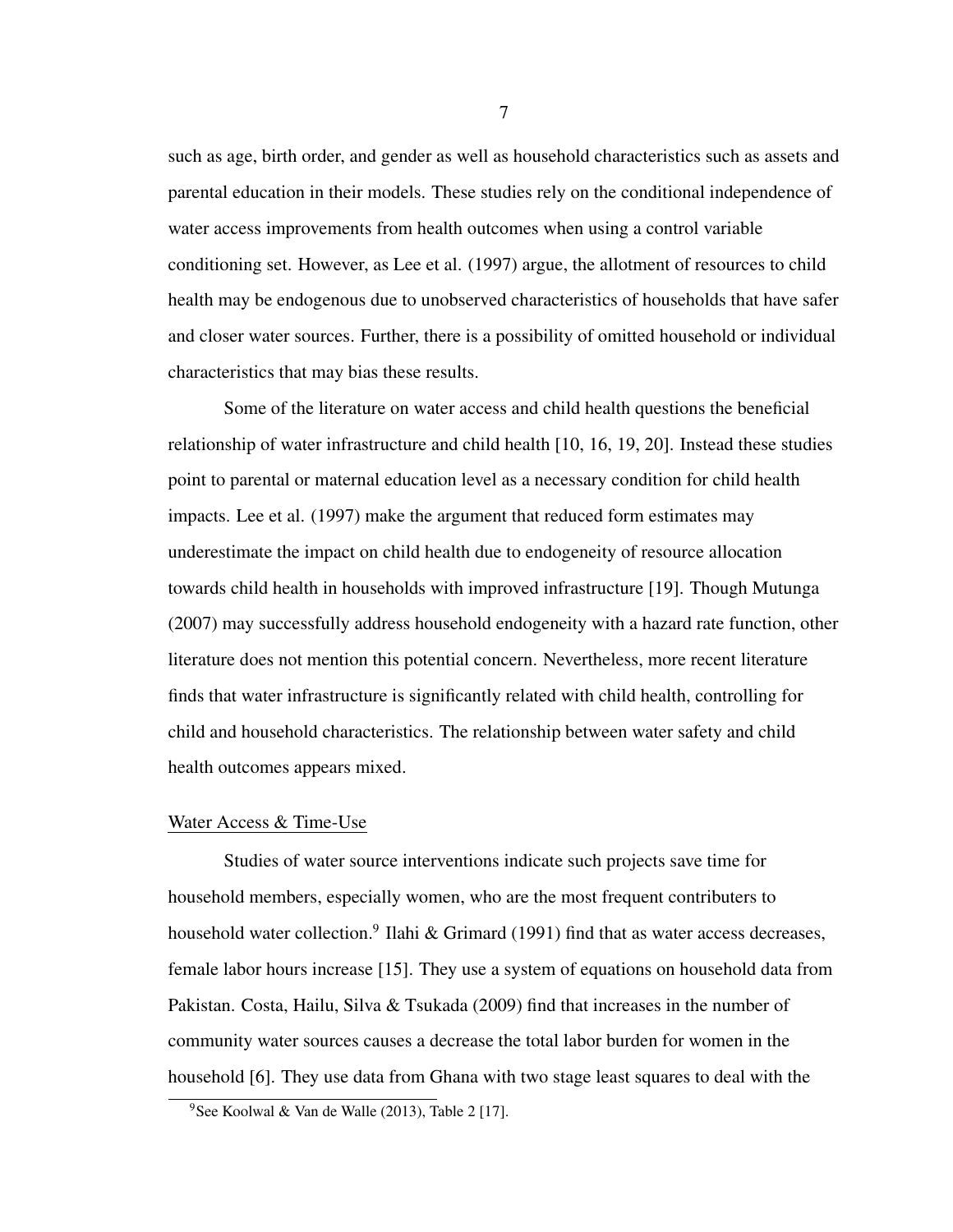such as age, birth order, and gender as well as household characteristics such as assets and parental education in their models. These studies rely on the conditional independence of water access improvements from health outcomes when using a control variable conditioning set. However, as Lee et al. (1997) argue, the allotment of resources to child health may be endogenous due to unobserved characteristics of households that have safer and closer water sources. Further, there is a possibility of omitted household or individual characteristics that may bias these results.

Some of the literature on water access and child health questions the beneficial relationship of water infrastructure and child health [\[10,](#page-67-7) [16,](#page-68-2) [19,](#page-68-3) [20\]](#page-68-4). Instead these studies point to parental or maternal education level as a necessary condition for child health impacts. Lee et al. (1997) make the argument that reduced form estimates may underestimate the impact on child health due to endogeneity of resource allocation towards child health in households with improved infrastructure [\[19\]](#page-68-3). Though Mutunga (2007) may successfully address household endogeneity with a hazard rate function, other literature does not mention this potential concern. Nevertheless, more recent literature finds that water infrastructure is significantly related with child health, controlling for child and household characteristics. The relationship between water safety and child health outcomes appears mixed.

#### <span id="page-14-0"></span>Water Access & Time-Use

Studies of water source interventions indicate such projects save time for household members, especially women, who are the most frequent contributers to household water collection.<sup>[9](#page-14-1)</sup> Ilahi & Grimard (1991) find that as water access decreases, female labor hours increase [\[15\]](#page-68-8). They use a system of equations on household data from Pakistan. Costa, Hailu, Silva & Tsukada (2009) find that increases in the number of community water sources causes a decrease the total labor burden for women in the household [\[6\]](#page-67-8). They use data from Ghana with two stage least squares to deal with the

<span id="page-14-1"></span><sup>&</sup>lt;sup>9</sup>See Koolwal & Van de Walle (2013), Table 2 [\[17\]](#page-68-0).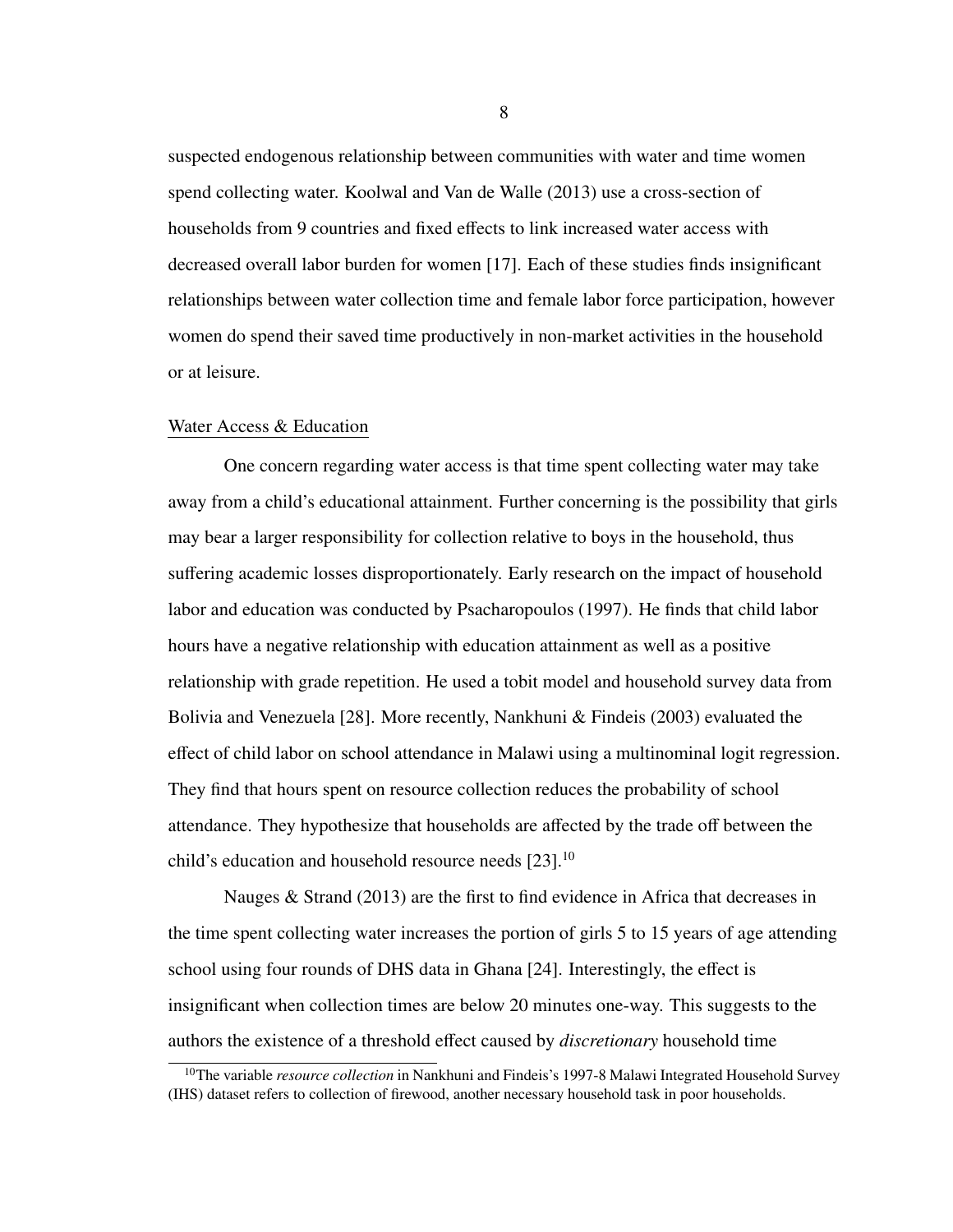suspected endogenous relationship between communities with water and time women spend collecting water. Koolwal and Van de Walle (2013) use a cross-section of households from 9 countries and fixed effects to link increased water access with decreased overall labor burden for women [\[17\]](#page-68-0). Each of these studies finds insignificant relationships between water collection time and female labor force participation, however women do spend their saved time productively in non-market activities in the household or at leisure.

## <span id="page-15-0"></span>Water Access & Education

One concern regarding water access is that time spent collecting water may take away from a child's educational attainment. Further concerning is the possibility that girls may bear a larger responsibility for collection relative to boys in the household, thus suffering academic losses disproportionately. Early research on the impact of household labor and education was conducted by Psacharopoulos (1997). He finds that child labor hours have a negative relationship with education attainment as well as a positive relationship with grade repetition. He used a tobit model and household survey data from Bolivia and Venezuela [\[28\]](#page-69-6). More recently, Nankhuni & Findeis (2003) evaluated the effect of child labor on school attendance in Malawi using a multinominal logit regression. They find that hours spent on resource collection reduces the probability of school attendance. They hypothesize that households are affected by the trade off between the child's education and household resource needs  $[23]$ .<sup>[10](#page-15-1)</sup>

Nauges & Strand (2013) are the first to find evidence in Africa that decreases in the time spent collecting water increases the portion of girls 5 to 15 years of age attending school using four rounds of DHS data in Ghana [\[24\]](#page-69-5). Interestingly, the effect is insignificant when collection times are below 20 minutes one-way. This suggests to the authors the existence of a threshold effect caused by *discretionary* household time

<span id="page-15-1"></span><sup>10</sup>The variable *resource collection* in Nankhuni and Findeis's 1997-8 Malawi Integrated Household Survey (IHS) dataset refers to collection of firewood, another necessary household task in poor households.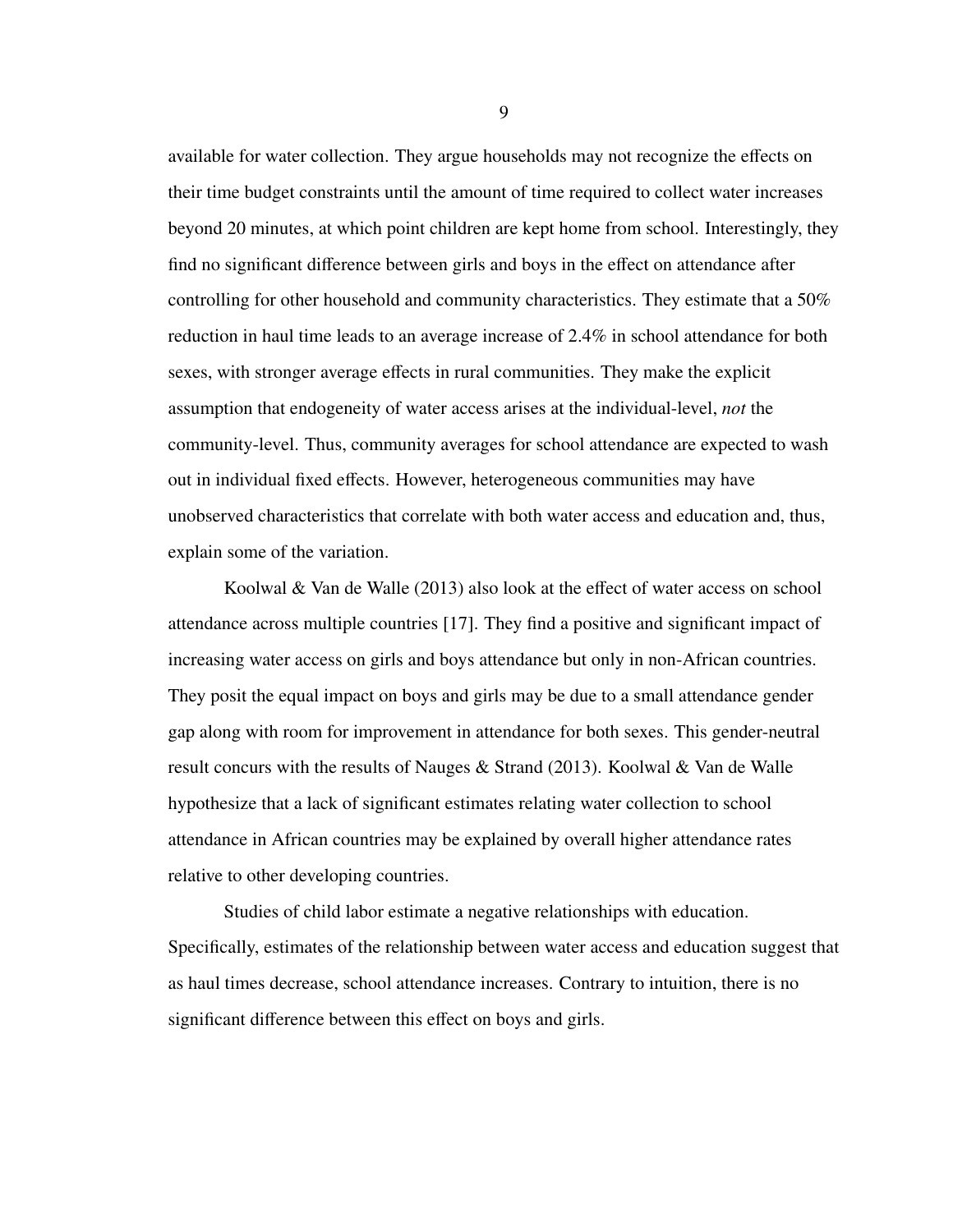available for water collection. They argue households may not recognize the effects on their time budget constraints until the amount of time required to collect water increases beyond 20 minutes, at which point children are kept home from school. Interestingly, they find no significant difference between girls and boys in the effect on attendance after controlling for other household and community characteristics. They estimate that a 50% reduction in haul time leads to an average increase of 2.4% in school attendance for both sexes, with stronger average effects in rural communities. They make the explicit assumption that endogeneity of water access arises at the individual-level, *not* the community-level. Thus, community averages for school attendance are expected to wash out in individual fixed effects. However, heterogeneous communities may have unobserved characteristics that correlate with both water access and education and, thus, explain some of the variation.

Koolwal & Van de Walle (2013) also look at the effect of water access on school attendance across multiple countries [\[17\]](#page-68-0). They find a positive and significant impact of increasing water access on girls and boys attendance but only in non-African countries. They posit the equal impact on boys and girls may be due to a small attendance gender gap along with room for improvement in attendance for both sexes. This gender-neutral result concurs with the results of Nauges & Strand (2013). Koolwal & Van de Walle hypothesize that a lack of significant estimates relating water collection to school attendance in African countries may be explained by overall higher attendance rates relative to other developing countries.

Studies of child labor estimate a negative relationships with education. Specifically, estimates of the relationship between water access and education suggest that as haul times decrease, school attendance increases. Contrary to intuition, there is no significant difference between this effect on boys and girls.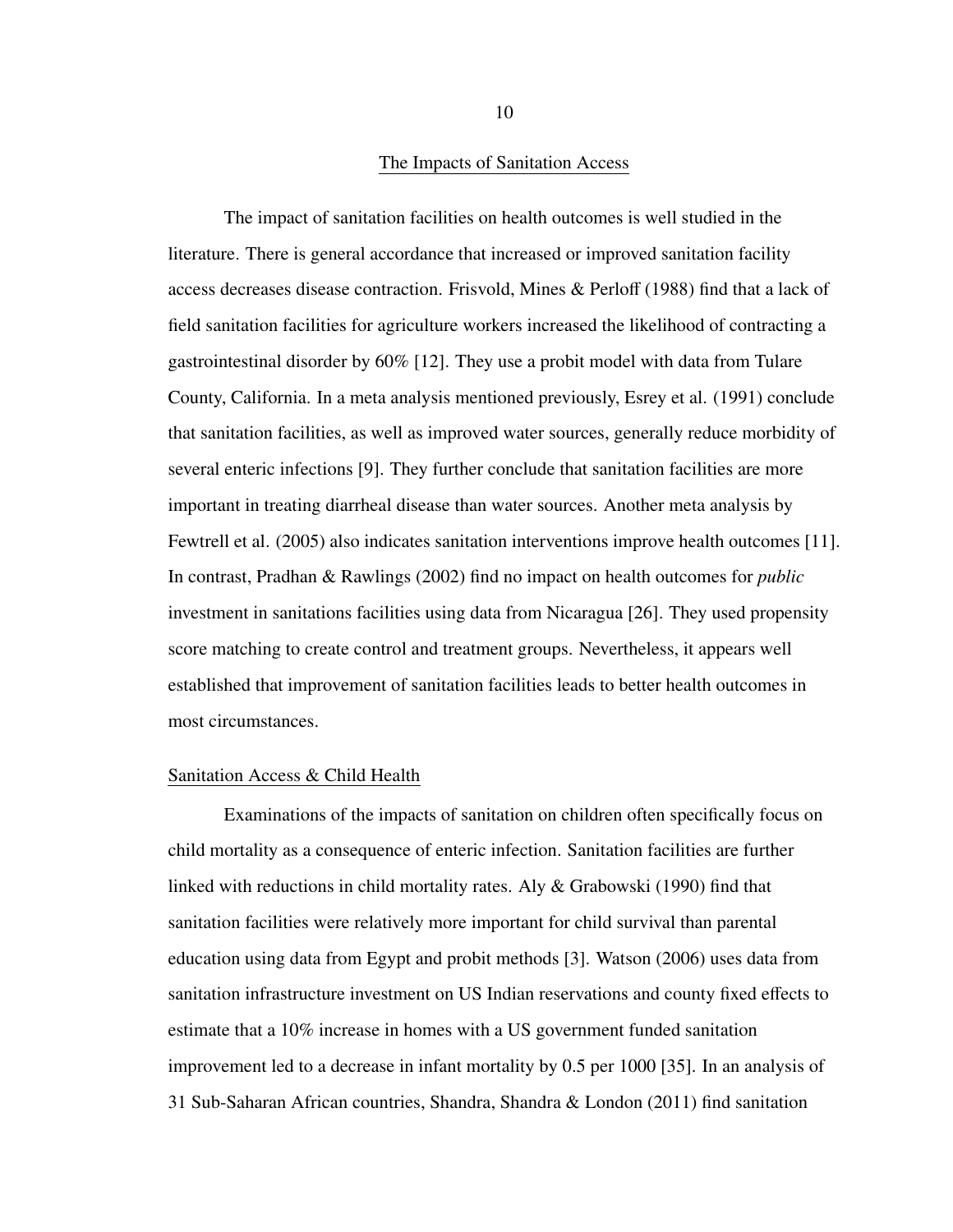#### The Impacts of Sanitation Access

<span id="page-17-0"></span>The impact of sanitation facilities on health outcomes is well studied in the literature. There is general accordance that increased or improved sanitation facility access decreases disease contraction. Frisvold, Mines & Perloff (1988) find that a lack of field sanitation facilities for agriculture workers increased the likelihood of contracting a gastrointestinal disorder by 60% [\[12\]](#page-67-3). They use a probit model with data from Tulare County, California. In a meta analysis mentioned previously, Esrey et al. (1991) conclude that sanitation facilities, as well as improved water sources, generally reduce morbidity of several enteric infections [\[9\]](#page-67-1). They further conclude that sanitation facilities are more important in treating diarrheal disease than water sources. Another meta analysis by Fewtrell et al. (2005) also indicates sanitation interventions improve health outcomes [\[11\]](#page-67-2). In contrast, Pradhan & Rawlings (2002) find no impact on health outcomes for *public* investment in sanitations facilities using data from Nicaragua [\[26\]](#page-69-8). They used propensity score matching to create control and treatment groups. Nevertheless, it appears well established that improvement of sanitation facilities leads to better health outcomes in most circumstances.

#### <span id="page-17-1"></span>Sanitation Access & Child Health

Examinations of the impacts of sanitation on children often specifically focus on child mortality as a consequence of enteric infection. Sanitation facilities are further linked with reductions in child mortality rates. Aly & Grabowski (1990) find that sanitation facilities were relatively more important for child survival than parental education using data from Egypt and probit methods [\[3\]](#page-67-9). Watson (2006) uses data from sanitation infrastructure investment on US Indian reservations and county fixed effects to estimate that a 10% increase in homes with a US government funded sanitation improvement led to a decrease in infant mortality by 0.5 per 1000 [\[35\]](#page-69-9). In an analysis of 31 Sub-Saharan African countries, Shandra, Shandra & London (2011) find sanitation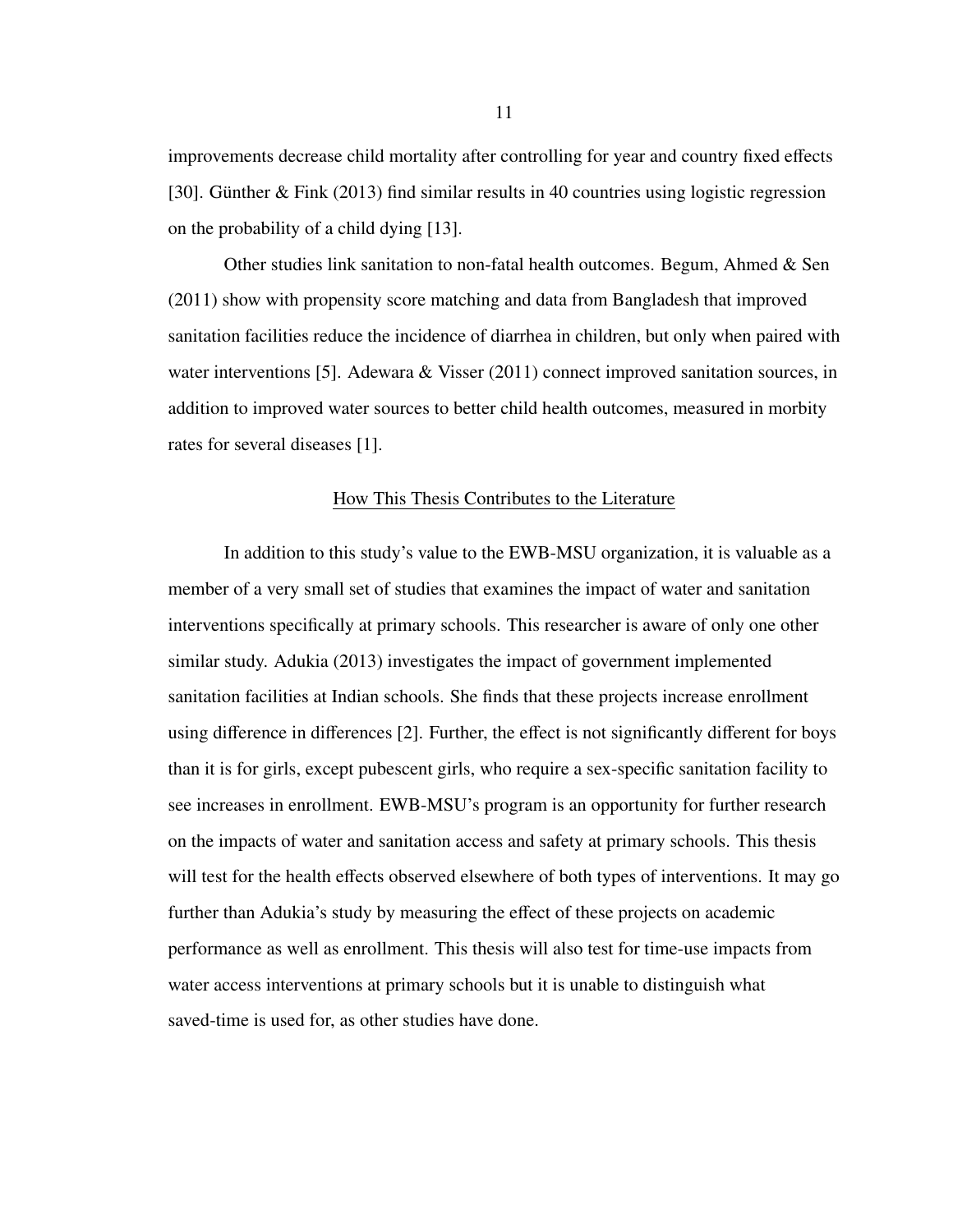improvements decrease child mortality after controlling for year and country fixed effects [\[30\]](#page-69-10). Günther & Fink (2013) find similar results in 40 countries using logistic regression on the probability of a child dying [\[13\]](#page-68-9).

Other studies link sanitation to non-fatal health outcomes. Begum, Ahmed & Sen (2011) show with propensity score matching and data from Bangladesh that improved sanitation facilities reduce the incidence of diarrhea in children, but only when paired with water interventions [\[5\]](#page-67-10). Adewara & Visser (2011) connect improved sanitation sources, in addition to improved water sources to better child health outcomes, measured in morbity rates for several diseases [\[1\]](#page-67-0).

### How This Thesis Contributes to the Literature

<span id="page-18-0"></span>In addition to this study's value to the EWB-MSU organization, it is valuable as a member of a very small set of studies that examines the impact of water and sanitation interventions specifically at primary schools. This researcher is aware of only one other similar study. Adukia (2013) investigates the impact of government implemented sanitation facilities at Indian schools. She finds that these projects increase enrollment using difference in differences [\[2\]](#page-67-11). Further, the effect is not significantly different for boys than it is for girls, except pubescent girls, who require a sex-specific sanitation facility to see increases in enrollment. EWB-MSU's program is an opportunity for further research on the impacts of water and sanitation access and safety at primary schools. This thesis will test for the health effects observed elsewhere of both types of interventions. It may go further than Adukia's study by measuring the effect of these projects on academic performance as well as enrollment. This thesis will also test for time-use impacts from water access interventions at primary schools but it is unable to distinguish what saved-time is used for, as other studies have done.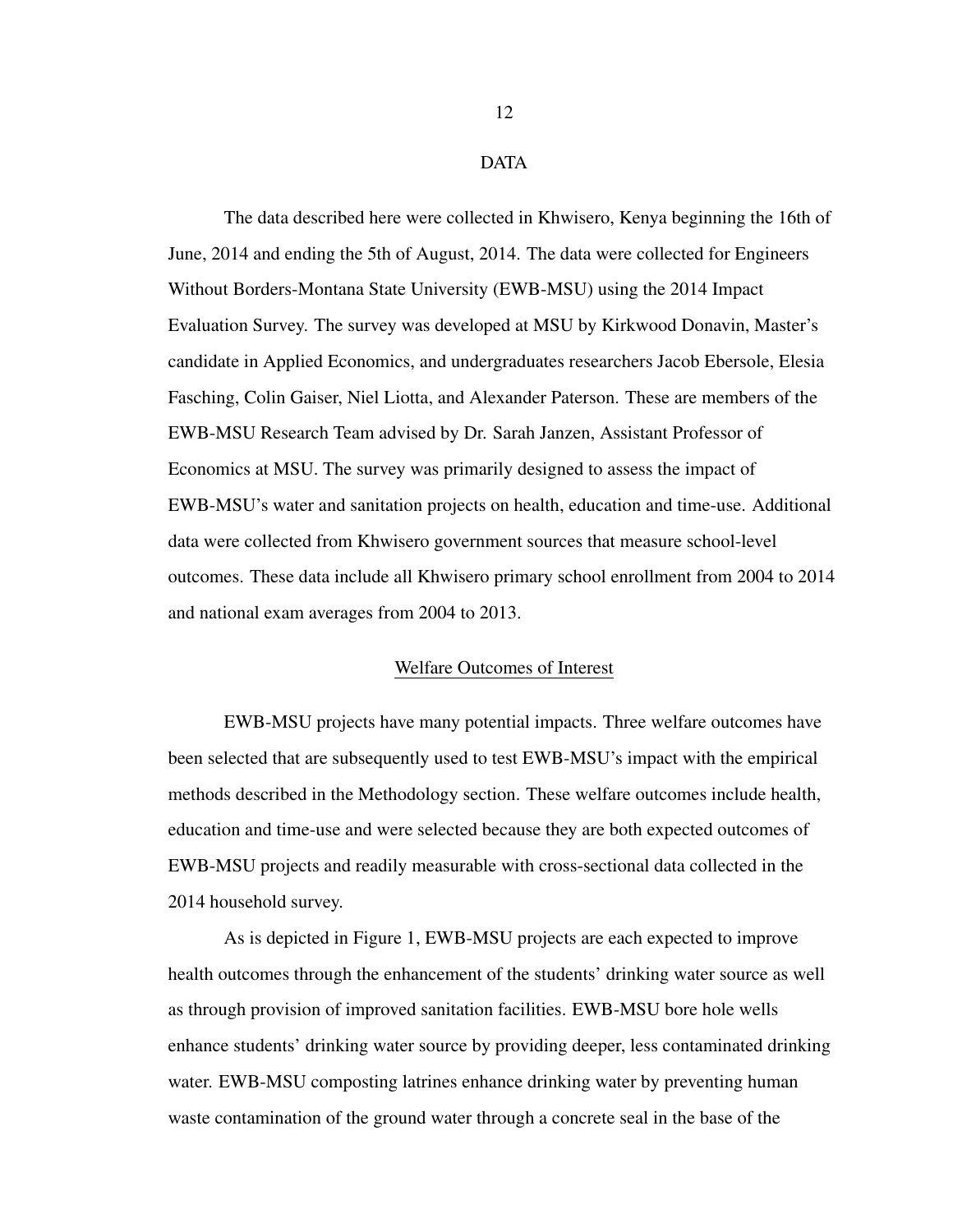#### DATA

<span id="page-19-0"></span>The data described here were collected in Khwisero, Kenya beginning the 16th of June, 2014 and ending the 5th of August, 2014. The data were collected for Engineers Without Borders-Montana State University (EWB-MSU) using the 2014 Impact Evaluation Survey. The survey was developed at MSU by Kirkwood Donavin, Master's candidate in Applied Economics, and undergraduates researchers Jacob Ebersole, Elesia Fasching, Colin Gaiser, Niel Liotta, and Alexander Paterson. These are members of the EWB-MSU Research Team advised by Dr. Sarah Janzen, Assistant Professor of Economics at MSU. The survey was primarily designed to assess the impact of EWB-MSU's water and sanitation projects on health, education and time-use. Additional data were collected from Khwisero government sources that measure school-level outcomes. These data include all Khwisero primary school enrollment from 2004 to 2014 and national exam averages from 2004 to 2013.

## Welfare Outcomes of Interest

<span id="page-19-1"></span>EWB-MSU projects have many potential impacts. Three welfare outcomes have been selected that are subsequently used to test EWB-MSU's impact with the empirical methods described in the Methodology section. These welfare outcomes include health, education and time-use and were selected because they are both expected outcomes of EWB-MSU projects and readily measurable with cross-sectional data collected in the 2014 household survey.

As is depicted in Figure [1,](#page-20-0) EWB-MSU projects are each expected to improve health outcomes through the enhancement of the students' drinking water source as well as through provision of improved sanitation facilities. EWB-MSU bore hole wells enhance students' drinking water source by providing deeper, less contaminated drinking water. EWB-MSU composting latrines enhance drinking water by preventing human waste contamination of the ground water through a concrete seal in the base of the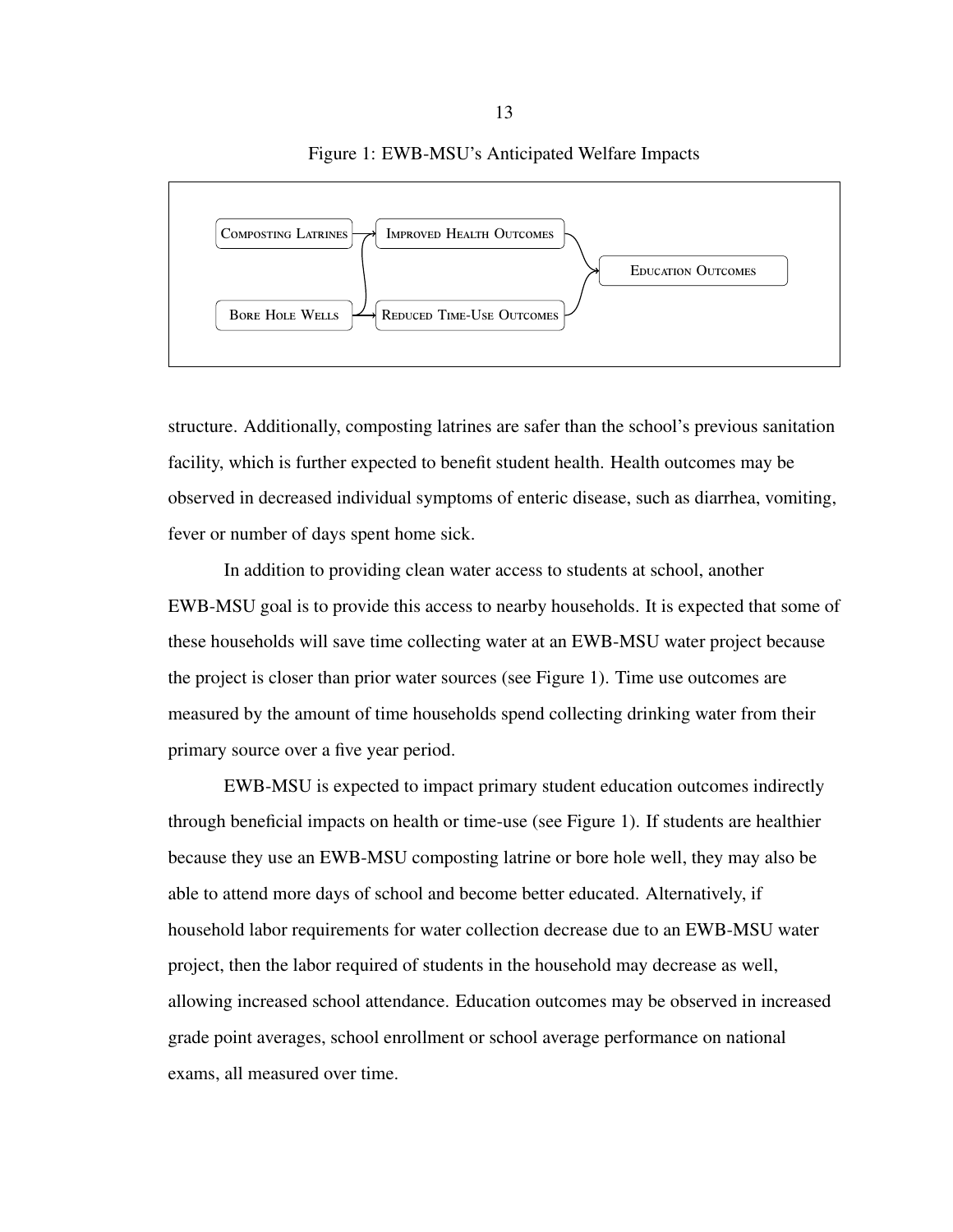<span id="page-20-0"></span>

structure. Additionally, composting latrines are safer than the school's previous sanitation facility, which is further expected to benefit student health. Health outcomes may be observed in decreased individual symptoms of enteric disease, such as diarrhea, vomiting, fever or number of days spent home sick.

In addition to providing clean water access to students at school, another EWB-MSU goal is to provide this access to nearby households. It is expected that some of these households will save time collecting water at an EWB-MSU water project because the project is closer than prior water sources (see Figure [1\)](#page-20-0). Time use outcomes are measured by the amount of time households spend collecting drinking water from their primary source over a five year period.

EWB-MSU is expected to impact primary student education outcomes indirectly through beneficial impacts on health or time-use (see Figure [1\)](#page-20-0). If students are healthier because they use an EWB-MSU composting latrine or bore hole well, they may also be able to attend more days of school and become better educated. Alternatively, if household labor requirements for water collection decrease due to an EWB-MSU water project, then the labor required of students in the household may decrease as well, allowing increased school attendance. Education outcomes may be observed in increased grade point averages, school enrollment or school average performance on national exams, all measured over time.

Figure 1: EWB-MSU's Anticipated Welfare Impacts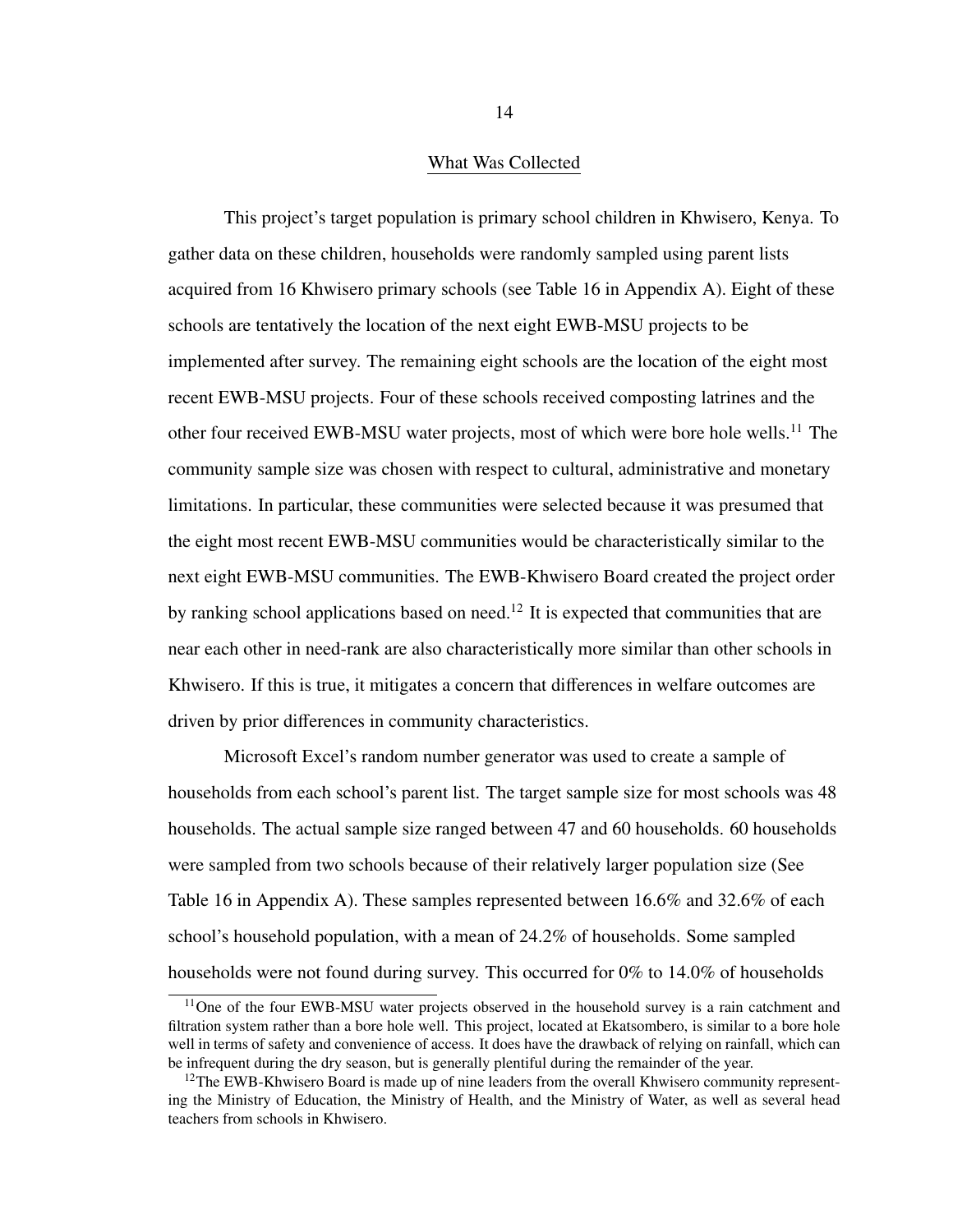#### What Was Collected

<span id="page-21-0"></span>This project's target population is primary school children in Khwisero, Kenya. To gather data on these children, households were randomly sampled using parent lists acquired from 16 Khwisero primary schools (see Table [16](#page-73-1) in Appendix A). Eight of these schools are tentatively the location of the next eight EWB-MSU projects to be implemented after survey. The remaining eight schools are the location of the eight most recent EWB-MSU projects. Four of these schools received composting latrines and the other four received EWB-MSU water projects, most of which were bore hole wells.[11](#page-21-1) The community sample size was chosen with respect to cultural, administrative and monetary limitations. In particular, these communities were selected because it was presumed that the eight most recent EWB-MSU communities would be characteristically similar to the next eight EWB-MSU communities. The EWB-Khwisero Board created the project order by ranking school applications based on need.<sup>[12](#page-21-2)</sup> It is expected that communities that are near each other in need-rank are also characteristically more similar than other schools in Khwisero. If this is true, it mitigates a concern that differences in welfare outcomes are driven by prior differences in community characteristics.

Microsoft Excel's random number generator was used to create a sample of households from each school's parent list. The target sample size for most schools was 48 households. The actual sample size ranged between 47 and 60 households. 60 households were sampled from two schools because of their relatively larger population size (See Table [16](#page-73-1) in Appendix A). These samples represented between 16.6% and 32.6% of each school's household population, with a mean of 24.2% of households. Some sampled households were not found during survey. This occurred for 0% to 14.0% of households

<span id="page-21-1"></span><sup>&</sup>lt;sup>11</sup>One of the four EWB-MSU water projects observed in the household survey is a rain catchment and filtration system rather than a bore hole well. This project, located at Ekatsombero, is similar to a bore hole well in terms of safety and convenience of access. It does have the drawback of relying on rainfall, which can be infrequent during the dry season, but is generally plentiful during the remainder of the year.

<span id="page-21-2"></span> $12$ The EWB-Khwisero Board is made up of nine leaders from the overall Khwisero community representing the Ministry of Education, the Ministry of Health, and the Ministry of Water, as well as several head teachers from schools in Khwisero.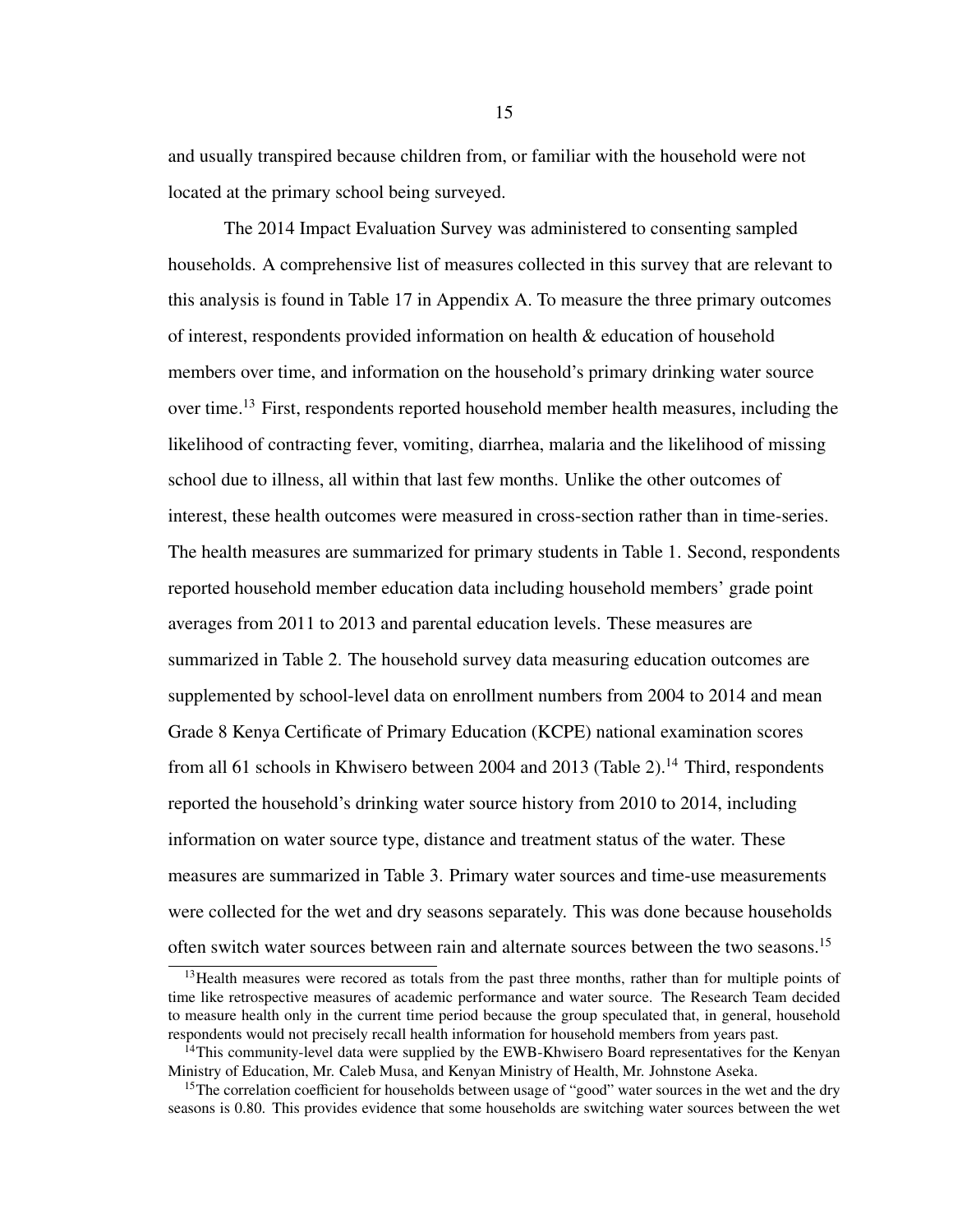and usually transpired because children from, or familiar with the household were not located at the primary school being surveyed.

The 2014 Impact Evaluation Survey was administered to consenting sampled households. A comprehensive list of measures collected in this survey that are relevant to this analysis is found in Table [17](#page-73-0) in Appendix A. To measure the three primary outcomes of interest, respondents provided information on health & education of household members over time, and information on the household's primary drinking water source over time.[13](#page-22-0) First, respondents reported household member health measures, including the likelihood of contracting fever, vomiting, diarrhea, malaria and the likelihood of missing school due to illness, all within that last few months. Unlike the other outcomes of interest, these health outcomes were measured in cross-section rather than in time-series. The health measures are summarized for primary students in Table [1.](#page-25-0) Second, respondents reported household member education data including household members' grade point averages from 2011 to 2013 and parental education levels. These measures are summarized in Table [2.](#page-27-0) The household survey data measuring education outcomes are supplemented by school-level data on enrollment numbers from 2004 to 2014 and mean Grade 8 Kenya Certificate of Primary Education (KCPE) national examination scores from all 61 schools in Khwisero between 2004 and 2013 (Table [2\)](#page-27-0).<sup>[14](#page-22-1)</sup> Third, respondents reported the household's drinking water source history from 2010 to 2014, including information on water source type, distance and treatment status of the water. These measures are summarized in Table [3.](#page-28-0) Primary water sources and time-use measurements were collected for the wet and dry seasons separately. This was done because households often switch water sources between rain and alternate sources between the two seasons.<sup>[15](#page-22-2)</sup>

<span id="page-22-0"></span><sup>&</sup>lt;sup>13</sup>Health measures were recored as totals from the past three months, rather than for multiple points of time like retrospective measures of academic performance and water source. The Research Team decided to measure health only in the current time period because the group speculated that, in general, household respondents would not precisely recall health information for household members from years past.

<span id="page-22-1"></span><sup>&</sup>lt;sup>14</sup>This community-level data were supplied by the EWB-Khwisero Board representatives for the Kenyan Ministry of Education, Mr. Caleb Musa, and Kenyan Ministry of Health, Mr. Johnstone Aseka.

<span id="page-22-2"></span><sup>&</sup>lt;sup>15</sup>The correlation coefficient for households between usage of "good" water sources in the wet and the dry seasons is 0.80. This provides evidence that some households are switching water sources between the wet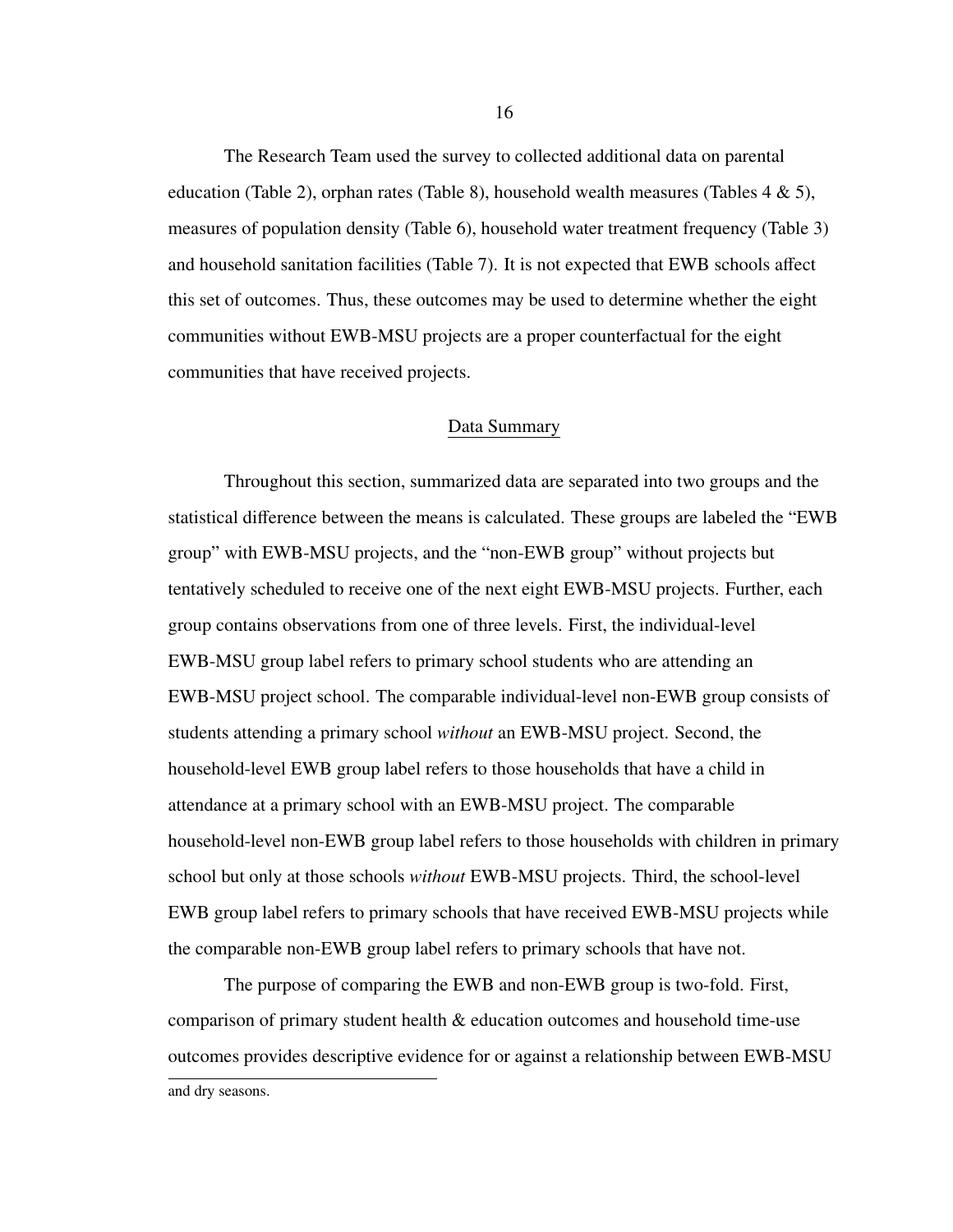The Research Team used the survey to collected additional data on parental education (Table [2\)](#page-27-0), orphan rates (Table [8\)](#page-35-0), household wealth measures (Tables  $4 \& 5$  $4 \& 5$ ), measures of population density (Table [6\)](#page-33-0), household water treatment frequency (Table [3\)](#page-28-0) and household sanitation facilities (Table [7\)](#page-34-1). It is not expected that EWB schools affect this set of outcomes. Thus, these outcomes may be used to determine whether the eight communities without EWB-MSU projects are a proper counterfactual for the eight communities that have received projects.

#### Data Summary

<span id="page-23-0"></span>Throughout this section, summarized data are separated into two groups and the statistical difference between the means is calculated. These groups are labeled the "EWB group" with EWB-MSU projects, and the "non-EWB group" without projects but tentatively scheduled to receive one of the next eight EWB-MSU projects. Further, each group contains observations from one of three levels. First, the individual-level EWB-MSU group label refers to primary school students who are attending an EWB-MSU project school. The comparable individual-level non-EWB group consists of students attending a primary school *without* an EWB-MSU project. Second, the household-level EWB group label refers to those households that have a child in attendance at a primary school with an EWB-MSU project. The comparable household-level non-EWB group label refers to those households with children in primary school but only at those schools *without* EWB-MSU projects. Third, the school-level EWB group label refers to primary schools that have received EWB-MSU projects while the comparable non-EWB group label refers to primary schools that have not.

The purpose of comparing the EWB and non-EWB group is two-fold. First, comparison of primary student health & education outcomes and household time-use outcomes provides descriptive evidence for or against a relationship between EWB-MSU and dry seasons.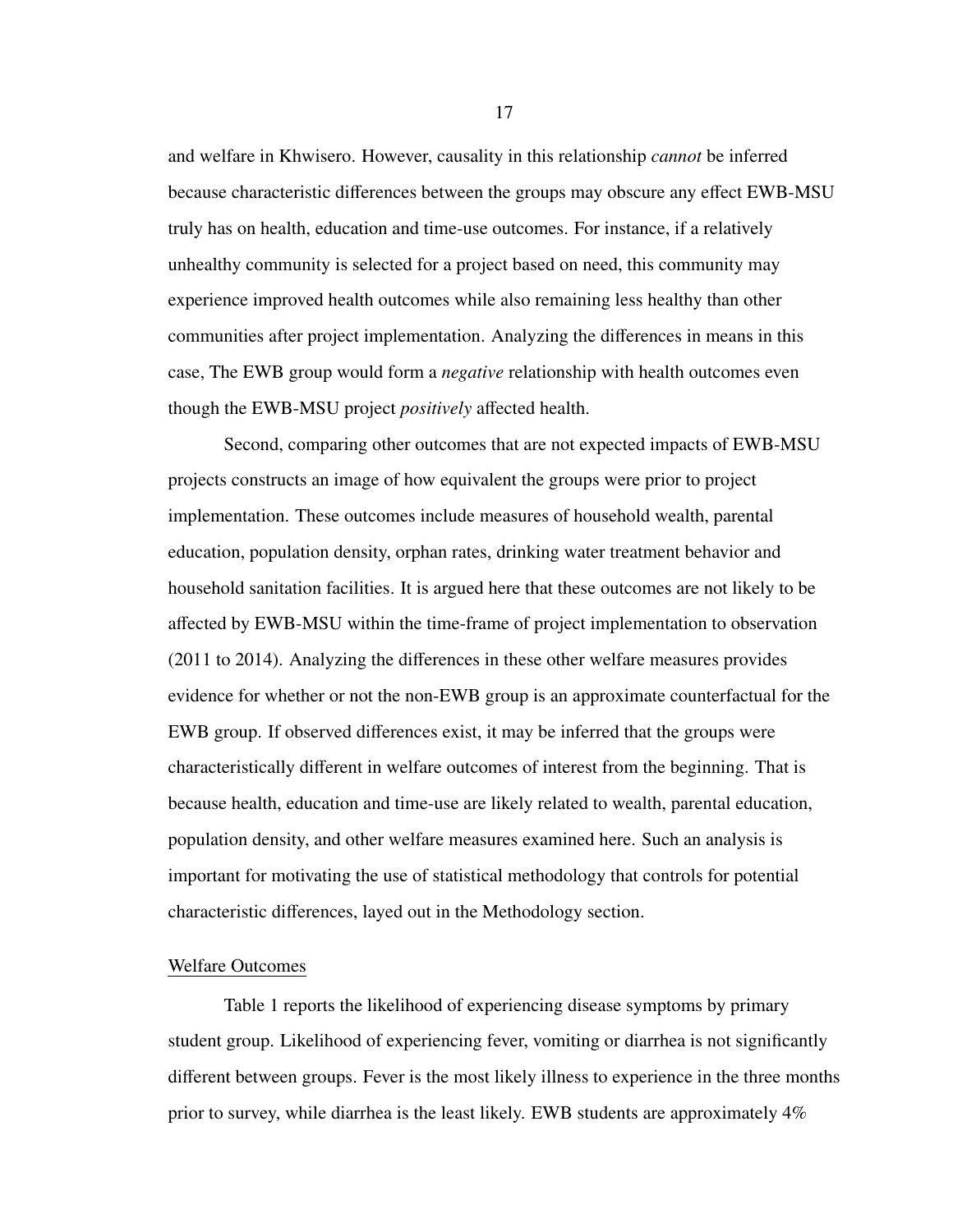and welfare in Khwisero. However, causality in this relationship *cannot* be inferred because characteristic differences between the groups may obscure any effect EWB-MSU truly has on health, education and time-use outcomes. For instance, if a relatively unhealthy community is selected for a project based on need, this community may experience improved health outcomes while also remaining less healthy than other communities after project implementation. Analyzing the differences in means in this case, The EWB group would form a *negative* relationship with health outcomes even though the EWB-MSU project *positively* affected health.

Second, comparing other outcomes that are not expected impacts of EWB-MSU projects constructs an image of how equivalent the groups were prior to project implementation. These outcomes include measures of household wealth, parental education, population density, orphan rates, drinking water treatment behavior and household sanitation facilities. It is argued here that these outcomes are not likely to be affected by EWB-MSU within the time-frame of project implementation to observation (2011 to 2014). Analyzing the differences in these other welfare measures provides evidence for whether or not the non-EWB group is an approximate counterfactual for the EWB group. If observed differences exist, it may be inferred that the groups were characteristically different in welfare outcomes of interest from the beginning. That is because health, education and time-use are likely related to wealth, parental education, population density, and other welfare measures examined here. Such an analysis is important for motivating the use of statistical methodology that controls for potential characteristic differences, layed out in the Methodology section.

## <span id="page-24-0"></span>Welfare Outcomes

Table [1](#page-25-0) reports the likelihood of experiencing disease symptoms by primary student group. Likelihood of experiencing fever, vomiting or diarrhea is not significantly different between groups. Fever is the most likely illness to experience in the three months prior to survey, while diarrhea is the least likely. EWB students are approximately 4%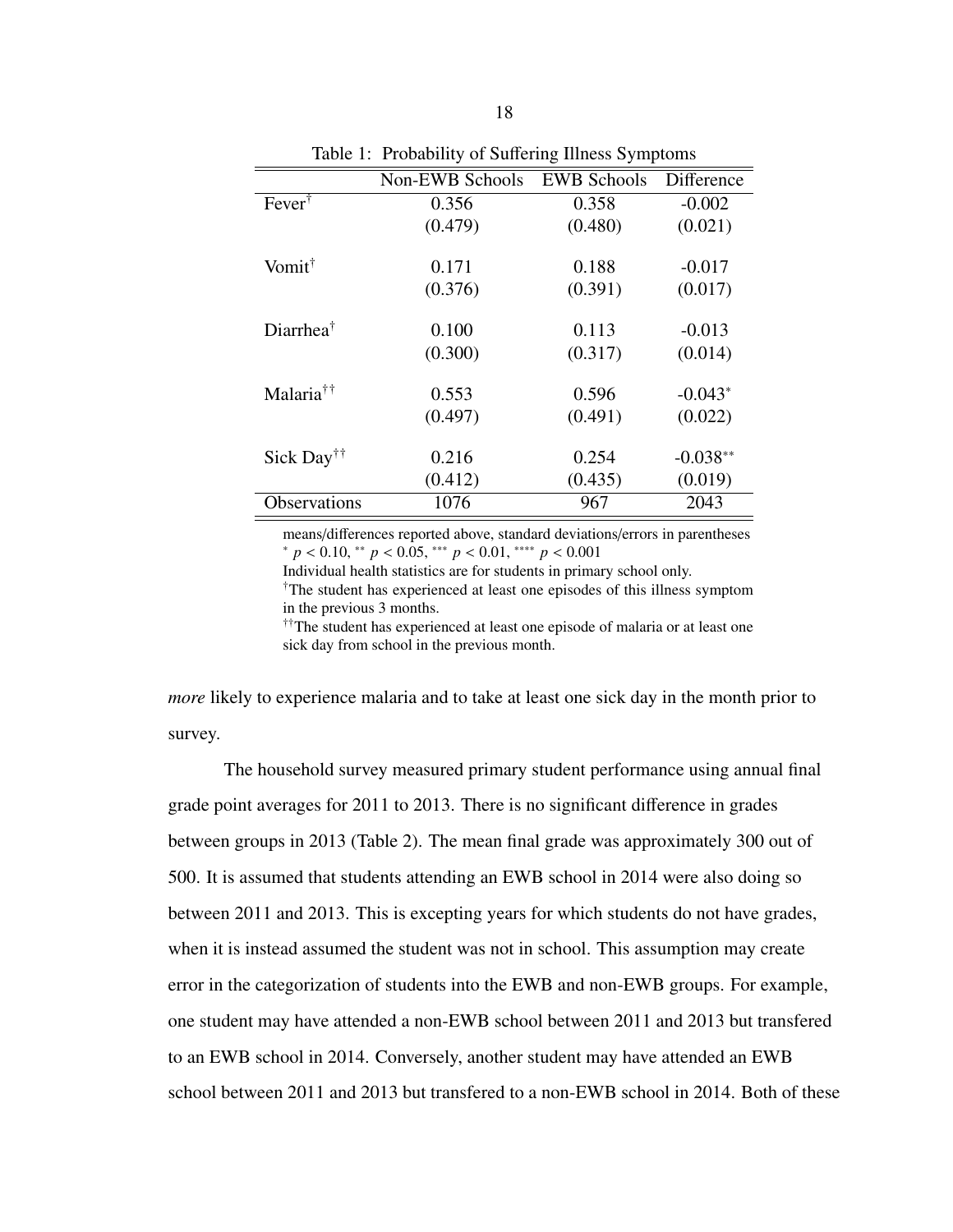<span id="page-25-0"></span>

| 1. Trobability of Balleting Illiters By improfile |                 |                    |            |  |
|---------------------------------------------------|-----------------|--------------------|------------|--|
|                                                   | Non-EWB Schools | <b>EWB Schools</b> | Difference |  |
| $Fever^{\dagger}$                                 | 0.356           | 0.358              | $-0.002$   |  |
|                                                   | (0.479)         | (0.480)            | (0.021)    |  |
| Vomit <sup>†</sup>                                | 0.171           | 0.188              | $-0.017$   |  |
|                                                   | (0.376)         | (0.391)            | (0.017)    |  |
| Diarrhea $^{\dagger}$                             | 0.100           | 0.113              | $-0.013$   |  |
|                                                   | (0.300)         | (0.317)            | (0.014)    |  |
| Malaria <sup>††</sup>                             | 0.553           | 0.596              | $-0.043*$  |  |
|                                                   | (0.497)         | (0.491)            | (0.022)    |  |
| Sick Day <sup>††</sup>                            | 0.216           | 0.254              | $-0.038**$ |  |
|                                                   | (0.412)         | (0.435)            | (0.019)    |  |
| Observations                                      | 1076            | 967                | 2043       |  |

Table 1: Probability of Suffering Illness Symptoms

means/differences reported above, standard deviations/errors in parentheses <sup>∗</sup> *<sup>p</sup>* < <sup>0</sup>.10, ∗∗ *<sup>p</sup>* < <sup>0</sup>.05, ∗∗∗ *<sup>p</sup>* < <sup>0</sup>.01, ∗∗∗∗ *<sup>p</sup>* < <sup>0</sup>.<sup>001</sup>

Individual health statistics are for students in primary school only.

†The student has experienced at least one episodes of this illness symptom in the previous 3 months.

††The student has experienced at least one episode of malaria or at least one sick day from school in the previous month.

*more* likely to experience malaria and to take at least one sick day in the month prior to survey.

The household survey measured primary student performance using annual final grade point averages for 2011 to 2013. There is no significant difference in grades between groups in 2013 (Table [2\)](#page-27-0). The mean final grade was approximately 300 out of 500. It is assumed that students attending an EWB school in 2014 were also doing so between 2011 and 2013. This is excepting years for which students do not have grades, when it is instead assumed the student was not in school. This assumption may create error in the categorization of students into the EWB and non-EWB groups. For example, one student may have attended a non-EWB school between 2011 and 2013 but transfered to an EWB school in 2014. Conversely, another student may have attended an EWB school between 2011 and 2013 but transfered to a non-EWB school in 2014. Both of these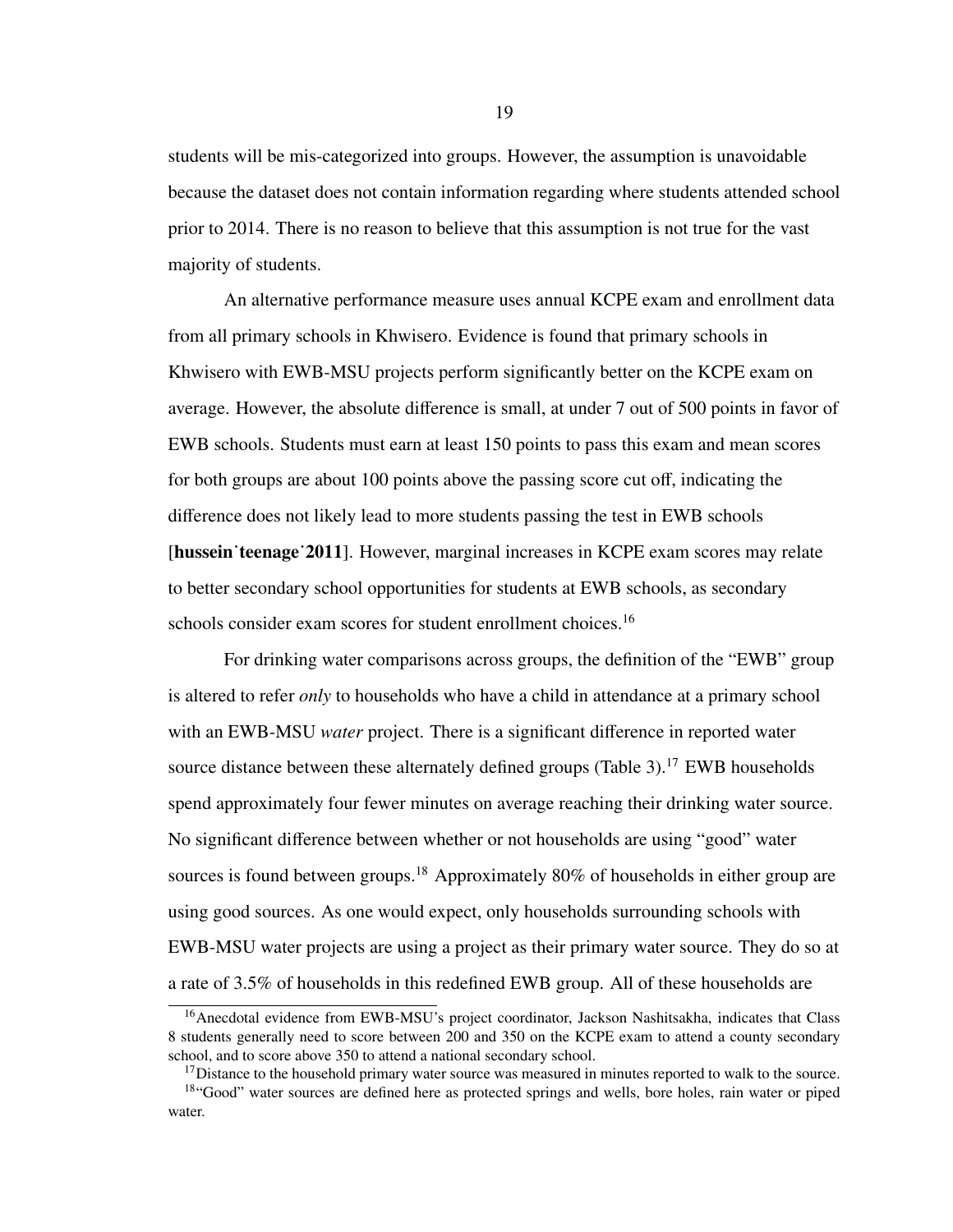students will be mis-categorized into groups. However, the assumption is unavoidable because the dataset does not contain information regarding where students attended school prior to 2014. There is no reason to believe that this assumption is not true for the vast majority of students.

An alternative performance measure uses annual KCPE exam and enrollment data from all primary schools in Khwisero. Evidence is found that primary schools in Khwisero with EWB-MSU projects perform significantly better on the KCPE exam on average. However, the absolute difference is small, at under 7 out of 500 points in favor of EWB schools. Students must earn at least 150 points to pass this exam and mean scores for both groups are about 100 points above the passing score cut off, indicating the difference does not likely lead to more students passing the test in EWB schools [hussein˙teenage˙2011]. However, marginal increases in KCPE exam scores may relate to better secondary school opportunities for students at EWB schools, as secondary schools consider exam scores for student enrollment choices.<sup>[16](#page-26-0)</sup>

For drinking water comparisons across groups, the definition of the "EWB" group is altered to refer *only* to households who have a child in attendance at a primary school with an EWB-MSU *water* project. There is a significant difference in reported water source distance between these alternately defined groups (Table  $3$ ).<sup>[17](#page-26-1)</sup> EWB households spend approximately four fewer minutes on average reaching their drinking water source. No significant difference between whether or not households are using "good" water sources is found between groups.<sup>[18](#page-26-2)</sup> Approximately 80% of households in either group are using good sources. As one would expect, only households surrounding schools with EWB-MSU water projects are using a project as their primary water source. They do so at a rate of 3.5% of households in this redefined EWB group. All of these households are

<span id="page-26-0"></span><sup>&</sup>lt;sup>16</sup>Anecdotal evidence from EWB-MSU's project coordinator, Jackson Nashitsakha, indicates that Class 8 students generally need to score between 200 and 350 on the KCPE exam to attend a county secondary school, and to score above 350 to attend a national secondary school.

<span id="page-26-2"></span><span id="page-26-1"></span><sup>&</sup>lt;sup>17</sup>Distance to the household primary water source was measured in minutes reported to walk to the source. <sup>18"</sup>Good" water sources are defined here as protected springs and wells, bore holes, rain water or piped water.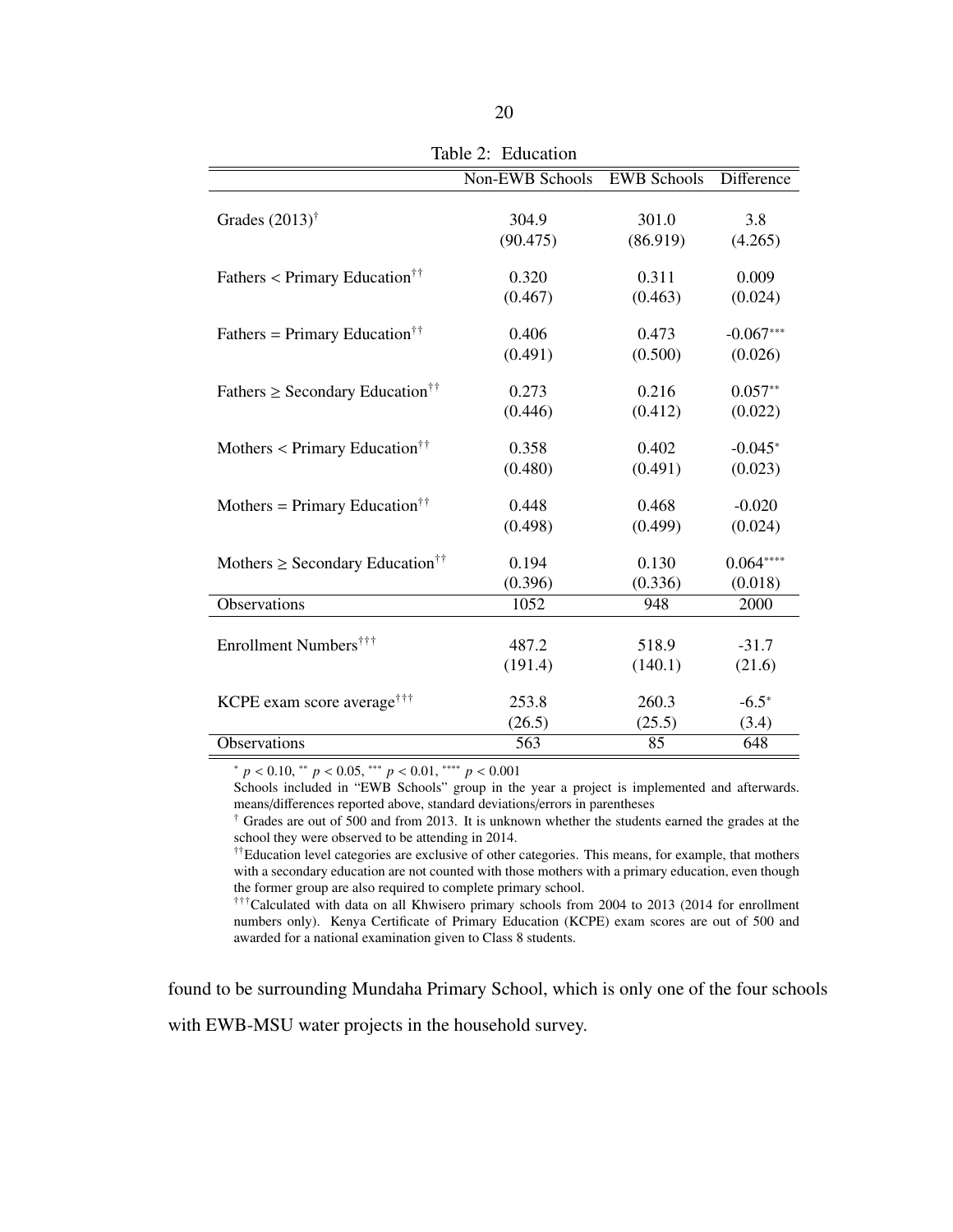<span id="page-27-0"></span>

|                                                   | Non-EWB Schools | <b>EWB Schools</b> | Difference  |
|---------------------------------------------------|-----------------|--------------------|-------------|
|                                                   |                 |                    |             |
| Grades $(2013)^{\dagger}$                         | 304.9           | 301.0              | 3.8         |
|                                                   | (90.475)        | (86.919)           | (4.265)     |
| Fathers $\langle$ Primary Education <sup>††</sup> | 0.320           | 0.311              | 0.009       |
|                                                   | (0.467)         | (0.463)            | (0.024)     |
| Fathers = Primary Education <sup>††</sup>         | 0.406           | 0.473              | $-0.067***$ |
|                                                   |                 |                    |             |
|                                                   | (0.491)         | (0.500)            | (0.026)     |
| Fathers $\geq$ Secondary Education <sup>††</sup>  | 0.273           | 0.216              | $0.057**$   |
|                                                   | (0.446)         | (0.412)            | (0.022)     |
| Mothers $\langle$ Primary Education <sup>††</sup> | 0.358           | 0.402              | $-0.045*$   |
|                                                   | (0.480)         | (0.491)            | (0.023)     |
|                                                   |                 |                    |             |
| Mothers = Primary Education <sup>††</sup>         | 0.448           | 0.468              | $-0.020$    |
|                                                   | (0.498)         | (0.499)            | (0.024)     |
| Mothers $\geq$ Secondary Education <sup>††</sup>  | 0.194           | 0.130              | $0.064***$  |
|                                                   | (0.396)         | (0.336)            | (0.018)     |
| Observations                                      | 1052            | 948                | 2000        |
|                                                   |                 |                    |             |
| Enrollment Numbers <sup>†††</sup>                 | 487.2           | 518.9              | $-31.7$     |
|                                                   | (191.4)         | (140.1)            | (21.6)      |
| KCPE exam score average <sup>†††</sup>            | 253.8           | 260.3              | $-6.5*$     |
|                                                   | (26.5)          | (25.5)             | (3.4)       |
| Observations                                      | 563             | 85                 | 648         |

Table 2: Education

 $p < 0.10$ , \*\*  $p < 0.05$ , \*\*\*  $p < 0.01$ , \*\*\*\*  $p < 0.001$ <br>Schools included in "EWB Schools" group in the year a project is implemented and afterwards. means/differences reported above, standard deviations/errors in parentheses

† Grades are out of 500 and from 2013. It is unknown whether the students earned the grades at the school they were observed to be attending in 2014.

<sup>††</sup>Education level categories are exclusive of other categories. This means, for example, that mothers with a secondary education are not counted with those mothers with a primary education, even though the former group are also required to complete primary school.

†††Calculated with data on all Khwisero primary schools from 2004 to 2013 (2014 for enrollment numbers only). Kenya Certificate of Primary Education (KCPE) exam scores are out of 500 and awarded for a national examination given to Class 8 students.

found to be surrounding Mundaha Primary School, which is only one of the four schools with EWB-MSU water projects in the household survey.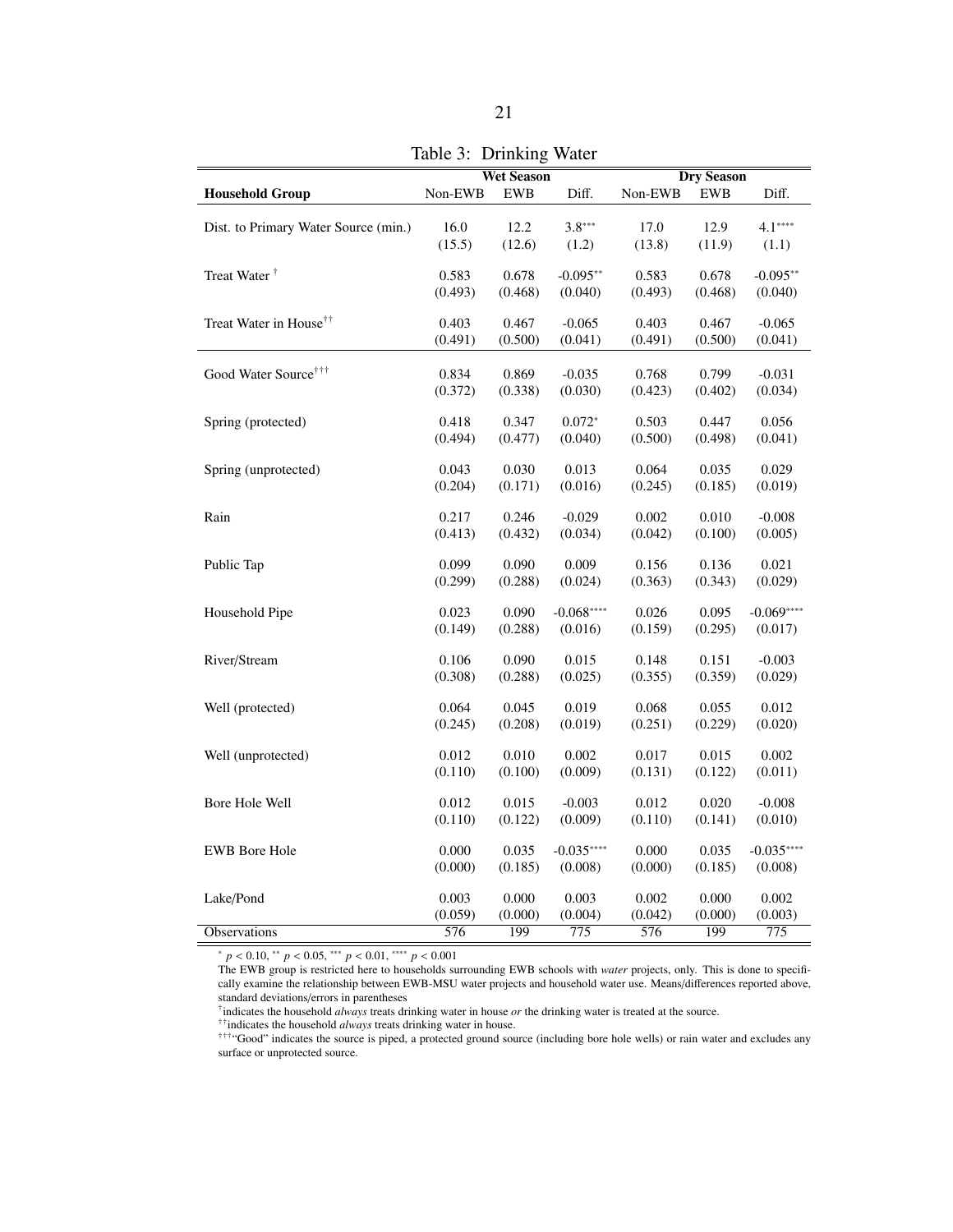<span id="page-28-0"></span>

|                                      | <b>Wet Season</b><br><b>Dry Season</b> |            |                  |         |            |                  |
|--------------------------------------|----------------------------------------|------------|------------------|---------|------------|------------------|
| <b>Household Group</b>               | Non-EWB                                | <b>EWB</b> | Diff.            | Non-EWB | <b>EWB</b> | Diff.            |
|                                      |                                        |            |                  |         |            |                  |
| Dist. to Primary Water Source (min.) | 16.0                                   | 12.2       | $3.8***$         | 17.0    | 12.9       | $4.1***$         |
|                                      | (15.5)                                 | (12.6)     | (1.2)            | (13.8)  | (11.9)     | (1.1)            |
| Treat Water <sup>†</sup>             | 0.583                                  | 0.678      | $-0.095**$       | 0.583   | 0.678      | $-0.095**$       |
|                                      | (0.493)                                | (0.468)    | (0.040)          | (0.493) | (0.468)    | (0.040)          |
|                                      |                                        |            |                  |         |            |                  |
| Treat Water in House <sup>††</sup>   | 0.403                                  | 0.467      | $-0.065$         | 0.403   | 0.467      | $-0.065$         |
|                                      | (0.491)                                | (0.500)    | (0.041)          | (0.491) | (0.500)    | (0.041)          |
|                                      |                                        |            |                  |         |            |                  |
| Good Water Source <sup>†††</sup>     | 0.834                                  | 0.869      | $-0.035$         | 0.768   | 0.799      | $-0.031$         |
|                                      | (0.372)                                | (0.338)    | (0.030)          | (0.423) | (0.402)    | (0.034)          |
|                                      |                                        |            |                  |         |            |                  |
| Spring (protected)                   | 0.418                                  | 0.347      | $0.072*$         | 0.503   | 0.447      | 0.056            |
|                                      | (0.494)                                | (0.477)    | (0.040)          | (0.500) | (0.498)    | (0.041)          |
| Spring (unprotected)                 | 0.043                                  | 0.030      | 0.013            | 0.064   | 0.035      | 0.029            |
|                                      | (0.204)                                | (0.171)    | (0.016)          | (0.245) | (0.185)    | (0.019)          |
|                                      |                                        |            |                  |         |            |                  |
| Rain                                 | 0.217                                  | 0.246      | $-0.029$         | 0.002   | 0.010      | $-0.008$         |
|                                      | (0.413)                                | (0.432)    | (0.034)          | (0.042) | (0.100)    | (0.005)          |
|                                      |                                        |            |                  |         |            |                  |
| Public Tap                           | 0.099                                  | 0.090      | 0.009            | 0.156   | 0.136      | 0.021            |
|                                      | (0.299)                                | (0.288)    | (0.024)          | (0.363) | (0.343)    | (0.029)          |
| Household Pipe                       | 0.023                                  | 0.090      | $-0.068***$      | 0.026   | 0.095      | $-0.069***$      |
|                                      | (0.149)                                | (0.288)    | (0.016)          | (0.159) | (0.295)    | (0.017)          |
|                                      |                                        |            |                  |         |            |                  |
| River/Stream                         | 0.106                                  | 0.090      | 0.015            | 0.148   | 0.151      | $-0.003$         |
|                                      | (0.308)                                | (0.288)    | (0.025)          | (0.355) | (0.359)    | (0.029)          |
|                                      |                                        |            |                  |         |            |                  |
| Well (protected)                     | 0.064                                  | 0.045      | 0.019            | 0.068   | 0.055      | 0.012            |
|                                      | (0.245)                                | (0.208)    | (0.019)          | (0.251) | (0.229)    | (0.020)          |
| Well (unprotected)                   | 0.012                                  | 0.010      | 0.002            | 0.017   | 0.015      | 0.002            |
|                                      | (0.110)                                | (0.100)    | (0.009)          | (0.131) | (0.122)    | (0.011)          |
|                                      |                                        |            |                  |         |            |                  |
| Bore Hole Well                       | 0.012                                  | 0.015      | $-0.003$         | 0.012   | 0.020      | $-0.008$         |
|                                      | (0.110)                                | (0.122)    | (0.009)          | (0.110) | (0.141)    | (0.010)          |
|                                      |                                        |            |                  |         |            |                  |
| <b>EWB Bore Hole</b>                 | 0.000                                  | 0.035      | $-0.035***$      | 0.000   | 0.035      | $-0.035***$      |
|                                      | (0.000)                                | (0.185)    | (0.008)          | (0.000) | (0.185)    | (0.008)          |
| Lake/Pond                            | 0.003                                  | 0.000      | 0.003            | 0.002   | 0.000      | 0.002            |
|                                      | (0.059)                                | (0.000)    | (0.004)          | (0.042) | (0.000)    | (0.003)          |
| Observations                         | 576                                    | 199        | $\overline{775}$ | 576     | 199        | $\overline{775}$ |
|                                      |                                        |            |                  |         |            |                  |

<sup>∗</sup> *<sup>p</sup>* < <sup>0</sup>.10, ∗∗ *<sup>p</sup>* < <sup>0</sup>.05, ∗∗∗ *<sup>p</sup>* < <sup>0</sup>.01, ∗∗∗∗ *<sup>p</sup>* < <sup>0</sup>.<sup>001</sup>

The EWB group is restricted here to households surrounding EWB schools with *water* projects, only. This is done to specifically examine the relationship between EWB-MSU water projects and household water use. Means/differences reported above, standard deviations/errors in parentheses

† indicates the household *always* treats drinking water in house *or* the drinking water is treated at the source.

††indicates the household *always* treats drinking water in house.

†††"Good" indicates the source is piped, a protected ground source (including bore hole wells) or rain water and excludes any surface or unprotected source.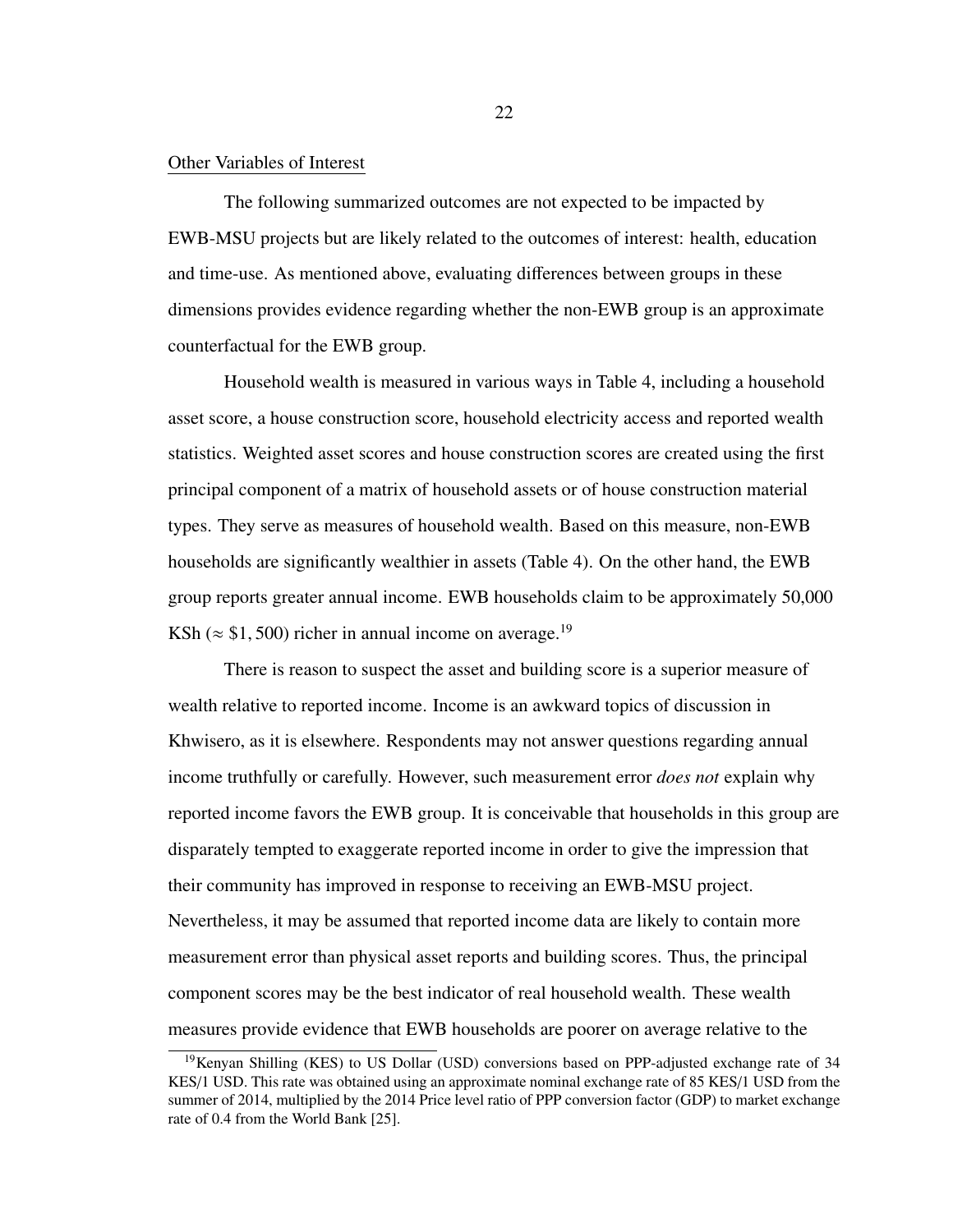#### <span id="page-29-0"></span>Other Variables of Interest

The following summarized outcomes are not expected to be impacted by EWB-MSU projects but are likely related to the outcomes of interest: health, education and time-use. As mentioned above, evaluating differences between groups in these dimensions provides evidence regarding whether the non-EWB group is an approximate counterfactual for the EWB group.

Household wealth is measured in various ways in Table [4,](#page-30-0) including a household asset score, a house construction score, household electricity access and reported wealth statistics. Weighted asset scores and house construction scores are created using the first principal component of a matrix of household assets or of house construction material types. They serve as measures of household wealth. Based on this measure, non-EWB households are significantly wealthier in assets (Table [4\)](#page-30-0). On the other hand, the EWB group reports greater annual income. EWB households claim to be approximately 50,000 KSh ( $\approx$  \$1, 500) richer in annual income on average.<sup>[19](#page-29-1)</sup>

There is reason to suspect the asset and building score is a superior measure of wealth relative to reported income. Income is an awkward topics of discussion in Khwisero, as it is elsewhere. Respondents may not answer questions regarding annual income truthfully or carefully. However, such measurement error *does not* explain why reported income favors the EWB group. It is conceivable that households in this group are disparately tempted to exaggerate reported income in order to give the impression that their community has improved in response to receiving an EWB-MSU project. Nevertheless, it may be assumed that reported income data are likely to contain more measurement error than physical asset reports and building scores. Thus, the principal component scores may be the best indicator of real household wealth. These wealth measures provide evidence that EWB households are poorer on average relative to the

<span id="page-29-1"></span><sup>&</sup>lt;sup>19</sup>Kenyan Shilling (KES) to US Dollar (USD) conversions based on PPP-adjusted exchange rate of 34 KES/1 USD. This rate was obtained using an approximate nominal exchange rate of 85 KES/1 USD from the summer of 2014, multiplied by the 2014 Price level ratio of PPP conversion factor (GDP) to market exchange rate of 0.4 from the World Bank [\[25\]](#page-69-11).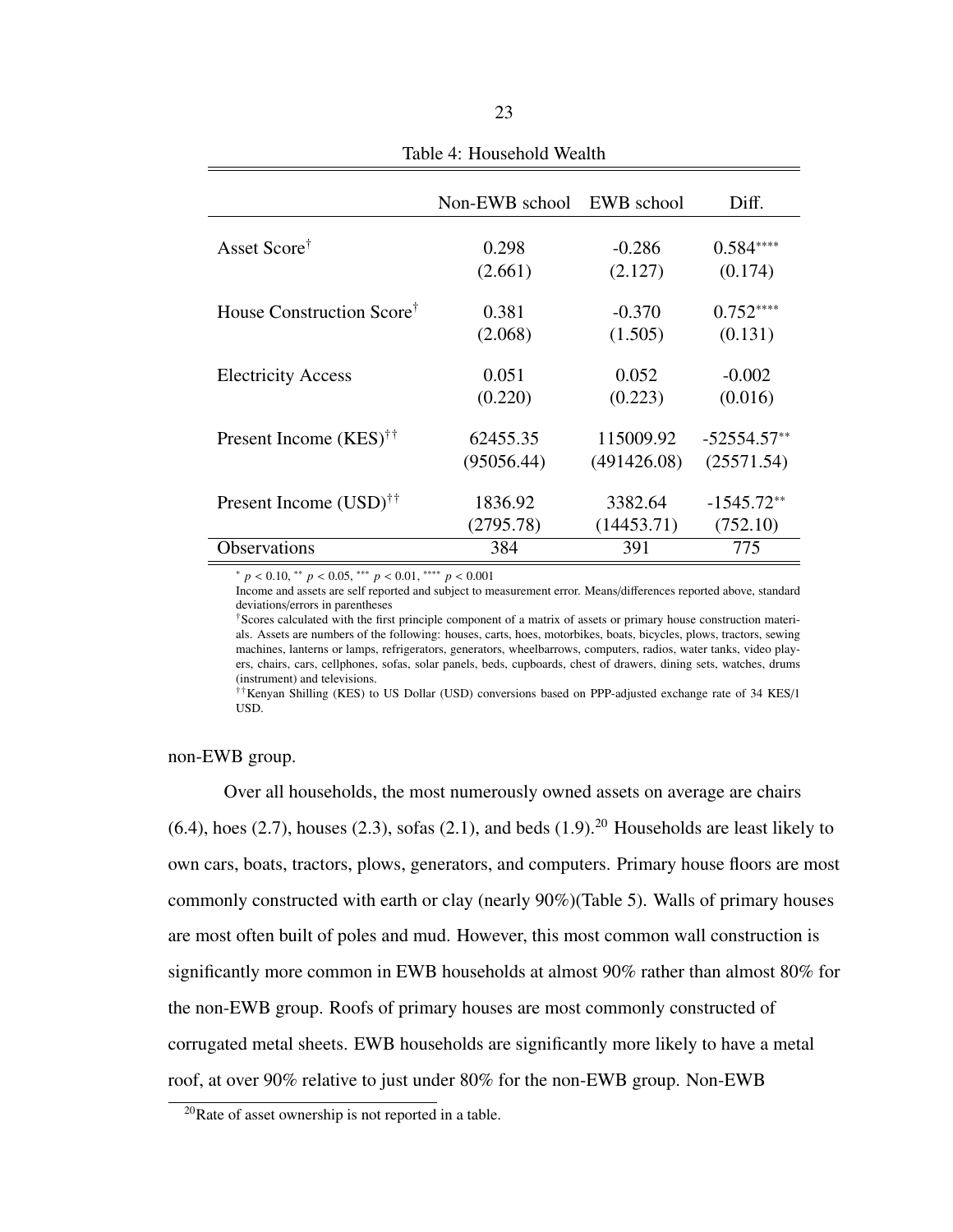<span id="page-30-0"></span>

|                                          | Non-EWB school | EWB school  | Diff.         |
|------------------------------------------|----------------|-------------|---------------|
| Asset Score <sup>†</sup>                 | 0.298          | $-0.286$    | $0.584***$    |
|                                          | (2.661)        | (2.127)     | (0.174)       |
| House Construction Score <sup>†</sup>    | 0.381          | $-0.370$    | $0.752***$    |
|                                          | (2.068)        | (1.505)     | (0.131)       |
| <b>Electricity Access</b>                | 0.051          | 0.052       | $-0.002$      |
|                                          | (0.220)        | (0.223)     | (0.016)       |
| Present Income $(KES)^{\dagger \dagger}$ | 62455.35       | 115009.92   | $-52554.57**$ |
|                                          | (95056.44)     | (491426.08) | (25571.54)    |
| Present Income $(USD)^{\dagger\dagger}$  | 1836.92        | 3382.64     | $-1545.72**$  |
|                                          | (2795.78)      | (14453.71)  | (752.10)      |
| <b>Observations</b>                      | 384            | 391         | 775           |

Table 4: Household Wealth

<sup>∗</sup> *<sup>p</sup>* < <sup>0</sup>.10, ∗∗ *<sup>p</sup>* < <sup>0</sup>.05, ∗∗∗ *<sup>p</sup>* < <sup>0</sup>.01, ∗∗∗∗ *<sup>p</sup>* < <sup>0</sup>.<sup>001</sup>

Income and assets are self reported and subject to measurement error. Means/differences reported above, standard deviations/errors in parentheses

†Scores calculated with the first principle component of a matrix of assets or primary house construction materials. Assets are numbers of the following: houses, carts, hoes, motorbikes, boats, bicycles, plows, tractors, sewing machines, lanterns or lamps, refrigerators, generators, wheelbarrows, computers, radios, water tanks, video players, chairs, cars, cellphones, sofas, solar panels, beds, cupboards, chest of drawers, dining sets, watches, drums (instrument) and televisions.

††Kenyan Shilling (KES) to US Dollar (USD) conversions based on PPP-adjusted exchange rate of 34 KES/1 USD.

non-EWB group.

Over all households, the most numerously owned assets on average are chairs  $(6.4)$ , hoes  $(2.7)$ , houses  $(2.3)$ , sofas  $(2.1)$ , and beds  $(1.9)$ <sup>[20](#page-30-1)</sup> Households are least likely to own cars, boats, tractors, plows, generators, and computers. Primary house floors are most commonly constructed with earth or clay (nearly 90%)(Table [5\)](#page-32-0). Walls of primary houses are most often built of poles and mud. However, this most common wall construction is significantly more common in EWB households at almost 90% rather than almost 80% for the non-EWB group. Roofs of primary houses are most commonly constructed of corrugated metal sheets. EWB households are significantly more likely to have a metal roof, at over 90% relative to just under 80% for the non-EWB group. Non-EWB

<span id="page-30-1"></span><sup>20</sup>Rate of asset ownership is not reported in a table.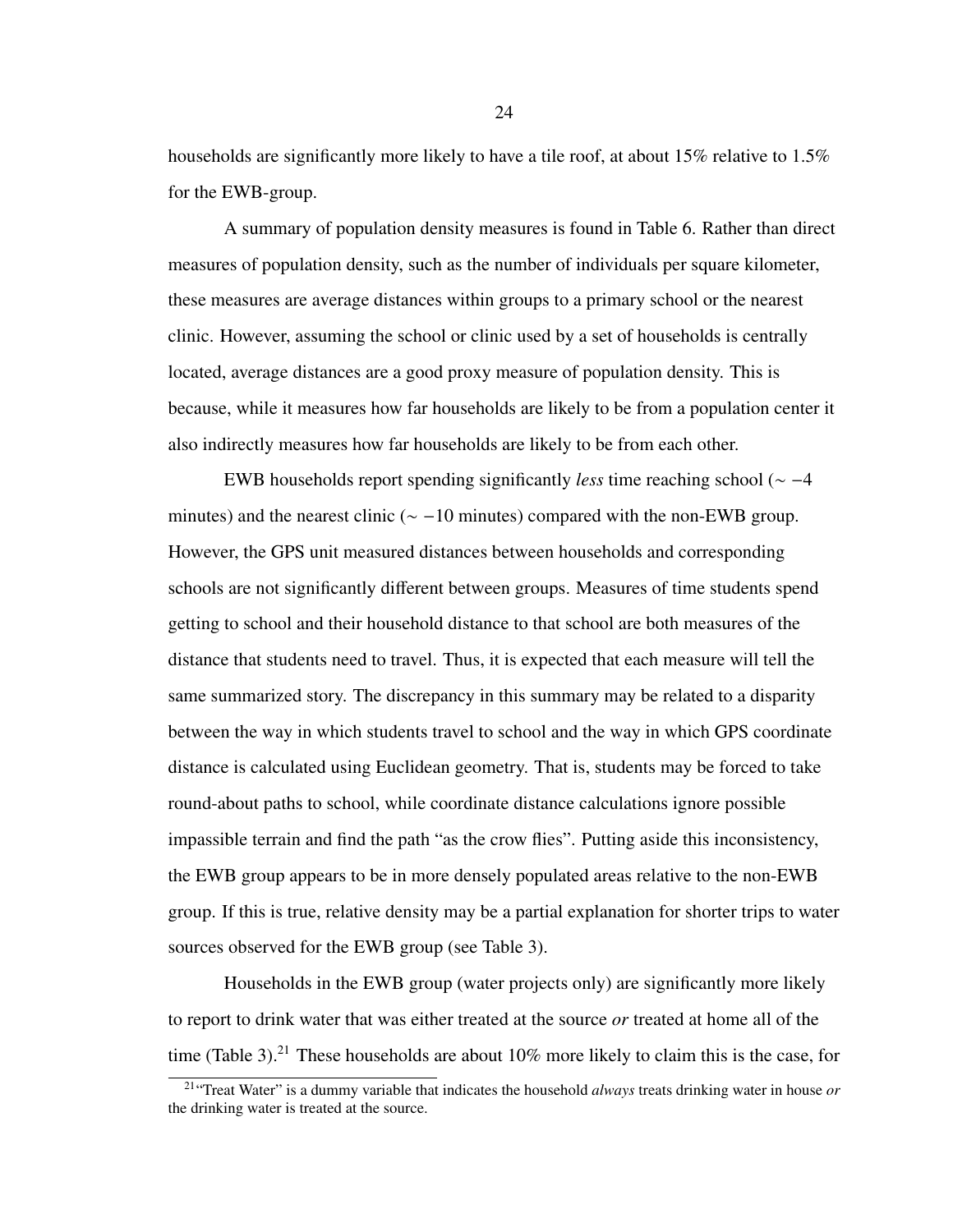households are significantly more likely to have a tile roof, at about 15% relative to 1.5% for the EWB-group.

A summary of population density measures is found in Table [6.](#page-33-0) Rather than direct measures of population density, such as the number of individuals per square kilometer, these measures are average distances within groups to a primary school or the nearest clinic. However, assuming the school or clinic used by a set of households is centrally located, average distances are a good proxy measure of population density. This is because, while it measures how far households are likely to be from a population center it also indirectly measures how far households are likely to be from each other.

EWB households report spending significantly *less* time reaching school (∼ −4 minutes) and the nearest clinic ( $\sim$  -10 minutes) compared with the non-EWB group. However, the GPS unit measured distances between households and corresponding schools are not significantly different between groups. Measures of time students spend getting to school and their household distance to that school are both measures of the distance that students need to travel. Thus, it is expected that each measure will tell the same summarized story. The discrepancy in this summary may be related to a disparity between the way in which students travel to school and the way in which GPS coordinate distance is calculated using Euclidean geometry. That is, students may be forced to take round-about paths to school, while coordinate distance calculations ignore possible impassible terrain and find the path "as the crow flies". Putting aside this inconsistency, the EWB group appears to be in more densely populated areas relative to the non-EWB group. If this is true, relative density may be a partial explanation for shorter trips to water sources observed for the EWB group (see Table [3\)](#page-28-0).

Households in the EWB group (water projects only) are significantly more likely to report to drink water that was either treated at the source *or* treated at home all of the time (Table [3\)](#page-28-0).<sup>[21](#page-31-0)</sup> These households are about  $10\%$  more likely to claim this is the case, for

<span id="page-31-0"></span><sup>21</sup>"Treat Water" is a dummy variable that indicates the household *always* treats drinking water in house *or* the drinking water is treated at the source.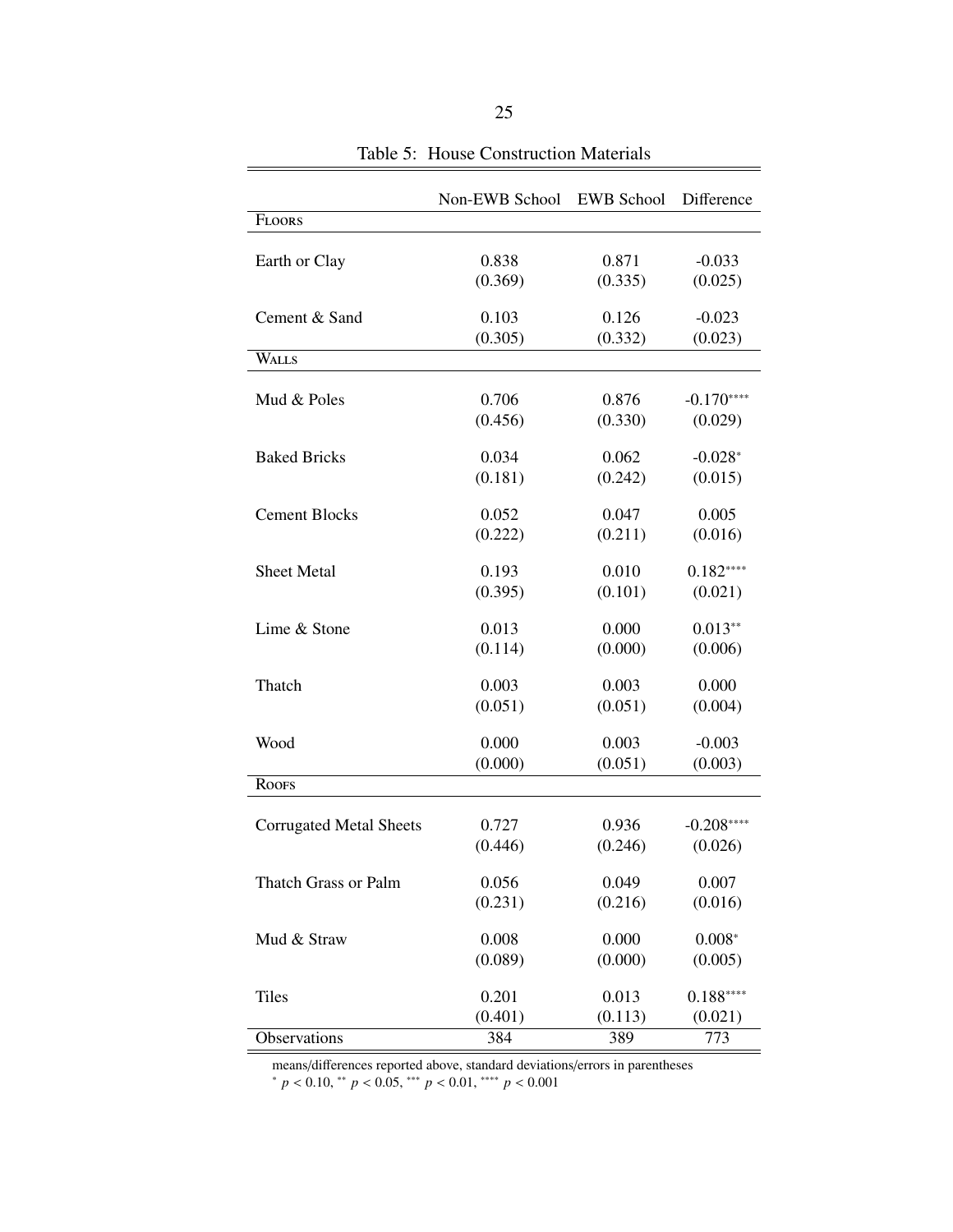<span id="page-32-0"></span>

|                                | Non-EWB School | <b>EWB</b> School | Difference  |
|--------------------------------|----------------|-------------------|-------------|
| <b>FLOORS</b>                  |                |                   |             |
|                                |                |                   |             |
| Earth or Clay                  | 0.838          | 0.871             | $-0.033$    |
|                                | (0.369)        | (0.335)           | (0.025)     |
| Cement & Sand                  | 0.103          | 0.126             | $-0.023$    |
|                                | (0.305)        | (0.332)           | (0.023)     |
| WALLS                          |                |                   |             |
|                                |                |                   |             |
| Mud & Poles                    | 0.706          | 0.876             | $-0.170***$ |
|                                | (0.456)        | (0.330)           | (0.029)     |
| <b>Baked Bricks</b>            | 0.034          | 0.062             |             |
|                                |                |                   | $-0.028*$   |
|                                | (0.181)        | (0.242)           | (0.015)     |
| <b>Cement Blocks</b>           | 0.052          | 0.047             | 0.005       |
|                                | (0.222)        | (0.211)           | (0.016)     |
|                                |                |                   |             |
| <b>Sheet Metal</b>             | 0.193          | 0.010             | $0.182***$  |
|                                | (0.395)        | (0.101)           | (0.021)     |
| Lime & Stone                   | 0.013          | 0.000             | $0.013**$   |
|                                | (0.114)        | (0.000)           | (0.006)     |
|                                |                |                   |             |
| Thatch                         | 0.003          | 0.003             | 0.000       |
|                                | (0.051)        | (0.051)           | (0.004)     |
| Wood                           | 0.000          | 0.003             | $-0.003$    |
|                                | (0.000)        | (0.051)           | (0.003)     |
| <b>ROOFS</b>                   |                |                   |             |
|                                |                |                   |             |
| <b>Corrugated Metal Sheets</b> | 0.727          | 0.936             | $-0.208***$ |
|                                | (0.446)        | (0.246)           | (0.026)     |
|                                |                |                   |             |
| Thatch Grass or Palm           | 0.056          | 0.049             | 0.007       |
|                                | (0.231)        | (0.216)           | (0.016)     |
| Mud & Straw                    | 0.008          | 0.000             | $0.008*$    |
|                                | (0.089)        | (0.000)           | (0.005)     |
|                                |                |                   |             |
| <b>Tiles</b>                   | 0.201          | 0.013             | $0.188***$  |
|                                | (0.401)        | (0.113)           | (0.021)     |
| Observations                   | 384            | 389               | 773         |

Table 5: House Construction Materials

÷

means/differences reported above, standard deviations/errors in parentheses

<sup>∗</sup> *<sup>p</sup>* < <sup>0</sup>.10, ∗∗ *<sup>p</sup>* < <sup>0</sup>.05, ∗∗∗ *<sup>p</sup>* < <sup>0</sup>.01, ∗∗∗∗ *<sup>p</sup>* < <sup>0</sup>.<sup>001</sup>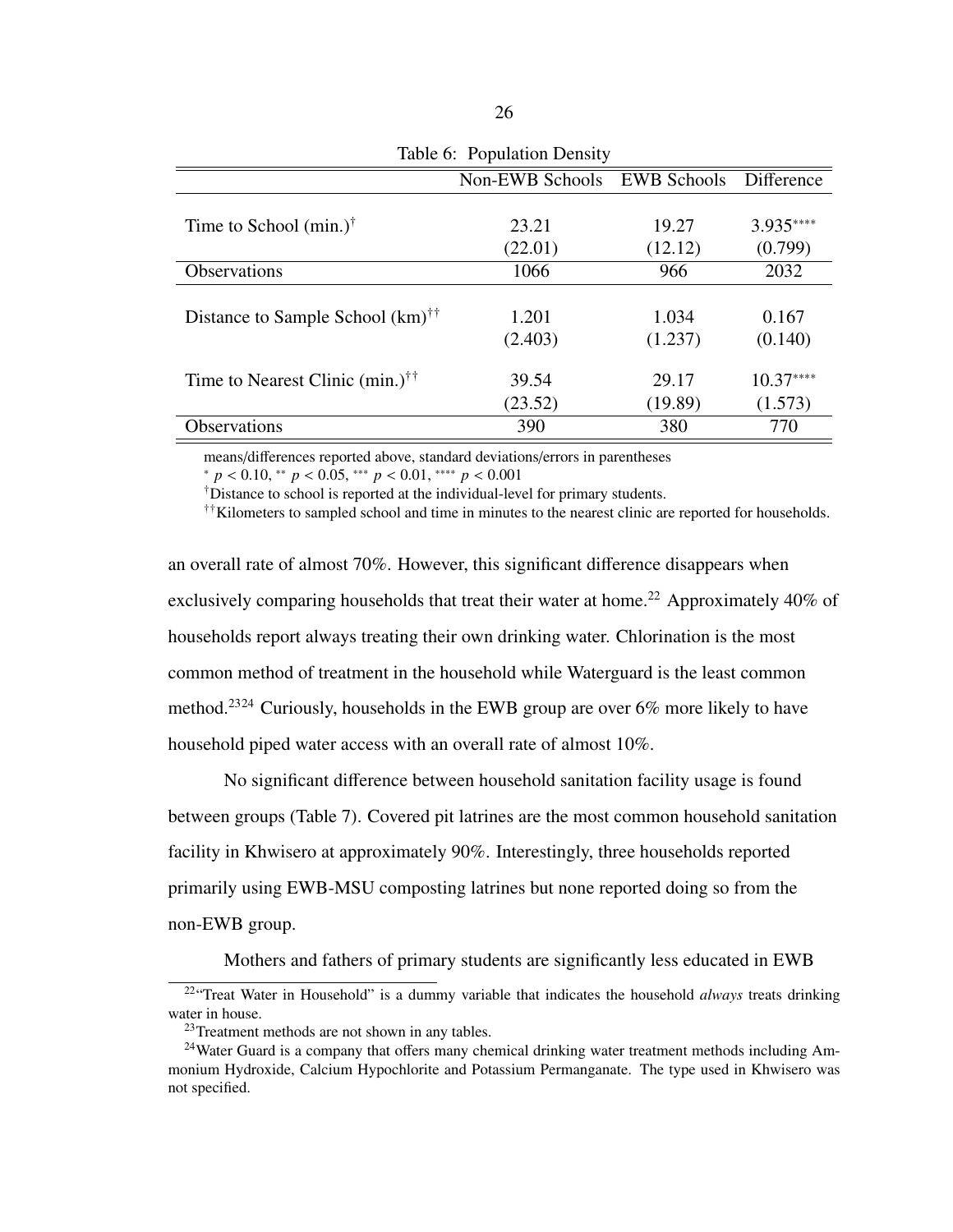<span id="page-33-0"></span>

| $\cdots$ $\cdots$ $\cdots$                         |                 |                    |            |  |
|----------------------------------------------------|-----------------|--------------------|------------|--|
|                                                    | Non-EWB Schools | <b>EWB</b> Schools | Difference |  |
|                                                    |                 |                    |            |  |
| Time to School $(min.)^{\dagger}$                  | 23.21           | 19.27              | 3.935****  |  |
|                                                    | (22.01)         | (12.12)            | (0.799)    |  |
| <b>Observations</b>                                | 1066            | 966                | 2032       |  |
|                                                    |                 |                    |            |  |
| Distance to Sample School $(km)^{\dagger \dagger}$ | 1.201           | 1.034              | 0.167      |  |
|                                                    | (2.403)         | (1.237)            | (0.140)    |  |
|                                                    |                 |                    |            |  |
| Time to Nearest Clinic $(min.)^{\dagger\dagger}$   | 39.54           | 29.17              | $10.37***$ |  |
|                                                    | (23.52)         | (19.89)            | (1.573)    |  |
| <b>Observations</b>                                | 390             | 380                | 770        |  |

Table 6: Population Density

means/differences reported above, standard deviations/errors in parentheses

<sup>∗</sup> *<sup>p</sup>* < <sup>0</sup>.10, ∗∗ *<sup>p</sup>* < <sup>0</sup>.05, ∗∗∗ *<sup>p</sup>* < <sup>0</sup>.01, ∗∗∗∗ *<sup>p</sup>* < <sup>0</sup>.<sup>001</sup>

†Distance to school is reported at the individual-level for primary students.

††Kilometers to sampled school and time in minutes to the nearest clinic are reported for households.

an overall rate of almost 70%. However, this significant difference disappears when exclusively comparing households that treat their water at home.<sup>[22](#page-33-1)</sup> Approximately 40% of households report always treating their own drinking water. Chlorination is the most common method of treatment in the household while Waterguard is the least common method.[23](#page-33-2)[24](#page-33-3) Curiously, households in the EWB group are over 6% more likely to have household piped water access with an overall rate of almost 10%.

No significant difference between household sanitation facility usage is found between groups (Table [7\)](#page-34-1). Covered pit latrines are the most common household sanitation facility in Khwisero at approximately 90%. Interestingly, three households reported primarily using EWB-MSU composting latrines but none reported doing so from the non-EWB group.

Mothers and fathers of primary students are significantly less educated in EWB

<span id="page-33-1"></span><sup>22</sup>"Treat Water in Household" is a dummy variable that indicates the household *always* treats drinking water in house.

<span id="page-33-3"></span><span id="page-33-2"></span><sup>&</sup>lt;sup>23</sup>Treatment methods are not shown in any tables.

<sup>&</sup>lt;sup>24</sup>Water Guard is a company that offers many chemical drinking water treatment methods including Ammonium Hydroxide, Calcium Hypochlorite and Potassium Permanganate. The type used in Khwisero was not specified.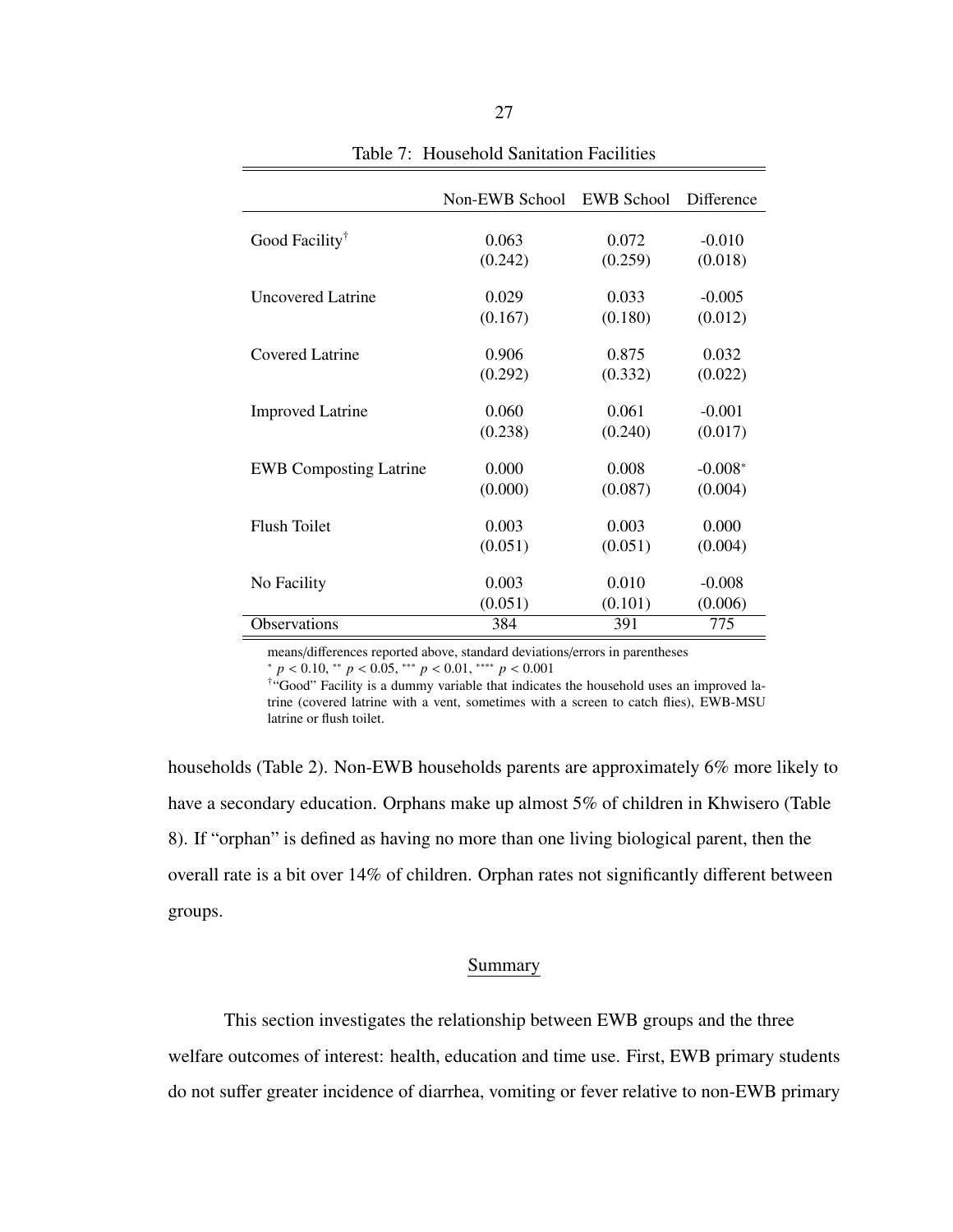<span id="page-34-1"></span>

|                               | Non-EWB School | EWB School | Difference |
|-------------------------------|----------------|------------|------------|
|                               |                |            |            |
| Good Facility <sup>†</sup>    | 0.063          | 0.072      | $-0.010$   |
|                               | (0.242)        | (0.259)    | (0.018)    |
| <b>Uncovered Latrine</b>      | 0.029          | 0.033      | $-0.005$   |
|                               | (0.167)        | (0.180)    | (0.012)    |
| Covered Latrine               | 0.906          | 0.875      | 0.032      |
|                               | (0.292)        | (0.332)    | (0.022)    |
| <b>Improved Latrine</b>       | 0.060          | 0.061      | $-0.001$   |
|                               | (0.238)        | (0.240)    | (0.017)    |
| <b>EWB</b> Composting Latrine | 0.000          | 0.008      | $-0.008*$  |
|                               | (0.000)        | (0.087)    | (0.004)    |
| <b>Flush Toilet</b>           | 0.003          | 0.003      | 0.000      |
|                               | (0.051)        | (0.051)    | (0.004)    |
|                               |                |            |            |
| No Facility                   | 0.003          | 0.010      | $-0.008$   |
|                               | (0.051)        | (0.101)    | (0.006)    |
| <b>Observations</b>           | 384            | 391        | 775        |

Table 7: Household Sanitation Facilities

means/differences reported above, standard deviations/errors in parentheses <sup>∗</sup> *<sup>p</sup>* < <sup>0</sup>.10, ∗∗ *<sup>p</sup>* < <sup>0</sup>.05, ∗∗∗ *<sup>p</sup>* < <sup>0</sup>.01, ∗∗∗∗ *<sup>p</sup>* < <sup>0</sup>.<sup>001</sup>

†"Good" Facility is a dummy variable that indicates the household uses an improved latrine (covered latrine with a vent, sometimes with a screen to catch flies), EWB-MSU latrine or flush toilet.

households (Table [2\)](#page-27-0). Non-EWB households parents are approximately 6% more likely to have a secondary education. Orphans make up almost 5% of children in Khwisero (Table [8\)](#page-35-0). If "orphan" is defined as having no more than one living biological parent, then the overall rate is a bit over 14% of children. Orphan rates not significantly different between groups.

## Summary

<span id="page-34-0"></span>This section investigates the relationship between EWB groups and the three welfare outcomes of interest: health, education and time use. First, EWB primary students do not suffer greater incidence of diarrhea, vomiting or fever relative to non-EWB primary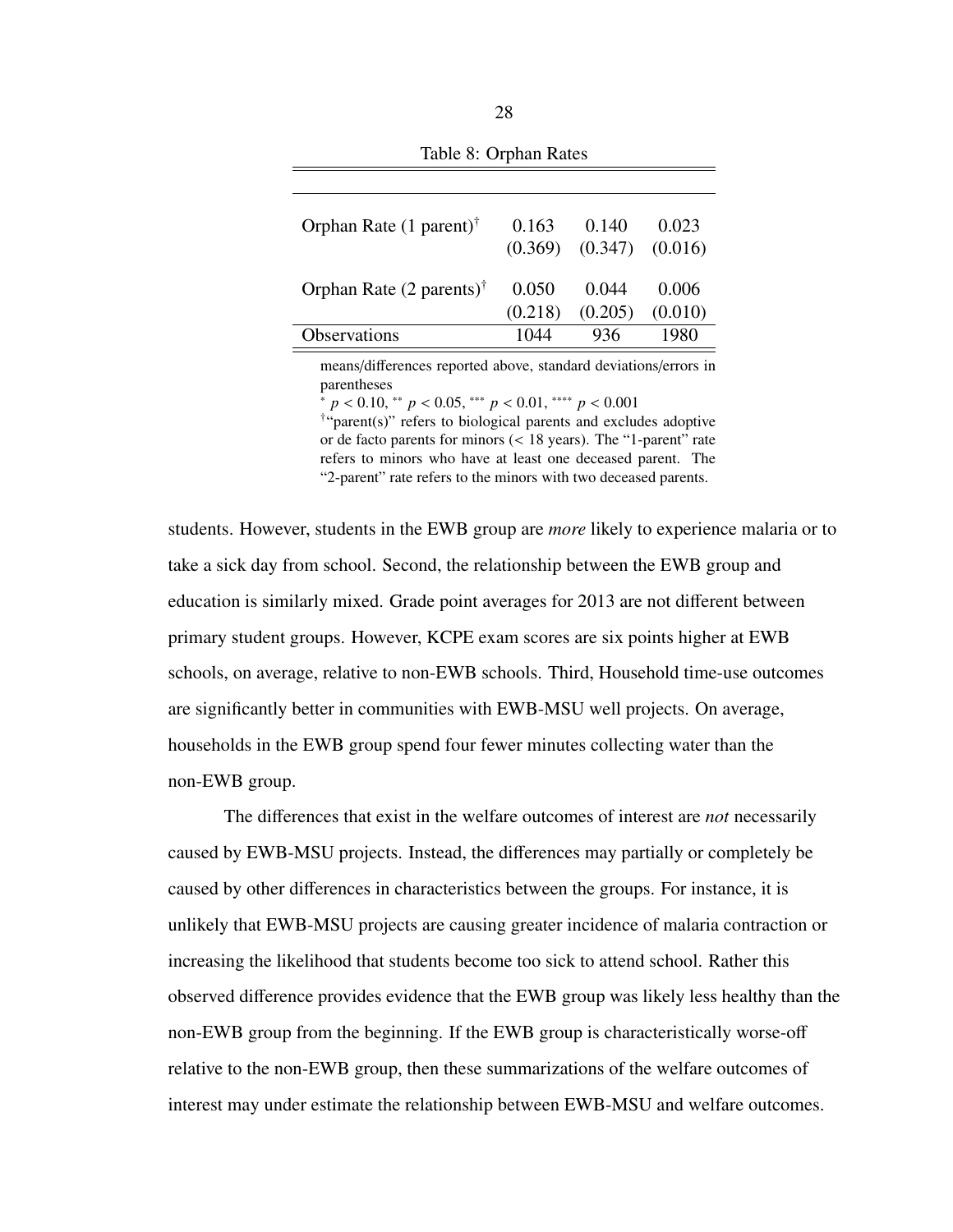<span id="page-35-0"></span>

| Orphan Rate $(1$ parent) <sup>†</sup>       | 0.163   | 0.140   | 0.023   |
|---------------------------------------------|---------|---------|---------|
|                                             | (0.369) | (0.347) | (0.016) |
| Orphan Rate $(2 \text{ parents})^{\dagger}$ | 0.050   | 0.044   | 0.006   |
|                                             | (0.218) | (0.205) | (0.010) |
| Observations                                | 1044    | 936     | 1980    |

Table 8: Orphan Rates

means/differences reported above, standard deviations/errors in parentheses

<sup>∗</sup> *<sup>p</sup>* < <sup>0</sup>.10, ∗∗ *<sup>p</sup>* < <sup>0</sup>.05, ∗∗∗ *<sup>p</sup>* < <sup>0</sup>.01, ∗∗∗∗ *<sup>p</sup>* < <sup>0</sup>.<sup>001</sup>

† "parent(s)" refers to biological parents and excludes adoptive or de facto parents for minors (< 18 years). The "1-parent" rate refers to minors who have at least one deceased parent. The "2-parent" rate refers to the minors with two deceased parents.

students. However, students in the EWB group are *more* likely to experience malaria or to take a sick day from school. Second, the relationship between the EWB group and education is similarly mixed. Grade point averages for 2013 are not different between primary student groups. However, KCPE exam scores are six points higher at EWB schools, on average, relative to non-EWB schools. Third, Household time-use outcomes are significantly better in communities with EWB-MSU well projects. On average, households in the EWB group spend four fewer minutes collecting water than the non-EWB group.

The differences that exist in the welfare outcomes of interest are *not* necessarily caused by EWB-MSU projects. Instead, the differences may partially or completely be caused by other differences in characteristics between the groups. For instance, it is unlikely that EWB-MSU projects are causing greater incidence of malaria contraction or increasing the likelihood that students become too sick to attend school. Rather this observed difference provides evidence that the EWB group was likely less healthy than the non-EWB group from the beginning. If the EWB group is characteristically worse-off relative to the non-EWB group, then these summarizations of the welfare outcomes of interest may under estimate the relationship between EWB-MSU and welfare outcomes.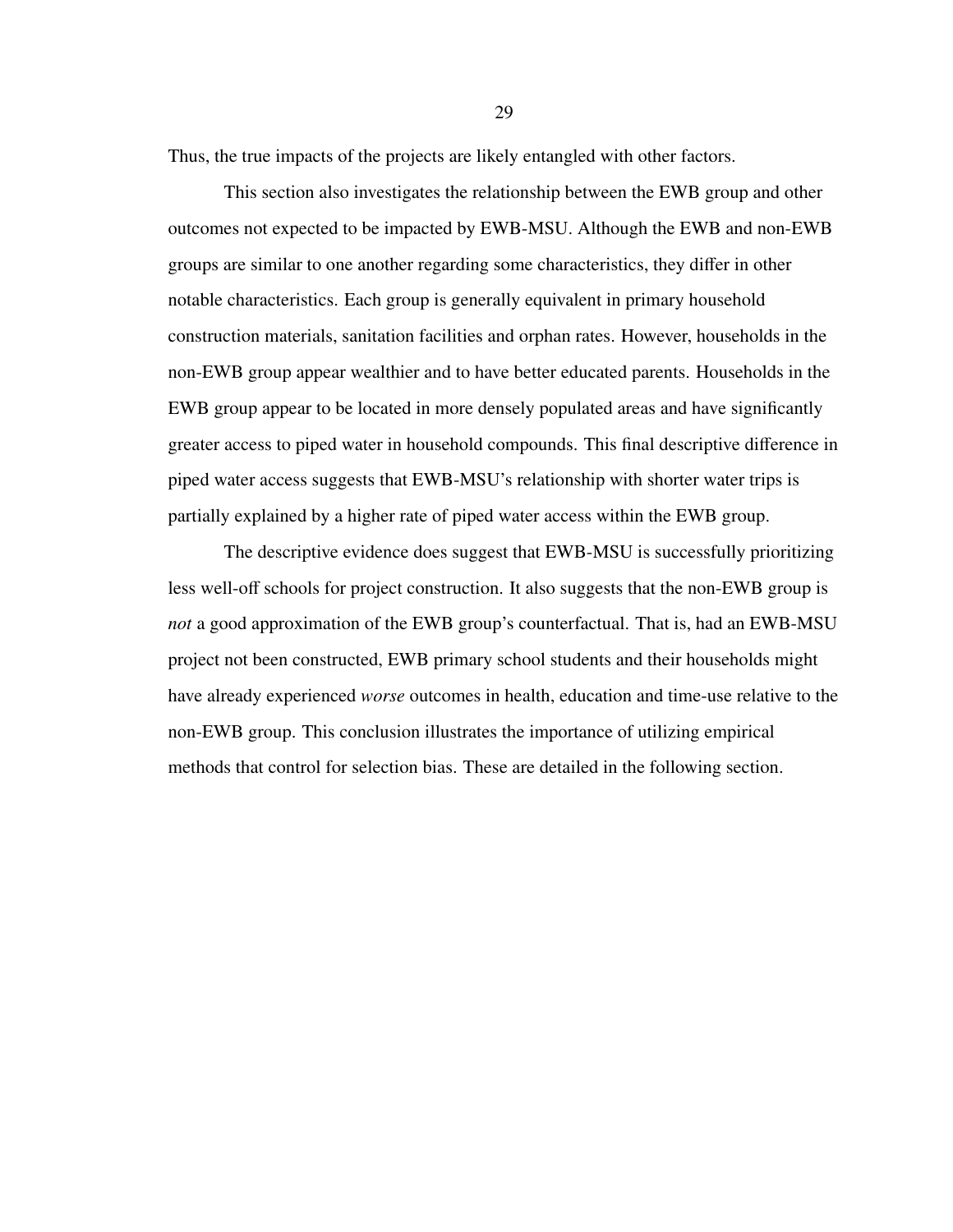Thus, the true impacts of the projects are likely entangled with other factors.

This section also investigates the relationship between the EWB group and other outcomes not expected to be impacted by EWB-MSU. Although the EWB and non-EWB groups are similar to one another regarding some characteristics, they differ in other notable characteristics. Each group is generally equivalent in primary household construction materials, sanitation facilities and orphan rates. However, households in the non-EWB group appear wealthier and to have better educated parents. Households in the EWB group appear to be located in more densely populated areas and have significantly greater access to piped water in household compounds. This final descriptive difference in piped water access suggests that EWB-MSU's relationship with shorter water trips is partially explained by a higher rate of piped water access within the EWB group.

The descriptive evidence does suggest that EWB-MSU is successfully prioritizing less well-off schools for project construction. It also suggests that the non-EWB group is *not* a good approximation of the EWB group's counterfactual. That is, had an EWB-MSU project not been constructed, EWB primary school students and their households might have already experienced *worse* outcomes in health, education and time-use relative to the non-EWB group. This conclusion illustrates the importance of utilizing empirical methods that control for selection bias. These are detailed in the following section.

29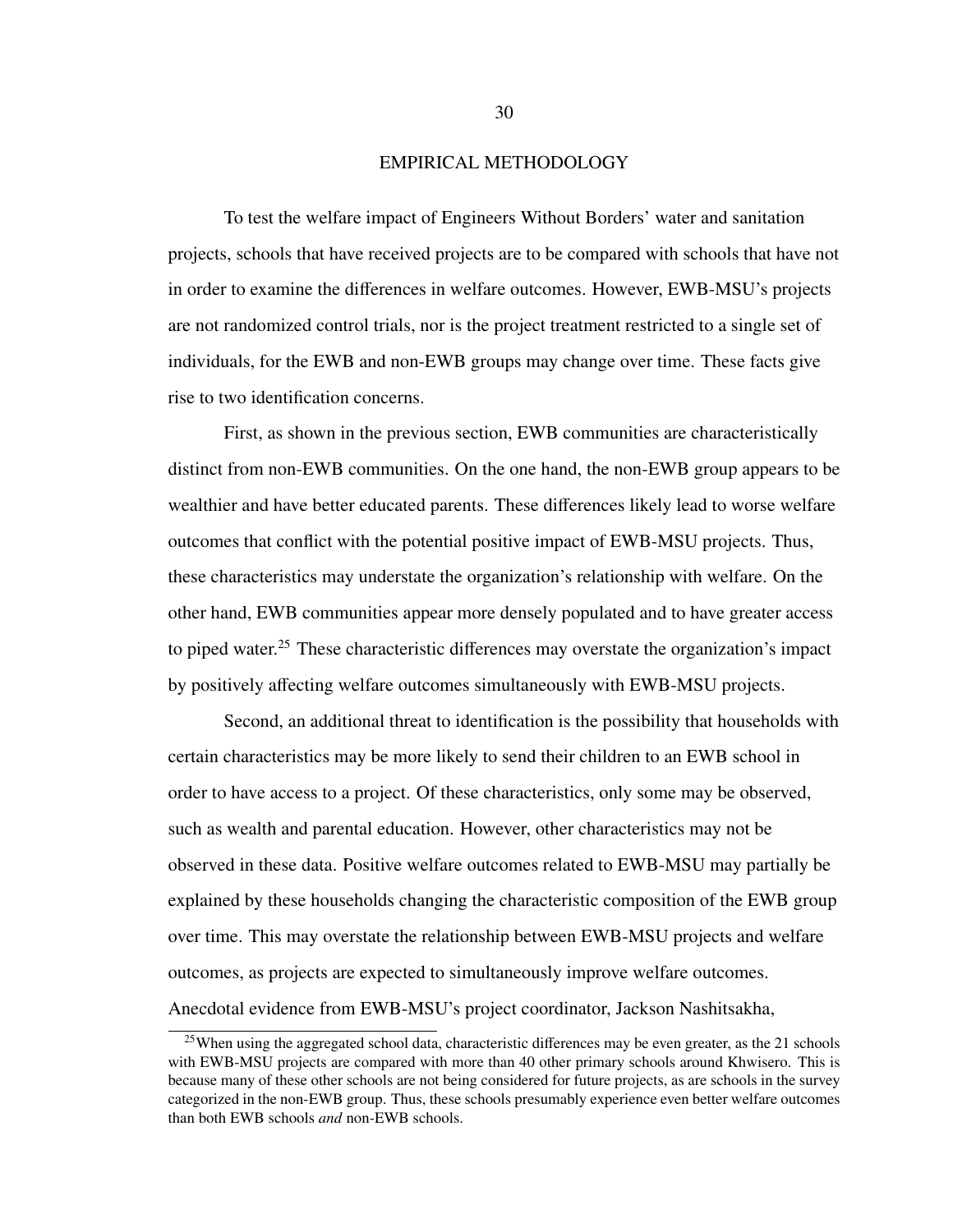### EMPIRICAL METHODOLOGY

To test the welfare impact of Engineers Without Borders' water and sanitation projects, schools that have received projects are to be compared with schools that have not in order to examine the differences in welfare outcomes. However, EWB-MSU's projects are not randomized control trials, nor is the project treatment restricted to a single set of individuals, for the EWB and non-EWB groups may change over time. These facts give rise to two identification concerns.

First, as shown in the previous section, EWB communities are characteristically distinct from non-EWB communities. On the one hand, the non-EWB group appears to be wealthier and have better educated parents. These differences likely lead to worse welfare outcomes that conflict with the potential positive impact of EWB-MSU projects. Thus, these characteristics may understate the organization's relationship with welfare. On the other hand, EWB communities appear more densely populated and to have greater access to piped water.<sup>[25](#page-37-0)</sup> These characteristic differences may overstate the organization's impact by positively affecting welfare outcomes simultaneously with EWB-MSU projects.

Second, an additional threat to identification is the possibility that households with certain characteristics may be more likely to send their children to an EWB school in order to have access to a project. Of these characteristics, only some may be observed, such as wealth and parental education. However, other characteristics may not be observed in these data. Positive welfare outcomes related to EWB-MSU may partially be explained by these households changing the characteristic composition of the EWB group over time. This may overstate the relationship between EWB-MSU projects and welfare outcomes, as projects are expected to simultaneously improve welfare outcomes. Anecdotal evidence from EWB-MSU's project coordinator, Jackson Nashitsakha,

<span id="page-37-0"></span><sup>&</sup>lt;sup>25</sup>When using the aggregated school data, characteristic differences may be even greater, as the 21 schools with EWB-MSU projects are compared with more than 40 other primary schools around Khwisero. This is because many of these other schools are not being considered for future projects, as are schools in the survey categorized in the non-EWB group. Thus, these schools presumably experience even better welfare outcomes than both EWB schools *and* non-EWB schools.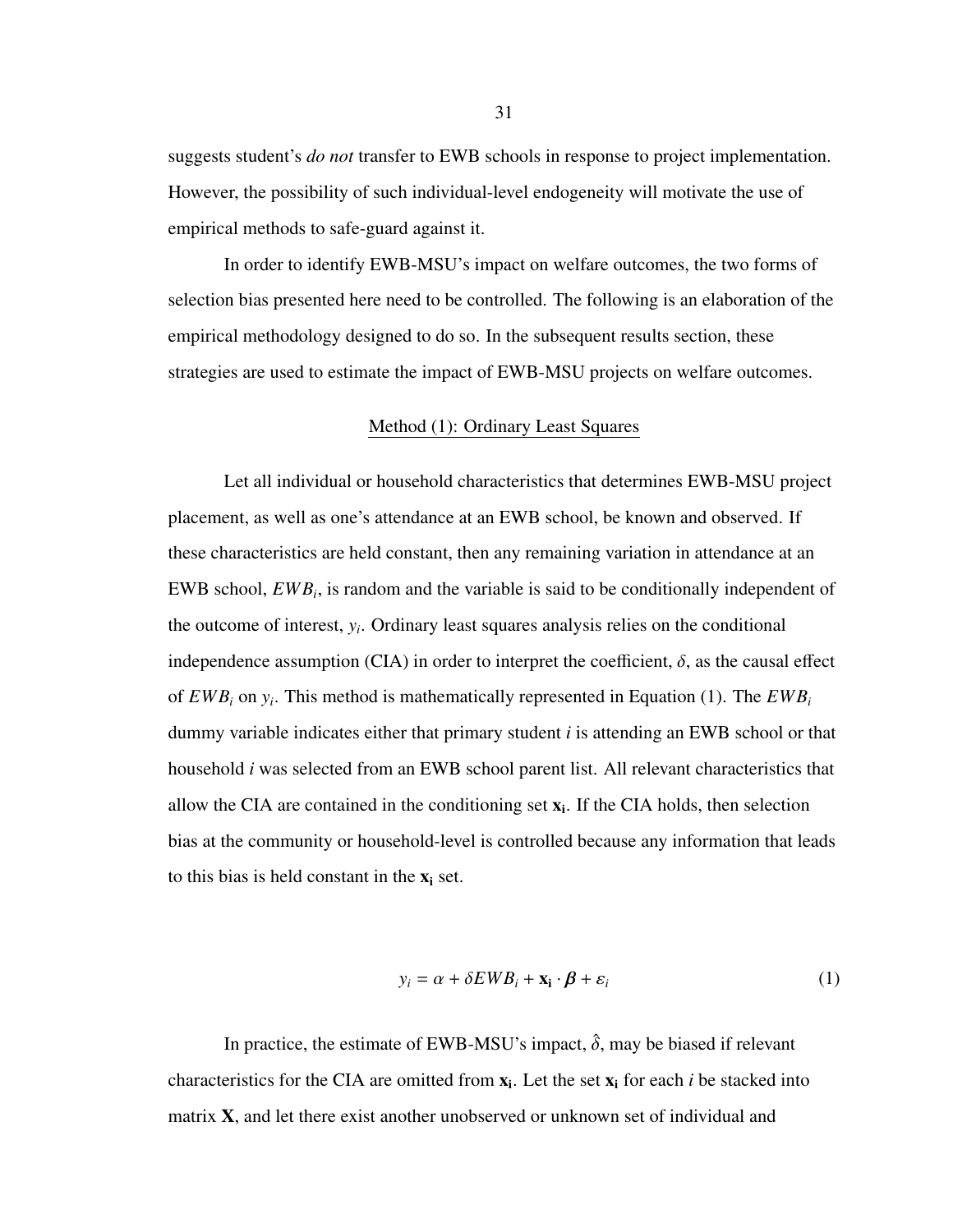suggests student's *do not* transfer to EWB schools in response to project implementation. However, the possibility of such individual-level endogeneity will motivate the use of empirical methods to safe-guard against it.

In order to identify EWB-MSU's impact on welfare outcomes, the two forms of selection bias presented here need to be controlled. The following is an elaboration of the empirical methodology designed to do so. In the subsequent results section, these strategies are used to estimate the impact of EWB-MSU projects on welfare outcomes.

# Method [\(1\)](#page-38-0): Ordinary Least Squares

<span id="page-38-0"></span>Let all individual or household characteristics that determines EWB-MSU project placement, as well as one's attendance at an EWB school, be known and observed. If these characteristics are held constant, then any remaining variation in attendance at an EWB school,  $EWB_i$ , is random and the variable is said to be conditionally independent of the outcome of interest, *y<sup>i</sup>* . Ordinary least squares analysis relies on the conditional independence assumption (CIA) in order to interpret the coefficient,  $\delta$ , as the causal effect of *EWB<sup>i</sup>* on *y<sup>i</sup>* . This method is mathematically represented in Equation [\(1\)](#page-38-1). The *EWB<sup>i</sup>* dummy variable indicates either that primary student *i* is attending an EWB school or that household *i* was selected from an EWB school parent list. All relevant characteristics that allow the CIA are contained in the conditioning set  $x_i$ . If the CIA holds, then selection bias at the community or household-level is controlled because any information that leads to this bias is held constant in the  $x_i$  set.

<span id="page-38-1"></span>
$$
y_i = \alpha + \delta E W B_i + \mathbf{x}_i \cdot \boldsymbol{\beta} + \varepsilon_i
$$
 (1)

In practice, the estimate of EWB-MSU's impact,  $\hat{\delta}$ , may be biased if relevant characteristics for the CIA are omitted from  $x_i$ . Let the set  $x_i$  for each *i* be stacked into matrix X, and let there exist another unobserved or unknown set of individual and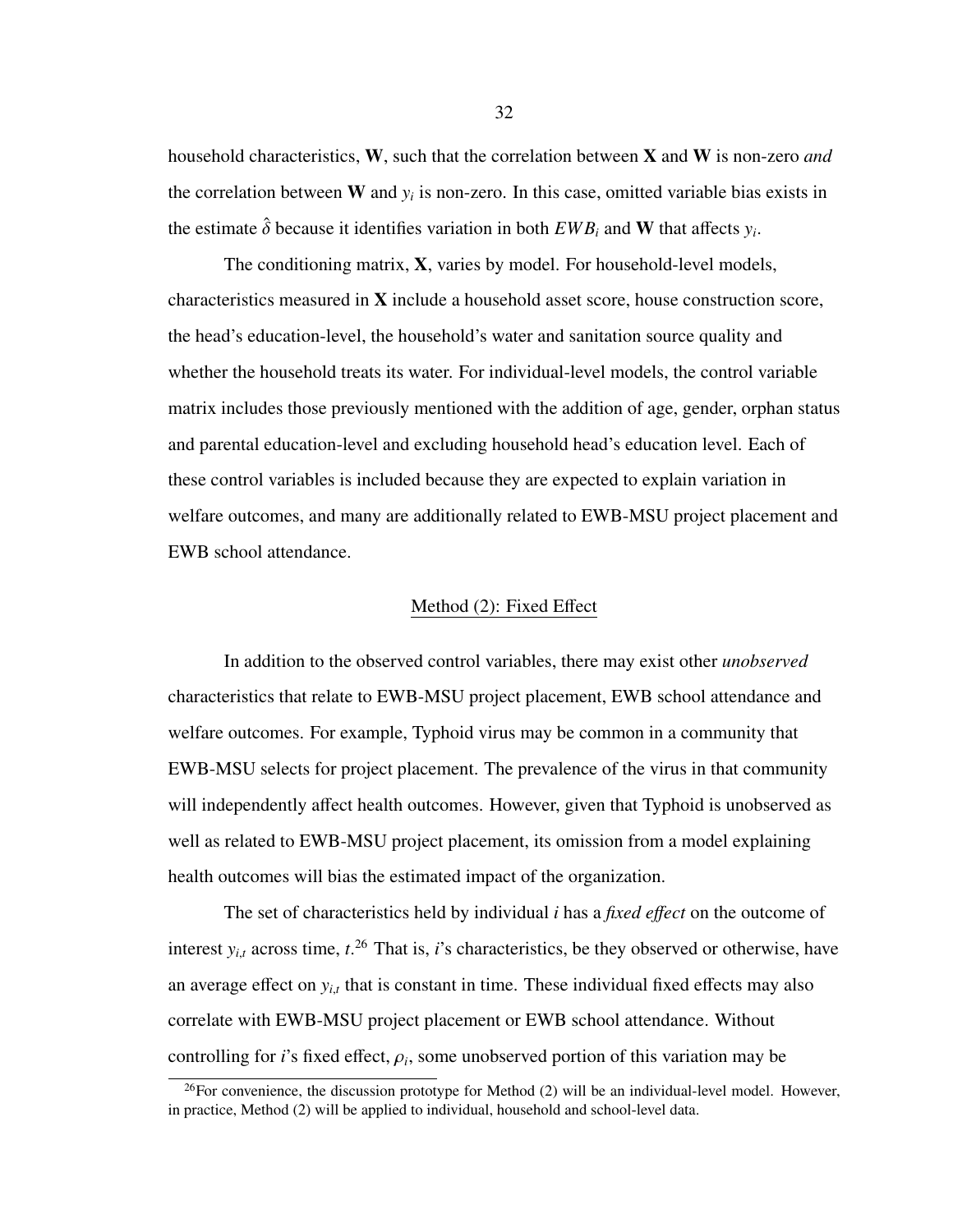household characteristics, W, such that the correlation between X and W is non-zero *and* the correlation between  $W$  and  $y_i$  is non-zero. In this case, omitted variable bias exists in the estimate  $\hat{\delta}$  because it identifies variation in both  $EWB_i$  and W that affects  $y_i$ .

The conditioning matrix, X, varies by model. For household-level models, characteristics measured in  $X$  include a household asset score, house construction score, the head's education-level, the household's water and sanitation source quality and whether the household treats its water. For individual-level models, the control variable matrix includes those previously mentioned with the addition of age, gender, orphan status and parental education-level and excluding household head's education level. Each of these control variables is included because they are expected to explain variation in welfare outcomes, and many are additionally related to EWB-MSU project placement and EWB school attendance.

# Method [\(2\)](#page-39-0): Fixed Effect

<span id="page-39-0"></span>In addition to the observed control variables, there may exist other *unobserved* characteristics that relate to EWB-MSU project placement, EWB school attendance and welfare outcomes. For example, Typhoid virus may be common in a community that EWB-MSU selects for project placement. The prevalence of the virus in that community will independently affect health outcomes. However, given that Typhoid is unobserved as well as related to EWB-MSU project placement, its omission from a model explaining health outcomes will bias the estimated impact of the organization.

The set of characteristics held by individual *i* has a *fixed e*ff*ect* on the outcome of interest  $y_{i,t}$  across time,  $t^{26}$  $t^{26}$  $t^{26}$  That is, *i*'s characteristics, be they observed or otherwise, have an average effect on  $y_{i,t}$  that is constant in time. These individual fixed effects may also correlate with EWB-MSU project placement or EWB school attendance. Without controlling for *i*'s fixed effect,  $\rho_i$ , some unobserved portion of this variation may be

32

<span id="page-39-1"></span> $^{26}$ For convenience, the discussion prototype for Method [\(2\)](#page-39-0) will be an individual-level model. However, in practice, Method [\(2\)](#page-39-0) will be applied to individual, household and school-level data.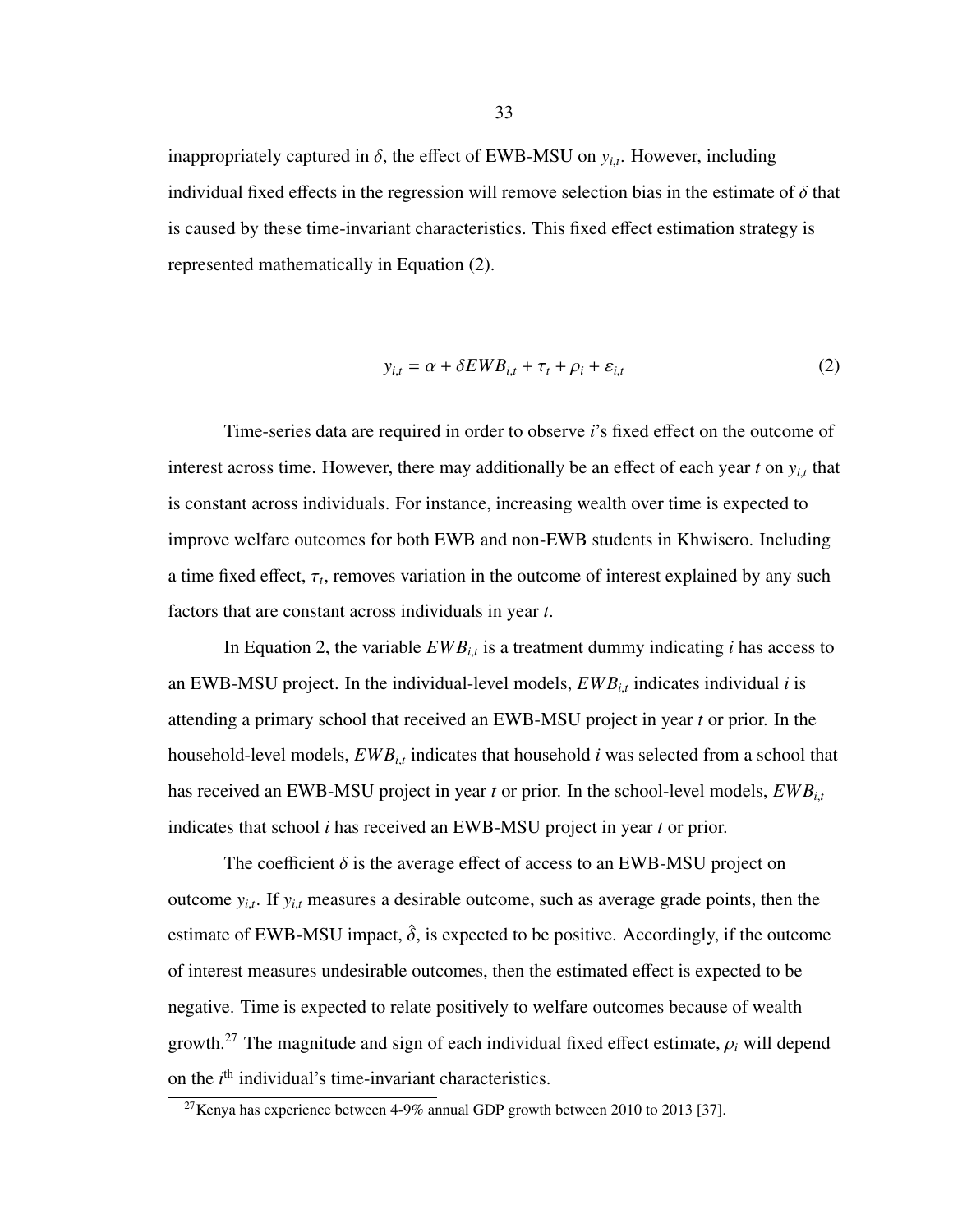inappropriately captured in  $\delta$ , the effect of EWB-MSU on  $y_{i,t}$ . However, including individual fixed effects in the regression will remove selection bias in the estimate of  $\delta$  that is caused by these time-invariant characteristics. This fixed effect estimation strategy is represented mathematically in Equation [\(2\)](#page-40-0).

<span id="page-40-0"></span>
$$
y_{i,t} = \alpha + \delta E W B_{i,t} + \tau_t + \rho_i + \varepsilon_{i,t}
$$
 (2)

Time-series data are required in order to observe *i*'s fixed effect on the outcome of interest across time. However, there may additionally be an effect of each year *<sup>t</sup>* on *<sup>y</sup><sup>i</sup>*,*<sup>t</sup>* that is constant across individuals. For instance, increasing wealth over time is expected to improve welfare outcomes for both EWB and non-EWB students in Khwisero. Including a time fixed effect,  $\tau_t$ , removes variation in the outcome of interest explained by any such factors that are constant across individuals in year *t*.

In Equation [2,](#page-40-0) the variable  $EWB_{i,t}$  is a treatment dummy indicating *i* has access to an EWB-MSU project. In the individual-level models,  $EWB_{i,t}$  indicates individual *i* is attending a primary school that received an EWB-MSU project in year *t* or prior. In the household-level models, *EWB<sup>i</sup>*,*<sup>t</sup>* indicates that household *i* was selected from a school that has received an EWB-MSU project in year *<sup>t</sup>* or prior. In the school-level models, *EWB<sup>i</sup>*,*<sup>t</sup>* indicates that school *i* has received an EWB-MSU project in year *t* or prior.

The coefficient  $\delta$  is the average effect of access to an EWB-MSU project on outcome *<sup>y</sup><sup>i</sup>*,*<sup>t</sup>* . If *<sup>y</sup><sup>i</sup>*,*<sup>t</sup>* measures a desirable outcome, such as average grade points, then the estimate of EWB-MSU impact,  $\hat{\delta}$ , is expected to be positive. Accordingly, if the outcome of interest measures undesirable outcomes, then the estimated effect is expected to be negative. Time is expected to relate positively to welfare outcomes because of wealth growth.<sup>[27](#page-40-1)</sup> The magnitude and sign of each individual fixed effect estimate,  $\rho_i$  will depend on the  $i<sup>th</sup>$  individual's time-invariant characteristics.

<span id="page-40-1"></span> $27$ Kenya has experience between 4-9% annual GDP growth between 2010 to 2013 [\[37\]](#page-70-0).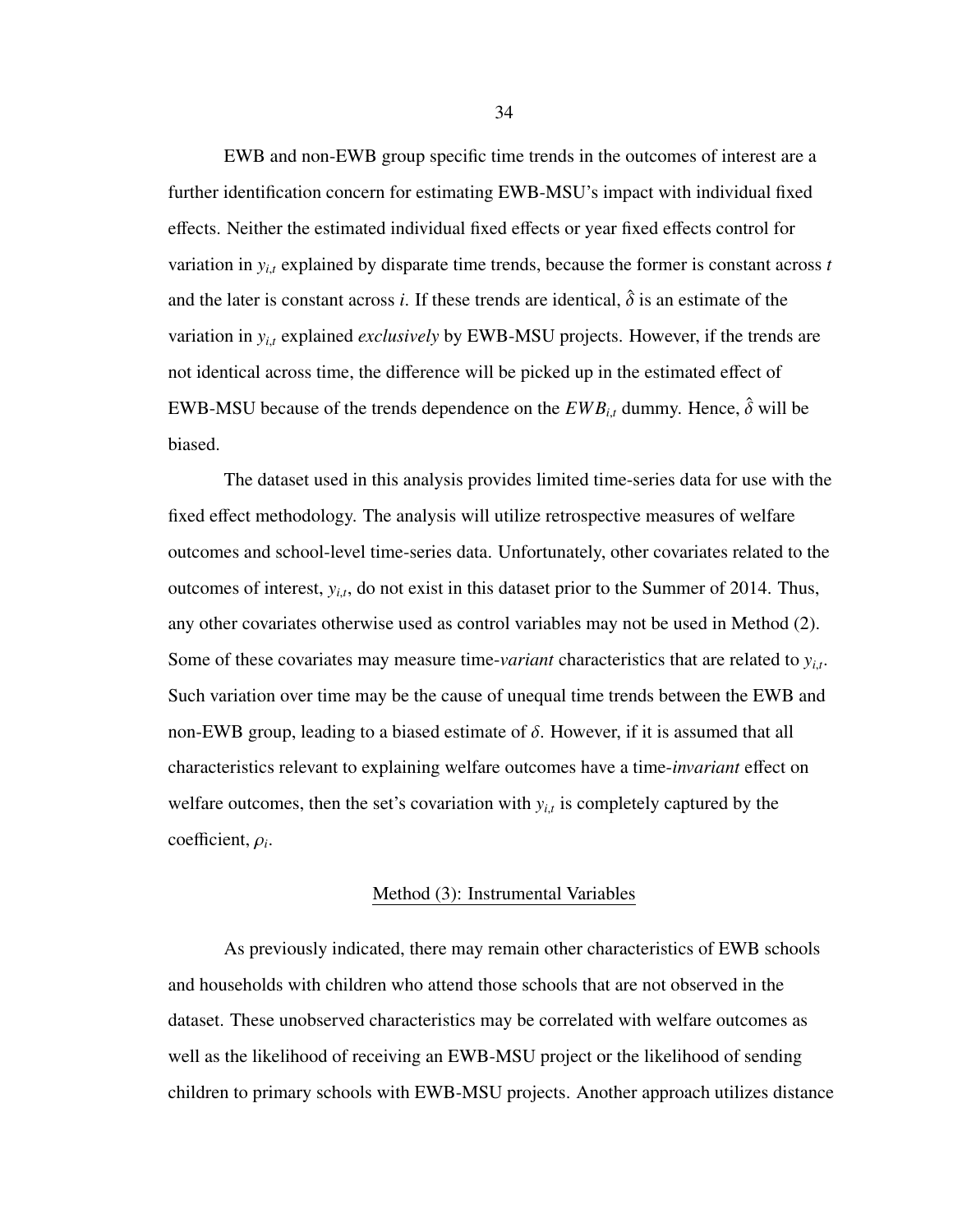EWB and non-EWB group specific time trends in the outcomes of interest are a further identification concern for estimating EWB-MSU's impact with individual fixed effects. Neither the estimated individual fixed effects or year fixed effects control for variation in  $y_{i,t}$  explained by disparate time trends, because the former is constant across  $t$ and the later is constant across *i*. If these trends are identical,  $\hat{\delta}$  is an estimate of the variation in  $y_{i,t}$  explained *exclusively* by EWB-MSU projects. However, if the trends are not identical across time, the difference will be picked up in the estimated effect of EWB-MSU because of the trends dependence on the  $EWB_{i,t}$  dummy. Hence,  $\hat{\delta}$  will be biased.

The dataset used in this analysis provides limited time-series data for use with the fixed effect methodology. The analysis will utilize retrospective measures of welfare outcomes and school-level time-series data. Unfortunately, other covariates related to the outcomes of interest, *<sup>y</sup><sup>i</sup>*,*<sup>t</sup>* , do not exist in this dataset prior to the Summer of 2014. Thus, any other covariates otherwise used as control variables may not be used in Method [\(2\)](#page-39-0). Some of these covariates may measure time-*variant* characteristics that are related to *<sup>y</sup><sup>i</sup>*,*<sup>t</sup>* . Such variation over time may be the cause of unequal time trends between the EWB and non-EWB group, leading to a biased estimate of  $\delta$ . However, if it is assumed that all characteristics relevant to explaining welfare outcomes have a time-*invariant* effect on welfare outcomes, then the set's covariation with  $y_{i,t}$  is completely captured by the coefficient, <sup>ρ</sup>*<sup>i</sup>* .

#### Method [\(3\)](#page-41-0): Instrumental Variables

<span id="page-41-0"></span>As previously indicated, there may remain other characteristics of EWB schools and households with children who attend those schools that are not observed in the dataset. These unobserved characteristics may be correlated with welfare outcomes as well as the likelihood of receiving an EWB-MSU project or the likelihood of sending children to primary schools with EWB-MSU projects. Another approach utilizes distance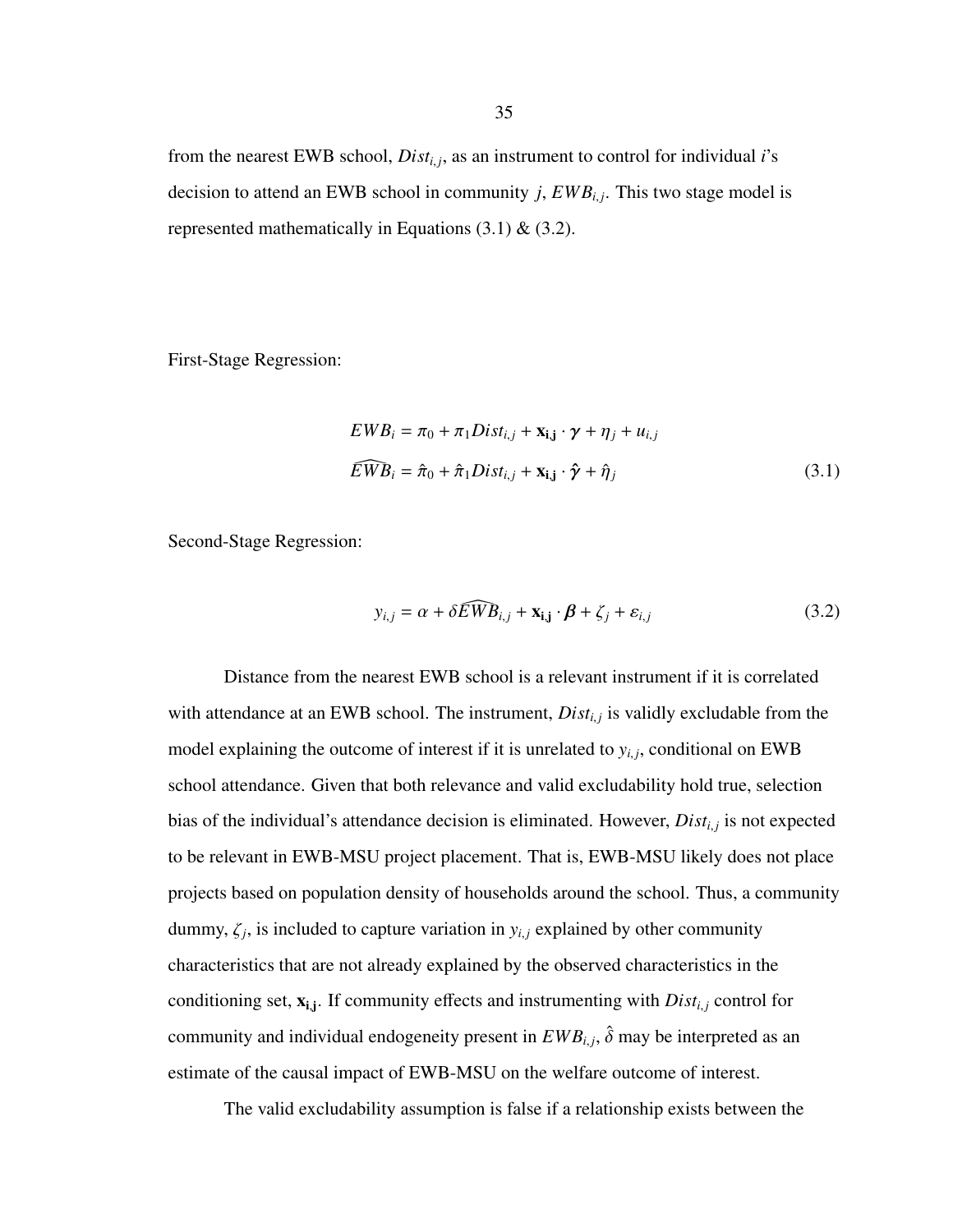from the nearest EWB school, *Dist<sup>i</sup>*, *<sup>j</sup>* , as an instrument to control for individual *i*'s decision to attend an EWB school in community *j*,  $EWB_{i,j}$ . This two stage model is represented mathematically in Equations  $(3.1) \& (3.2)$  $(3.1) \& (3.2)$  $(3.1) \& (3.2)$ .

First-Stage Regression:

<span id="page-42-0"></span>
$$
EWB_i = \pi_0 + \pi_1 Dist_{i,j} + \mathbf{x}_{i,j} \cdot \boldsymbol{\gamma} + \eta_j + u_{i,j}
$$
  

$$
\widehat{EWB}_i = \hat{\pi}_0 + \hat{\pi}_1 Dist_{i,j} + \mathbf{x}_{i,j} \cdot \hat{\boldsymbol{\gamma}} + \hat{\eta}_j
$$
 (3.1)

Second-Stage Regression:

<span id="page-42-1"></span>
$$
y_{i,j} = \alpha + \delta \widehat{EWB}_{i,j} + \mathbf{x}_{i,j} \cdot \boldsymbol{\beta} + \zeta_j + \varepsilon_{i,j}
$$
 (3.2)

Distance from the nearest EWB school is a relevant instrument if it is correlated with attendance at an EWB school. The instrument, *Dist<sub>i,j</sub>* is validly excludable from the model explaining the outcome of interest if it is unrelated to  $y_{i,j}$ , conditional on EWB school attendance. Given that both relevance and valid excludability hold true, selection bias of the individual's attendance decision is eliminated. However, *Dist<sup>i</sup>*, *<sup>j</sup>* is not expected to be relevant in EWB-MSU project placement. That is, EWB-MSU likely does not place projects based on population density of households around the school. Thus, a community dummy,  $\zeta_j$ , is included to capture variation in  $y_{i,j}$  explained by other community characteristics that are not already explained by the observed characteristics in the conditioning set,  $\mathbf{x}_{i,j}$ . If community effects and instrumenting with *Dist<sub>i,j</sub>* control for community and individual endogeneity present in  $EWB_{i,j}$ ,  $\hat{\delta}$  may be interpreted as an estimate of the causal impact of EWB-MSU on the welfare outcome of interest.

The valid excludability assumption is false if a relationship exists between the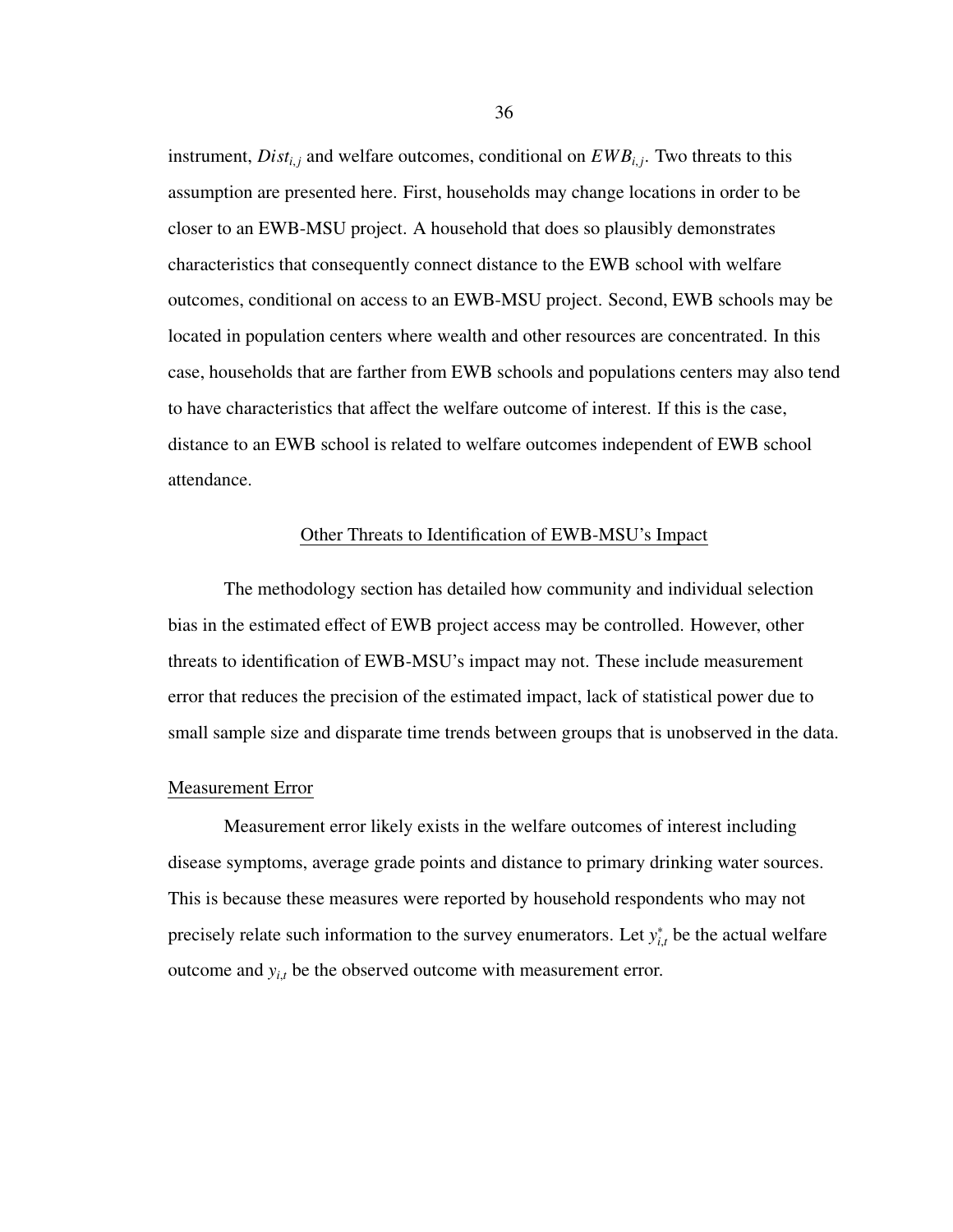instrument,  $Dist_{i,j}$  and welfare outcomes, conditional on  $EWB_{i,j}$ . Two threats to this assumption are presented here. First, households may change locations in order to be closer to an EWB-MSU project. A household that does so plausibly demonstrates characteristics that consequently connect distance to the EWB school with welfare outcomes, conditional on access to an EWB-MSU project. Second, EWB schools may be located in population centers where wealth and other resources are concentrated. In this case, households that are farther from EWB schools and populations centers may also tend to have characteristics that affect the welfare outcome of interest. If this is the case, distance to an EWB school is related to welfare outcomes independent of EWB school attendance.

#### Other Threats to Identification of EWB-MSU's Impact

The methodology section has detailed how community and individual selection bias in the estimated effect of EWB project access may be controlled. However, other threats to identification of EWB-MSU's impact may not. These include measurement error that reduces the precision of the estimated impact, lack of statistical power due to small sample size and disparate time trends between groups that is unobserved in the data.

### Measurement Error

Measurement error likely exists in the welfare outcomes of interest including disease symptoms, average grade points and distance to primary drinking water sources. This is because these measures were reported by household respondents who may not precisely relate such information to the survey enumerators. Let *y*<sup>\*</sup> *i*,*t* be the actual welfare outcome and  $y_{i,t}$  be the observed outcome with measurement error.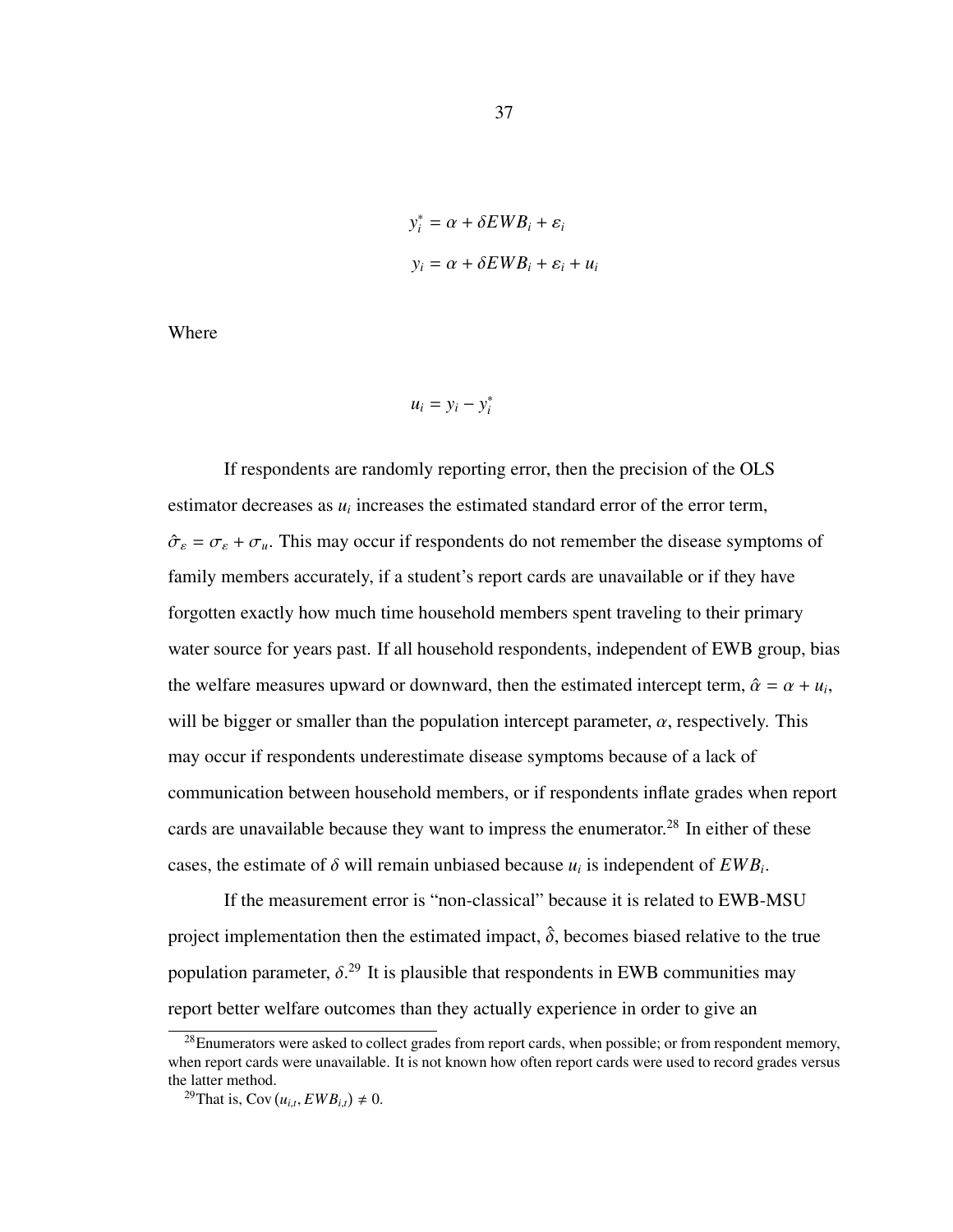$$
y_i^* = \alpha + \delta E W B_i + \varepsilon_i
$$
  

$$
y_i = \alpha + \delta E W B_i + \varepsilon_i + u_i
$$

Where

$$
u_i = y_i - y_i^*
$$

If respondents are randomly reporting error, then the precision of the OLS estimator decreases as  $u_i$  increases the estimated standard error of the error term,  $\hat{\sigma}_{\varepsilon} = \sigma_{\varepsilon} + \sigma_{\mu}$ . This may occur if respondents do not remember the disease symptoms of family members accurately, if a student's report cards are unavailable or if they have forgotten exactly how much time household members spent traveling to their primary water source for years past. If all household respondents, independent of EWB group, bias the welfare measures upward or downward, then the estimated intercept term,  $\hat{\alpha} = \alpha + u_i$ , will be bigger or smaller than the population intercept parameter,  $\alpha$ , respectively. This may occur if respondents underestimate disease symptoms because of a lack of communication between household members, or if respondents inflate grades when report cards are unavailable because they want to impress the enumerator.<sup>[28](#page-44-0)</sup> In either of these cases, the estimate of  $\delta$  will remain unbiased because  $u_i$  is independent of  $EWB_i$ .

If the measurement error is "non-classical" because it is related to EWB-MSU project implementation then the estimated impact,  $\hat{\delta}$ , becomes biased relative to the true population parameter,  $\delta$ <sup>[29](#page-44-1)</sup>. It is plausible that respondents in EWB communities may report better welfare outcomes than they actually experience in order to give an

<span id="page-44-0"></span> $^{28}$ Enumerators were asked to collect grades from report cards, when possible; or from respondent memory, when report cards were unavailable. It is not known how often report cards were used to record grades versus the latter method.

<span id="page-44-1"></span><sup>&</sup>lt;sup>29</sup>That is, Cov  $(u_{i,t}, EWB_{i,t}) \neq 0$ .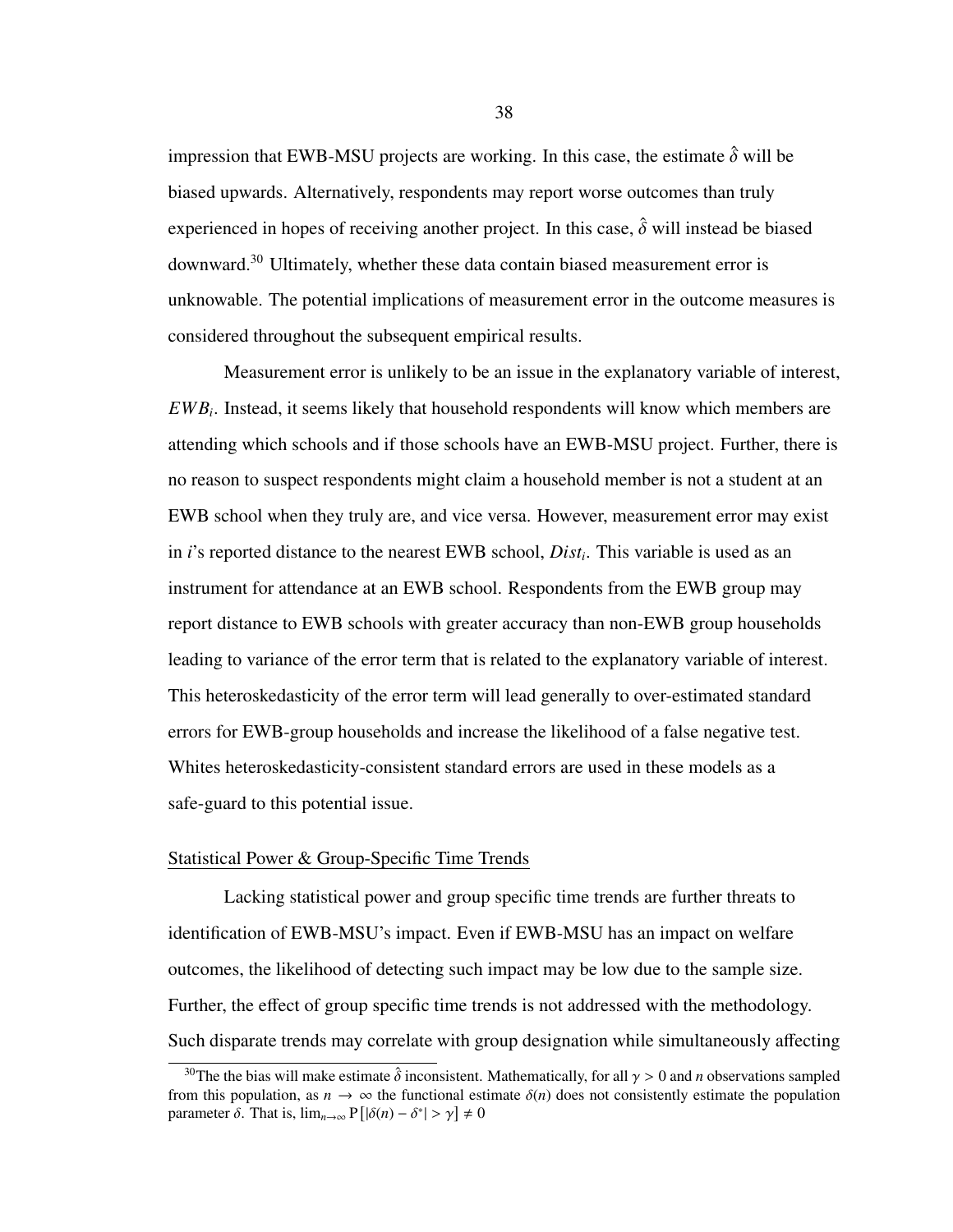impression that EWB-MSU projects are working. In this case, the estimate  $\hat{\delta}$  will be biased upwards. Alternatively, respondents may report worse outcomes than truly experienced in hopes of receiving another project. In this case,  $\hat{\delta}$  will instead be biased downward.[30](#page-45-0) Ultimately, whether these data contain biased measurement error is unknowable. The potential implications of measurement error in the outcome measures is considered throughout the subsequent empirical results.

Measurement error is unlikely to be an issue in the explanatory variable of interest, *EWB<sup>i</sup>* . Instead, it seems likely that household respondents will know which members are attending which schools and if those schools have an EWB-MSU project. Further, there is no reason to suspect respondents might claim a household member is not a student at an EWB school when they truly are, and vice versa. However, measurement error may exist in *i*'s reported distance to the nearest EWB school, *Dist<sup>i</sup>* . This variable is used as an instrument for attendance at an EWB school. Respondents from the EWB group may report distance to EWB schools with greater accuracy than non-EWB group households leading to variance of the error term that is related to the explanatory variable of interest. This heteroskedasticity of the error term will lead generally to over-estimated standard errors for EWB-group households and increase the likelihood of a false negative test. Whites heteroskedasticity-consistent standard errors are used in these models as a safe-guard to this potential issue.

#### Statistical Power & Group-Specific Time Trends

Lacking statistical power and group specific time trends are further threats to identification of EWB-MSU's impact. Even if EWB-MSU has an impact on welfare outcomes, the likelihood of detecting such impact may be low due to the sample size. Further, the effect of group specific time trends is not addressed with the methodology. Such disparate trends may correlate with group designation while simultaneously affecting

38

<span id="page-45-0"></span><sup>&</sup>lt;sup>30</sup>The the bias will make estimate  $\hat{\delta}$  inconsistent. Mathematically, for all  $\gamma > 0$  and *n* observations sampled from this population, as  $n \to \infty$  the functional estimate  $\delta(n)$  does not consistently estimate the population parameter  $\delta$ . That is,  $\lim_{n\to\infty} P[|\delta(n) - \delta^*| > \gamma] \neq 0$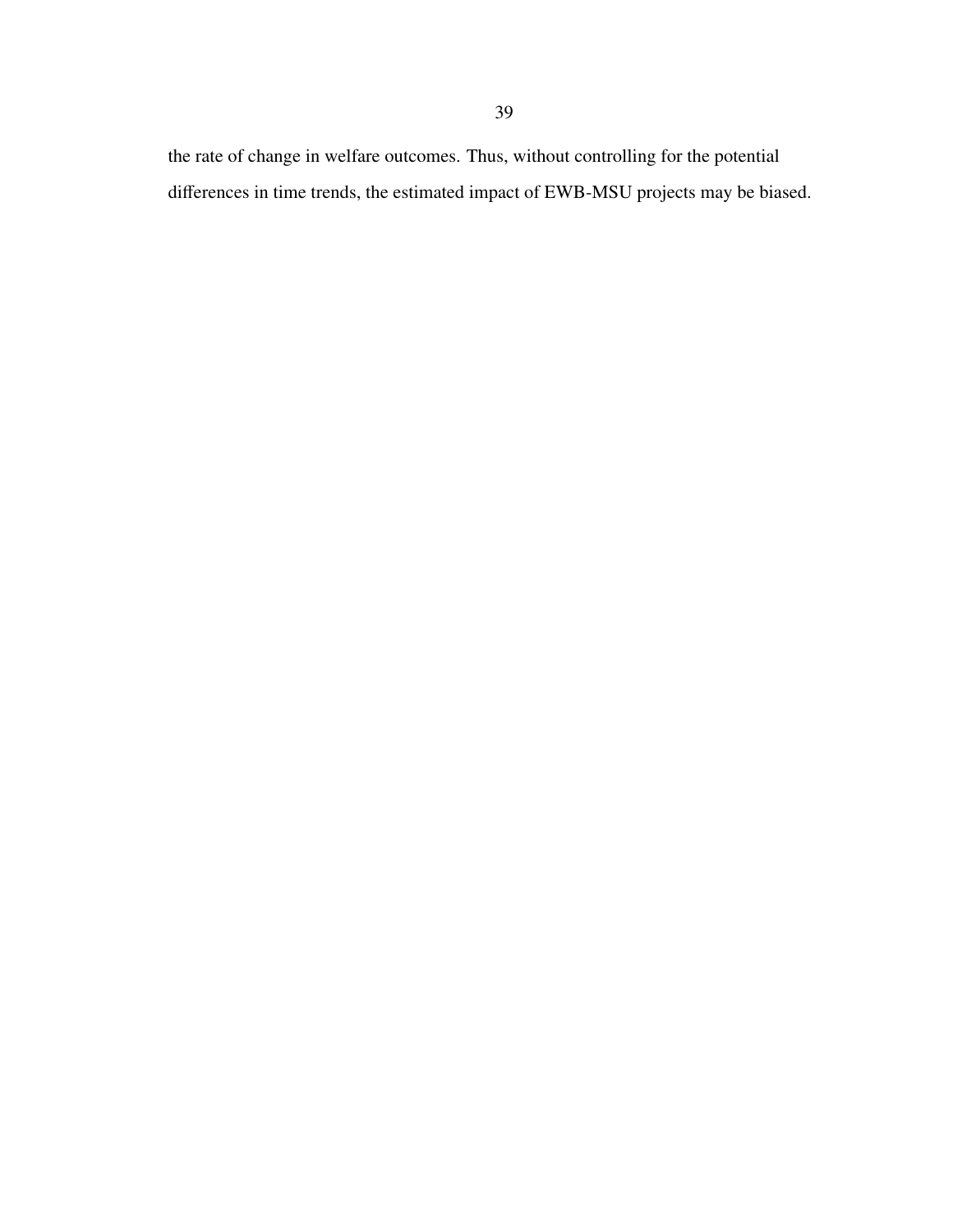the rate of change in welfare outcomes. Thus, without controlling for the potential differences in time trends, the estimated impact of EWB-MSU projects may be biased.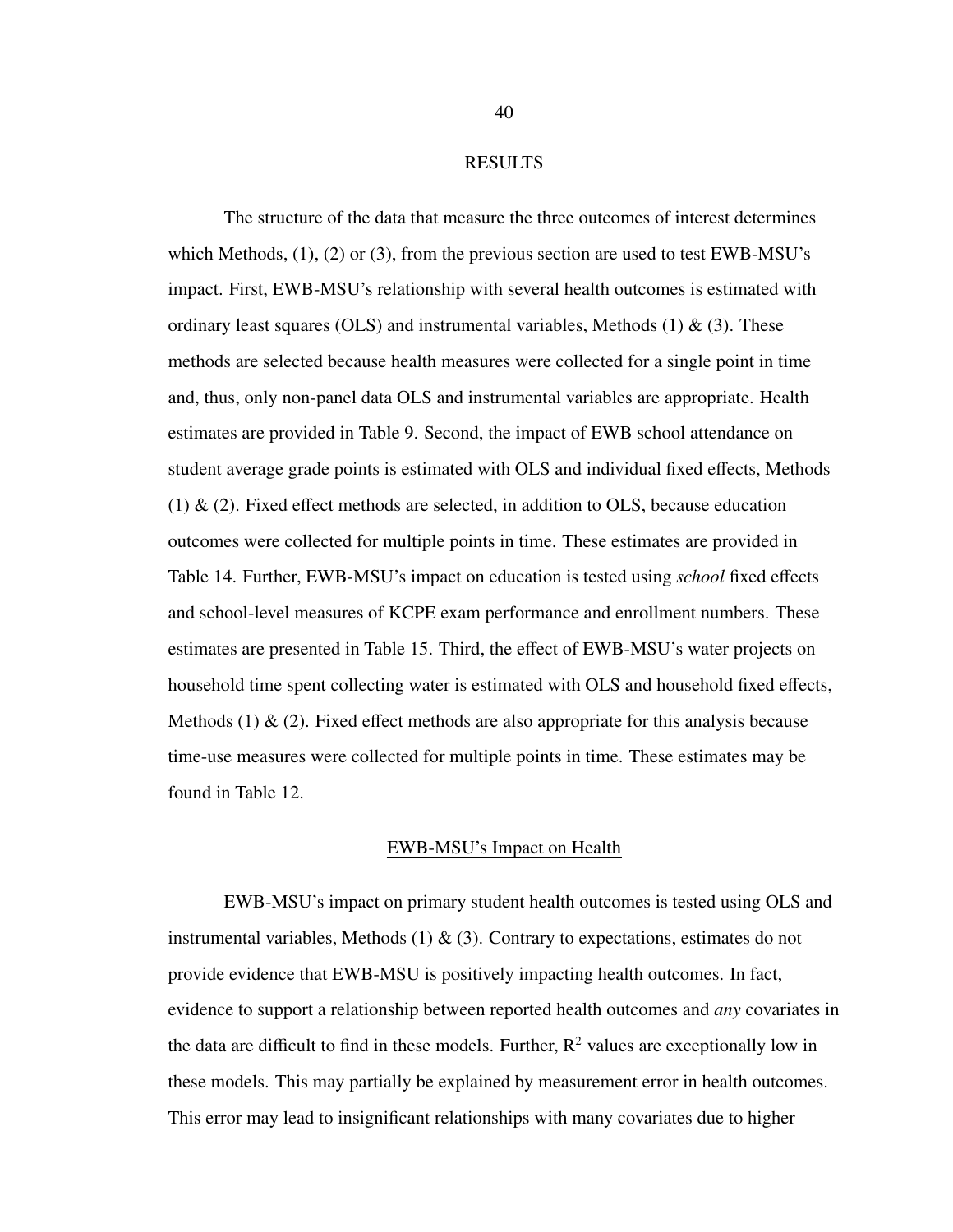#### RESULTS

The structure of the data that measure the three outcomes of interest determines which Methods, [\(1\)](#page-38-0), [\(2\)](#page-39-0) or [\(3\)](#page-41-0), from the previous section are used to test EWB-MSU's impact. First, EWB-MSU's relationship with several health outcomes is estimated with ordinary least squares (OLS) and instrumental variables, Methods  $(1)$  &  $(3)$ . These methods are selected because health measures were collected for a single point in time and, thus, only non-panel data OLS and instrumental variables are appropriate. Health estimates are provided in Table [9.](#page-49-0) Second, the impact of EWB school attendance on student average grade points is estimated with OLS and individual fixed effects, Methods [\(1\)](#page-38-0) & [\(2\)](#page-39-0). Fixed effect methods are selected, in addition to OLS, because education outcomes were collected for multiple points in time. These estimates are provided in Table [14.](#page-58-0) Further, EWB-MSU's impact on education is tested using *school* fixed effects and school-level measures of KCPE exam performance and enrollment numbers. These estimates are presented in Table [15.](#page-60-0) Third, the effect of EWB-MSU's water projects on household time spent collecting water is estimated with OLS and household fixed effects, Methods [\(1\)](#page-38-0)  $\&$  [\(2\)](#page-39-0). Fixed effect methods are also appropriate for this analysis because time-use measures were collected for multiple points in time. These estimates may be found in Table [12.](#page-54-0)

### EWB-MSU's Impact on Health

EWB-MSU's impact on primary student health outcomes is tested using OLS and instrumental variables, Methods  $(1) \& (3)$  $(1) \& (3)$  $(1) \& (3)$ . Contrary to expectations, estimates do not provide evidence that EWB-MSU is positively impacting health outcomes. In fact, evidence to support a relationship between reported health outcomes and *any* covariates in the data are difficult to find in these models. Further,  $R^2$  values are exceptionally low in these models. This may partially be explained by measurement error in health outcomes. This error may lead to insignificant relationships with many covariates due to higher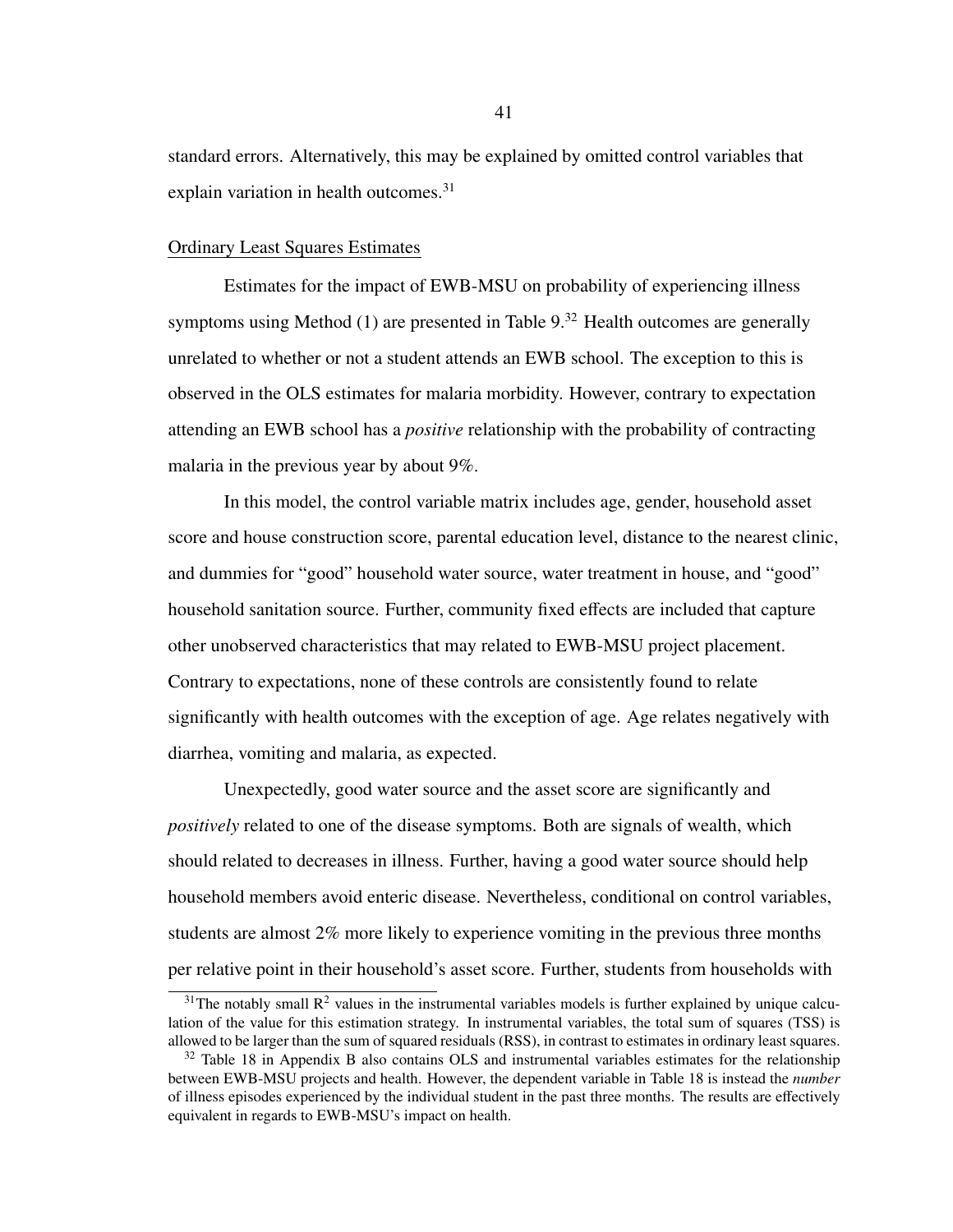standard errors. Alternatively, this may be explained by omitted control variables that explain variation in health outcomes.<sup>[31](#page-48-0)</sup>

## Ordinary Least Squares Estimates

Estimates for the impact of EWB-MSU on probability of experiencing illness symptoms using Method [\(1\)](#page-38-0) are presented in Table [9.](#page-49-0)<sup>[32](#page-48-1)</sup> Health outcomes are generally unrelated to whether or not a student attends an EWB school. The exception to this is observed in the OLS estimates for malaria morbidity. However, contrary to expectation attending an EWB school has a *positive* relationship with the probability of contracting malaria in the previous year by about 9%.

In this model, the control variable matrix includes age, gender, household asset score and house construction score, parental education level, distance to the nearest clinic, and dummies for "good" household water source, water treatment in house, and "good" household sanitation source. Further, community fixed effects are included that capture other unobserved characteristics that may related to EWB-MSU project placement. Contrary to expectations, none of these controls are consistently found to relate significantly with health outcomes with the exception of age. Age relates negatively with diarrhea, vomiting and malaria, as expected.

Unexpectedly, good water source and the asset score are significantly and *positively* related to one of the disease symptoms. Both are signals of wealth, which should related to decreases in illness. Further, having a good water source should help household members avoid enteric disease. Nevertheless, conditional on control variables, students are almost 2% more likely to experience vomiting in the previous three months per relative point in their household's asset score. Further, students from households with

<span id="page-48-0"></span> $31$ The notably small  $\mathbb{R}^2$  values in the instrumental variables models is further explained by unique calculation of the value for this estimation strategy. In instrumental variables, the total sum of squares (TSS) is allowed to be larger than the sum of squared residuals (RSS), in contrast to estimates in ordinary least squares.

<span id="page-48-1"></span><sup>&</sup>lt;sup>32</sup> Table [18](#page-77-0) in Appendix B also contains OLS and instrumental variables estimates for the relationship between EWB-MSU projects and health. However, the dependent variable in Table [18](#page-77-0) is instead the *number* of illness episodes experienced by the individual student in the past three months. The results are effectively equivalent in regards to EWB-MSU's impact on health.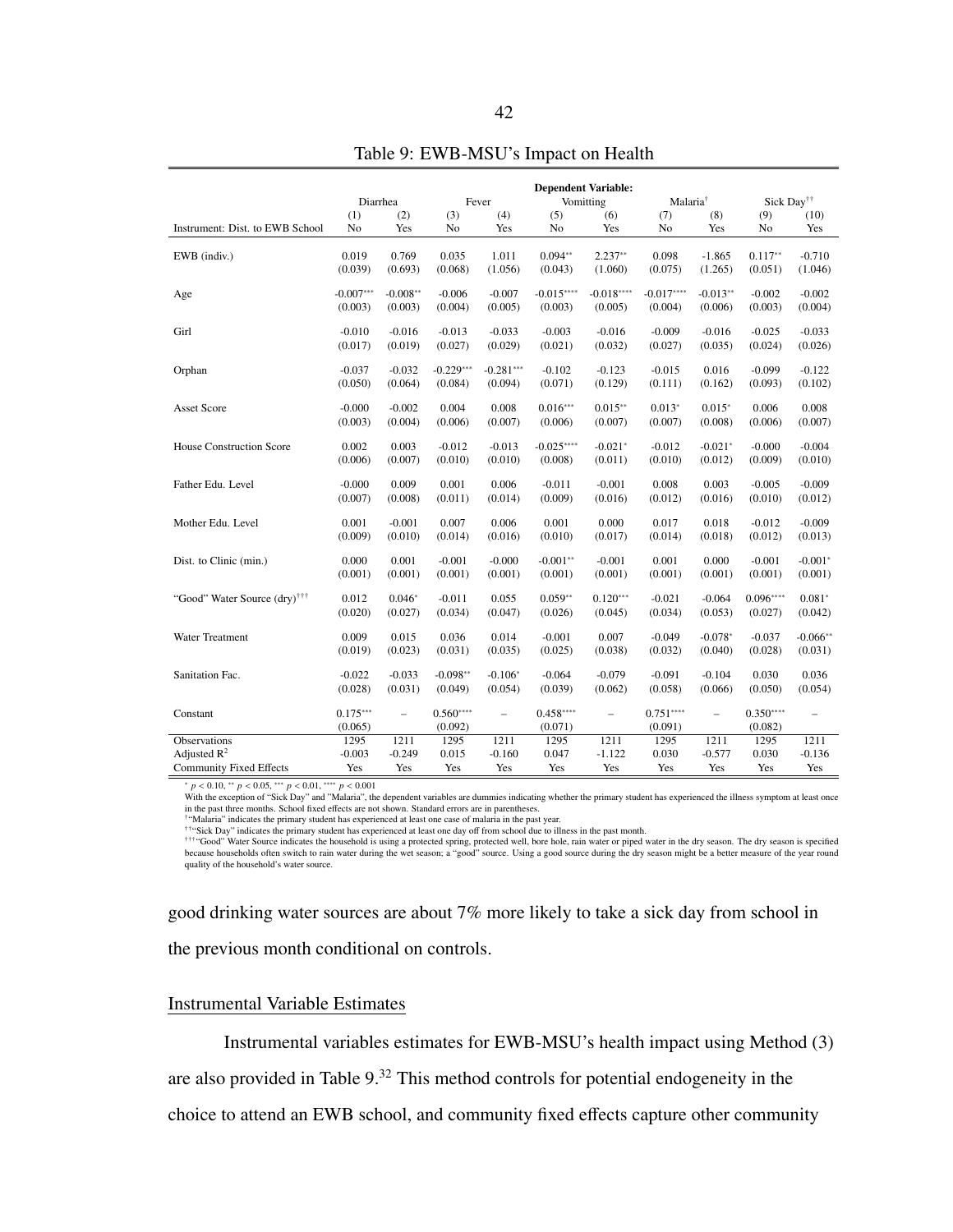<span id="page-49-0"></span>

|                                          |                  |                  |                  |                  | <b>Dependent Variable:</b> |                  |                      |            |                        |                          |
|------------------------------------------|------------------|------------------|------------------|------------------|----------------------------|------------------|----------------------|------------|------------------------|--------------------------|
|                                          | Diarrhea         |                  |                  | Fever            |                            | Vomitting        | Malaria <sup>†</sup> |            | Sick Day <sup>††</sup> |                          |
|                                          | (1)              | (2)              | (3)              | (4)              | (5)                        | (6)              | (7)                  | (8)        | (9)                    | (10)                     |
| Instrument: Dist. to EWB School          | No               | Yes              | No               | Yes              | No                         | Yes              | No                   | Yes        | No                     | Yes                      |
| EWB (indiv.)                             | 0.019            | 0.769            | 0.035            | 1.011            | $0.094**$                  | $2.237**$        | 0.098                | $-1.865$   | $0.117**$              | $-0.710$                 |
|                                          | (0.039)          | (0.693)          | (0.068)          | (1.056)          | (0.043)                    | (1.060)          | (0.075)              | (1.265)    | (0.051)                | (1.046)                  |
|                                          |                  |                  |                  |                  |                            |                  |                      |            |                        |                          |
| Age                                      | $-0.007***$      | $-0.008**$       | $-0.006$         | $-0.007$         | $-0.015***$                | $-0.018***$      | $-0.017***$          | $-0.013**$ | $-0.002$               | $-0.002$                 |
|                                          | (0.003)          | (0.003)          | (0.004)          | (0.005)          | (0.003)                    | (0.005)          | (0.004)              | (0.006)    | (0.003)                | (0.004)                  |
|                                          |                  |                  |                  |                  |                            |                  |                      |            |                        |                          |
| Girl                                     | $-0.010$         | $-0.016$         | $-0.013$         | $-0.033$         | $-0.003$                   | $-0.016$         | $-0.009$             | $-0.016$   | $-0.025$               | $-0.033$                 |
|                                          | (0.017)          | (0.019)          | (0.027)          | (0.029)          | (0.021)                    | (0.032)          | (0.027)              | (0.035)    | (0.024)                | (0.026)                  |
| Orphan                                   | $-0.037$         | $-0.032$         | $-0.229***$      | $-0.281***$      | $-0.102$                   | $-0.123$         | $-0.015$             | 0.016      | $-0.099$               | $-0.122$                 |
|                                          | (0.050)          | (0.064)          | (0.084)          | (0.094)          | (0.071)                    | (0.129)          | (0.111)              | (0.162)    | (0.093)                | (0.102)                  |
|                                          |                  |                  |                  |                  |                            |                  |                      |            |                        |                          |
| <b>Asset Score</b>                       | $-0.000$         | $-0.002$         | 0.004            | 0.008            | $0.016***$                 | $0.015**$        | $0.013*$             | $0.015*$   | 0.006                  | 0.008                    |
|                                          | (0.003)          | (0.004)          | (0.006)          | (0.007)          | (0.006)                    | (0.007)          | (0.007)              | (0.008)    | (0.006)                | (0.007)                  |
|                                          | 0.002            | 0.003            | $-0.012$         | $-0.013$         | $-0.025***$                | $-0.021*$        | $-0.012$             | $-0.021*$  | $-0.000$               | $-0.004$                 |
| House Construction Score                 | (0.006)          | (0.007)          | (0.010)          | (0.010)          | (0.008)                    | (0.011)          | (0.010)              | (0.012)    | (0.009)                | (0.010)                  |
|                                          |                  |                  |                  |                  |                            |                  |                      |            |                        |                          |
| Father Edu. Level                        | $-0.000$         | 0.009            | 0.001            | 0.006            | $-0.011$                   | $-0.001$         | 0.008                | 0.003      | $-0.005$               | $-0.009$                 |
|                                          | (0.007)          | (0.008)          | (0.011)          | (0.014)          | (0.009)                    | (0.016)          | (0.012)              | (0.016)    | (0.010)                | (0.012)                  |
|                                          |                  |                  |                  |                  |                            |                  |                      |            |                        |                          |
| Mother Edu. Level                        | 0.001            | $-0.001$         | 0.007            | 0.006            | 0.001                      | 0.000            | 0.017                | 0.018      | $-0.012$               | $-0.009$                 |
|                                          | (0.009)          | (0.010)          | (0.014)          | (0.016)          | (0.010)                    | (0.017)          | (0.014)              | (0.018)    | (0.012)                | (0.013)                  |
| Dist. to Clinic (min.)                   | 0.000            | 0.001            | $-0.001$         | $-0.000$         | $-0.001**$                 | $-0.001$         | 0.001                | 0.000      | $-0.001$               | $-0.001*$                |
|                                          | (0.001)          | (0.001)          | (0.001)          | (0.001)          | (0.001)                    | (0.001)          | (0.001)              | (0.001)    | (0.001)                | (0.001)                  |
|                                          |                  |                  |                  |                  |                            |                  |                      |            |                        |                          |
| "Good" Water Source (dry) <sup>†††</sup> | 0.012            | $0.046*$         | $-0.011$         | 0.055            | $0.059**$                  | $0.120***$       | $-0.021$             | $-0.064$   | $0.096***$             | $0.081*$                 |
|                                          | (0.020)          | (0.027)          | (0.034)          | (0.047)          | (0.026)                    | (0.045)          | (0.034)              | (0.053)    | (0.027)                | (0.042)                  |
|                                          |                  |                  |                  |                  |                            |                  |                      |            |                        |                          |
| Water Treatment                          | 0.009<br>(0.019) | 0.015<br>(0.023) | 0.036<br>(0.031) | 0.014<br>(0.035) | $-0.001$<br>(0.025)        | 0.007<br>(0.038) | $-0.049$<br>(0.032)  | $-0.078*$  | $-0.037$<br>(0.028)    | $-0.066**$<br>(0.031)    |
|                                          |                  |                  |                  |                  |                            |                  |                      | (0.040)    |                        |                          |
| Sanitation Fac.                          | $-0.022$         | $-0.033$         | $-0.098**$       | $-0.106*$        | $-0.064$                   | $-0.079$         | $-0.091$             | $-0.104$   | 0.030                  | 0.036                    |
|                                          | (0.028)          | (0.031)          | (0.049)          | (0.054)          | (0.039)                    | (0.062)          | (0.058)              | (0.066)    | (0.050)                | (0.054)                  |
|                                          |                  |                  |                  |                  |                            |                  |                      |            |                        |                          |
| Constant                                 | $0.175***$       | $\equiv$         | $0.560***$       | $\equiv$         | $0.458***$                 | $\equiv$         | $0.751***$           | $\equiv$   | $0.350***$             | $\overline{\phantom{0}}$ |
|                                          | (0.065)          |                  | (0.092)          |                  | (0.071)                    |                  | (0.091)              |            | (0.082)                |                          |
| Observations                             | 1295             | 1211             | 1295             | 1211             | 1295                       | 1211             | 1295                 | 1211       | 1295                   | 1211                     |
| Adjusted $R^2$                           | $-0.003$         | $-0.249$         | 0.015            | $-0.160$         | 0.047                      | $-1.122$         | 0.030                | $-0.577$   | 0.030                  | $-0.136$                 |
| <b>Community Fixed Effects</b>           | Yes              | Yes              | Yes              | Yes              | Yes                        | Yes              | Yes                  | Yes        | Yes                    | Yes                      |

Table 9: EWB-MSU's Impact on Health

 $* p < 0.10, *^* p < 0.05, ** p < 0.01, **^* p < 0.001$ <br>With the exception of "Sick Day" and "Malaria", the dependent variables are dummies indicating whether the primary student has experienced the illness symptom at least once in the past three months. School fixed effects are not shown. Standard errors are in parentheses. †"Malaria" indicates the primary student has experienced at least one case of malaria in the past year.

††"Sick Day" indicates the primary student has experienced at least one day off from school due to illness in the past month.

†††"Good" Water Source indicates the household is using a protected spring, protected well, bore hole, rain water or piped water in the dry season. The dry season is specified because households often switch to rain water during the wet season; a "good" source. Using a good source during the dry season might be a better measure of the year round quality of the household's water source.

good drinking water sources are about 7% more likely to take a sick day from school in the previous month conditional on controls.

## Instrumental Variable Estimates

Instrumental variables estimates for EWB-MSU's health impact using Method [\(3\)](#page-41-0)

are also provided in Table [9.](#page-49-0)<sup>[32](#page-48-1)</sup> This method controls for potential endogeneity in the

choice to attend an EWB school, and community fixed effects capture other community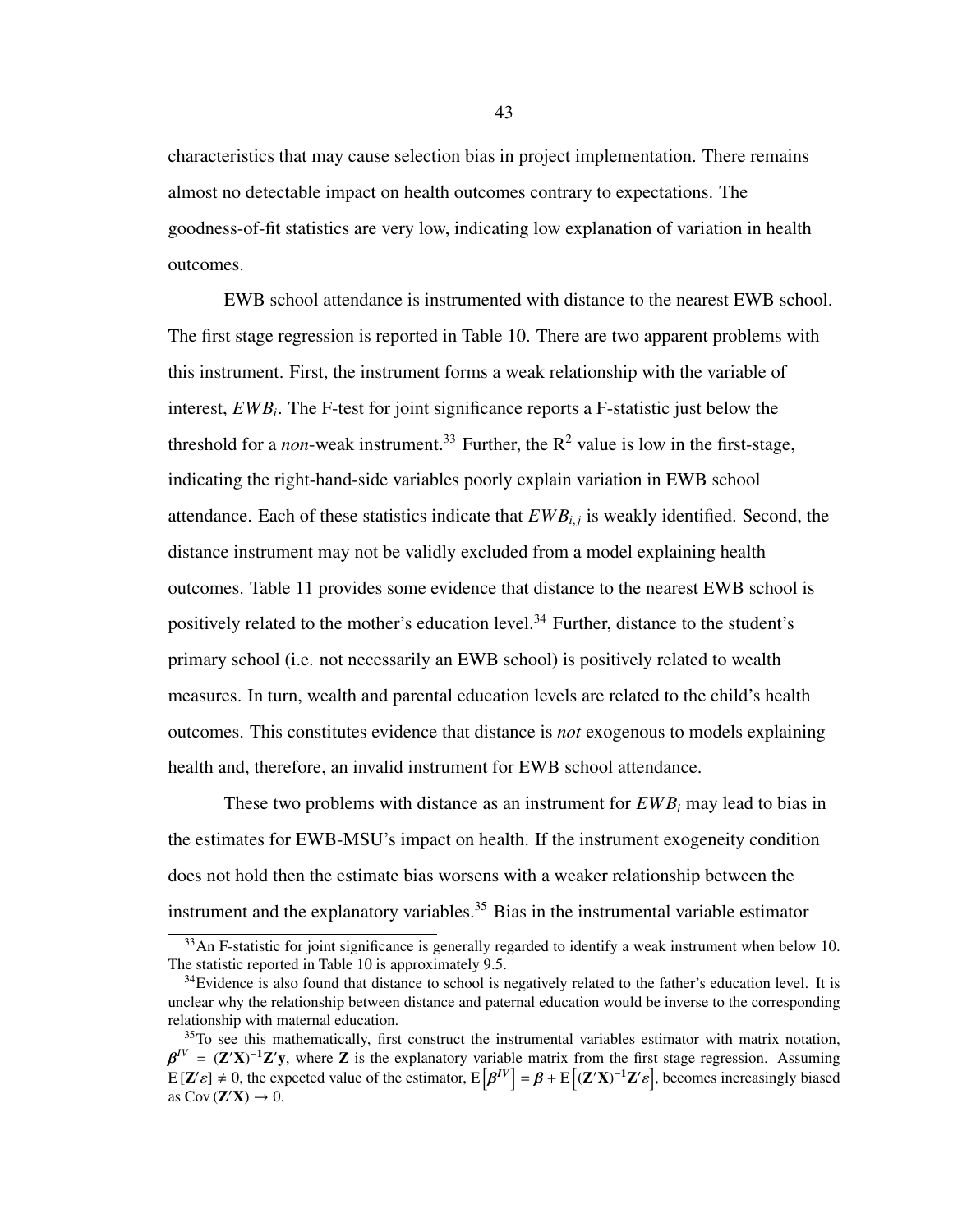characteristics that may cause selection bias in project implementation. There remains almost no detectable impact on health outcomes contrary to expectations. The goodness-of-fit statistics are very low, indicating low explanation of variation in health outcomes.

EWB school attendance is instrumented with distance to the nearest EWB school. The first stage regression is reported in Table [10.](#page-51-0) There are two apparent problems with this instrument. First, the instrument forms a weak relationship with the variable of interest, *EWB<sup>i</sup>* . The F-test for joint significance reports a F-statistic just below the threshold for a *non*-weak instrument.<sup>[33](#page-50-0)</sup> Further, the  $R^2$  value is low in the first-stage, indicating the right-hand-side variables poorly explain variation in EWB school attendance. Each of these statistics indicate that  $EWB_{i,j}$  is weakly identified. Second, the distance instrument may not be validly excluded from a model explaining health outcomes. Table [11](#page-52-0) provides some evidence that distance to the nearest EWB school is positively related to the mother's education level.<sup>[34](#page-50-1)</sup> Further, distance to the student's primary school (i.e. not necessarily an EWB school) is positively related to wealth measures. In turn, wealth and parental education levels are related to the child's health outcomes. This constitutes evidence that distance is *not* exogenous to models explaining health and, therefore, an invalid instrument for EWB school attendance.

These two problems with distance as an instrument for *EWB<sup>i</sup>* may lead to bias in the estimates for EWB-MSU's impact on health. If the instrument exogeneity condition does not hold then the estimate bias worsens with a weaker relationship between the instrument and the explanatory variables.<sup>[35](#page-50-2)</sup> Bias in the instrumental variable estimator

<span id="page-50-0"></span> $33$ An F-statistic for joint significance is generally regarded to identify a weak instrument when below 10. The statistic reported in Table [10](#page-51-0) is approximately 9.5.

<span id="page-50-1"></span><sup>&</sup>lt;sup>34</sup>Evidence is also found that distance to school is negatively related to the father's education level. It is unclear why the relationship between distance and paternal education would be inverse to the corresponding relationship with maternal education.

<span id="page-50-2"></span> $35$ To see this mathematically, first construct the instrumental variables estimator with matrix notation,  $E[\mathbf{Z}'\varepsilon] \neq 0$ , the expected value of the estimator,  $E[\beta]$ <br>as  $Cov(\mathbf{Z}'\mathbf{X}) \rightarrow 0$  $I^V = (\mathbf{Z}'\mathbf{X})^{-1}\mathbf{Z}'\mathbf{y}$ , where  $\mathbf{Z}$  is the explanatory variable matrix from the first stage regression. Assuming  $I^V$ ] =  $\beta$  + E  $[(\mathbf{Z}'\mathbf{X})^{-1}\mathbf{Z}'$ ], becomes increasingly biased as  $\text{Cov}(\mathbf{Z}'\mathbf{X}) \to 0$ .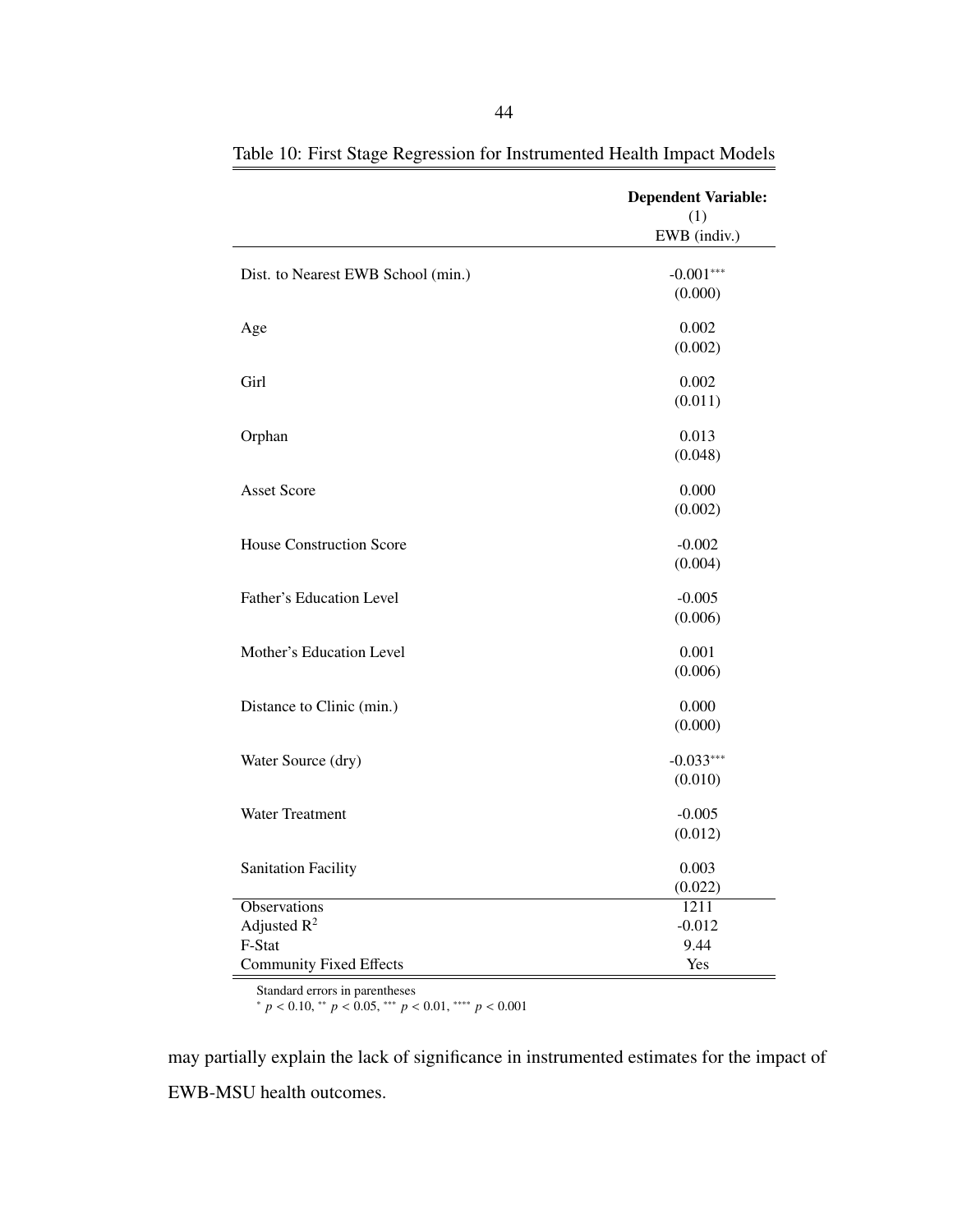|                                    | <b>Dependent Variable:</b><br>(1) |
|------------------------------------|-----------------------------------|
|                                    | EWB (indiv.)                      |
| Dist. to Nearest EWB School (min.) | $-0.001***$                       |
|                                    | (0.000)                           |
| Age                                | 0.002                             |
|                                    | (0.002)                           |
| Girl                               | 0.002                             |
|                                    | (0.011)                           |
| Orphan                             | 0.013                             |
|                                    | (0.048)                           |
| <b>Asset Score</b>                 | 0.000                             |
|                                    | (0.002)                           |
| <b>House Construction Score</b>    | $-0.002$                          |
|                                    | (0.004)                           |
| Father's Education Level           | $-0.005$                          |
|                                    | (0.006)                           |
| Mother's Education Level           | 0.001                             |
|                                    | (0.006)                           |
| Distance to Clinic (min.)          | 0.000                             |
|                                    | (0.000)                           |
| Water Source (dry)                 | $-0.033***$                       |
|                                    | (0.010)                           |
| Water Treatment                    | $-0.005$                          |
|                                    | (0.012)                           |
| <b>Sanitation Facility</b>         | 0.003                             |
|                                    | (0.022)                           |
| <b>Observations</b>                | 1211                              |
| Adjusted $R^2$                     | $-0.012$                          |
| F-Stat                             | 9.44                              |
| <b>Community Fixed Effects</b>     | Yes                               |

<span id="page-51-0"></span>Table 10: First Stage Regression for Instrumented Health Impact Models

Standard errors in parentheses

<sup>∗</sup> *<sup>p</sup>* < <sup>0</sup>.10, ∗∗ *<sup>p</sup>* < <sup>0</sup>.05, ∗∗∗ *<sup>p</sup>* < <sup>0</sup>.01, ∗∗∗∗ *<sup>p</sup>* < <sup>0</sup>.<sup>001</sup>

may partially explain the lack of significance in instrumented estimates for the impact of EWB-MSU health outcomes.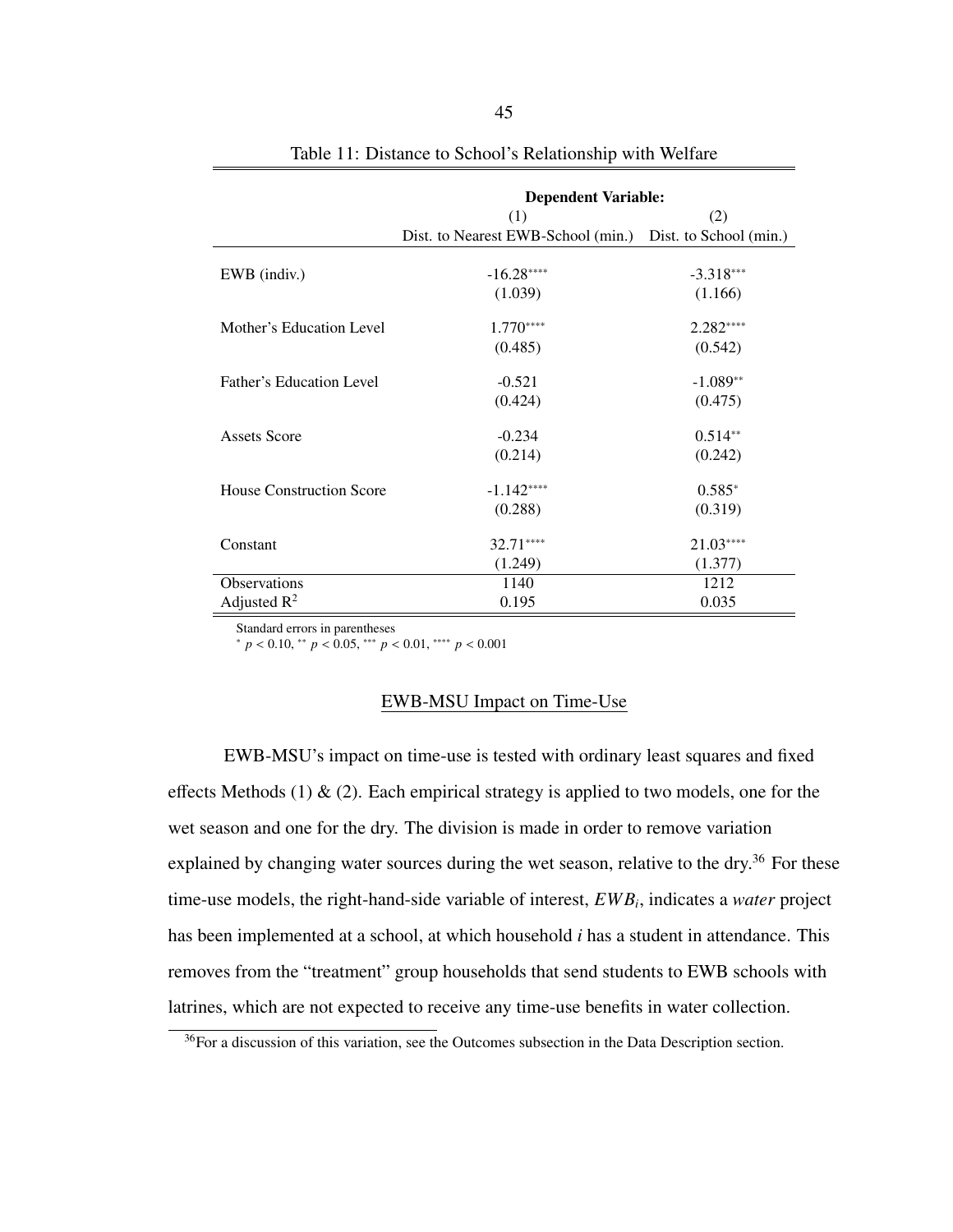<span id="page-52-0"></span>

|                                 | <b>Dependent Variable:</b>                                |             |  |  |  |
|---------------------------------|-----------------------------------------------------------|-------------|--|--|--|
|                                 | (1)                                                       | (2)         |  |  |  |
|                                 | Dist. to Nearest EWB-School (min.) Dist. to School (min.) |             |  |  |  |
|                                 |                                                           |             |  |  |  |
| EWB (indiv.)                    | $-16.28***$                                               | $-3.318***$ |  |  |  |
|                                 | (1.039)                                                   | (1.166)     |  |  |  |
| Mother's Education Level        | $1.770***$                                                | 2.282****   |  |  |  |
|                                 | (0.485)                                                   | (0.542)     |  |  |  |
| Father's Education Level        | $-0.521$                                                  | $-1.089**$  |  |  |  |
|                                 | (0.424)                                                   | (0.475)     |  |  |  |
| Assets Score                    | $-0.234$                                                  | $0.514**$   |  |  |  |
|                                 | (0.214)                                                   | (0.242)     |  |  |  |
| <b>House Construction Score</b> | $-1.142***$                                               | $0.585*$    |  |  |  |
|                                 | (0.288)                                                   | (0.319)     |  |  |  |
| Constant                        | $32.71***$                                                | $21.03***$  |  |  |  |
|                                 | (1.249)                                                   | (1.377)     |  |  |  |
| Observations                    | 1140                                                      | 1212        |  |  |  |
| Adjusted $R^2$                  | 0.195                                                     | 0.035       |  |  |  |

|  |  | Table 11: Distance to School's Relationship with Welfare |
|--|--|----------------------------------------------------------|
|  |  |                                                          |

Standard errors in parentheses

<sup>∗</sup> *<sup>p</sup>* < <sup>0</sup>.10, ∗∗ *<sup>p</sup>* < <sup>0</sup>.05, ∗∗∗ *<sup>p</sup>* < <sup>0</sup>.01, ∗∗∗∗ *<sup>p</sup>* < <sup>0</sup>.<sup>001</sup>

## EWB-MSU Impact on Time-Use

EWB-MSU's impact on time-use is tested with ordinary least squares and fixed effects Methods [\(1\)](#page-38-0)  $\&$  [\(2\)](#page-39-0). Each empirical strategy is applied to two models, one for the wet season and one for the dry. The division is made in order to remove variation explained by changing water sources during the wet season, relative to the dry.<sup>[36](#page-52-1)</sup> For these time-use models, the right-hand-side variable of interest, *EWB<sup>i</sup>* , indicates a *water* project has been implemented at a school, at which household *i* has a student in attendance. This removes from the "treatment" group households that send students to EWB schools with latrines, which are not expected to receive any time-use benefits in water collection.

<span id="page-52-1"></span><sup>&</sup>lt;sup>36</sup>For a discussion of this variation, see the [Outcomes](#page-22-0) subsection in the Data Description section.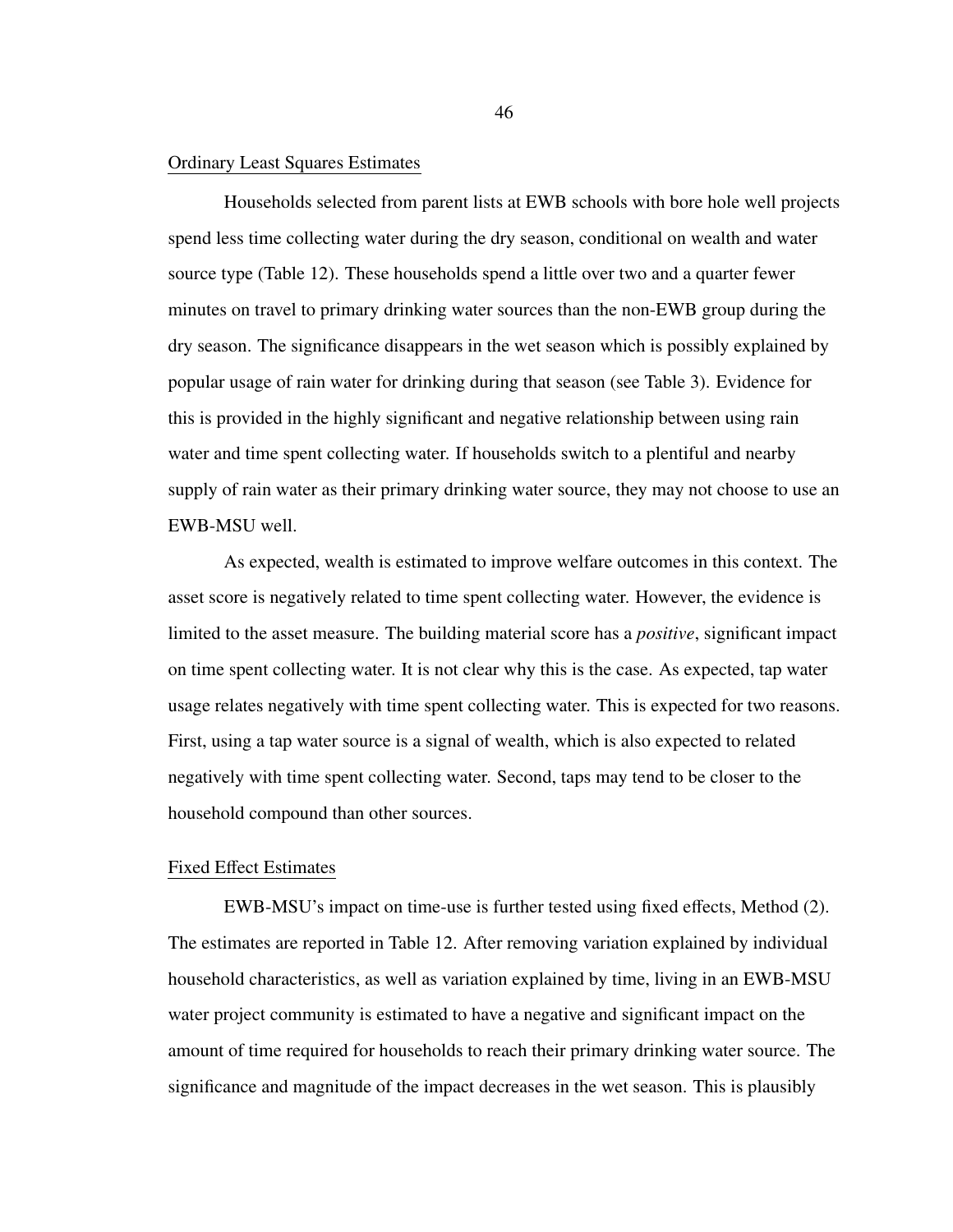### Ordinary Least Squares Estimates

Households selected from parent lists at EWB schools with bore hole well projects spend less time collecting water during the dry season, conditional on wealth and water source type (Table [12\)](#page-54-0). These households spend a little over two and a quarter fewer minutes on travel to primary drinking water sources than the non-EWB group during the dry season. The significance disappears in the wet season which is possibly explained by popular usage of rain water for drinking during that season (see Table [3\)](#page-28-0). Evidence for this is provided in the highly significant and negative relationship between using rain water and time spent collecting water. If households switch to a plentiful and nearby supply of rain water as their primary drinking water source, they may not choose to use an EWB-MSU well.

As expected, wealth is estimated to improve welfare outcomes in this context. The asset score is negatively related to time spent collecting water. However, the evidence is limited to the asset measure. The building material score has a *positive*, significant impact on time spent collecting water. It is not clear why this is the case. As expected, tap water usage relates negatively with time spent collecting water. This is expected for two reasons. First, using a tap water source is a signal of wealth, which is also expected to related negatively with time spent collecting water. Second, taps may tend to be closer to the household compound than other sources.

# Fixed Effect Estimates

EWB-MSU's impact on time-use is further tested using fixed effects, Method [\(2\)](#page-39-0). The estimates are reported in Table [12.](#page-54-0) After removing variation explained by individual household characteristics, as well as variation explained by time, living in an EWB-MSU water project community is estimated to have a negative and significant impact on the amount of time required for households to reach their primary drinking water source. The significance and magnitude of the impact decreases in the wet season. This is plausibly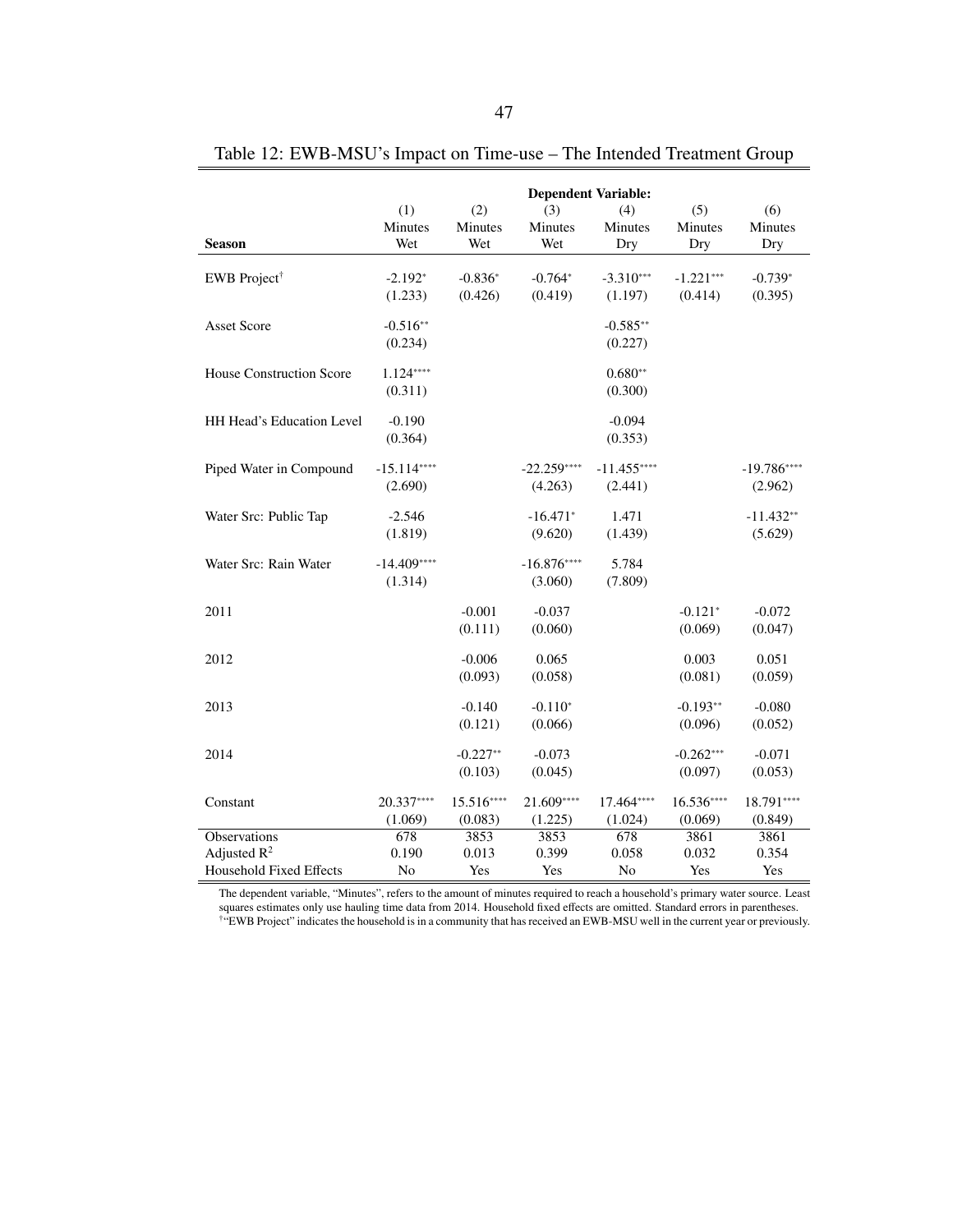|                                | <b>Dependent Variable:</b> |                     |              |                       |             |              |
|--------------------------------|----------------------------|---------------------|--------------|-----------------------|-------------|--------------|
|                                | (1)                        | (2)                 | (3)          | (4)                   | (5)         | (6)          |
|                                | Minutes                    | Minutes             | Minutes      | Minutes               | Minutes     | Minutes      |
| <b>Season</b>                  | Wet                        | Wet                 | Wet          | Dry                   | Dry         | Dry          |
| EWB Project <sup>†</sup>       | $-2.192*$                  | $-0.836*$           | $-0.764*$    | $-3.310***$           | $-1.221***$ | $-0.739*$    |
|                                | (1.233)                    | (0.426)             | (0.419)      | (1.197)               | (0.414)     | (0.395)      |
|                                |                            |                     |              |                       |             |              |
| <b>Asset Score</b>             | $-0.516**$<br>(0.234)      |                     |              | $-0.585**$<br>(0.227) |             |              |
|                                |                            |                     |              |                       |             |              |
| House Construction Score       | $1.124***$                 |                     |              | $0.680**$             |             |              |
|                                | (0.311)                    |                     |              | (0.300)               |             |              |
| HH Head's Education Level      | $-0.190$                   |                     |              | $-0.094$              |             |              |
|                                | (0.364)                    |                     |              | (0.353)               |             |              |
| Piped Water in Compound        | $-15.114***$               |                     | $-22.259***$ | $-11.455***$          |             | $-19.786***$ |
|                                | (2.690)                    |                     | (4.263)      | (2.441)               |             | (2.962)      |
|                                |                            |                     |              |                       |             |              |
| Water Src: Public Tap          | $-2.546$                   |                     | $-16.471*$   | 1.471                 |             | $-11.432**$  |
|                                | (1.819)                    |                     | (9.620)      | (1.439)               |             | (5.629)      |
| Water Src: Rain Water          | $-14.409***$               |                     | $-16.876***$ | 5.784                 |             |              |
|                                | (1.314)                    |                     | (3.060)      | (7.809)               |             |              |
| 2011                           |                            | $-0.001$            | $-0.037$     |                       | $-0.121*$   | $-0.072$     |
|                                |                            | (0.111)             | (0.060)      |                       | (0.069)     | (0.047)      |
|                                |                            |                     |              |                       |             |              |
| 2012                           |                            | $-0.006$<br>(0.093) | 0.065        |                       | 0.003       | 0.051        |
|                                |                            |                     | (0.058)      |                       | (0.081)     | (0.059)      |
| 2013                           |                            | $-0.140$            | $-0.110*$    |                       | $-0.193**$  | $-0.080$     |
|                                |                            | (0.121)             | (0.066)      |                       | (0.096)     | (0.052)      |
| 2014                           |                            | $-0.227**$          | $-0.073$     |                       | $-0.262***$ | $-0.071$     |
|                                |                            | (0.103)             | (0.045)      |                       | (0.097)     | (0.053)      |
| Constant                       | 20.337****                 | 15.516****          | 21.609****   | 17.464****            | $16.536***$ | 18.791****   |
|                                | (1.069)                    | (0.083)             | (1.225)      | (1.024)               | (0.069)     | (0.849)      |
| <b>Observations</b>            | 678                        | 3853                | 3853         | 678                   | 3861        | 3861         |
| Adjusted $R^2$                 | 0.190                      | 0.013               | 0.399        | 0.058                 | 0.032       | 0.354        |
| <b>Household Fixed Effects</b> | No                         | Yes                 | Yes          | No                    | Yes         | Yes          |

<span id="page-54-0"></span>Table 12: EWB-MSU's Impact on Time-use – The Intended Treatment Group

The dependent variable, "Minutes", refers to the amount of minutes required to reach a household's primary water source. Least squares estimates only use hauling time data from 2014. Household fixed effects are omitted. Standard errors in parentheses. †"EWB Project" indicates the household is in a community that has received an EWB-MSU well in the current year or previously.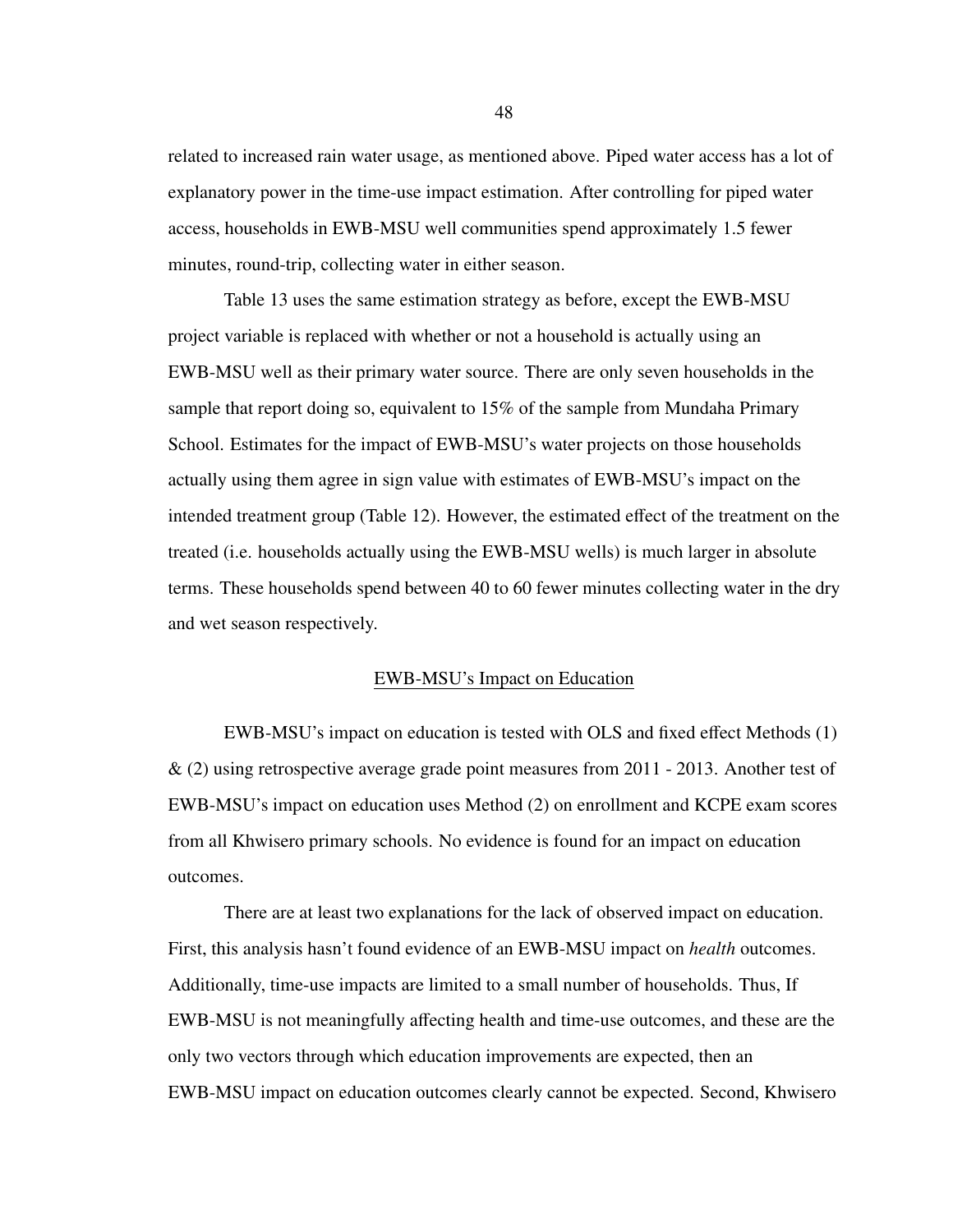related to increased rain water usage, as mentioned above. Piped water access has a lot of explanatory power in the time-use impact estimation. After controlling for piped water access, households in EWB-MSU well communities spend approximately 1.5 fewer minutes, round-trip, collecting water in either season.

Table [13](#page-56-0) uses the same estimation strategy as before, except the EWB-MSU project variable is replaced with whether or not a household is actually using an EWB-MSU well as their primary water source. There are only seven households in the sample that report doing so, equivalent to 15% of the sample from Mundaha Primary School. Estimates for the impact of EWB-MSU's water projects on those households actually using them agree in sign value with estimates of EWB-MSU's impact on the intended treatment group (Table [12\)](#page-54-0). However, the estimated effect of the treatment on the treated (i.e. households actually using the EWB-MSU wells) is much larger in absolute terms. These households spend between 40 to 60 fewer minutes collecting water in the dry and wet season respectively.

#### EWB-MSU's Impact on Education

EWB-MSU's impact on education is tested with OLS and fixed effect Methods [\(1\)](#page-38-0) & [\(2\)](#page-39-0) using retrospective average grade point measures from 2011 - 2013. Another test of EWB-MSU's impact on education uses Method [\(2\)](#page-39-0) on enrollment and KCPE exam scores from all Khwisero primary schools. No evidence is found for an impact on education outcomes.

There are at least two explanations for the lack of observed impact on education. First, this analysis hasn't found evidence of an EWB-MSU impact on *health* outcomes. Additionally, time-use impacts are limited to a small number of households. Thus, If EWB-MSU is not meaningfully affecting health and time-use outcomes, and these are the only two vectors through which education improvements are expected, then an EWB-MSU impact on education outcomes clearly cannot be expected. Second, Khwisero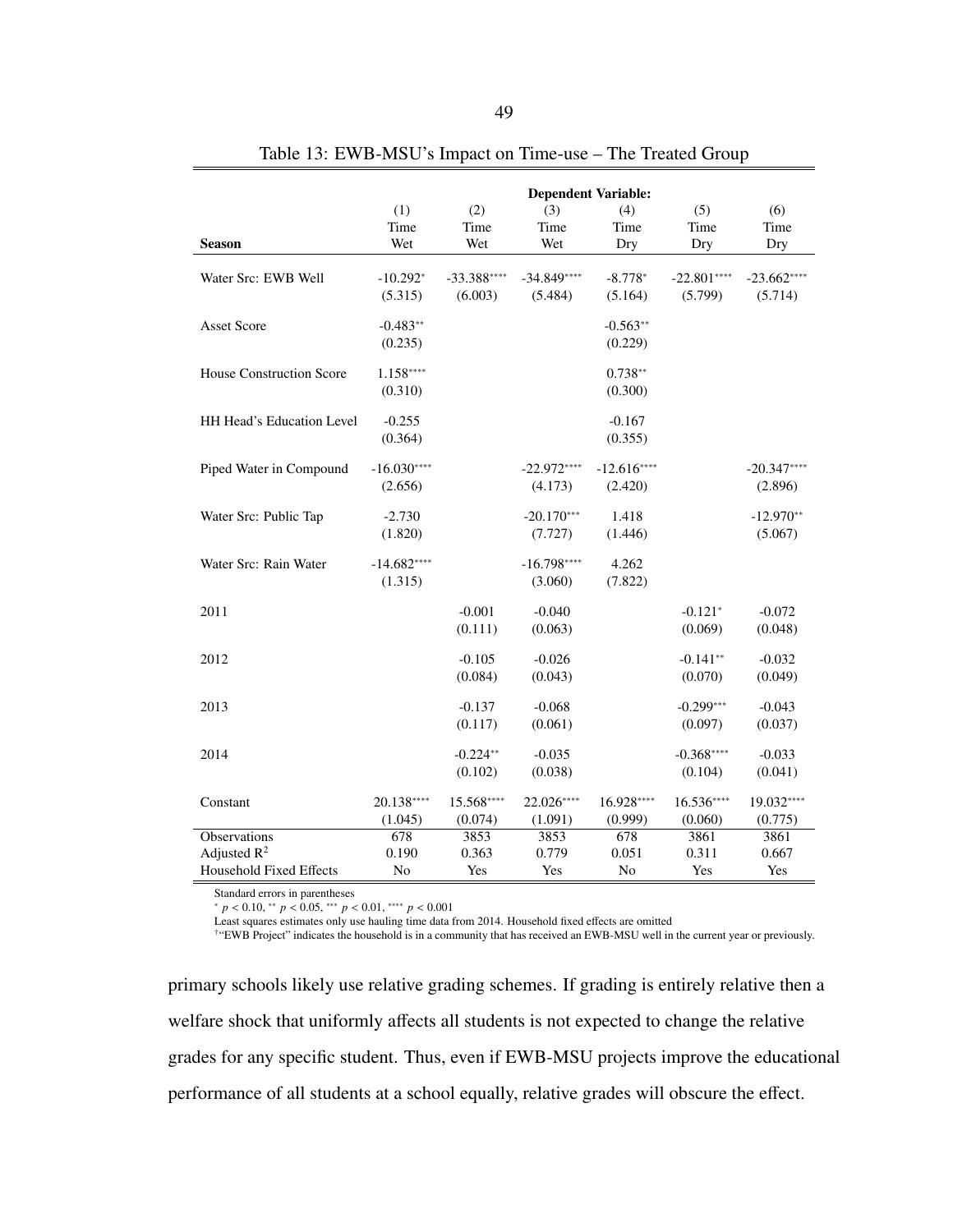<span id="page-56-0"></span>

|                                 | (1)<br>Time             | (2)<br>Time             | <b>Dependent Variable:</b><br>(3)<br>Time | (4)<br>Time             | (5)<br>Time             | (6)<br>Time             |
|---------------------------------|-------------------------|-------------------------|-------------------------------------------|-------------------------|-------------------------|-------------------------|
| <b>Season</b>                   | Wet                     | Wet                     | Wet                                       | Dry                     | Dry                     | Dry                     |
| Water Src: EWB Well             | $-10.292*$<br>(5.315)   | $-33.388***$<br>(6.003) | $-34.849***$<br>(5.484)                   | $-8.778*$<br>(5.164)    | $-22.801***$<br>(5.799) | $-23.662***$<br>(5.714) |
| <b>Asset Score</b>              | $-0.483**$<br>(0.235)   |                         |                                           | $-0.563**$<br>(0.229)   |                         |                         |
| <b>House Construction Score</b> | $1.158***$<br>(0.310)   |                         |                                           | $0.738**$<br>(0.300)    |                         |                         |
| HH Head's Education Level       | $-0.255$<br>(0.364)     |                         |                                           | $-0.167$<br>(0.355)     |                         |                         |
| Piped Water in Compound         | $-16.030***$<br>(2.656) |                         | $-22.972***$<br>(4.173)                   | $-12.616***$<br>(2.420) |                         | $-20.347***$<br>(2.896) |
| Water Src: Public Tap           | $-2.730$<br>(1.820)     |                         | $-20.170***$<br>(7.727)                   | 1.418<br>(1.446)        |                         | $-12.970**$<br>(5.067)  |
| Water Src: Rain Water           | $-14.682***$<br>(1.315) |                         | $-16.798***$<br>(3.060)                   | 4.262<br>(7.822)        |                         |                         |
| 2011                            |                         | $-0.001$<br>(0.111)     | $-0.040$<br>(0.063)                       |                         | $-0.121*$<br>(0.069)    | $-0.072$<br>(0.048)     |
| 2012                            |                         | $-0.105$<br>(0.084)     | $-0.026$<br>(0.043)                       |                         | $-0.141**$<br>(0.070)   | $-0.032$<br>(0.049)     |
| 2013                            |                         | $-0.137$<br>(0.117)     | $-0.068$<br>(0.061)                       |                         | $-0.299***$<br>(0.097)  | $-0.043$<br>(0.037)     |
| 2014                            |                         | $-0.224**$<br>(0.102)   | $-0.035$<br>(0.038)                       |                         | $-0.368***$<br>(0.104)  | $-0.033$<br>(0.041)     |
| Constant                        | 20.138****<br>(1.045)   | 15.568****<br>(0.074)   | 22.026****<br>(1.091)                     | 16.928****<br>(0.999)   | $16.536***$<br>(0.060)  | 19.032****<br>(0.775)   |
| Observations                    | 678                     | 3853                    | 3853                                      | 678                     | 3861                    | 3861                    |
| Adjusted $R^2$                  | 0.190                   | 0.363                   | 0.779                                     | 0.051                   | 0.311                   | 0.667                   |
| <b>Household Fixed Effects</b>  | No                      | Yes                     | Yes                                       | No                      | Yes                     | Yes                     |

Table 13: EWB-MSU's Impact on Time-use – The Treated Group

Standard errors in parentheses

<sup>∗</sup> *<sup>p</sup>* < <sup>0</sup>.10, ∗∗ *<sup>p</sup>* < <sup>0</sup>.05, ∗∗∗ *<sup>p</sup>* < <sup>0</sup>.01, ∗∗∗∗ *<sup>p</sup>* < <sup>0</sup>.<sup>001</sup>

Least squares estimates only use hauling time data from 2014. Household fixed effects are omitted

†"EWB Project" indicates the household is in a community that has received an EWB-MSU well in the current year or previously.

primary schools likely use relative grading schemes. If grading is entirely relative then a welfare shock that uniformly affects all students is not expected to change the relative grades for any specific student. Thus, even if EWB-MSU projects improve the educational performance of all students at a school equally, relative grades will obscure the effect.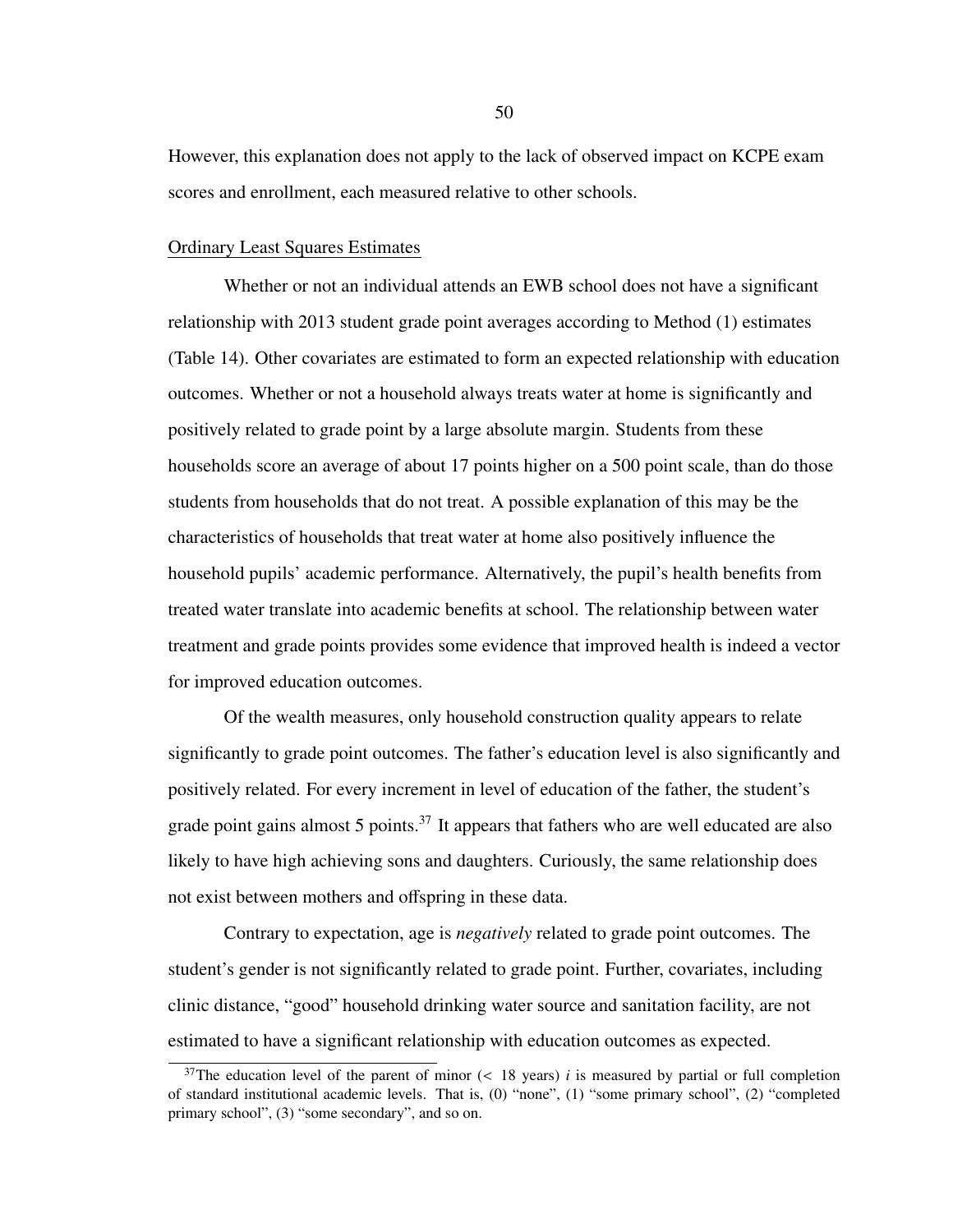However, this explanation does not apply to the lack of observed impact on KCPE exam scores and enrollment, each measured relative to other schools.

## Ordinary Least Squares Estimates

Whether or not an individual attends an EWB school does not have a significant relationship with 2013 student grade point averages according to Method [\(1\)](#page-38-0) estimates (Table [14\)](#page-58-0). Other covariates are estimated to form an expected relationship with education outcomes. Whether or not a household always treats water at home is significantly and positively related to grade point by a large absolute margin. Students from these households score an average of about 17 points higher on a 500 point scale, than do those students from households that do not treat. A possible explanation of this may be the characteristics of households that treat water at home also positively influence the household pupils' academic performance. Alternatively, the pupil's health benefits from treated water translate into academic benefits at school. The relationship between water treatment and grade points provides some evidence that improved health is indeed a vector for improved education outcomes.

Of the wealth measures, only household construction quality appears to relate significantly to grade point outcomes. The father's education level is also significantly and positively related. For every increment in level of education of the father, the student's grade point gains almost 5 points. $37$  It appears that fathers who are well educated are also likely to have high achieving sons and daughters. Curiously, the same relationship does not exist between mothers and offspring in these data.

Contrary to expectation, age is *negatively* related to grade point outcomes. The student's gender is not significantly related to grade point. Further, covariates, including clinic distance, "good" household drinking water source and sanitation facility, are not estimated to have a significant relationship with education outcomes as expected.

<span id="page-57-0"></span><sup>&</sup>lt;sup>37</sup>The education level of the parent of minor  $(< 18$  years) *i* is measured by partial or full completion of standard institutional academic levels. That is, (0) "none", (1) "some primary school", (2) "completed primary school", (3) "some secondary", and so on.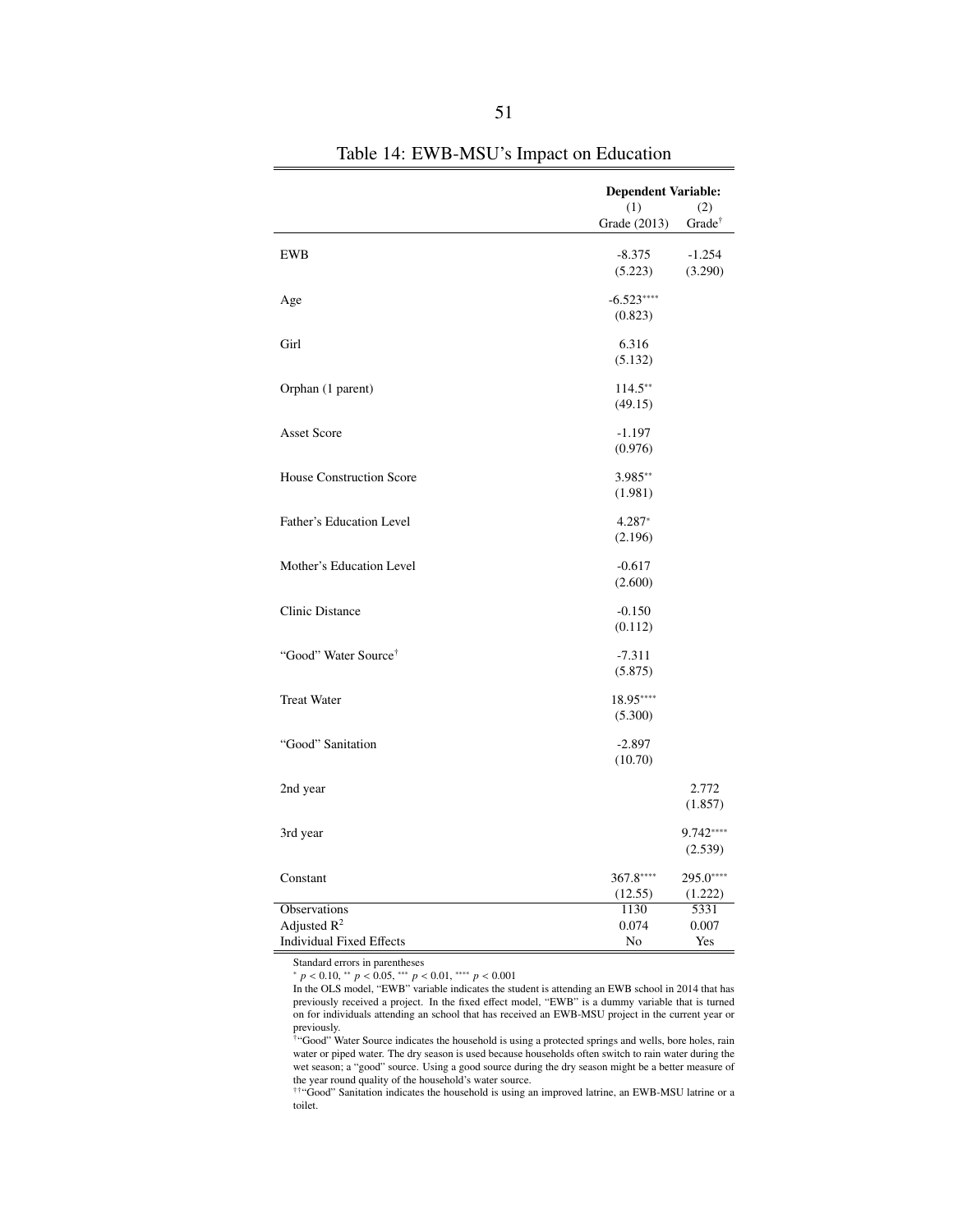<span id="page-58-0"></span>

|                                  | <b>Dependent Variable:</b> |                          |  |
|----------------------------------|----------------------------|--------------------------|--|
|                                  | (1)<br>Grade (2013)        | (2)<br>$Grade^{\dagger}$ |  |
| <b>EWB</b>                       | $-8.375$                   | $-1.254$                 |  |
|                                  | (5.223)                    | (3.290)                  |  |
| Age                              | $-6.523***$                |                          |  |
|                                  | (0.823)                    |                          |  |
| Girl                             | 6.316                      |                          |  |
|                                  | (5.132)                    |                          |  |
| Orphan (1 parent)                | $114.5***$                 |                          |  |
|                                  | (49.15)                    |                          |  |
| <b>Asset Score</b>               | $-1.197$                   |                          |  |
|                                  | (0.976)                    |                          |  |
| House Construction Score         | 3.985**                    |                          |  |
|                                  | (1.981)                    |                          |  |
| Father's Education Level         | 4.287*                     |                          |  |
|                                  | (2.196)                    |                          |  |
| Mother's Education Level         | $-0.617$                   |                          |  |
|                                  | (2.600)                    |                          |  |
| <b>Clinic Distance</b>           | $-0.150$                   |                          |  |
|                                  | (0.112)                    |                          |  |
| "Good" Water Source <sup>†</sup> | $-7.311$                   |                          |  |
|                                  | (5.875)                    |                          |  |
| <b>Treat Water</b>               | 18.95****                  |                          |  |
|                                  | (5.300)                    |                          |  |
| "Good" Sanitation                | $-2.897$                   |                          |  |
|                                  | (10.70)                    |                          |  |
| 2nd year                         |                            | 2.772                    |  |
|                                  |                            | (1.857)                  |  |
| 3rd year                         |                            | 9.742****                |  |
|                                  |                            | (2.539)                  |  |
| Constant                         | 367.8****                  | 295.0****                |  |
|                                  | (12.55)                    | (1.222)                  |  |
| Observations<br>Adjusted $R^2$   | 1130                       | 5331                     |  |
| <b>Individual Fixed Effects</b>  | 0.074<br>No                | 0.007<br>Yes             |  |

Table 14: EWB-MSU's Impact on Education

Standard errors in parentheses

<sup>∗</sup> *<sup>p</sup>* < <sup>0</sup>.10, ∗∗ *<sup>p</sup>* < <sup>0</sup>.05, ∗∗∗ *<sup>p</sup>* < <sup>0</sup>.01, ∗∗∗∗ *<sup>p</sup>* < <sup>0</sup>.<sup>001</sup>

In the OLS model, "EWB" variable indicates the student is attending an EWB school in 2014 that has previously received a project. In the fixed effect model, "EWB" is a dummy variable that is turned on for individuals attending an school that has received an EWB-MSU project in the current year or previously. †"Good" Water Source indicates the household is using a protected springs and wells, bore holes, rain

water or piped water. The dry season is used because households often switch to rain water during the wet season; a "good" source. Using a good source during the dry season might be a better measure of the year round quality of the household's water source.

††"Good" Sanitation indicates the household is using an improved latrine, an EWB-MSU latrine or a toilet.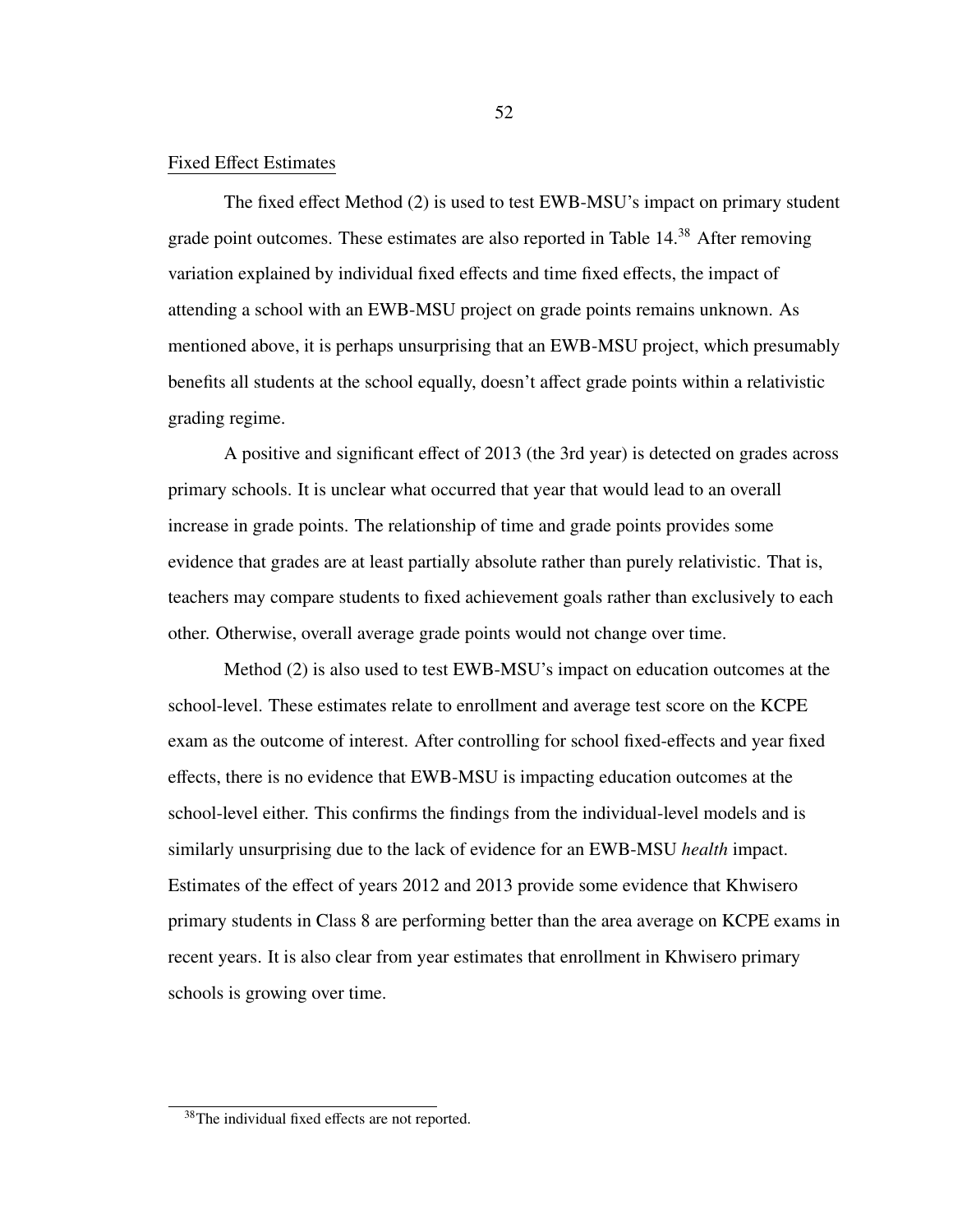## Fixed Effect Estimates

The fixed effect Method [\(2\)](#page-39-0) is used to test EWB-MSU's impact on primary student grade point outcomes. These estimates are also reported in Table [14.](#page-58-0)<sup>[38](#page-59-0)</sup> After removing variation explained by individual fixed effects and time fixed effects, the impact of attending a school with an EWB-MSU project on grade points remains unknown. As mentioned above, it is perhaps unsurprising that an EWB-MSU project, which presumably benefits all students at the school equally, doesn't affect grade points within a relativistic grading regime.

A positive and significant effect of 2013 (the 3rd year) is detected on grades across primary schools. It is unclear what occurred that year that would lead to an overall increase in grade points. The relationship of time and grade points provides some evidence that grades are at least partially absolute rather than purely relativistic. That is, teachers may compare students to fixed achievement goals rather than exclusively to each other. Otherwise, overall average grade points would not change over time.

Method [\(2\)](#page-39-0) is also used to test EWB-MSU's impact on education outcomes at the school-level. These estimates relate to enrollment and average test score on the KCPE exam as the outcome of interest. After controlling for school fixed-effects and year fixed effects, there is no evidence that EWB-MSU is impacting education outcomes at the school-level either. This confirms the findings from the individual-level models and is similarly unsurprising due to the lack of evidence for an EWB-MSU *health* impact. Estimates of the effect of years 2012 and 2013 provide some evidence that Khwisero primary students in Class 8 are performing better than the area average on KCPE exams in recent years. It is also clear from year estimates that enrollment in Khwisero primary schools is growing over time.

<span id="page-59-0"></span> $38$ The individual fixed effects are not reported.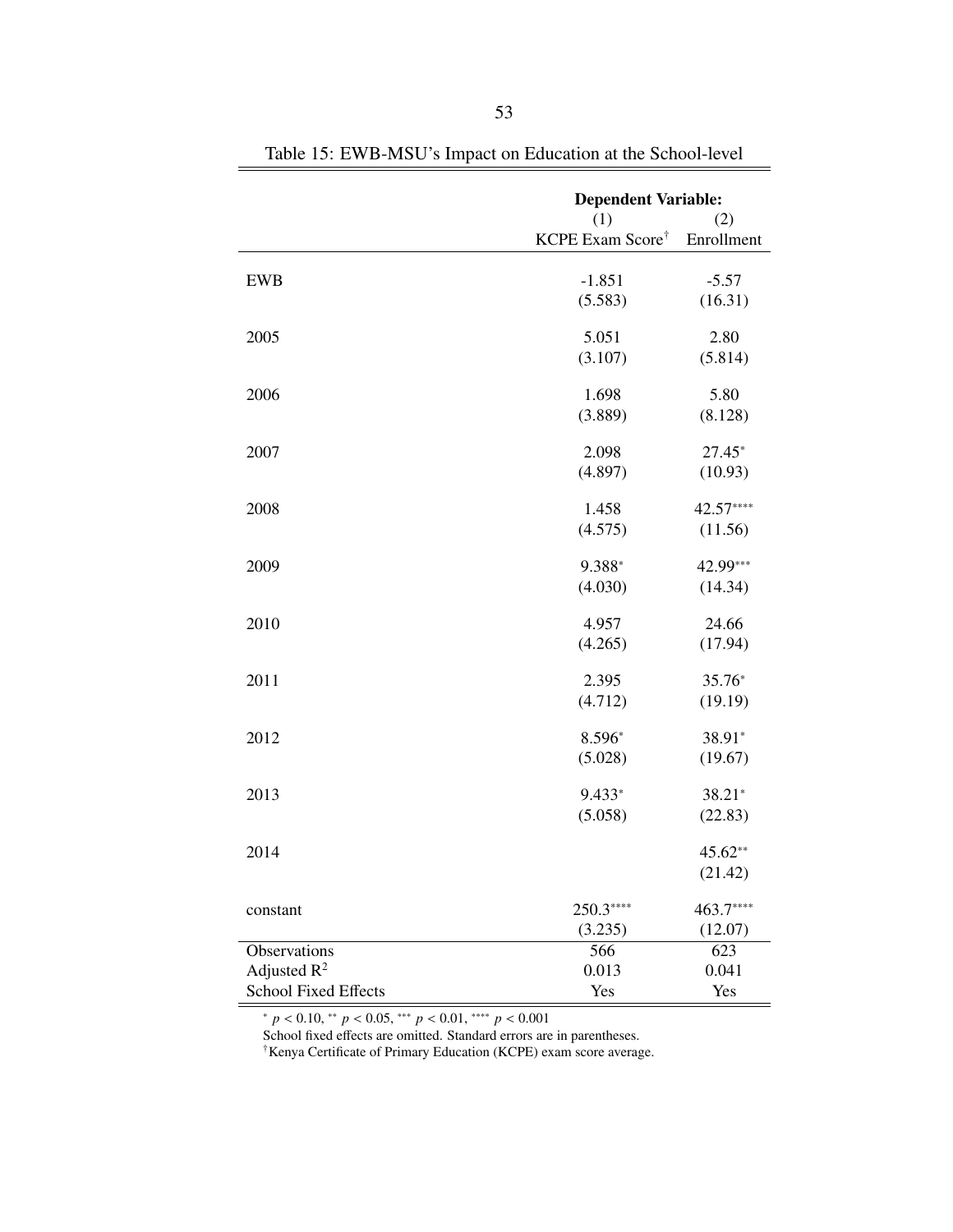<span id="page-60-0"></span>

|                             | <b>Dependent Variable:</b>   |                  |  |
|-----------------------------|------------------------------|------------------|--|
|                             | (1)                          | (2)              |  |
|                             | KCPE Exam Score <sup>†</sup> | Enrollment       |  |
|                             |                              |                  |  |
| <b>EWB</b>                  | $-1.851$                     | $-5.57$          |  |
|                             | (5.583)                      | (16.31)          |  |
|                             |                              |                  |  |
| 2005                        | 5.051                        | 2.80             |  |
|                             | (3.107)                      | (5.814)          |  |
|                             |                              |                  |  |
| 2006                        | 1.698                        | 5.80             |  |
|                             | (3.889)                      | (8.128)          |  |
| 2007                        | 2.098                        | $27.45*$         |  |
|                             |                              |                  |  |
|                             | (4.897)                      | (10.93)          |  |
| 2008                        | 1.458                        | 42.57****        |  |
|                             | (4.575)                      | (11.56)          |  |
|                             |                              |                  |  |
| 2009                        | 9.388*                       | 42.99***         |  |
|                             | (4.030)                      | (14.34)          |  |
|                             |                              |                  |  |
| 2010                        | 4.957                        | 24.66            |  |
|                             | (4.265)                      | (17.94)          |  |
|                             |                              |                  |  |
| 2011                        | 2.395                        | 35.76*           |  |
|                             | (4.712)                      | (19.19)          |  |
|                             |                              |                  |  |
| 2012                        | 8.596*                       | 38.91*           |  |
|                             | (5.028)                      | (19.67)          |  |
| 2013                        | 9.433*                       | 38.21*           |  |
|                             | (5.058)                      | (22.83)          |  |
|                             |                              |                  |  |
| 2014                        |                              | 45.62**          |  |
|                             |                              | (21.42)          |  |
|                             |                              |                  |  |
| constant                    | 250.3****                    | 463.7****        |  |
|                             | (3.235)                      | (12.07)          |  |
| Observations                | 566                          | $\overline{623}$ |  |
| Adjusted $R^2$              | 0.013                        | 0.041            |  |
| <b>School Fixed Effects</b> | Yes                          | Yes              |  |

Table 15: EWB-MSU's Impact on Education at the School-level

<sup>∗</sup> *<sup>p</sup>* < <sup>0</sup>.10, ∗∗ *<sup>p</sup>* < <sup>0</sup>.05, ∗∗∗ *<sup>p</sup>* < <sup>0</sup>.01, ∗∗∗∗ *<sup>p</sup>* < <sup>0</sup>.<sup>001</sup> School fixed effects are omitted. Standard errors are in parentheses.

†Kenya Certificate of Primary Education (KCPE) exam score average.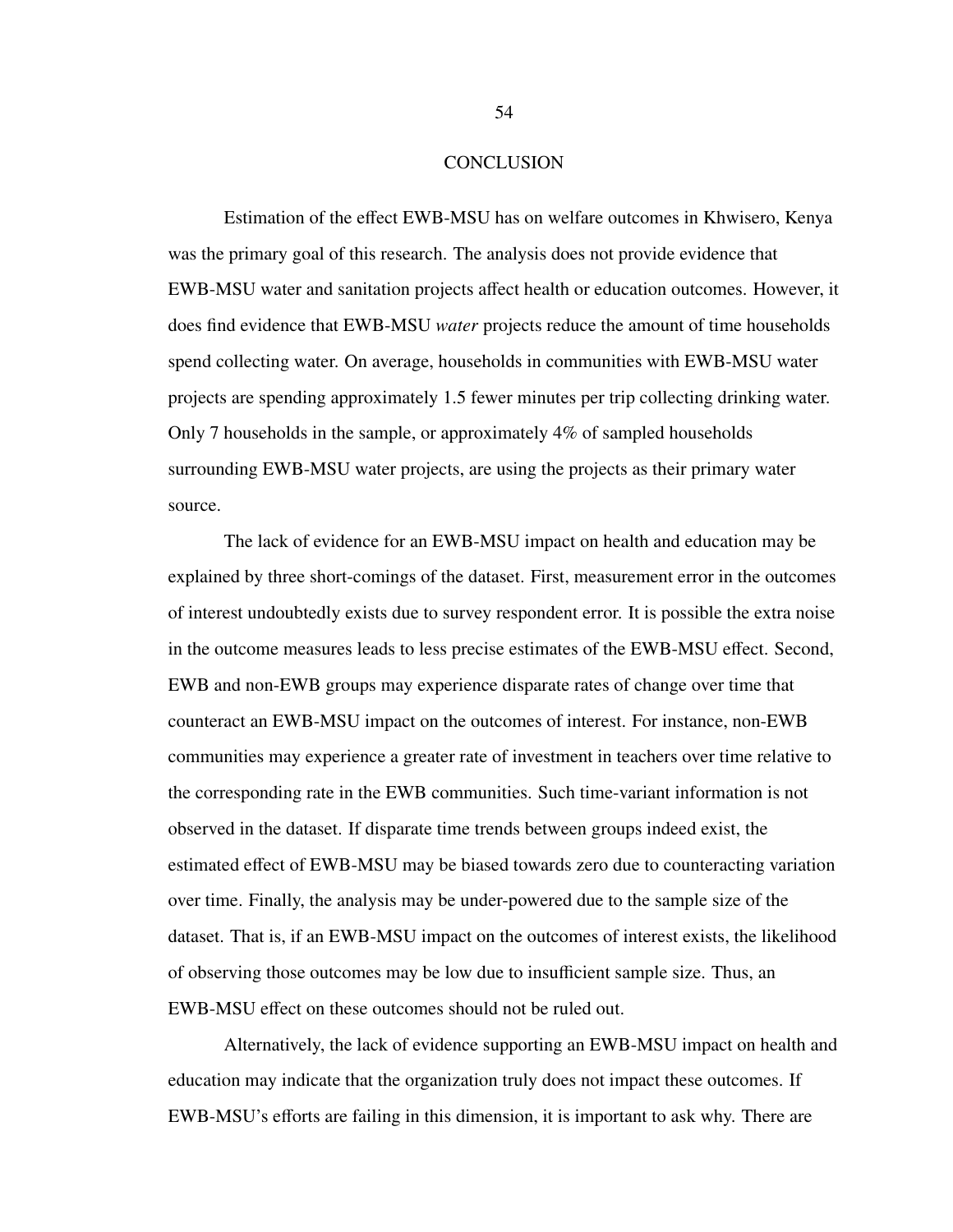### **CONCLUSION**

Estimation of the effect EWB-MSU has on welfare outcomes in Khwisero, Kenya was the primary goal of this research. The analysis does not provide evidence that EWB-MSU water and sanitation projects affect health or education outcomes. However, it does find evidence that EWB-MSU *water* projects reduce the amount of time households spend collecting water. On average, households in communities with EWB-MSU water projects are spending approximately 1.5 fewer minutes per trip collecting drinking water. Only 7 households in the sample, or approximately 4% of sampled households surrounding EWB-MSU water projects, are using the projects as their primary water source.

The lack of evidence for an EWB-MSU impact on health and education may be explained by three short-comings of the dataset. First, measurement error in the outcomes of interest undoubtedly exists due to survey respondent error. It is possible the extra noise in the outcome measures leads to less precise estimates of the EWB-MSU effect. Second, EWB and non-EWB groups may experience disparate rates of change over time that counteract an EWB-MSU impact on the outcomes of interest. For instance, non-EWB communities may experience a greater rate of investment in teachers over time relative to the corresponding rate in the EWB communities. Such time-variant information is not observed in the dataset. If disparate time trends between groups indeed exist, the estimated effect of EWB-MSU may be biased towards zero due to counteracting variation over time. Finally, the analysis may be under-powered due to the sample size of the dataset. That is, if an EWB-MSU impact on the outcomes of interest exists, the likelihood of observing those outcomes may be low due to insufficient sample size. Thus, an EWB-MSU effect on these outcomes should not be ruled out.

Alternatively, the lack of evidence supporting an EWB-MSU impact on health and education may indicate that the organization truly does not impact these outcomes. If EWB-MSU's efforts are failing in this dimension, it is important to ask why. There are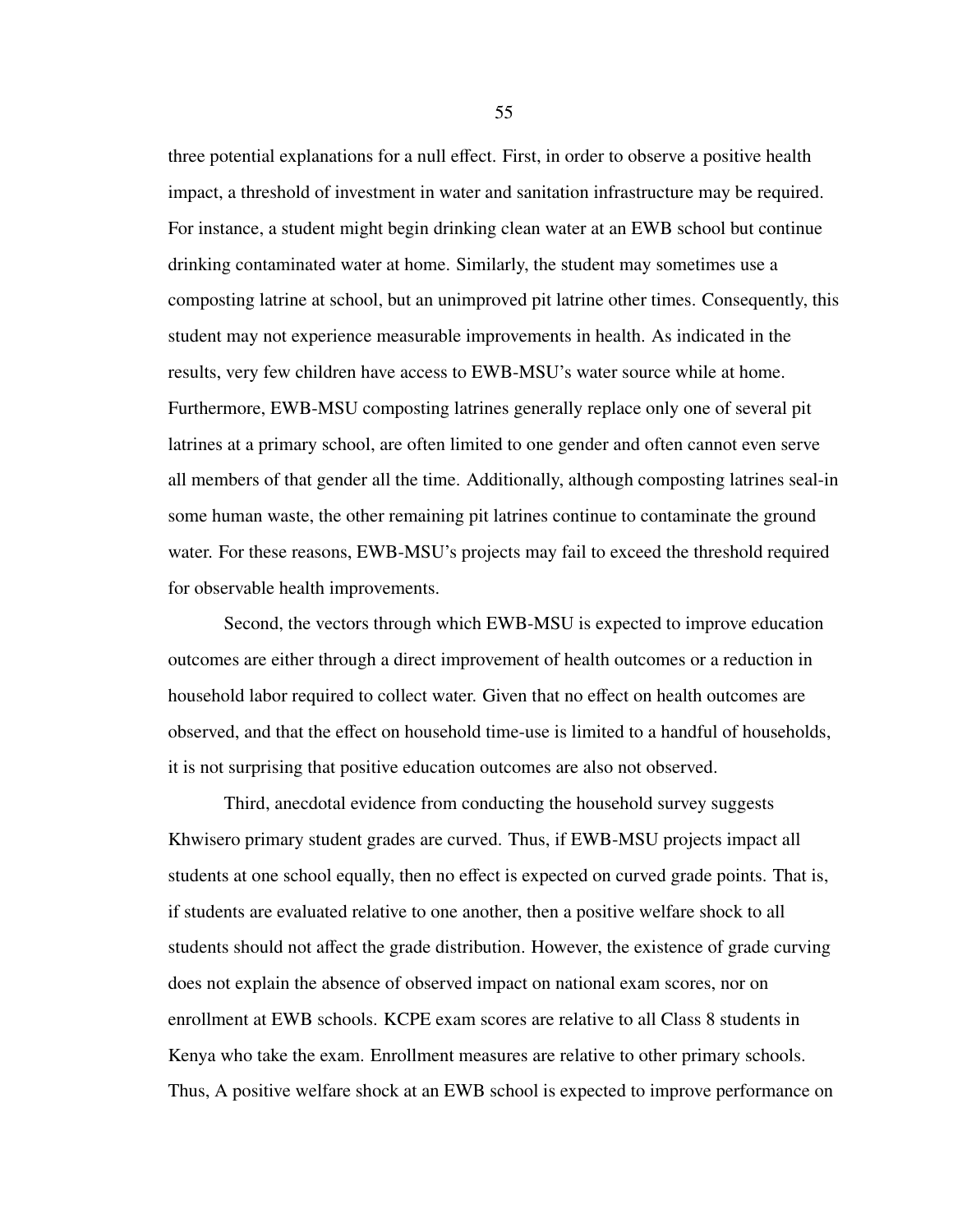three potential explanations for a null effect. First, in order to observe a positive health impact, a threshold of investment in water and sanitation infrastructure may be required. For instance, a student might begin drinking clean water at an EWB school but continue drinking contaminated water at home. Similarly, the student may sometimes use a composting latrine at school, but an unimproved pit latrine other times. Consequently, this student may not experience measurable improvements in health. As indicated in the results, very few children have access to EWB-MSU's water source while at home. Furthermore, EWB-MSU composting latrines generally replace only one of several pit latrines at a primary school, are often limited to one gender and often cannot even serve all members of that gender all the time. Additionally, although composting latrines seal-in some human waste, the other remaining pit latrines continue to contaminate the ground water. For these reasons, EWB-MSU's projects may fail to exceed the threshold required for observable health improvements.

Second, the vectors through which EWB-MSU is expected to improve education outcomes are either through a direct improvement of health outcomes or a reduction in household labor required to collect water. Given that no effect on health outcomes are observed, and that the effect on household time-use is limited to a handful of households, it is not surprising that positive education outcomes are also not observed.

Third, anecdotal evidence from conducting the household survey suggests Khwisero primary student grades are curved. Thus, if EWB-MSU projects impact all students at one school equally, then no effect is expected on curved grade points. That is, if students are evaluated relative to one another, then a positive welfare shock to all students should not affect the grade distribution. However, the existence of grade curving does not explain the absence of observed impact on national exam scores, nor on enrollment at EWB schools. KCPE exam scores are relative to all Class 8 students in Kenya who take the exam. Enrollment measures are relative to other primary schools. Thus, A positive welfare shock at an EWB school is expected to improve performance on

55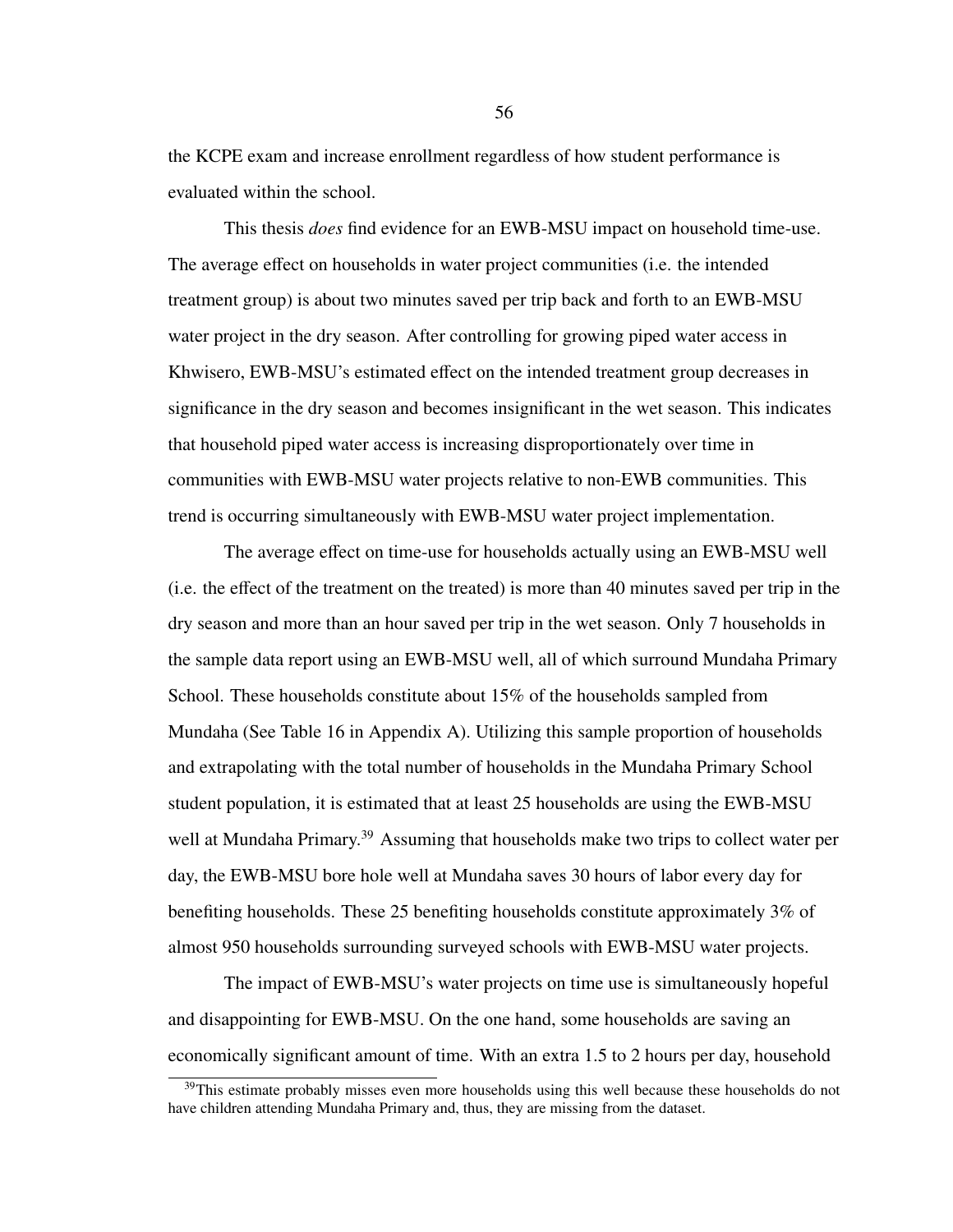the KCPE exam and increase enrollment regardless of how student performance is evaluated within the school.

This thesis *does* find evidence for an EWB-MSU impact on household time-use. The average effect on households in water project communities (i.e. the intended treatment group) is about two minutes saved per trip back and forth to an EWB-MSU water project in the dry season. After controlling for growing piped water access in Khwisero, EWB-MSU's estimated effect on the intended treatment group decreases in significance in the dry season and becomes insignificant in the wet season. This indicates that household piped water access is increasing disproportionately over time in communities with EWB-MSU water projects relative to non-EWB communities. This trend is occurring simultaneously with EWB-MSU water project implementation.

The average effect on time-use for households actually using an EWB-MSU well (i.e. the effect of the treatment on the treated) is more than 40 minutes saved per trip in the dry season and more than an hour saved per trip in the wet season. Only 7 households in the sample data report using an EWB-MSU well, all of which surround Mundaha Primary School. These households constitute about 15% of the households sampled from Mundaha (See Table [16](#page-73-0) in Appendix A). Utilizing this sample proportion of households and extrapolating with the total number of households in the Mundaha Primary School student population, it is estimated that at least 25 households are using the EWB-MSU well at Mundaha Primary.<sup>[39](#page-63-0)</sup> Assuming that households make two trips to collect water per day, the EWB-MSU bore hole well at Mundaha saves 30 hours of labor every day for benefiting households. These 25 benefiting households constitute approximately 3% of almost 950 households surrounding surveyed schools with EWB-MSU water projects.

The impact of EWB-MSU's water projects on time use is simultaneously hopeful and disappointing for EWB-MSU. On the one hand, some households are saving an economically significant amount of time. With an extra 1.5 to 2 hours per day, household

56

<span id="page-63-0"></span> $39$ This estimate probably misses even more households using this well because these households do not have children attending Mundaha Primary and, thus, they are missing from the dataset.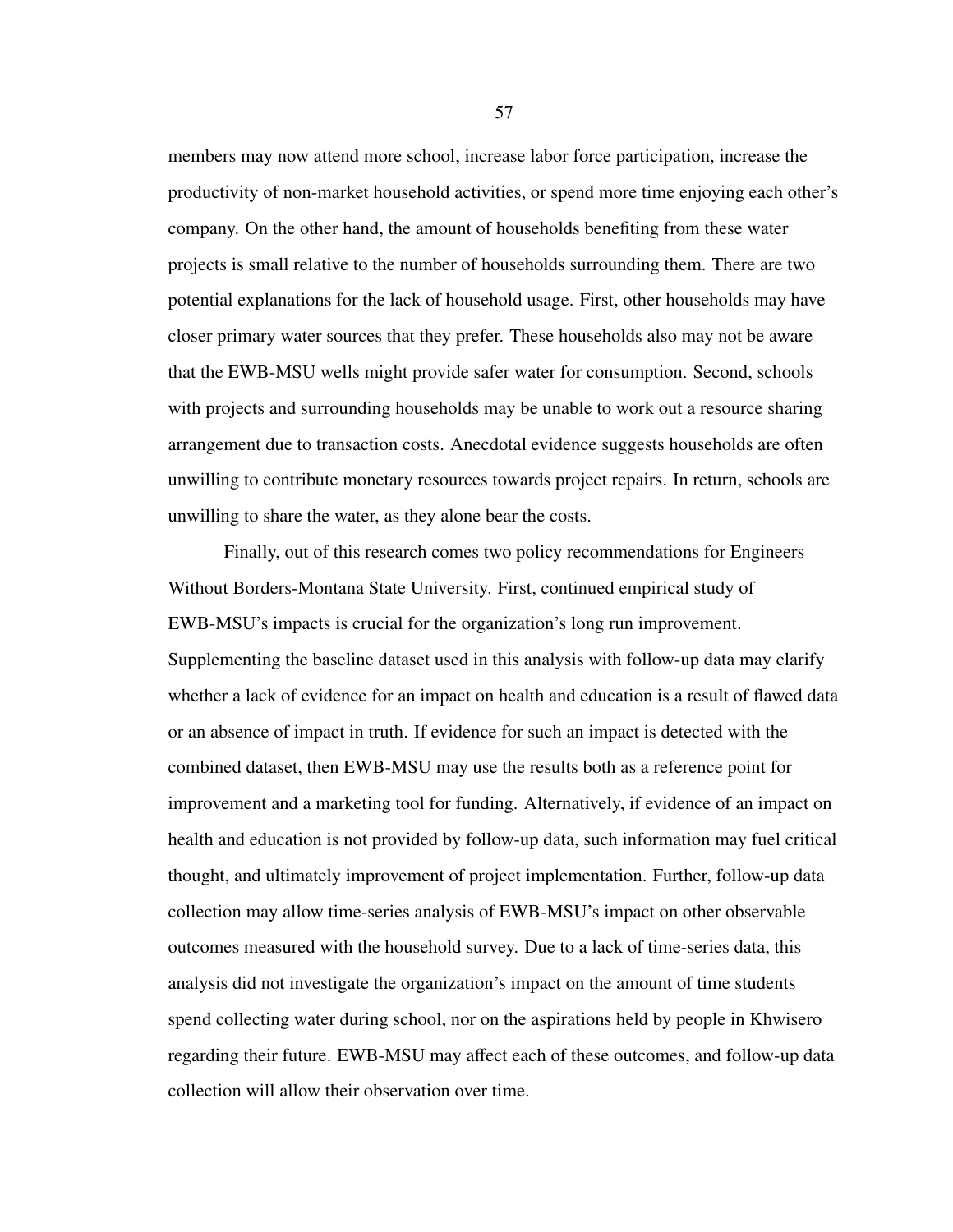members may now attend more school, increase labor force participation, increase the productivity of non-market household activities, or spend more time enjoying each other's company. On the other hand, the amount of households benefiting from these water projects is small relative to the number of households surrounding them. There are two potential explanations for the lack of household usage. First, other households may have closer primary water sources that they prefer. These households also may not be aware that the EWB-MSU wells might provide safer water for consumption. Second, schools with projects and surrounding households may be unable to work out a resource sharing arrangement due to transaction costs. Anecdotal evidence suggests households are often unwilling to contribute monetary resources towards project repairs. In return, schools are unwilling to share the water, as they alone bear the costs.

Finally, out of this research comes two policy recommendations for Engineers Without Borders-Montana State University. First, continued empirical study of EWB-MSU's impacts is crucial for the organization's long run improvement. Supplementing the baseline dataset used in this analysis with follow-up data may clarify whether a lack of evidence for an impact on health and education is a result of flawed data or an absence of impact in truth. If evidence for such an impact is detected with the combined dataset, then EWB-MSU may use the results both as a reference point for improvement and a marketing tool for funding. Alternatively, if evidence of an impact on health and education is not provided by follow-up data, such information may fuel critical thought, and ultimately improvement of project implementation. Further, follow-up data collection may allow time-series analysis of EWB-MSU's impact on other observable outcomes measured with the household survey. Due to a lack of time-series data, this analysis did not investigate the organization's impact on the amount of time students spend collecting water during school, nor on the aspirations held by people in Khwisero regarding their future. EWB-MSU may affect each of these outcomes, and follow-up data collection will allow their observation over time.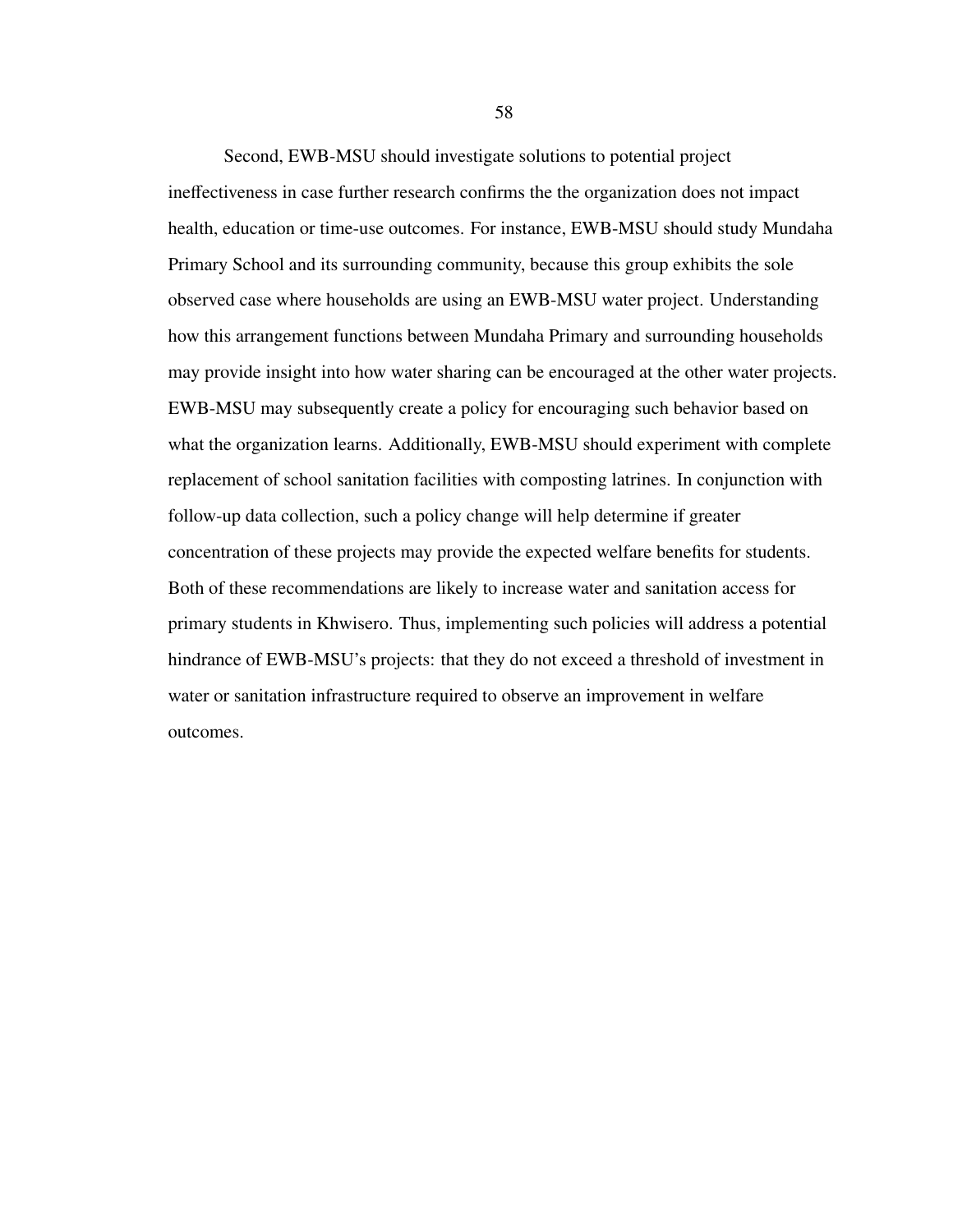Second, EWB-MSU should investigate solutions to potential project ineffectiveness in case further research confirms the the organization does not impact health, education or time-use outcomes. For instance, EWB-MSU should study Mundaha Primary School and its surrounding community, because this group exhibits the sole observed case where households are using an EWB-MSU water project. Understanding how this arrangement functions between Mundaha Primary and surrounding households may provide insight into how water sharing can be encouraged at the other water projects. EWB-MSU may subsequently create a policy for encouraging such behavior based on what the organization learns. Additionally, EWB-MSU should experiment with complete replacement of school sanitation facilities with composting latrines. In conjunction with follow-up data collection, such a policy change will help determine if greater concentration of these projects may provide the expected welfare benefits for students. Both of these recommendations are likely to increase water and sanitation access for primary students in Khwisero. Thus, implementing such policies will address a potential hindrance of EWB-MSU's projects: that they do not exceed a threshold of investment in water or sanitation infrastructure required to observe an improvement in welfare outcomes.

58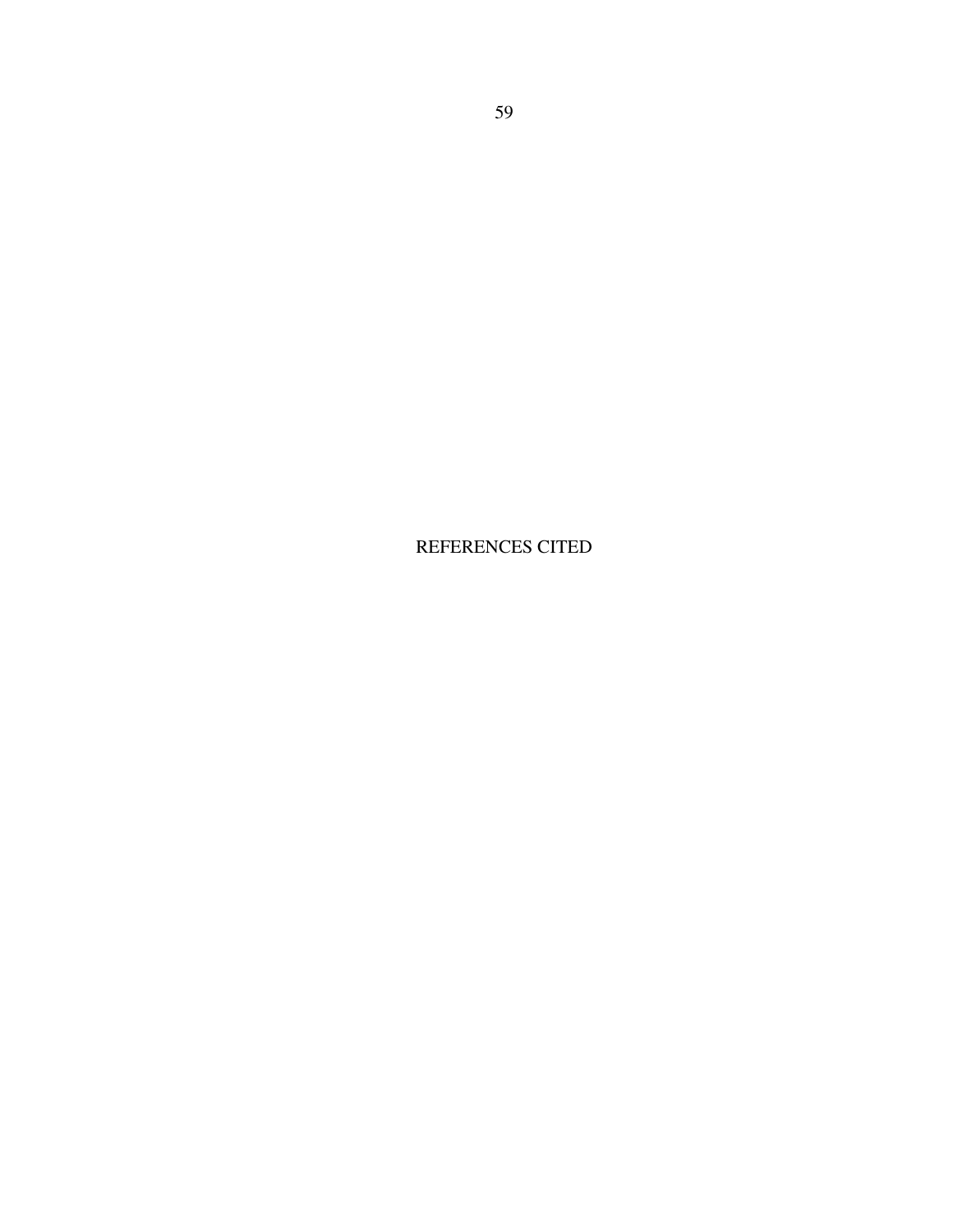REFERENCES CITED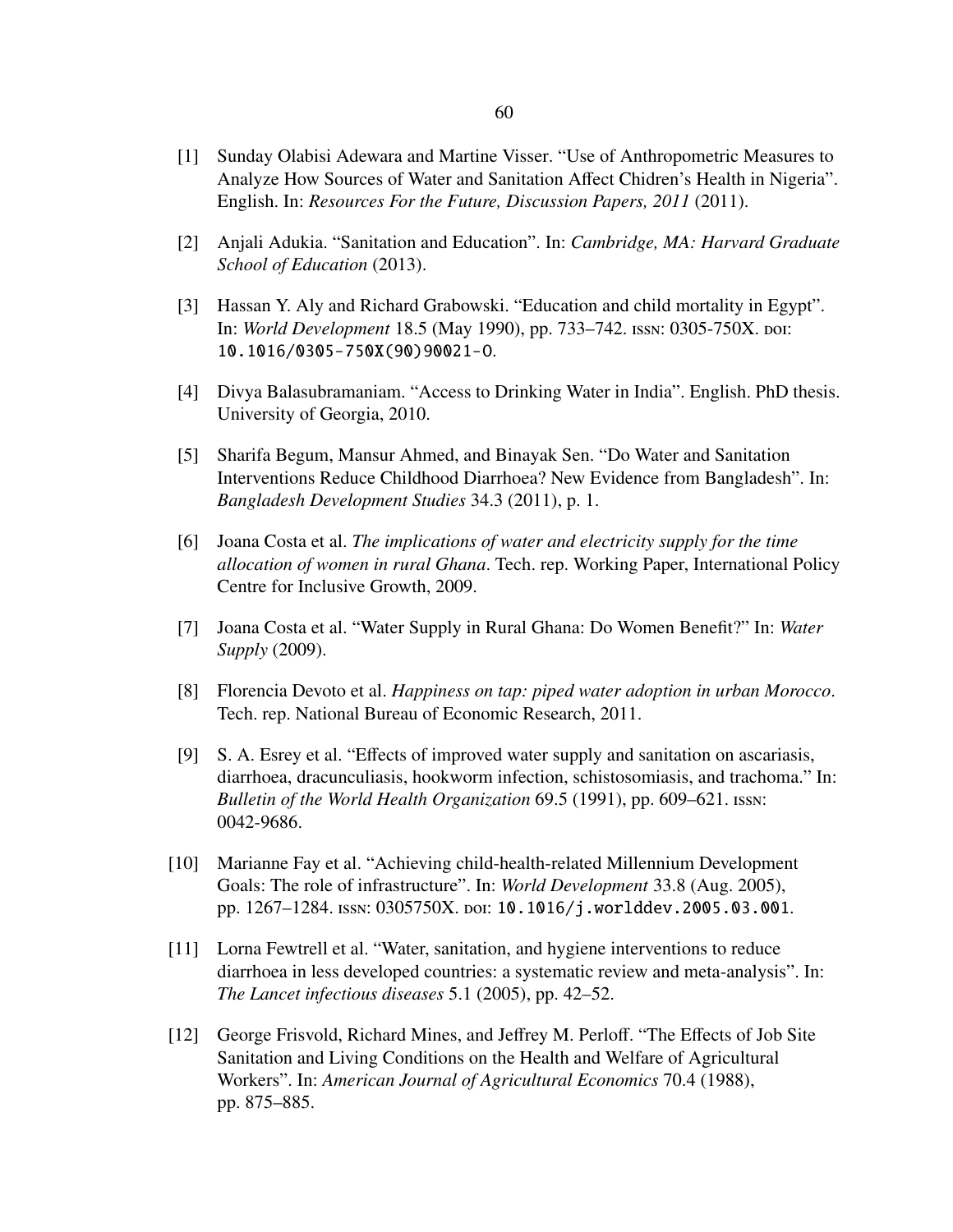- [1] Sunday Olabisi Adewara and Martine Visser. "Use of Anthropometric Measures to Analyze How Sources of Water and Sanitation Affect Chidren's Health in Nigeria". English. In: *Resources For the Future, Discussion Papers, 2011* (2011).
- [2] Anjali Adukia. "Sanitation and Education". In: *Cambridge, MA: Harvard Graduate School of Education* (2013).
- [3] Hassan Y. Aly and Richard Grabowski. "Education and child mortality in Egypt". In: *World Development* 18.5 (May 1990), pp. 733–742. ISSN: 0305-750X. poi: [10.1016/0305-750X\(90\)90021-O](http://dx.doi.org/10.1016/0305-750X(90)90021-O).
- [4] Divya Balasubramaniam. "Access to Drinking Water in India". English. PhD thesis. University of Georgia, 2010.
- [5] Sharifa Begum, Mansur Ahmed, and Binayak Sen. "Do Water and Sanitation Interventions Reduce Childhood Diarrhoea? New Evidence from Bangladesh". In: *Bangladesh Development Studies* 34.3 (2011), p. 1.
- [6] Joana Costa et al. *The implications of water and electricity supply for the time allocation of women in rural Ghana*. Tech. rep. Working Paper, International Policy Centre for Inclusive Growth, 2009.
- [7] Joana Costa et al. "Water Supply in Rural Ghana: Do Women Benefit?" In: *Water Supply* (2009).
- [8] Florencia Devoto et al. *Happiness on tap: piped water adoption in urban Morocco*. Tech. rep. National Bureau of Economic Research, 2011.
- [9] S. A. Esrey et al. "Effects of improved water supply and sanitation on ascariasis, diarrhoea, dracunculiasis, hookworm infection, schistosomiasis, and trachoma." In: *Bulletin of the World Health Organization* 69.5 (1991), pp. 609–621. issn: 0042-9686.
- [10] Marianne Fay et al. "Achieving child-health-related Millennium Development Goals: The role of infrastructure". In: *World Development* 33.8 (Aug. 2005), pp. 1267–1284. issn: 0305750X. doi: [10.1016/j.worlddev.2005.03.001](http://dx.doi.org/10.1016/j.worlddev.2005.03.001).
- [11] Lorna Fewtrell et al. "Water, sanitation, and hygiene interventions to reduce diarrhoea in less developed countries: a systematic review and meta-analysis". In: *The Lancet infectious diseases* 5.1 (2005), pp. 42–52.
- [12] George Frisvold, Richard Mines, and Jeffrey M. Perloff. "The Effects of Job Site Sanitation and Living Conditions on the Health and Welfare of Agricultural Workers". In: *American Journal of Agricultural Economics* 70.4 (1988), pp. 875–885.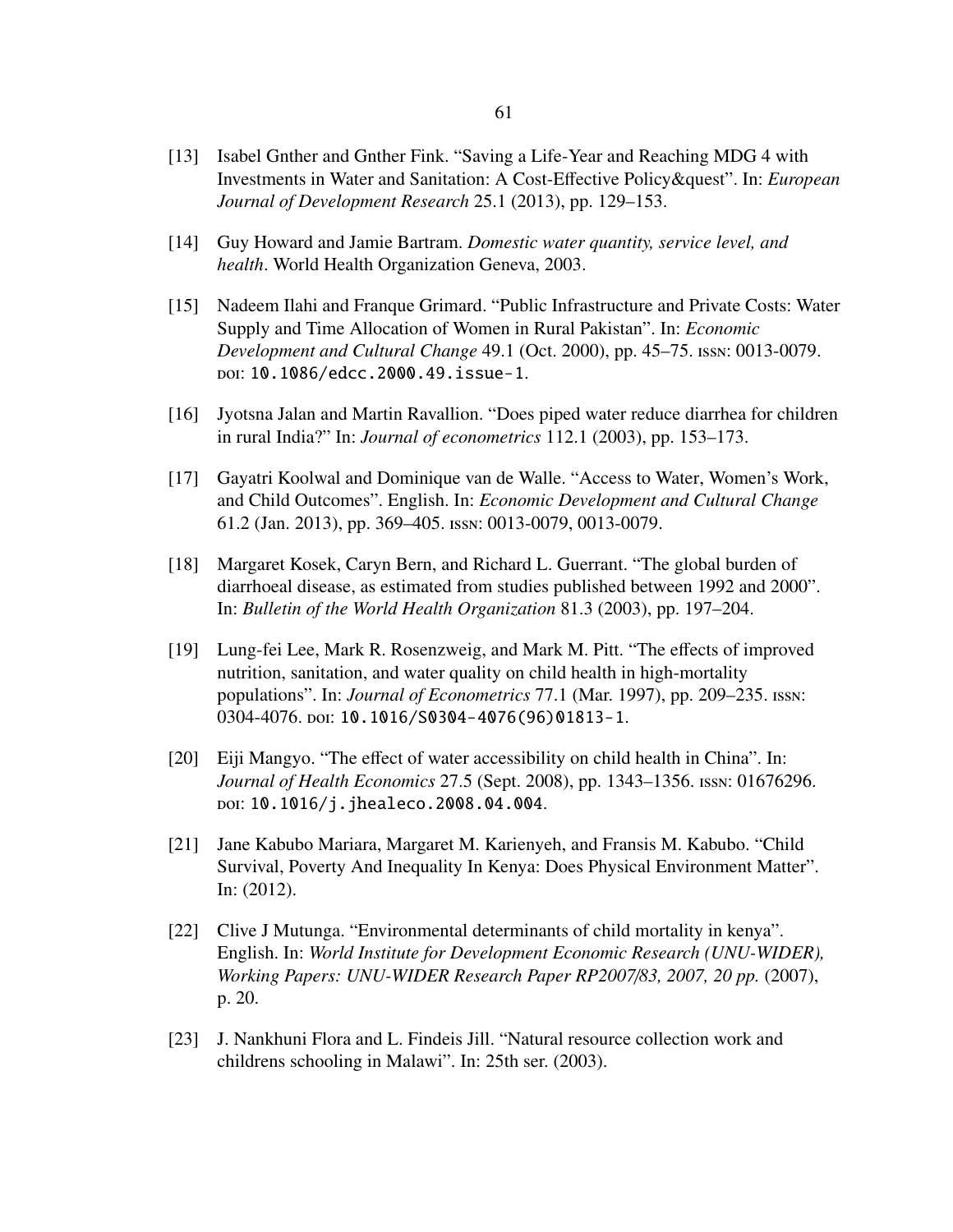- [13] Isabel Gnther and Gnther Fink. "Saving a Life-Year and Reaching MDG 4 with Investments in Water and Sanitation: A Cost-Effective Policy&quest". In: *European Journal of Development Research* 25.1 (2013), pp. 129–153.
- [14] Guy Howard and Jamie Bartram. *Domestic water quantity, service level, and health*. World Health Organization Geneva, 2003.
- [15] Nadeem Ilahi and Franque Grimard. "Public Infrastructure and Private Costs: Water Supply and Time Allocation of Women in Rural Pakistan". In: *Economic Development and Cultural Change* 49.1 (Oct. 2000), pp. 45–75. issn: 0013-0079. doi: [10.1086/edcc.2000.49.issue-1](http://dx.doi.org/10.1086/edcc.2000.49.issue-1).
- [16] Jyotsna Jalan and Martin Ravallion. "Does piped water reduce diarrhea for children in rural India?" In: *Journal of econometrics* 112.1 (2003), pp. 153–173.
- [17] Gayatri Koolwal and Dominique van de Walle. "Access to Water, Women's Work, and Child Outcomes". English. In: *Economic Development and Cultural Change* 61.2 (Jan. 2013), pp. 369–405. issn: 0013-0079, 0013-0079.
- [18] Margaret Kosek, Caryn Bern, and Richard L. Guerrant. "The global burden of diarrhoeal disease, as estimated from studies published between 1992 and 2000". In: *Bulletin of the World Health Organization* 81.3 (2003), pp. 197–204.
- [19] Lung-fei Lee, Mark R. Rosenzweig, and Mark M. Pitt. "The effects of improved nutrition, sanitation, and water quality on child health in high-mortality populations". In: *Journal of Econometrics* 77.1 (Mar. 1997), pp. 209–235. issn: 0304-4076. doi: [10.1016/S0304-4076\(96\)01813-1](http://dx.doi.org/10.1016/S0304-4076(96)01813-1).
- [20] Eiji Mangyo. "The effect of water accessibility on child health in China". In: *Journal of Health Economics* 27.5 (Sept. 2008), pp. 1343–1356. issn: 01676296. doi: [10.1016/j.jhealeco.2008.04.004](http://dx.doi.org/10.1016/j.jhealeco.2008.04.004).
- [21] Jane Kabubo Mariara, Margaret M. Karienyeh, and Fransis M. Kabubo. "Child Survival, Poverty And Inequality In Kenya: Does Physical Environment Matter". In: (2012).
- [22] Clive J Mutunga. "Environmental determinants of child mortality in kenya". English. In: *World Institute for Development Economic Research (UNU-WIDER), Working Papers: UNU-WIDER Research Paper RP2007*/*83, 2007, 20 pp.* (2007), p. 20.
- [23] J. Nankhuni Flora and L. Findeis Jill. "Natural resource collection work and childrens schooling in Malawi". In: 25th ser. (2003).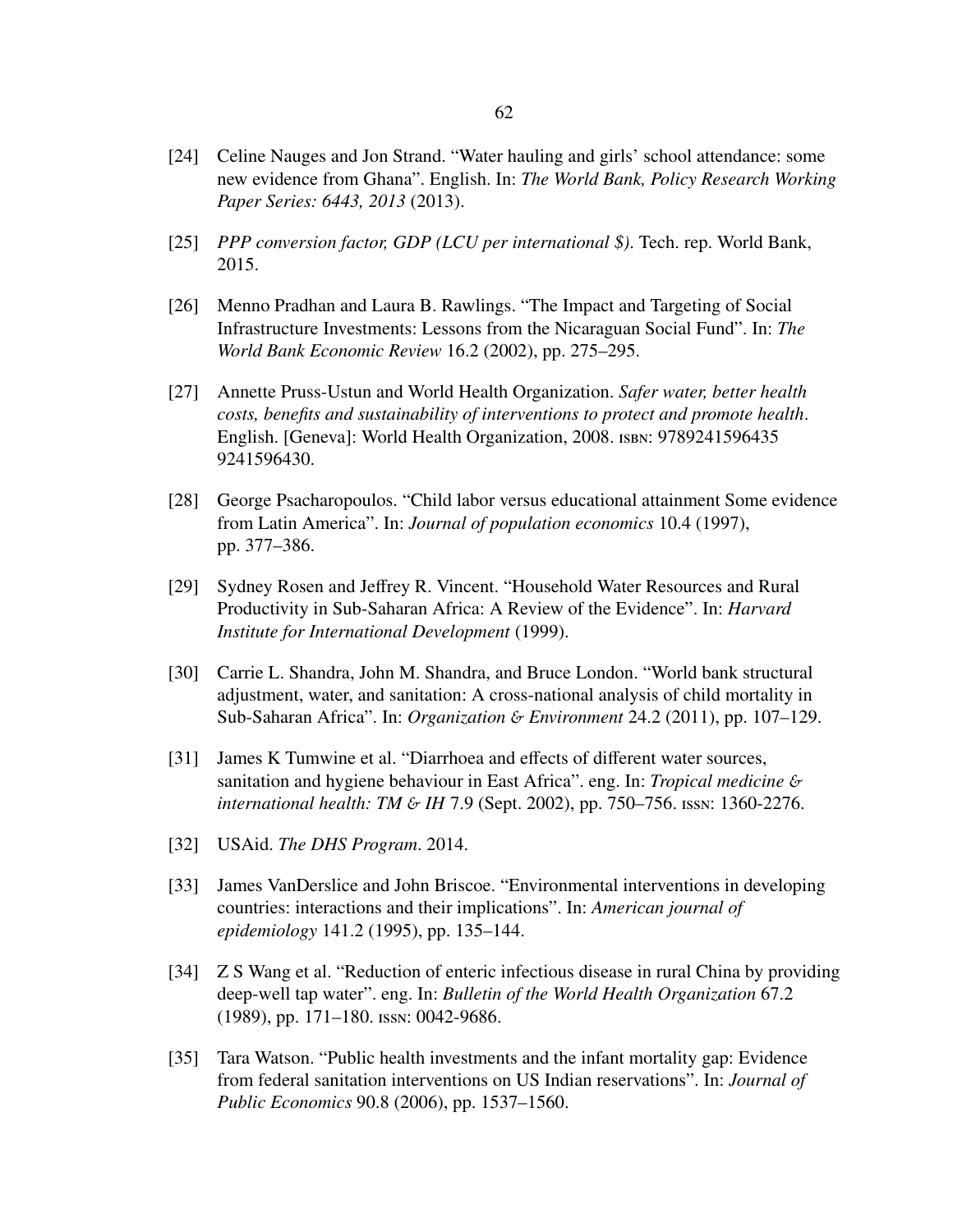- [24] Celine Nauges and Jon Strand. "Water hauling and girls' school attendance: some new evidence from Ghana". English. In: *The World Bank, Policy Research Working Paper Series: 6443, 2013* (2013).
- [25] *PPP conversion factor, GDP (LCU per international \$)*. Tech. rep. World Bank, 2015.
- [26] Menno Pradhan and Laura B. Rawlings. "The Impact and Targeting of Social Infrastructure Investments: Lessons from the Nicaraguan Social Fund". In: *The World Bank Economic Review* 16.2 (2002), pp. 275–295.
- [27] Annette Pruss-Ustun and World Health Organization. *Safer water, better health costs, benefits and sustainability of interventions to protect and promote health*. English. [Geneva]: World Health Organization, 2008. isbn: 9789241596435 9241596430.
- [28] George Psacharopoulos. "Child labor versus educational attainment Some evidence from Latin America". In: *Journal of population economics* 10.4 (1997), pp. 377–386.
- [29] Sydney Rosen and Jeffrey R. Vincent. "Household Water Resources and Rural Productivity in Sub-Saharan Africa: A Review of the Evidence". In: *Harvard Institute for International Development* (1999).
- [30] Carrie L. Shandra, John M. Shandra, and Bruce London. "World bank structural adjustment, water, and sanitation: A cross-national analysis of child mortality in Sub-Saharan Africa". In: *Organization* & *Environment* 24.2 (2011), pp. 107–129.
- [31] James K Tumwine et al. "Diarrhoea and effects of different water sources, sanitation and hygiene behaviour in East Africa". eng. In: *Tropical medicine* & *international health: TM* & *IH* 7.9 (Sept. 2002), pp. 750–756. issn: 1360-2276.
- [32] USAid. *The DHS Program*. 2014.
- [33] James VanDerslice and John Briscoe. "Environmental interventions in developing countries: interactions and their implications". In: *American journal of epidemiology* 141.2 (1995), pp. 135–144.
- [34] Z S Wang et al. "Reduction of enteric infectious disease in rural China by providing deep-well tap water". eng. In: *Bulletin of the World Health Organization* 67.2 (1989), pp. 171–180. issn: 0042-9686.
- [35] Tara Watson. "Public health investments and the infant mortality gap: Evidence from federal sanitation interventions on US Indian reservations". In: *Journal of Public Economics* 90.8 (2006), pp. 1537–1560.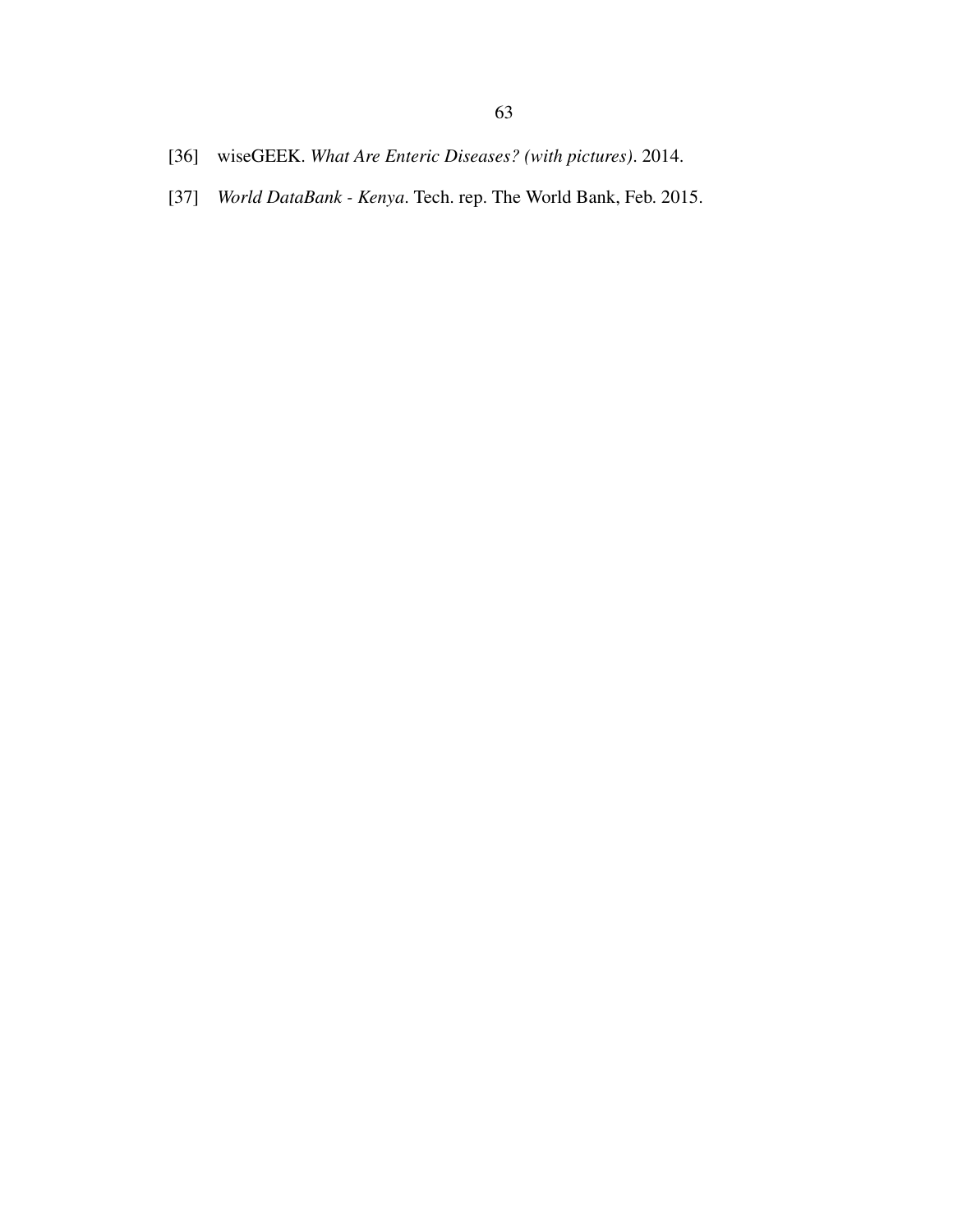- [36] wiseGEEK. *What Are Enteric Diseases? (with pictures)*. 2014.
- <span id="page-70-0"></span>[37] *World DataBank - Kenya*. Tech. rep. The World Bank, Feb. 2015.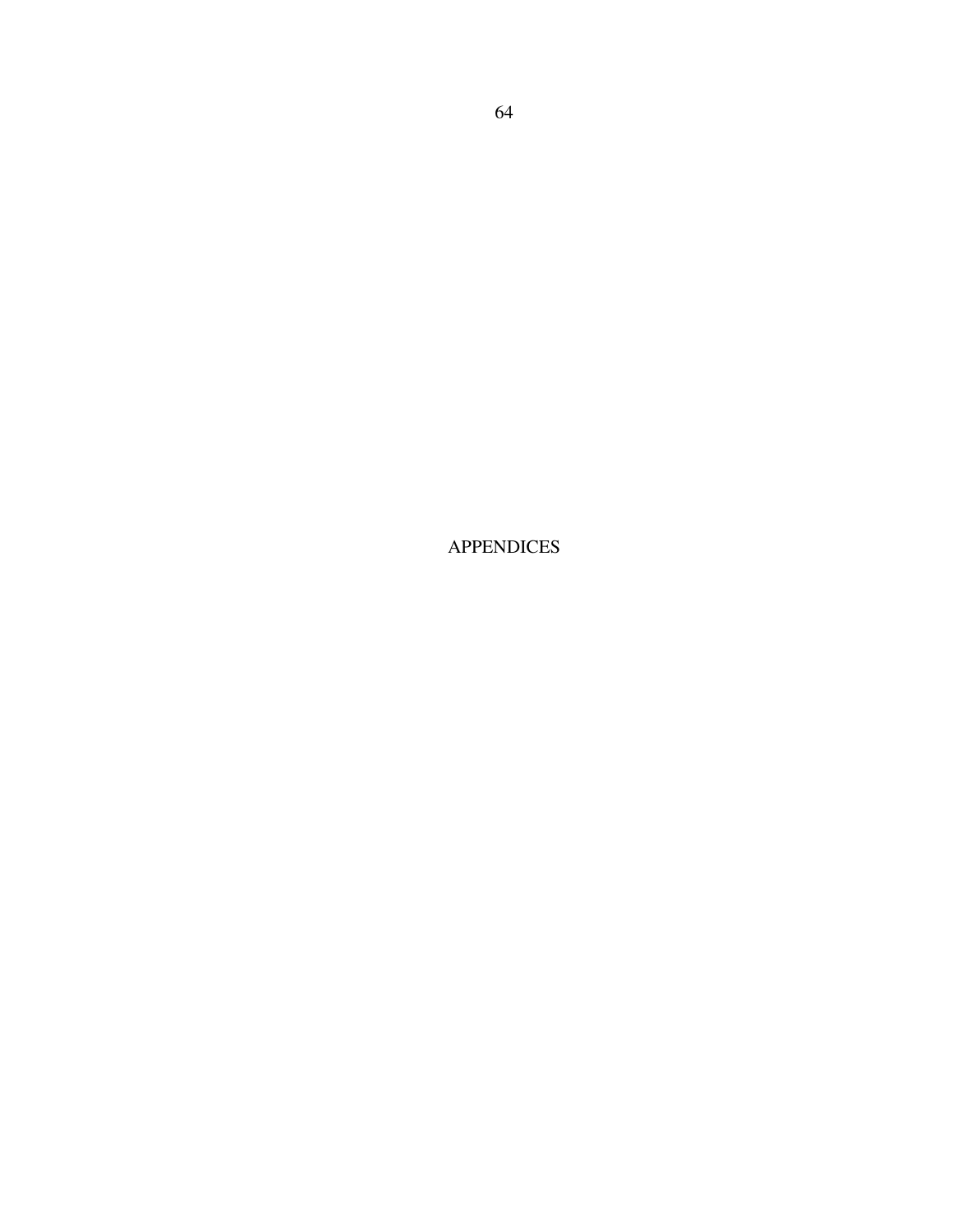APPENDICES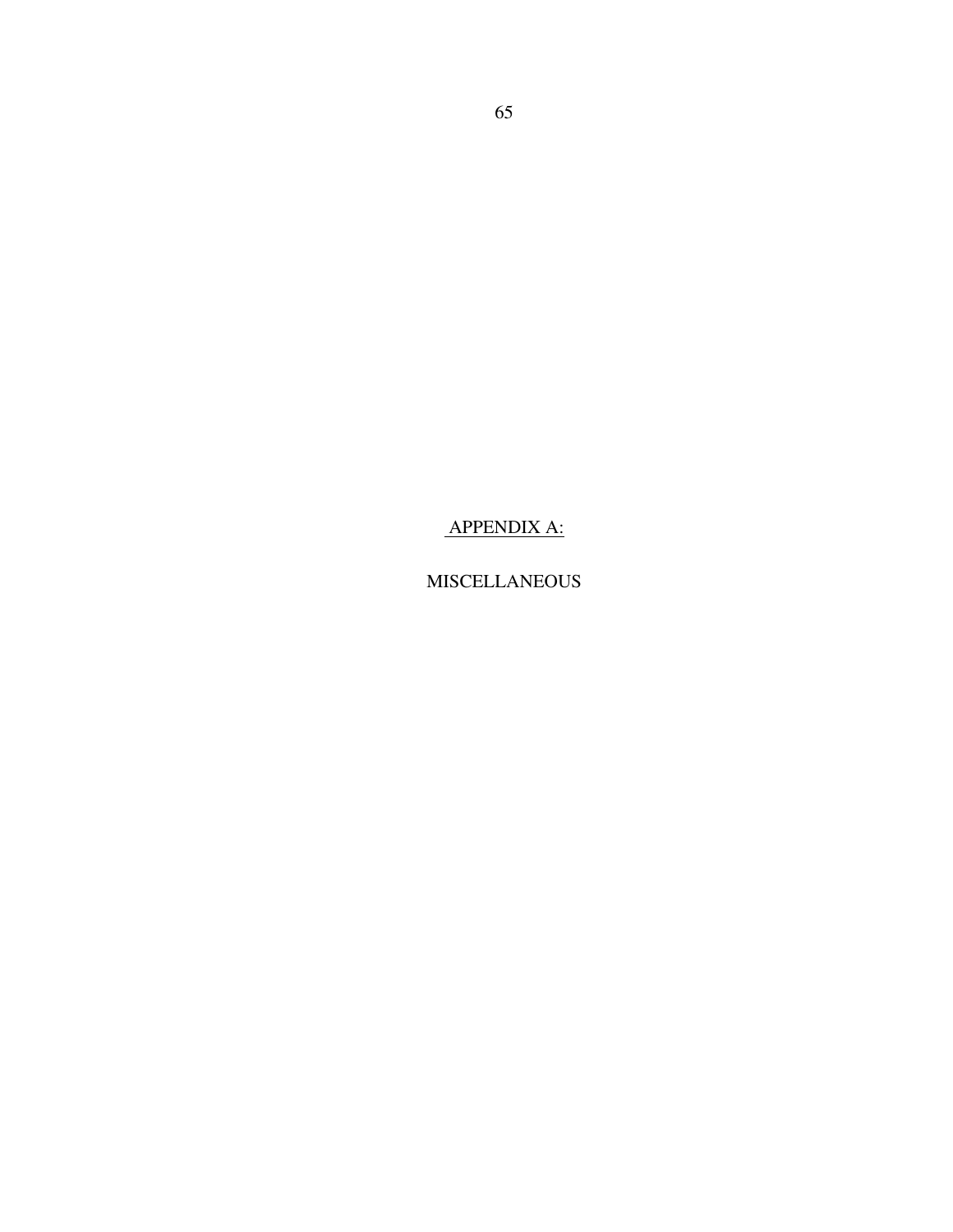APPENDIX A:

MISCELLANEOUS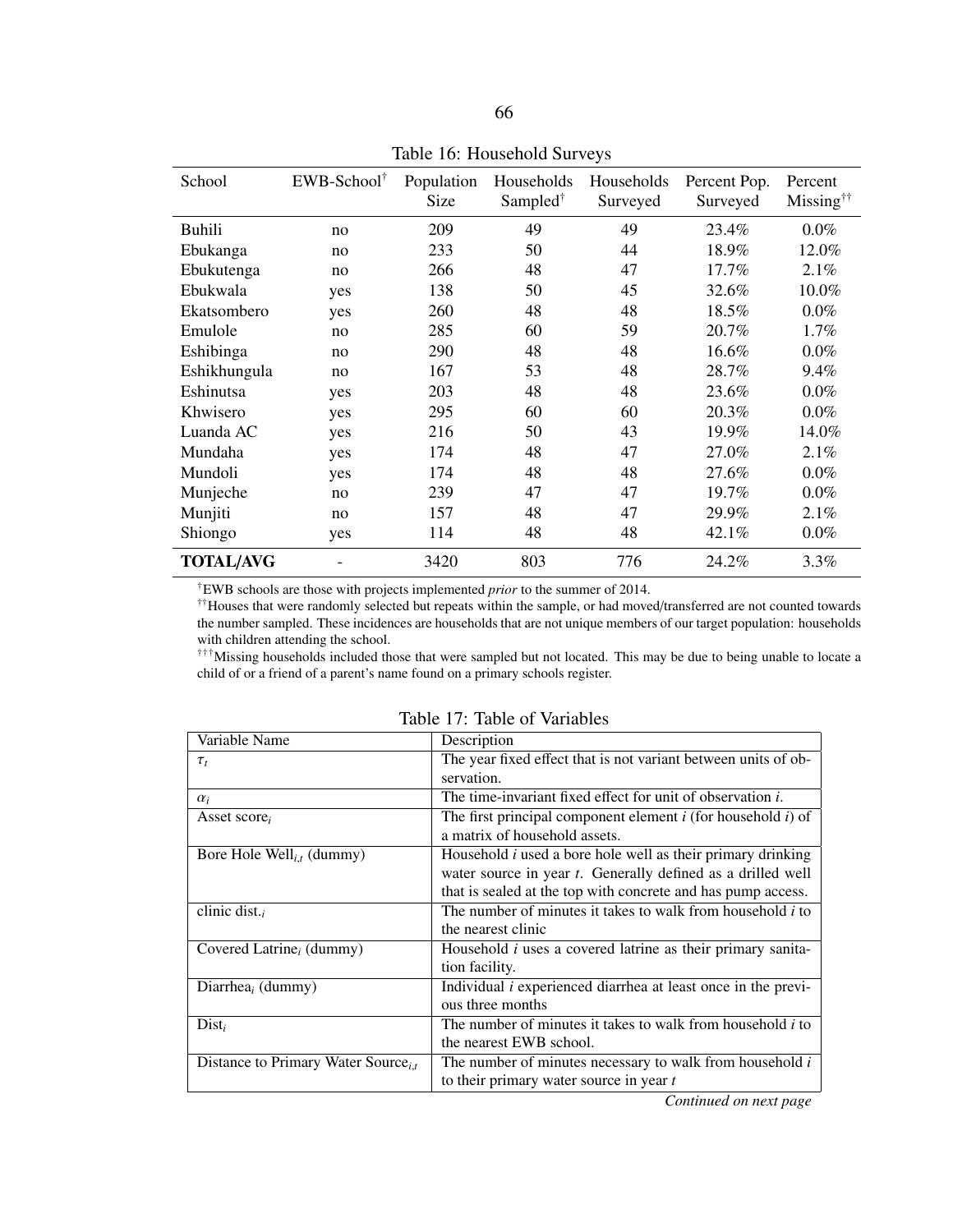| School           | EWB-School <sup>†</sup> | Population<br>Size | Households<br>Sampled <sup>†</sup> | Households<br>Surveyed | Percent Pop.<br>Surveyed | Percent<br>$Missing^{\dagger\dagger}$ |  |
|------------------|-------------------------|--------------------|------------------------------------|------------------------|--------------------------|---------------------------------------|--|
| <b>Buhili</b>    | no                      | 209                | 49                                 | 49                     | 23.4%                    | $0.0\%$                               |  |
| Ebukanga         | no                      | 233                | 50                                 | 44                     | 18.9%                    | 12.0%                                 |  |
| Ebukutenga       | no                      | 266                | 48                                 | 47                     | 17.7%                    | 2.1%                                  |  |
| Ebukwala         | yes                     | 138                | 50                                 | 45                     | 32.6%                    | 10.0%                                 |  |
| Ekatsombero      | yes                     | 260                | 48                                 | 48                     | 18.5%                    | $0.0\%$                               |  |
| Emulole          | no                      | 285                | 60                                 | 59                     | 20.7%                    | 1.7%                                  |  |
| Eshibinga        | no                      | 290                | 48                                 | 48                     | 16.6%                    | $0.0\%$                               |  |
| Eshikhungula     | no                      | 167                | 53                                 | 48                     | 28.7%                    | 9.4%                                  |  |
| Eshinutsa        | yes                     | 203                | 48                                 | 48                     | 23.6%                    | $0.0\%$                               |  |
| Khwisero         | yes                     | 295                | 60                                 | 60                     | 20.3%                    | $0.0\%$                               |  |
| Luanda AC        | yes                     | 216                | 50                                 | 43                     | 19.9%                    | 14.0%                                 |  |
| Mundaha          | yes                     | 174                | 48                                 | 47                     | 27.0%                    | 2.1%                                  |  |
| Mundoli          | yes                     | 174                | 48                                 | 48                     | 27.6%                    | $0.0\%$                               |  |
| Munjeche         | no                      | 239                | 47                                 | 47                     | 19.7%                    | $0.0\%$                               |  |
| Munjiti          | no                      | 157                | 48                                 | 47                     | 29.9%                    | 2.1%                                  |  |
| Shiongo          | yes                     | 114                | 48                                 | 48                     | 42.1%                    | $0.0\%$                               |  |
| <b>TOTAL/AVG</b> |                         | 3420               | 803                                | 776                    | 24.2%                    | 3.3%                                  |  |

Table 16: Household Surveys

†EWB schools are those with projects implemented *prior* to the summer of 2014.

††Houses that were randomly selected but repeats within the sample, or had moved/transferred are not counted towards the number sampled. These incidences are households that are not unique members of our target population: households with children attending the school.

†††Missing households included those that were sampled but not located. This may be due to being unable to locate a child of or a friend of a parent's name found on a primary schools register.

| Variable Name                                   | Description                                                          |
|-------------------------------------------------|----------------------------------------------------------------------|
| $\tau_t$                                        | The year fixed effect that is not variant between units of ob-       |
|                                                 | servation.                                                           |
| $\alpha_i$                                      | The time-invariant fixed effect for unit of observation i.           |
| Asset score,                                    | The first principal component element $i$ (for household $i$ ) of    |
|                                                 | a matrix of household assets.                                        |
| Bore Hole Well <sub>it</sub> (dummy)            | Household $i$ used a bore hole well as their primary drinking        |
|                                                 | water source in year <i>t</i> . Generally defined as a drilled well  |
|                                                 | that is sealed at the top with concrete and has pump access.         |
| clinic dist.                                    | The number of minutes it takes to walk from household <i>i</i> to    |
|                                                 | the nearest clinic                                                   |
| Covered Latrine <sub>i</sub> (dummy)            | Household $i$ uses a covered latrine as their primary sanita-        |
|                                                 | tion facility.                                                       |
| Diarrhea <sub>i</sub> (dummy)                   | Individual <i>i</i> experienced diarrhea at least once in the previ- |
|                                                 | ous three months                                                     |
| $Dist_i$                                        | The number of minutes it takes to walk from household <i>i</i> to    |
|                                                 | the nearest EWB school.                                              |
| Distance to Primary Water Source <sub>i,t</sub> | The number of minutes necessary to walk from household $i$           |
|                                                 | to their primary water source in year $t$                            |

Table 17: Table of Variables

*Continued on next page*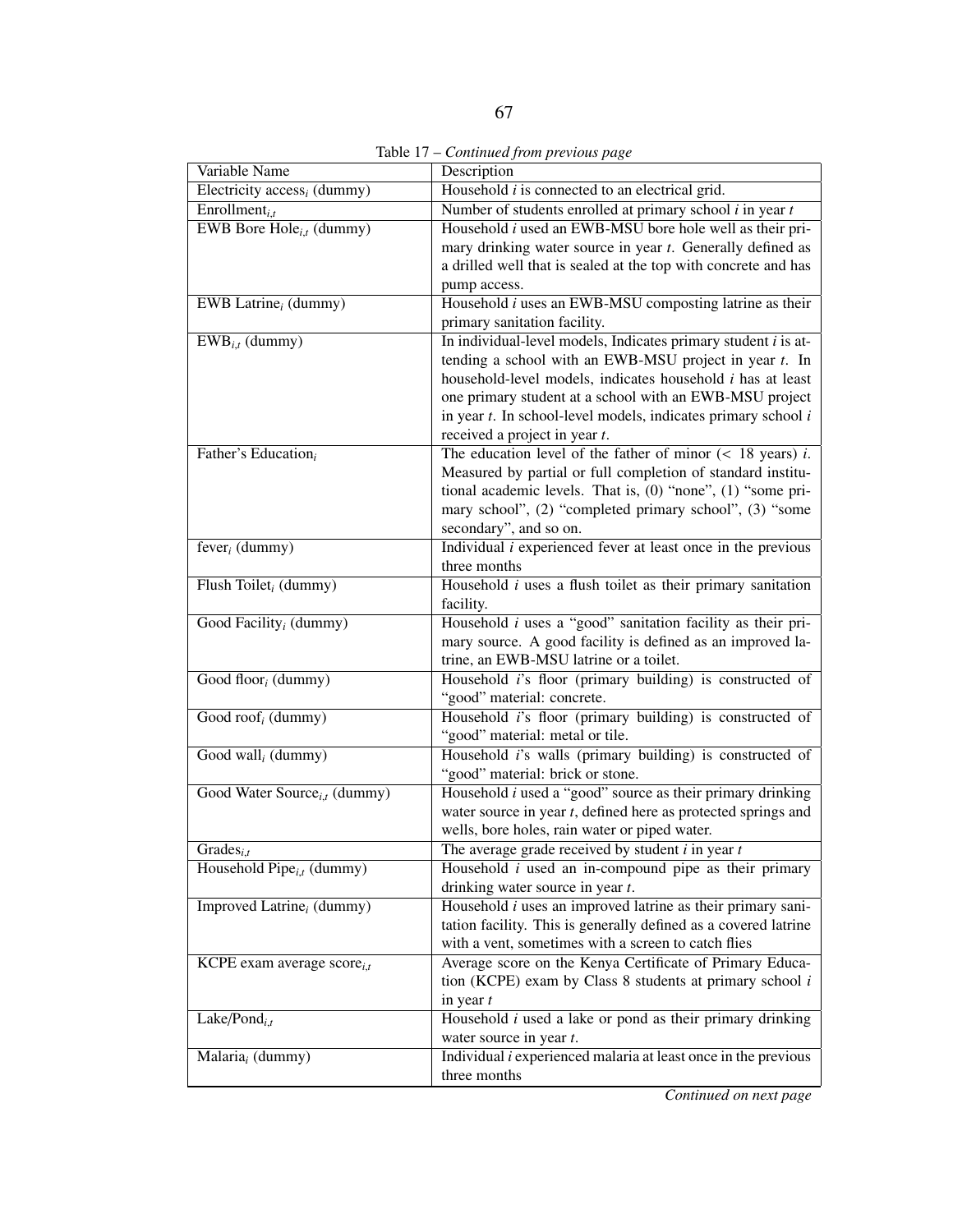|  | Table 17 – Continued from previous page |  |  |
|--|-----------------------------------------|--|--|
|  |                                         |  |  |

| Variable Name                            | Description                                                                                                                                                                                                                                                                                                                                                             |
|------------------------------------------|-------------------------------------------------------------------------------------------------------------------------------------------------------------------------------------------------------------------------------------------------------------------------------------------------------------------------------------------------------------------------|
| Electricity $\mathrm{access}_i$ (dummy)  | Household $i$ is connected to an electrical grid.                                                                                                                                                                                                                                                                                                                       |
| Enrollment $_{i,t}$                      | Number of students enrolled at primary school $i$ in year $t$                                                                                                                                                                                                                                                                                                           |
| EWB Bore Hole $_{i,t}$ (dummy)           | Household <i>i</i> used an EWB-MSU bore hole well as their pri-<br>mary drinking water source in year t. Generally defined as<br>a drilled well that is sealed at the top with concrete and has<br>pump access.                                                                                                                                                         |
| EWB Latrine $_i$ (dummy)                 | Household <i>i</i> uses an EWB-MSU composting latrine as their<br>primary sanitation facility.                                                                                                                                                                                                                                                                          |
| $\overline{\text{EWB}_{i,t}}$ (dummy)    | In individual-level models, Indicates primary student $i$ is at-<br>tending a school with an EWB-MSU project in year $t$ . In<br>household-level models, indicates household <i>i</i> has at least<br>one primary student at a school with an EWB-MSU project<br>in year $t$ . In school-level models, indicates primary school $i$<br>received a project in year $t$ . |
| Father's Education <sub>i</sub>          | The education level of the father of minor $(< 18$ years) <i>i</i> .<br>Measured by partial or full completion of standard institu-<br>tional academic levels. That is, (0) "none", (1) "some pri-<br>mary school", (2) "completed primary school", (3) "some<br>secondary", and so on.                                                                                 |
| fever <sub>i</sub> (dummy)               | Individual $i$ experienced fever at least once in the previous<br>three months                                                                                                                                                                                                                                                                                          |
| Flush Toilet <sub>i</sub> (dummy)        | Household $i$ uses a flush toilet as their primary sanitation<br>facility.                                                                                                                                                                                                                                                                                              |
| Good Facility <sub>i</sub> (dummy)       | Household $i$ uses a "good" sanitation facility as their pri-<br>mary source. A good facility is defined as an improved la-<br>trine, an EWB-MSU latrine or a toilet.                                                                                                                                                                                                   |
| Good floor $_i$ (dummy)                  | Household i's floor (primary building) is constructed of<br>"good" material: concrete.                                                                                                                                                                                                                                                                                  |
| Good roof <sub>i</sub> (dummy)           | Household <i>i</i> 's floor (primary building) is constructed of<br>"good" material: metal or tile.                                                                                                                                                                                                                                                                     |
| Good wall <sub>i</sub> (dummy)           | Household i's walls (primary building) is constructed of<br>"good" material: brick or stone.                                                                                                                                                                                                                                                                            |
| Good Water Source <sub>i,t</sub> (dummy) | Household $i$ used a "good" source as their primary drinking<br>water source in year $t$ , defined here as protected springs and<br>wells, bore holes, rain water or piped water.                                                                                                                                                                                       |
| Grades $_{i,t}$                          | The average grade received by student $i$ in year $t$                                                                                                                                                                                                                                                                                                                   |
| Household Pipe $_{i,t}$ (dummy)          | Household $i$ used an in-compound pipe as their primary<br>drinking water source in year $t$ .                                                                                                                                                                                                                                                                          |
| Improved Latrine <sub>i</sub> (dummy)    | Household $i$ uses an improved latrine as their primary sani-<br>tation facility. This is generally defined as a covered latrine<br>with a vent, sometimes with a screen to catch flies                                                                                                                                                                                 |
| KCPE exam average $score_{i,t}$          | Average score on the Kenya Certificate of Primary Educa-<br>tion (KCPE) exam by Class 8 students at primary school $i$<br>in year $t$                                                                                                                                                                                                                                   |
| Lake/Pond <sub>i,t</sub>                 | Household $i$ used a lake or pond as their primary drinking<br>water source in year $t$ .                                                                                                                                                                                                                                                                               |
| Malaria <sub>i</sub> (dummy)             | Individual $i$ experienced malaria at least once in the previous<br>three months                                                                                                                                                                                                                                                                                        |

*Continued on next page*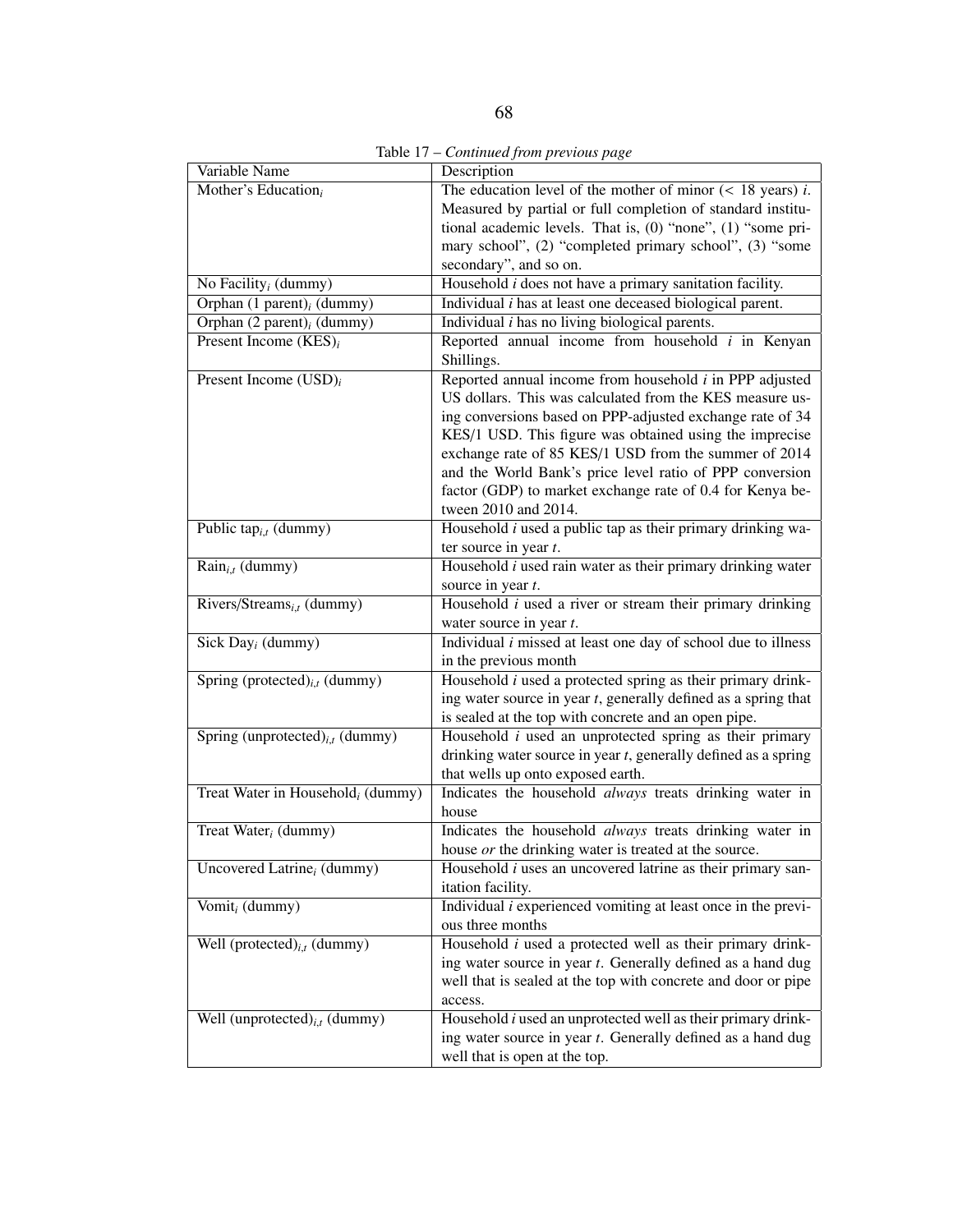Table 17 – *Continued from previous page*

| Variable Name                                 | Description                                                                                                                                                                                                                                                                                                                                                                                                                                             |
|-----------------------------------------------|---------------------------------------------------------------------------------------------------------------------------------------------------------------------------------------------------------------------------------------------------------------------------------------------------------------------------------------------------------------------------------------------------------------------------------------------------------|
| Mother's Education <sub>i</sub>               | The education level of the mother of minor $(< 18$ years) <i>i</i> .<br>Measured by partial or full completion of standard institu-<br>tional academic levels. That is, (0) "none", (1) "some pri-<br>mary school", (2) "completed primary school", (3) "some<br>secondary", and so on.                                                                                                                                                                 |
| No Facility <sub>i</sub> (dummy)              | Household $i$ does not have a primary sanitation facility.                                                                                                                                                                                                                                                                                                                                                                                              |
| Orphan $(1$ parent) <sub>i</sub> (dummy)      | Individual <i>i</i> has at least one deceased biological parent.                                                                                                                                                                                                                                                                                                                                                                                        |
| Orphan $(2$ parent) <sub>i</sub> (dummy)      | Individual $i$ has no living biological parents.                                                                                                                                                                                                                                                                                                                                                                                                        |
| Present Income $(KES)_i$                      | Reported annual income from household $i$ in Kenyan<br>Shillings.                                                                                                                                                                                                                                                                                                                                                                                       |
| Present Income $(USD)_i$                      | Reported annual income from household $i$ in PPP adjusted<br>US dollars. This was calculated from the KES measure us-<br>ing conversions based on PPP-adjusted exchange rate of 34<br>KES/1 USD. This figure was obtained using the imprecise<br>exchange rate of 85 KES/1 USD from the summer of 2014<br>and the World Bank's price level ratio of PPP conversion<br>factor (GDP) to market exchange rate of 0.4 for Kenya be-<br>tween 2010 and 2014. |
| Public tap <sub>i,t</sub> (dummy)             | Household $i$ used a public tap as their primary drinking wa-<br>ter source in year $t$ .                                                                                                                                                                                                                                                                                                                                                               |
| $\overline{\text{Rain}_{i,t}(\text{dummy})}$  | Household $i$ used rain water as their primary drinking water<br>source in year t.                                                                                                                                                                                                                                                                                                                                                                      |
| Rivers/Streams <sub>i.t</sub> (dummy)         | Household $i$ used a river or stream their primary drinking<br>water source in year $t$ .                                                                                                                                                                                                                                                                                                                                                               |
| Sick Day <sub>i</sub> (dummy)                 | Individual $i$ missed at least one day of school due to illness<br>in the previous month                                                                                                                                                                                                                                                                                                                                                                |
| Spring (protected) $_{i,t}$ (dummy)           | Household $i$ used a protected spring as their primary drink-<br>ing water source in year $t$ , generally defined as a spring that<br>is sealed at the top with concrete and an open pipe.                                                                                                                                                                                                                                                              |
| Spring (unprotected) $_{i,t}$ (dummy)         | Household $i$ used an unprotected spring as their primary<br>drinking water source in year $t$ , generally defined as a spring<br>that wells up onto exposed earth.                                                                                                                                                                                                                                                                                     |
| Treat Water in Household <sub>i</sub> (dummy) | Indicates the household always treats drinking water in<br>house                                                                                                                                                                                                                                                                                                                                                                                        |
| Treat Water $_i$ (dummy)                      | Indicates the household always treats drinking water in<br>house or the drinking water is treated at the source.                                                                                                                                                                                                                                                                                                                                        |
| Uncovered Latrine <sub>i</sub> (dummy)        | Household <i>i</i> uses an uncovered latrine as their primary san-<br>itation facility.                                                                                                                                                                                                                                                                                                                                                                 |
| Vomit <sub>i</sub> (dummy)                    | Individual $i$ experienced vomiting at least once in the previ-<br>ous three months                                                                                                                                                                                                                                                                                                                                                                     |
| Well (protected) $_{i,t}$ (dummy)             | Household $i$ used a protected well as their primary drink-<br>ing water source in year t. Generally defined as a hand dug<br>well that is sealed at the top with concrete and door or pipe<br>access.                                                                                                                                                                                                                                                  |
| Well (unprotected) $_{i,t}$ (dummy)           | Household <i>i</i> used an unprotected well as their primary drink-<br>ing water source in year t. Generally defined as a hand dug<br>well that is open at the top.                                                                                                                                                                                                                                                                                     |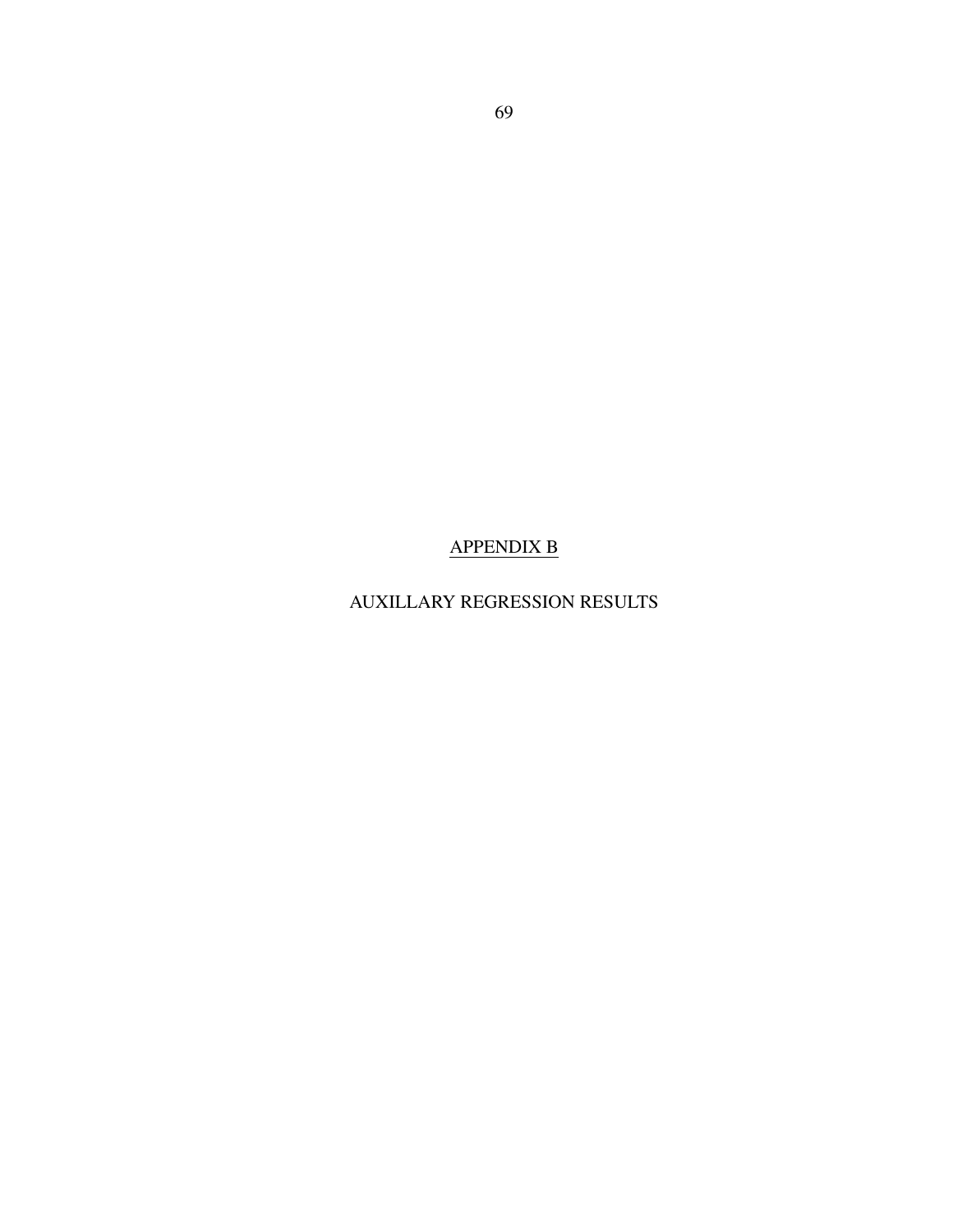### APPENDIX B

## AUXILLARY REGRESSION RESULTS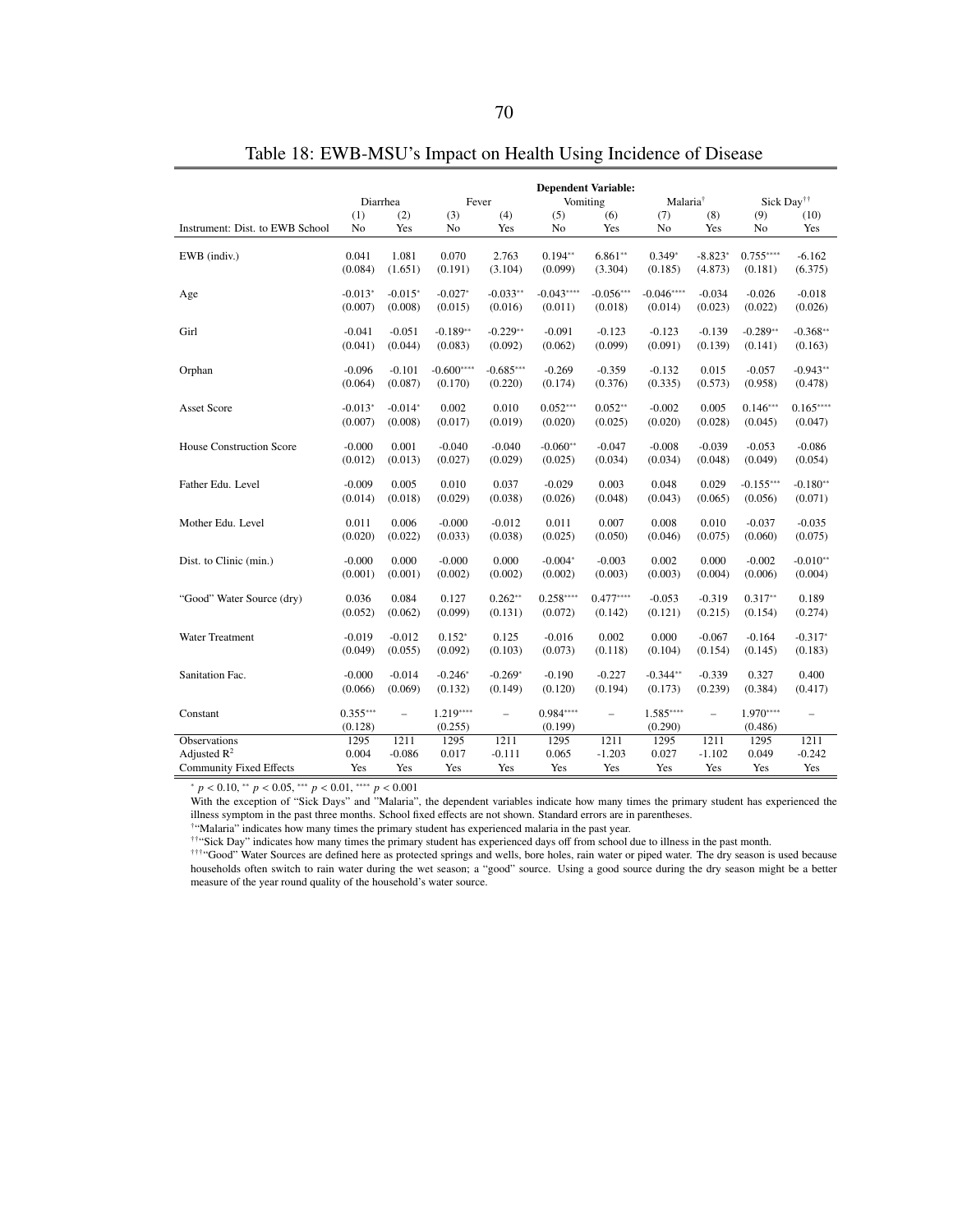|                                 |                | Diarrhea<br>Fever        |             |             | <b>Dependent Variable:</b><br>Vomiting<br>Malaria <sup>†</sup> |             |             |                          | Sick Day <sup>††</sup> |                          |
|---------------------------------|----------------|--------------------------|-------------|-------------|----------------------------------------------------------------|-------------|-------------|--------------------------|------------------------|--------------------------|
|                                 | (1)            | (2)                      | (3)         | (4)         | (5)                                                            | (6)         | (7)         | (8)                      | (9)                    | (10)                     |
| Instrument: Dist. to EWB School | N <sub>0</sub> | Yes                      | No          | Yes         | No                                                             | Yes         | No          | Yes                      | No                     | Yes                      |
|                                 |                |                          |             |             |                                                                |             |             |                          |                        |                          |
| EWB (indiv.)                    | 0.041          | 1.081                    | 0.070       | 2.763       | $0.194**$                                                      | $6.861**$   | $0.349*$    | $-8.823*$                | $0.755***$             | $-6.162$                 |
|                                 | (0.084)        | (1.651)                  | (0.191)     | (3.104)     | (0.099)                                                        | (3.304)     | (0.185)     | (4.873)                  | (0.181)                | (6.375)                  |
|                                 |                |                          |             |             |                                                                |             |             |                          |                        |                          |
| Age                             | $-0.013*$      | $-0.015*$                | $-0.027*$   | $-0.033**$  | $-0.043***$                                                    | $-0.056***$ | $-0.046***$ | $-0.034$                 | $-0.026$               | $-0.018$                 |
|                                 | (0.007)        | (0.008)                  | (0.015)     | (0.016)     | (0.011)                                                        | (0.018)     | (0.014)     | (0.023)                  | (0.022)                | (0.026)                  |
| Girl                            | $-0.041$       | $-0.051$                 | $-0.189**$  | $-0.229**$  | $-0.091$                                                       | $-0.123$    | $-0.123$    | $-0.139$                 | $-0.289**$             | $-0.368**$               |
|                                 | (0.041)        | (0.044)                  | (0.083)     | (0.092)     | (0.062)                                                        | (0.099)     | (0.091)     | (0.139)                  | (0.141)                | (0.163)                  |
|                                 |                |                          |             |             |                                                                |             |             |                          |                        |                          |
| Orphan                          | $-0.096$       | $-0.101$                 | $-0.600***$ | $-0.685***$ | $-0.269$                                                       | $-0.359$    | $-0.132$    | 0.015                    | $-0.057$               | $-0.943**$               |
|                                 | (0.064)        | (0.087)                  | (0.170)     | (0.220)     | (0.174)                                                        | (0.376)     | (0.335)     | (0.573)                  | (0.958)                | (0.478)                  |
|                                 |                |                          |             |             |                                                                |             |             |                          |                        |                          |
| <b>Asset Score</b>              | $-0.013*$      | $-0.014*$                | 0.002       | 0.010       | $0.052***$                                                     | $0.052**$   | $-0.002$    | 0.005                    | $0.146***$             | $0.165***$               |
|                                 | (0.007)        | (0.008)                  | (0.017)     | (0.019)     | (0.020)                                                        | (0.025)     | (0.020)     | (0.028)                  | (0.045)                | (0.047)                  |
| <b>House Construction Score</b> | $-0.000$       | 0.001                    | $-0.040$    | $-0.040$    | $-0.060**$                                                     | $-0.047$    | $-0.008$    | $-0.039$                 | $-0.053$               | $-0.086$                 |
|                                 | (0.012)        | (0.013)                  | (0.027)     | (0.029)     | (0.025)                                                        | (0.034)     | (0.034)     | (0.048)                  | (0.049)                | (0.054)                  |
|                                 |                |                          |             |             |                                                                |             |             |                          |                        |                          |
| Father Edu. Level               | $-0.009$       | 0.005                    | 0.010       | 0.037       | $-0.029$                                                       | 0.003       | 0.048       | 0.029                    | $-0.155***$            | $-0.180**$               |
|                                 | (0.014)        | (0.018)                  | (0.029)     | (0.038)     | (0.026)                                                        | (0.048)     | (0.043)     | (0.065)                  | (0.056)                | (0.071)                  |
|                                 |                |                          |             |             |                                                                |             |             |                          |                        |                          |
| Mother Edu. Level               | 0.011          | 0.006                    | $-0.000$    | $-0.012$    | 0.011                                                          | 0.007       | 0.008       | 0.010                    | $-0.037$               | $-0.035$                 |
|                                 | (0.020)        | (0.022)                  | (0.033)     | (0.038)     | (0.025)                                                        | (0.050)     | (0.046)     | (0.075)                  | (0.060)                | (0.075)                  |
| Dist. to Clinic (min.)          | $-0.000$       | 0.000                    | $-0.000$    | 0.000       | $-0.004*$                                                      | $-0.003$    | 0.002       | 0.000                    | $-0.002$               | $-0.010**$               |
|                                 | (0.001)        | (0.001)                  | (0.002)     | (0.002)     | (0.002)                                                        | (0.003)     | (0.003)     | (0.004)                  | (0.006)                | (0.004)                  |
|                                 |                |                          |             |             |                                                                |             |             |                          |                        |                          |
| "Good" Water Source (dry)       | 0.036          | 0.084                    | 0.127       | $0.262**$   | $0.258***$                                                     | $0.477***$  | $-0.053$    | $-0.319$                 | $0.317**$              | 0.189                    |
|                                 | (0.052)        | (0.062)                  | (0.099)     | (0.131)     | (0.072)                                                        | (0.142)     | (0.121)     | (0.215)                  | (0.154)                | (0.274)                  |
|                                 |                |                          |             |             |                                                                |             |             |                          |                        |                          |
| Water Treatment                 | $-0.019$       | $-0.012$                 | $0.152*$    | 0.125       | $-0.016$                                                       | 0.002       | 0.000       | $-0.067$                 | $-0.164$               | $-0.317*$                |
|                                 | (0.049)        | (0.055)                  | (0.092)     | (0.103)     | (0.073)                                                        | (0.118)     | (0.104)     | (0.154)                  | (0.145)                | (0.183)                  |
| Sanitation Fac.                 | $-0.000$       | $-0.014$                 | $-0.246*$   | $-0.269*$   | $-0.190$                                                       | $-0.227$    | $-0.344**$  | $-0.339$                 | 0.327                  | 0.400                    |
|                                 | (0.066)        | (0.069)                  | (0.132)     | (0.149)     | (0.120)                                                        | (0.194)     | (0.173)     | (0.239)                  | (0.384)                | (0.417)                  |
|                                 |                |                          |             |             |                                                                |             |             |                          |                        |                          |
| Constant                        | $0.355***$     | $\overline{\phantom{a}}$ | $1.219***$  | $\equiv$    | $0.984***$                                                     | $\equiv$    | $1.585***$  | $\overline{\phantom{0}}$ | $1.970***$             | $\overline{\phantom{0}}$ |
|                                 | (0.128)        |                          | (0.255)     |             | (0.199)                                                        |             | (0.290)     |                          | (0.486)                |                          |
| Observations                    | 1295           | 1211                     | 1295        | 1211        | 1295                                                           | 1211        | 1295        | 1211                     | 1295                   | 1211                     |
| Adjusted $R^2$                  | 0.004          | $-0.086$                 | 0.017       | $-0.111$    | 0.065                                                          | $-1.203$    | 0.027       | $-1.102$                 | 0.049                  | $-0.242$                 |
| <b>Community Fixed Effects</b>  | Yes            | Yes                      | Yes         | Yes         | Yes                                                            | Yes         | Yes         | Yes                      | Yes                    | Yes                      |

Table 18: EWB-MSU's Impact on Health Using Incidence of Disease

<sup>∗</sup> *<sup>p</sup>* < <sup>0</sup>.10, ∗∗ *<sup>p</sup>* < <sup>0</sup>.05, ∗∗∗ *<sup>p</sup>* < <sup>0</sup>.01, ∗∗∗∗ *<sup>p</sup>* < <sup>0</sup>.<sup>001</sup>

With the exception of "Sick Days" and "Malaria", the dependent variables indicate how many times the primary student has experienced the illness symptom in the past three months. School fixed effects are not shown. Standard errors are in parentheses.

†"Malaria" indicates how many times the primary student has experienced malaria in the past year.

††"Sick Day" indicates how many times the primary student has experienced days off from school due to illness in the past month.

†††"Good" Water Sources are defined here as protected springs and wells, bore holes, rain water or piped water. The dry season is used because households often switch to rain water during the wet season; a "good" source. Using a good source during the dry season might be a better measure of the year round quality of the household's water source.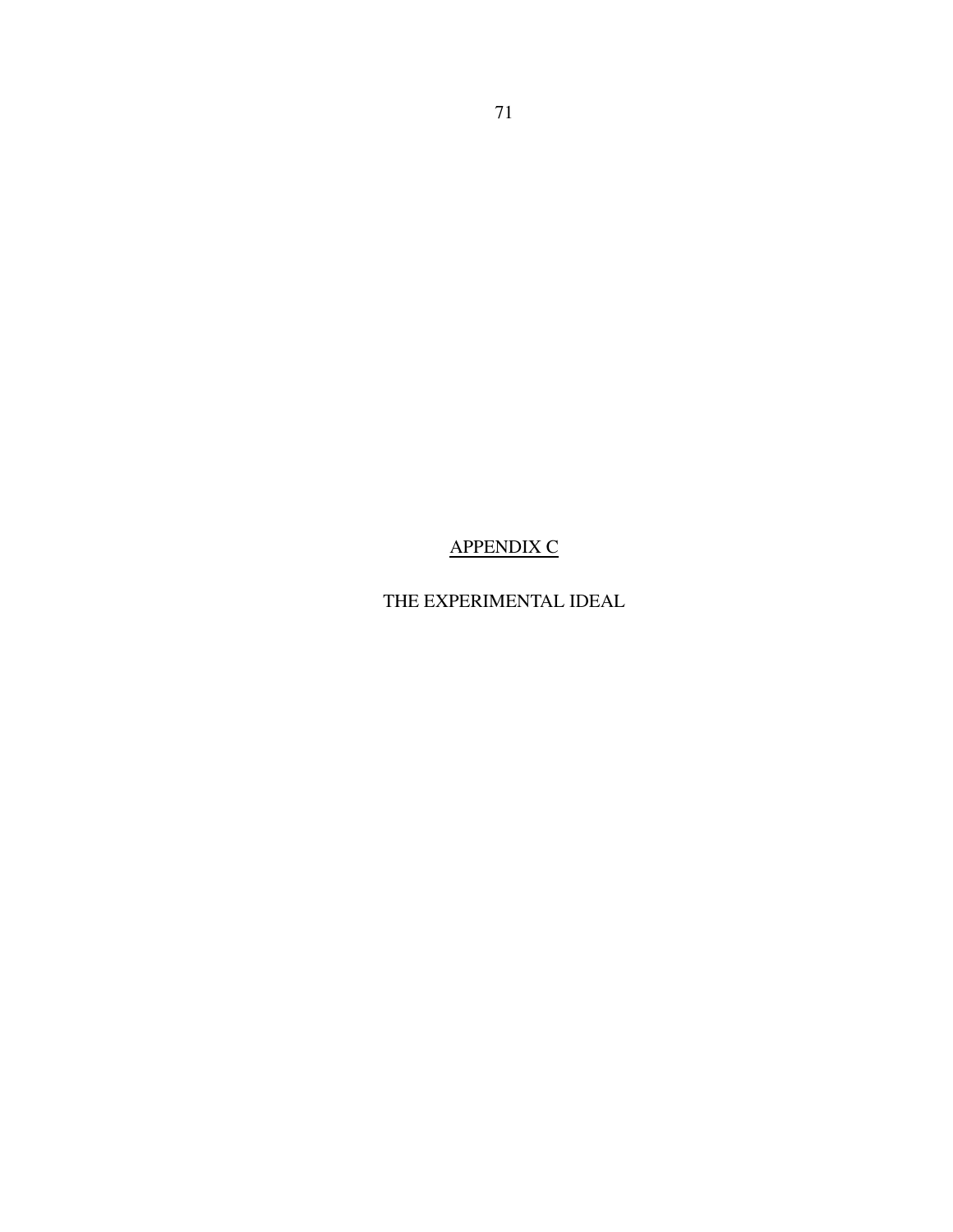# APPENDIX C

# THE EXPERIMENTAL IDEAL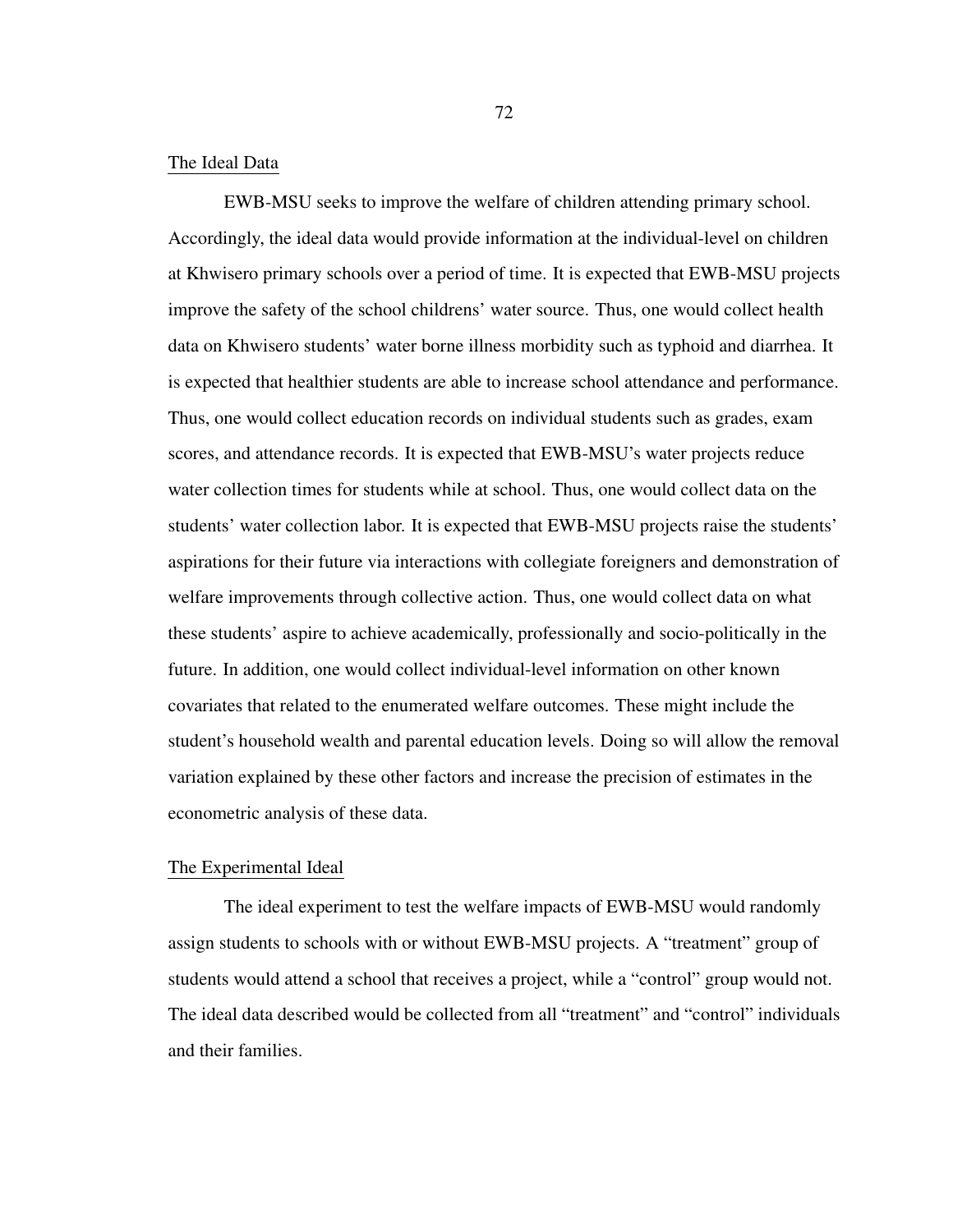### The Ideal Data

EWB-MSU seeks to improve the welfare of children attending primary school. Accordingly, the ideal data would provide information at the individual-level on children at Khwisero primary schools over a period of time. It is expected that EWB-MSU projects improve the safety of the school childrens' water source. Thus, one would collect health data on Khwisero students' water borne illness morbidity such as typhoid and diarrhea. It is expected that healthier students are able to increase school attendance and performance. Thus, one would collect education records on individual students such as grades, exam scores, and attendance records. It is expected that EWB-MSU's water projects reduce water collection times for students while at school. Thus, one would collect data on the students' water collection labor. It is expected that EWB-MSU projects raise the students' aspirations for their future via interactions with collegiate foreigners and demonstration of welfare improvements through collective action. Thus, one would collect data on what these students' aspire to achieve academically, professionally and socio-politically in the future. In addition, one would collect individual-level information on other known covariates that related to the enumerated welfare outcomes. These might include the student's household wealth and parental education levels. Doing so will allow the removal variation explained by these other factors and increase the precision of estimates in the econometric analysis of these data.

### The Experimental Ideal

The ideal experiment to test the welfare impacts of EWB-MSU would randomly assign students to schools with or without EWB-MSU projects. A "treatment" group of students would attend a school that receives a project, while a "control" group would not. The ideal data described would be collected from all "treatment" and "control" individuals and their families.

72